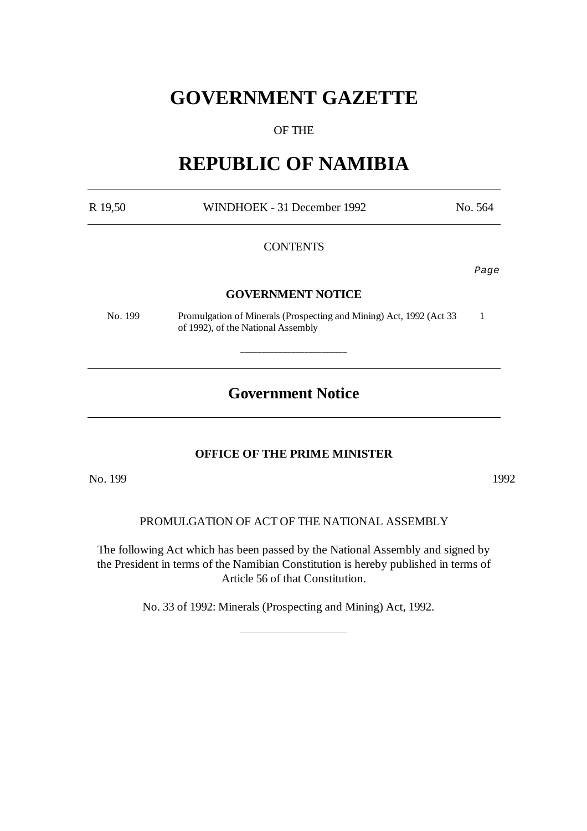# **GOVERNMENT GAZETTE**

# OF THE

# **REPUBLIC OF NAMIBIA**

| R 19,50 | WINDHOEK - 31 December 1992                                                                               | No. 564 |
|---------|-----------------------------------------------------------------------------------------------------------|---------|
|         | <b>CONTENTS</b>                                                                                           |         |
|         |                                                                                                           | Page    |
|         | <b>GOVERNMENT NOTICE</b>                                                                                  |         |
| No. 199 | Promulgation of Minerals (Prospecting and Mining) Act, 1992 (Act 33<br>of 1992), of the National Assembly |         |
|         |                                                                                                           |         |
|         | <b>Government Notice</b>                                                                                  |         |

# **OFFICE OF THE PRIME MINISTER**

No. 1992

# PROMULGATION OF ACT OF THE NATIONAL ASSEMBLY

The following Act which has been passed by the National Assembly and signed by the President in terms of the Namibian Constitution is hereby published in terms of Article 56 of that Constitution.

No. 33 of 1992: Minerals (Prospecting and Mining) Act, 1992.

\_\_\_\_\_\_\_\_\_\_\_\_\_\_\_\_\_\_\_\_\_\_\_\_\_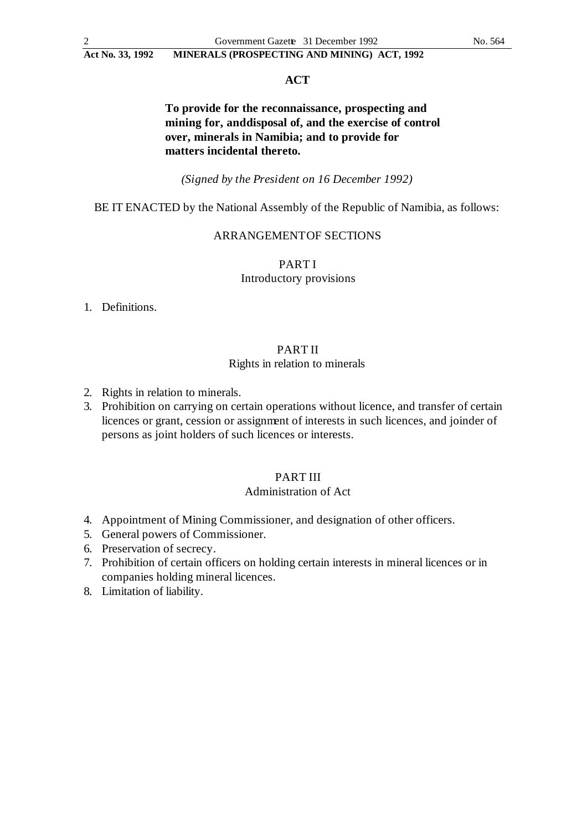#### **ACT**

# **To provide for the reconnaissance, prospecting and mining for, and disposal of, and the exercise of control over, minerals in Namibia; and to provide for matters incidental thereto.**

*(Signed by the President on 16 December 1992)*

#### BE IT ENACTED by the National Assembly of the Republic of Namibia, as follows:

#### ARRANGEMENT OF SECTIONS

PART I Introductory provisions

1. Definitions.

## PART II

#### Rights in relation to minerals

- 2. Rights in relation to minerals.
- 3. Prohibition on carrying on certain operations without licence, and transfer of certain licences or grant, cession or assignment of interests in such licences, and joinder of persons as joint holders of such licences or interests.

#### PART III

### Administration of Act

- 4. Appointment of Mining Commissioner, and designation of other officers.
- 5. General powers of Commissioner.
- 6. Preservation of secrecy.
- 7. Prohibition of certain officers on holding certain interests in mineral licences or in companies holding mineral licences.
- 8. Limitation of liability.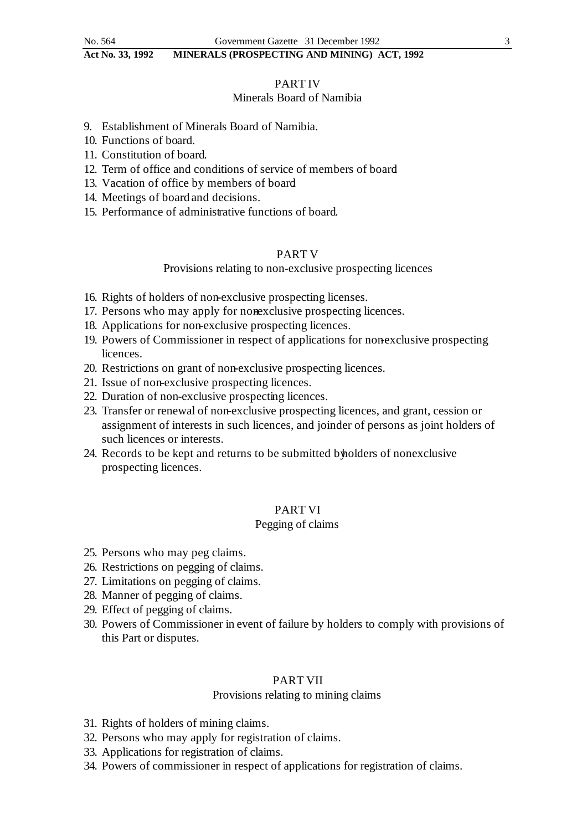#### PART IV

#### Minerals Board of Namibia

- 9. Establishment of Minerals Board of Namibia.
- 10. Functions of board.
- 11. Constitution of board.
- 12. Term of office and conditions of service of members of board.
- 13. Vacation of office by members of board.
- 14. Meetings of board and decisions.
- 15. Performance of administrative functions of board.

#### PART V

# Provisions relating to non-exclusive prospecting licences

- 16. Rights of holders of non-exclusive prospecting licenses.
- 17. Persons who may apply for nonexclusive prospecting licences.
- 18. Applications for non-exclusive prospecting licences.
- 19. Powers of Commissioner in respect of applications for nonexclusive prospecting licences.
- 20. Restrictions on grant of non-exclusive prospecting licences.
- 21. Issue of non-exclusive prospecting licences.
- 22. Duration of non-exclusive prospecting licences.
- 23. Transfer or renewal of non-exclusive prospecting licences, and grant, cession or assignment of interests in such licences, and joinder of persons as joint holders of such licences or interests.
- 24. Records to be kept and returns to be submitted by holders of nonexclusive prospecting licences.

## PART VI

#### Pegging of claims

- 25. Persons who may peg claims.
- 26. Restrictions on pegging of claims.
- 27. Limitations on pegging of claims.
- 28. Manner of pegging of claims.
- 29. Effect of pegging of claims.
- 30. Powers of Commissioner in event of failure by holders to comply with provisions of this Part or disputes.

## PART VII

#### Provisions relating to mining claims

- 31. Rights of holders of mining claims.
- 32. Persons who may apply for registration of claims.
- 33. Applications for registration of claims.
- 34. Powers of commissioner in respect of applications for registration of claims.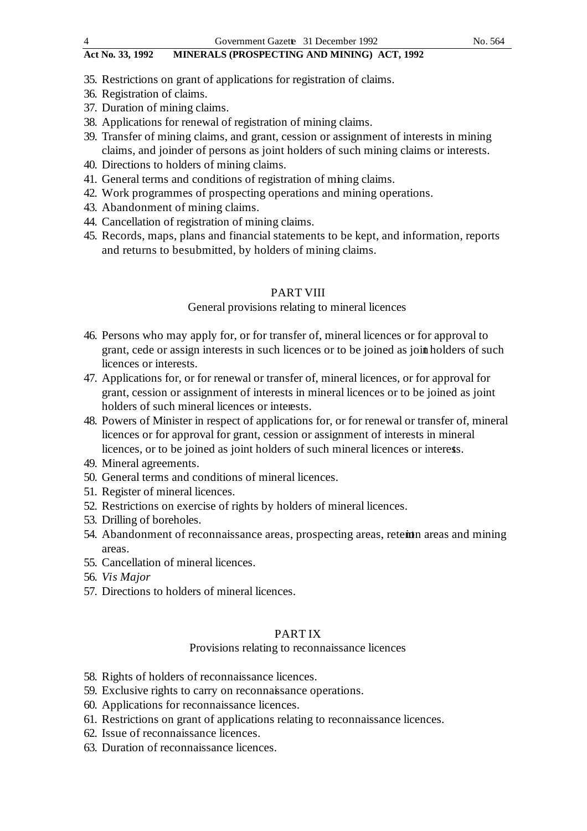- **Act No. 33, 1992 MINERALS (PROSPECTING AND MINING) ACT, 1992**
- 35. Restrictions on grant of applications for registration of claims.
- 36. Registration of claims.
- 37. Duration of mining claims.
- 38. Applications for renewal of registration of mining claims.
- 39. Transfer of mining claims, and grant, cession or assignment of interests in mining claims, and joinder of persons as joint holders of such mining claims or interests.
- 40. Directions to holders of mining claims.
- 41. General terms and conditions of registration of mining claims.
- 42. Work programmes of prospecting operations and mining operations.
- 43. Abandonment of mining claims.
- 44. Cancellation of registration of mining claims.
- 45. Records, maps, plans and financial statements to be kept, and information, reports and returns to be submitted, by holders of mining claims.

#### PART VIII

#### General provisions relating to mineral licences

- 46. Persons who may apply for, or for transfer of, mineral licences or for approval to grant, cede or assign interests in such licences or to be joined as joint holders of such licences or interests.
- 47. Applications for, or for renewal or transfer of, mineral licences, or for approval for grant, cession or assignment of interests in mineral licences or to be joined as joint holders of such mineral licences or interests.
- 48. Powers of Minister in respect of applications for, or for renewal or transfer of, mineral licences or for approval for grant, cession or assignment of interests in mineral licences, or to be joined as joint holders of such mineral licences or interests.
- 49. Mineral agreements.
- 50. General terms and conditions of mineral licences.
- 51. Register of mineral licences.
- 52. Restrictions on exercise of rights by holders of mineral licences.
- 53. Drilling of boreholes.
- 54. Abandonment of reconnaissance areas, prospecting areas, retemna areas and mining areas.
- 55. Cancellation of mineral licences.
- 56. *Vis Major*
- 57. Directions to holders of mineral licences.

#### PART IX

#### Provisions relating to reconnaissance licences

- 58. Rights of holders of reconnaissance licences.
- 59. Exclusive rights to carry on reconnaissance operations.
- 60. Applications for reconnaissance licences.
- 61. Restrictions on grant of applications relating to reconnaissance licences.
- 62. Issue of reconnaissance licences.
- 63. Duration of reconnaissance licences.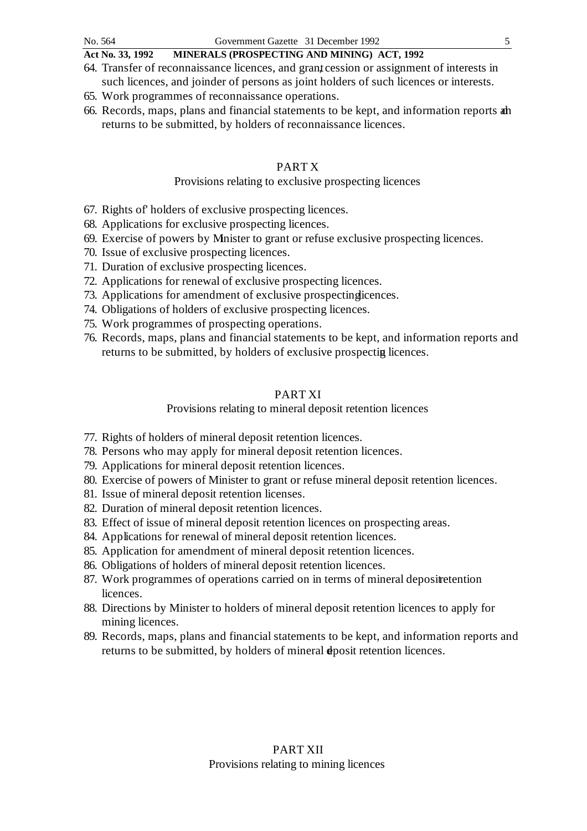- 64. Transfer of reconnaissance licences, and grant cession or assignment of interests in such licences, and joinder of persons as joint holders of such licences or interests.
- 65. Work programmes of reconnaissance operations.
- 66. Records, maps, plans and financial statements to be kept, and information reports and returns to be submitted, by holders of reconnaissance licences.

## PART X

## Provisions relating to exclusive prospecting licences

- 67. Rights of' holders of exclusive prospecting licences.
- 68. Applications for exclusive prospecting licences.
- 69. Exercise of powers by Minister to grant or refuse exclusive prospecting licences.
- 70. Issue of exclusive prospecting licences.
- 71. Duration of exclusive prospecting licences.
- 72. Applications for renewal of exclusive prospecting licences.
- 73. Applications for amendment of exclusive prospecting licences.
- 74. Obligations of holders of exclusive prospecting licences.
- 75. Work programmes of prospecting operations.
- 76. Records, maps, plans and financial statements to be kept, and information reports and returns to be submitted, by holders of exclusive prospecting licences.

# PART XI

# Provisions relating to mineral deposit retention licences

- 77. Rights of holders of mineral deposit retention licences.
- 78. Persons who may apply for mineral deposit retention licences.
- 79. Applications for mineral deposit retention licences.
- 80. Exercise of powers of Minister to grant or refuse mineral deposit retention licences.
- 81. Issue of mineral deposit retention licenses.
- 82. Duration of mineral deposit retention licences.
- 83. Effect of issue of mineral deposit retention licences on prospecting areas.
- 84. Applications for renewal of mineral deposit retention licences.
- 85. Application for amendment of mineral deposit retention licences.
- 86. Obligations of holders of mineral deposit retention licences.
- 87. Work programmes of operations carried on in terms of mineral deposite tention licences.
- 88. Directions by Minister to holders of mineral deposit retention licences to apply for mining licences.
- 89. Records, maps, plans and financial statements to be kept, and information reports and returns to be submitted, by holders of mineral dposit retention licences.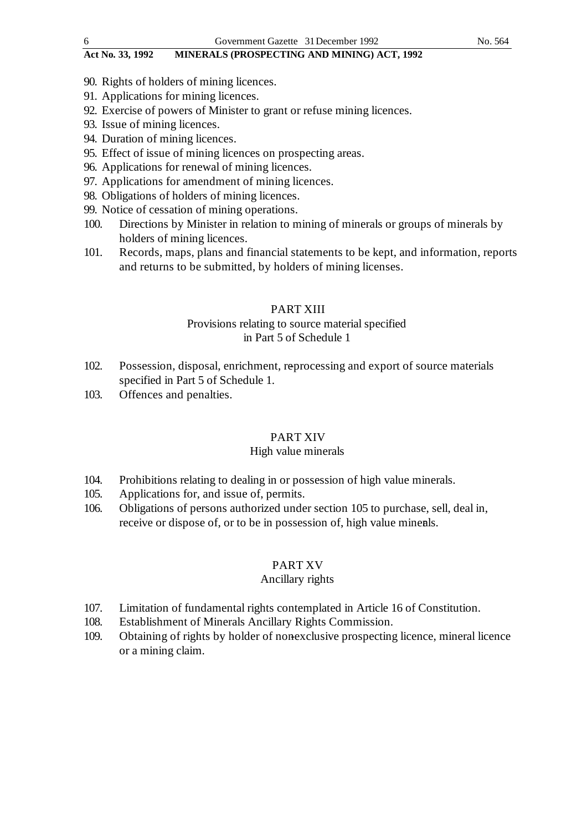- 90. Rights of holders of mining licences.
- 91. Applications for mining licences.
- 92. Exercise of powers of Minister to grant or refuse mining licences.
- 93. Issue of mining licences.
- 94. Duration of mining licences.
- 95. Effect of issue of mining licences on prospecting areas.
- 96. Applications for renewal of mining licences.
- 97. Applications for amendment of mining licences.
- 98. Obligations of holders of mining licences.
- 99. Notice of cessation of mining operations.
- 100. Directions by Minister in relation to mining of minerals or groups of minerals by holders of mining licences.
- 101. Records, maps, plans and financial statements to be kept, and information, reports and returns to be submitted, by holders of mining licenses.

#### PART XIII

# Provisions relating to source material specified in Part 5 of Schedule 1

- 102. Possession, disposal, enrichment, reprocessing and export of source materials specified in Part 5 of Schedule 1.
- 103. Offences and penalties.

#### PART XIV

#### High value minerals

- 104. Prohibitions relating to dealing in or possession of high value minerals.
- 105. Applications for, and issue of, permits.
- 106. Obligations of persons authorized under section 105 to purchase, sell, deal in, receive or dispose of, or to be in possession of, high value minerals.

#### PART XV

### Ancillary rights

- 107. Limitation of fundamental rights contemplated in Article 16 of Constitution.
- 108. Establishment of Minerals Ancillary Rights Commission.
- 109. Obtaining of rights by holder of nonexclusive prospecting licence, mineral licence or a mining claim.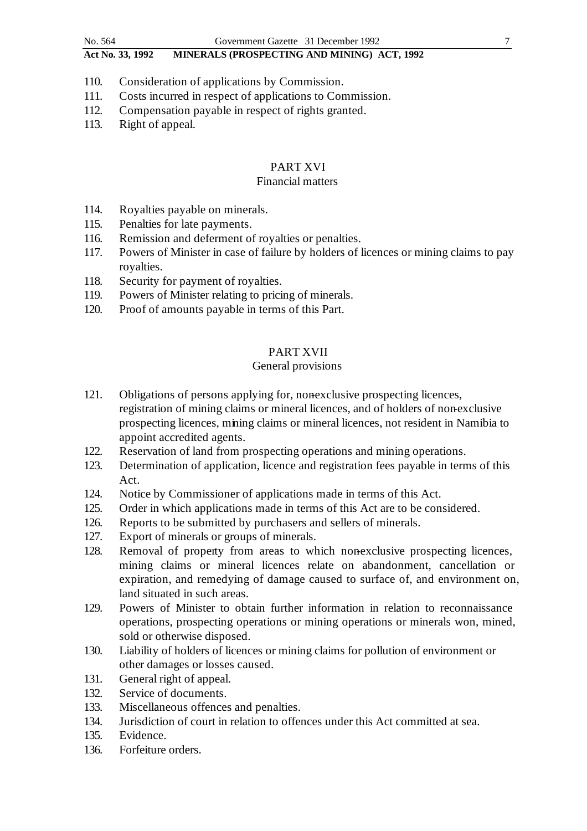- 110. Consideration of applications by Commission.
- 111. Costs incurred in respect of applications to Commission.
- 112. Compensation payable in respect of rights granted.
- 113. Right of appeal.

## PART XVI

#### Financial matters

- 114. Royalties payable on minerals.
- 115. Penalties for late payments.
- 116. Remission and deferment of royalties or penalties.
- 117. Powers of Minister in case of failure by holders of licences or mining claims to pay royalties.
- 118. Security for payment of royalties.
- 119. Powers of Minister relating to pricing of minerals.
- 120. Proof of amounts payable in terms of this Part.

# PART XVII

# General provisions

- 121. Obligations of persons applying for, nonexclusive prospecting licences, registration of mining claims or mineral licences, and of holders of non-exclusive prospecting licences, mining claims or mineral licences, not resident in Namibia to appoint accredited agents.
- 122. Reservation of land from prospecting operations and mining operations.
- 123. Determination of application, licence and registration fees payable in terms of this Act.
- 124. Notice by Commissioner of applications made in terms of this Act.
- 125. Order in which applications made in terms of this Act are to be considered.
- 126. Reports to be submitted by purchasers and sellers of minerals.
- 127. Export of minerals or groups of minerals.
- 128. Removal of property from areas to which nonexclusive prospecting licences, mining claims or mineral licences relate on abandonment, cancellation or expiration, and remedying of damage caused to surface of, and environment on, land situated in such areas.
- 129. Powers of Minister to obtain further information in relation to reconnaissance operations, prospecting operations or mining operations or minerals won, mined, sold or otherwise disposed.
- 130. Liability of holders of licences or mining claims for pollution of environment or other damages or losses caused.
- 131. General right of appeal.
- 132. Service of documents.
- 133. Miscellaneous offences and penalties.
- 134. Jurisdiction of court in relation to offences under this Act committed at sea.
- 135. Evidence.
- 136. Forfeiture orders.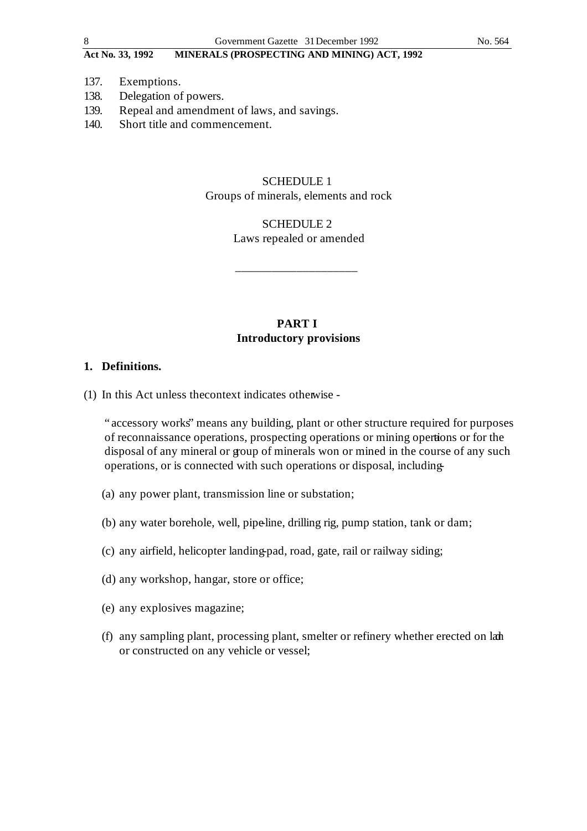- 137. Exemptions.
- 138. Delegation of powers.
- 139. Repeal and amendment of laws, and savings.
- 140. Short title and commencement.

# SCHEDULE 1 Groups of minerals, elements and rock

# SCHEDULE 2 Laws repealed or amended

\_\_\_\_\_\_\_\_\_\_\_\_\_\_\_\_\_\_\_\_

# **PART I Introductory provisions**

## **1. Definitions.**

(1) In this Act unless the context indicates otherwise -

"accessory works" means any building, plant or other structure required for purposes of reconnaissance operations, prospecting operations or mining operations or for the disposal of any mineral or group of minerals won or mined in the course of any such operations, or is connected with such operations or disposal, including -

- (a) any power plant, transmission line or substation;
- (b) any water borehole, well, pipe-line, drilling rig, pump station, tank or dam;
- (c) any airfield, helicopter landing-pad, road, gate, rail or railway siding;
- (d) any workshop, hangar, store or office;
- (e) any explosives magazine;
- (f) any sampling plant, processing plant, smelter or refinery whether erected on land or constructed on any vehicle or vessel;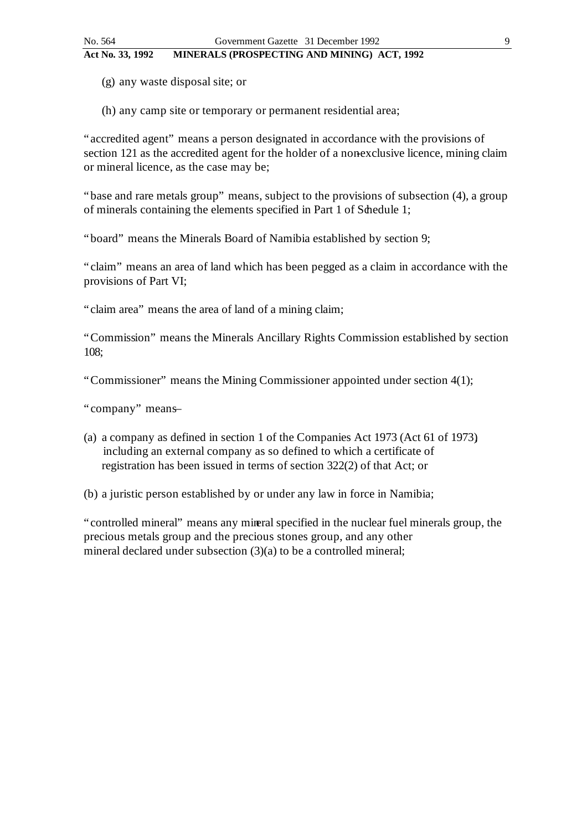(g) any waste disposal site; or

(h) any camp site or temporary or permanent residential area;

"accredited agent" means a person designated in accordance with the provisions of section 121 as the accredited agent for the holder of a nonexclusive licence, mining claim or mineral licence, as the case may be;

"base and rare metals group" means, subject to the provisions of subsection (4), a group of minerals containing the elements specified in Part 1 of Schedule 1;

"board" means the Minerals Board of Namibia established by section 9;

"claim" means an area of land which has been pegged as a claim in accordance with the provisions of Part VI;

"claim area" means the area of land of a mining claim;

"Commission" means the Minerals Ancillary Rights Commission established by section 108;

"Commissioner" means the Mining Commissioner appointed under section 4(1);

"company" means-

(a) a company as defined in section 1 of the Companies Act 1973 (Act 61 of 1973), including an external company as so defined to which a certificate of registration has been issued in terms of section 322(2) of that Act; or

(b) a juristic person established by or under any law in force in Namibia;

"controlled mineral" means any mineral specified in the nuclear fuel minerals group, the precious metals group and the precious stones group, and any other mineral declared under subsection (3)(a) to be a controlled mineral;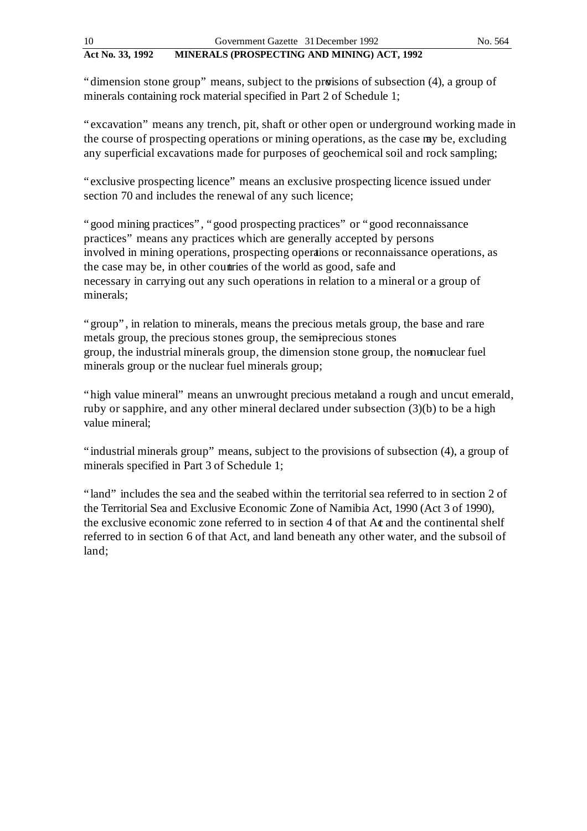"dimension stone group" means, subject to the provisions of subsection (4), a group of minerals containing rock material specified in Part 2 of Schedule 1;

"excavation" means any trench, pit, shaft or other open or underground working made in the course of prospecting operations or mining operations, as the case my be, excluding any superficial excavations made for purposes of geochemical soil and rock sampling;

"exclusive prospecting licence" means an exclusive prospecting licence issued under section 70 and includes the renewal of any such licence;

"good mining practices", "good prospecting practices" or "good reconnaissance practices" means any practices which are generally accepted by persons involved in mining operations, prospecting operations or reconnaissance operations, as the case may be, in other countries of the world as good, safe and necessary in carrying out any such operations in relation to a mineral or a group of minerals;

"group", in relation to minerals, means the precious metals group, the base and rare metals group, the precious stones group, the semiprecious stones group, the industrial minerals group, the dimension stone group, the nomuclear fuel minerals group or the nuclear fuel minerals group;

"high value mineral" means an unwrought precious metal and a rough and uncut emerald, ruby or sapphire, and any other mineral declared under subsection (3)(b) to be a high value mineral;

"industrial minerals group" means, subject to the provisions of subsection (4), a group of minerals specified in Part 3 of Schedule 1;

"land" includes the sea and the seabed within the territorial sea referred to in section 2 of the Territorial Sea and Exclusive Economic Zone of Namibia Act, 1990 (Act 3 of 1990), the exclusive economic zone referred to in section 4 of that At and the continental shelf referred to in section 6 of that Act, and land beneath any other water, and the subsoil of land;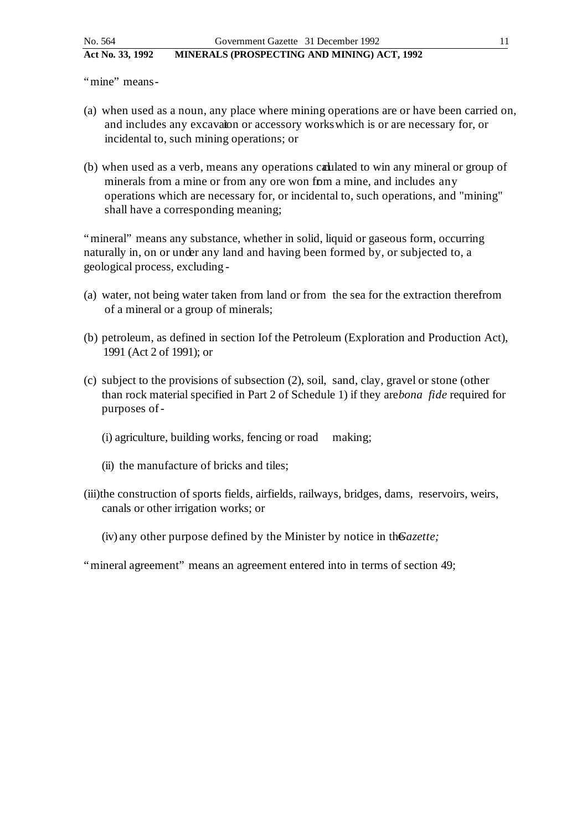"mine" means-

- (a) when used as a noun, any place where mining operations are or have been carried on, and includes any excavation or accessory works which is or are necessary for, or incidental to, such mining operations; or
- (b) when used as a verb, means any operations calulated to win any mineral or group of minerals from a mine or from any ore won fom a mine, and includes any operations which are necessary for, or incidental to, such operations, and "mining" shall have a corresponding meaning;

"mineral" means any substance, whether in solid, liquid or gaseous form, occurring naturally in, on or under any land and having been formed by, or subjected to, a geological process, excluding -

- (a) water, not being water taken from land or from the sea for the extraction therefrom of a mineral or a group of minerals;
- (b) petroleum, as defined in section Iof the Petroleum (Exploration and Production Act), 1991 (Act 2 of 1991); or
- (c) subject to the provisions of subsection (2), soil, sand, clay, gravel or stone (other than rock material specified in Part 2 of Schedule 1) if they are *bona fide* required for purposes of -
	- (i) agriculture, building works, fencing or road making;
	- (ii) the manufacture of bricks and tiles;
- (iii)the construction of sports fields, airfields, railways, bridges, dams, reservoirs, weirs, canals or other irrigation works; or
	- (iv) any other purpose defined by the Minister by notice in the *Gazette*;
- "mineral agreement" means an agreement entered into in terms of section 49;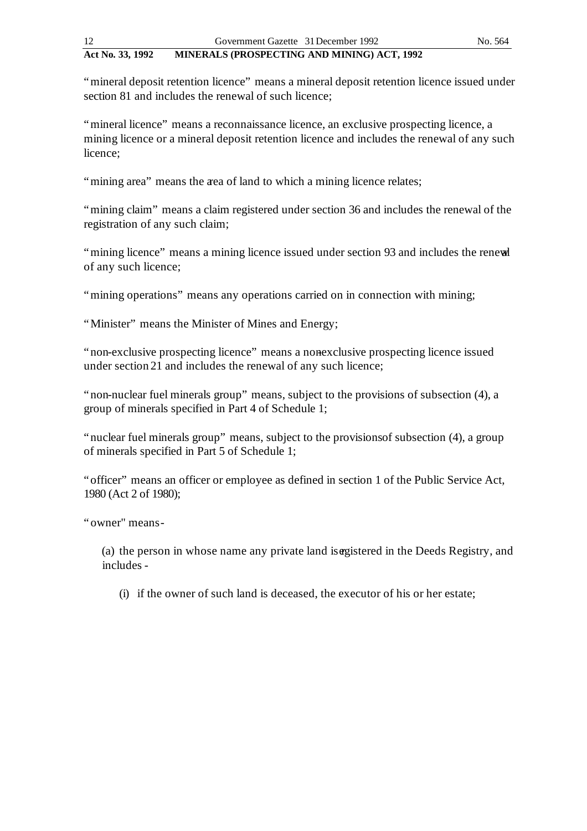"mineral deposit retention licence" means a mineral deposit retention licence issued under section 81 and includes the renewal of such licence;

"mineral licence" means a reconnaissance licence, an exclusive prospecting licence, a mining licence or a mineral deposit retention licence and includes the renewal of any such licence;

"mining area" means the area of land to which a mining licence relates;

"mining claim" means a claim registered under section 36 and includes the renewal of the registration of any such claim;

"mining licence" means a mining licence issued under section 93 and includes the renewal of any such licence;

"mining operations" means any operations carried on in connection with mining;

"Minister" means the Minister of Mines and Energy;

"non-exclusive prospecting licence" means a nonexclusive prospecting licence issued under section 21 and includes the renewal of any such licence;

"non-nuclear fuel minerals group" means, subject to the provisions of subsection (4), a group of minerals specified in Part 4 of Schedule 1;

"nuclear fuel minerals group" means, subject to the provisions of subsection (4), a group of minerals specified in Part 5 of Schedule 1;

"officer" means an officer or employee as defined in section 1 of the Public Service Act, 1980 (Act 2 of 1980);

"owner" means -

(a) the person in whose name any private land is existered in the Deeds Registry, and includes -

(i) if the owner of such land is deceased, the executor of his or her estate;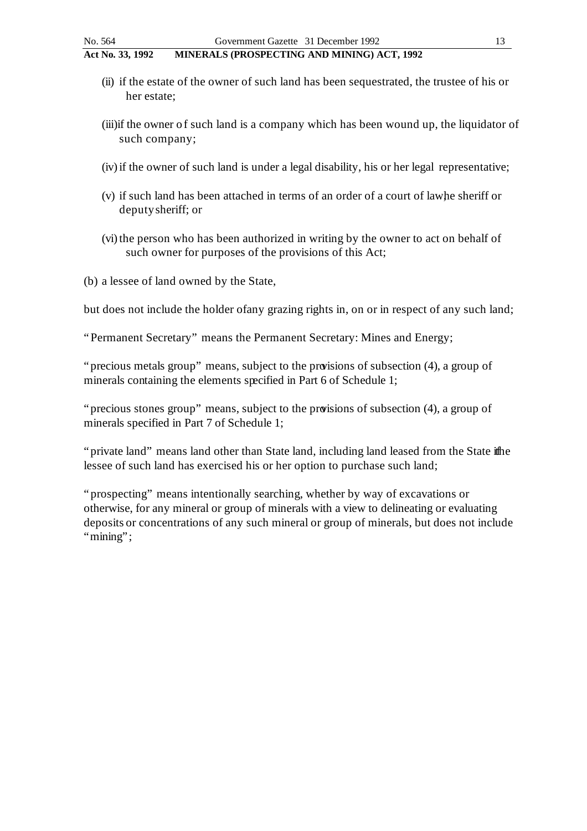- (ii) if the estate of the owner of such land has been sequestrated, the trustee of his or her estate;
- (iii)if the owner of such land is a company which has been wound up, the liquidator of such company;
- (iv) if the owner of such land is under a legal disability, his or her legal representative;
- (v) if such land has been attached in terms of an order of a court of lawhe sheriff or deputy sheriff; or
- (vi) the person who has been authorized in writing by the owner to act on behalf of such owner for purposes of the provisions of this Act;
- (b) a lessee of land owned by the State,

but does not include the holder of any grazing rights in, on or in respect of any such land;

"Permanent Secretary" means the Permanent Secretary: Mines and Energy;

"precious metals group" means, subject to the provisions of subsection (4), a group of minerals containing the elements specified in Part 6 of Schedule 1;

"precious stones group" means, subject to the provisions of subsection (4), a group of minerals specified in Part 7 of Schedule 1;

"private land" means land other than State land, including land leased from the State if the lessee of such land has exercised his or her option to purchase such land;

"prospecting" means intentionally searching, whether by way of excavations or otherwise, for any mineral or group of minerals with a view to delineating or evaluating deposits or concentrations of any such mineral or group of minerals, but does not include "mining";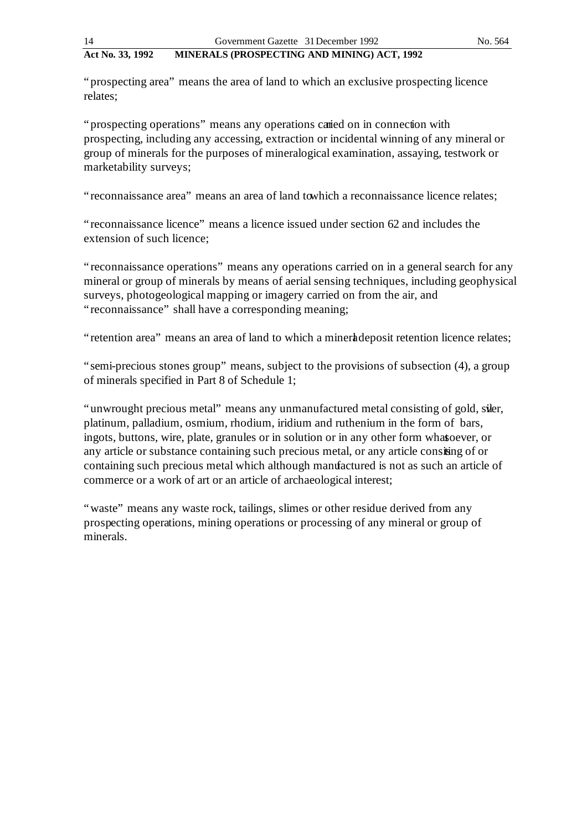"prospecting area" means the area of land to which an exclusive prospecting licence relates;

"prospecting operations" means any operations carried on in connection with prospecting, including any accessing, extraction or incidental winning of any mineral or group of minerals for the purposes of mineralogical examination, assaying, testwork or marketability surveys;

"reconnaissance area" means an area of land towhich a reconnaissance licence relates;

"reconnaissance licence" means a licence issued under section 62 and includes the extension of such licence;

"reconnaissance operations" means any operations carried on in a general search for any mineral or group of minerals by means of aerial sensing techniques, including geophysical surveys, photogeological mapping or imagery carried on from the air, and "reconnaissance" shall have a corresponding meaning;

"retention area" means an area of land to which a mineral deposit retention licence relates;

"semi-precious stones group" means, subject to the provisions of subsection (4), a group of minerals specified in Part 8 of Schedule 1;

"unwrought precious metal" means any unmanufactured metal consisting of gold, siler, platinum, palladium, osmium, rhodium, iridium and ruthenium in the form of bars, ingots, buttons, wire, plate, granules or in solution or in any other form whatsoever, or any article or substance containing such precious metal, or any article consisting of or containing such precious metal which although manufactured is not as such an article of commerce or a work of art or an article of archaeological interest;

"waste" means any waste rock, tailings, slimes or other residue derived from any prospecting operations, mining operations or processing of any mineral or group of minerals.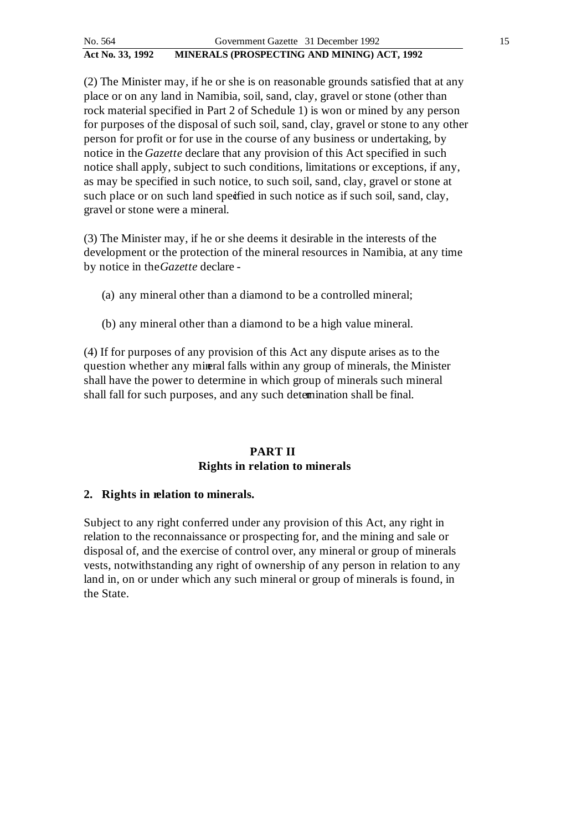(2) The Minister may, if he or she is on reasonable grounds satisfied that at any place or on any land in Namibia, soil, sand, clay, gravel or stone (other than rock material specified in Part 2 of Schedule 1) is won or mined by any person for purposes of the disposal of such soil, sand, clay, gravel or stone to any other person for profit or for use in the course of any business or undertaking, by notice in the *Gazette* declare that any provision of this Act specified in such notice shall apply, subject to such conditions, limitations or exceptions, if any, as may be specified in such notice, to such soil, sand, clay, gravel or stone at such place or on such land specified in such notice as if such soil, sand, clay, gravel or stone were a mineral.

(3) The Minister may, if he or she deems it desirable in the interests of the development or the protection of the mineral resources in Namibia, at any time by notice in the*Gazette* declare -

- (a) any mineral other than a diamond to be a controlled mineral;
- (b) any mineral other than a diamond to be a high value mineral.

(4) If for purposes of any provision of this Act any dispute arises as to the question whether any mineral falls within any group of minerals, the Minister shall have the power to determine in which group of minerals such mineral shall fall for such purposes, and any such determination shall be final.

# **PART II Rights in relation to minerals**

# **2. Rights in relation to minerals.**

Subject to any right conferred under any provision of this Act, any right in relation to the reconnaissance or prospecting for, and the mining and sale or disposal of, and the exercise of control over, any mineral or group of minerals vests, notwithstanding any right of ownership of any person in relation to any land in, on or under which any such mineral or group of minerals is found, in the State.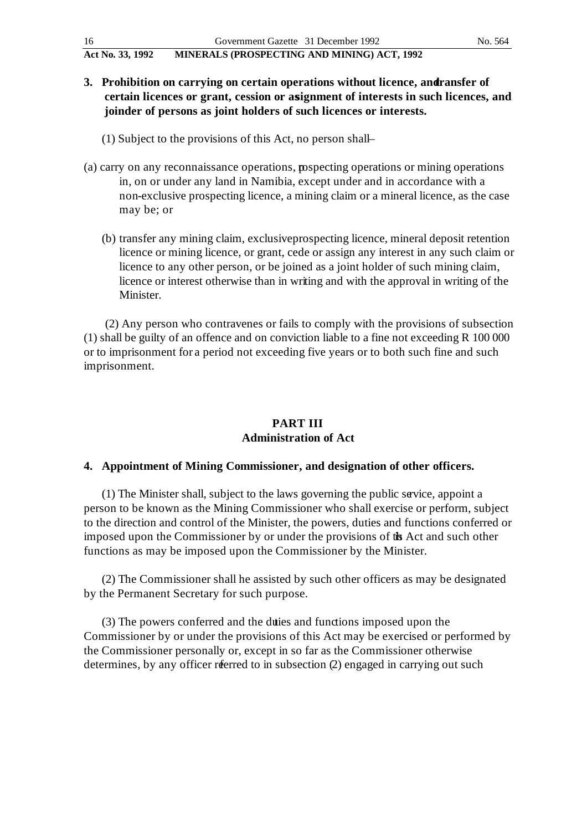- **3.** Prohibition on carrying on certain operations without licence, and ransfer of **certain licences or grant, cession or assignment of interests in such licences, and joinder of persons as joint holders of such licences or interests.**
	- (1) Subject to the provisions of this Act, no person shall-
- (a) carry on any reconnaissance operations, pospecting operations or mining operations in, on or under any land in Namibia, except under and in accordance with a non-exclusive prospecting licence, a mining claim or a mineral licence, as the case may be; or
	- (b) transfer any mining claim, exclusive prospecting licence, mineral deposit retention licence or mining licence, or grant, cede or assign any interest in any such claim or licence to any other person, or be joined as a joint holder of such mining claim, licence or interest otherwise than in writing and with the approval in writing of the Minister.

(2) Any person who contravenes or fails to comply with the provisions of subsection (1) shall be guilty of an offence and on conviction liable to a fine not exceeding R 100 000 or to imprisonment for a period not exceeding five years or to both such fine and such imprisonment.

# **PART III Administration of Act**

# **4. Appointment of Mining Commissioner, and designation of other officers.**

(1) The Minister shall, subject to the laws governing the public service, appoint a person to be known as the Mining Commissioner who shall exercise or perform, subject to the direction and control of the Minister, the powers, duties and functions conferred or imposed upon the Commissioner by or under the provisions of the Act and such other functions as may be imposed upon the Commissioner by the Minister.

(2) The Commissioner shall he assisted by such other officers as may be designated by the Permanent Secretary for such purpose.

(3) The powers conferred and the duties and functions imposed upon the Commissioner by or under the provisions of this Act may be exercised or performed by the Commissioner personally or, except in so far as the Commissioner otherwise determines, by any officer referred to in subsection (2) engaged in carrying out such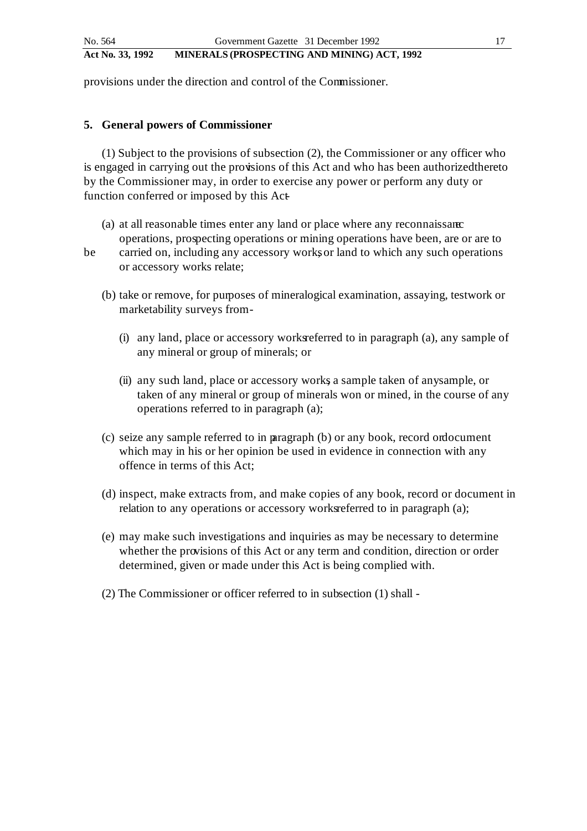provisions under the direction and control of the Commissioner.

#### **5. General powers of Commissioner**

(1) Subject to the provisions of subsection (2), the Commissioner or any officer who is engaged in carrying out the provisions of this Act and who has been authorized thereto by the Commissioner may, in order to exercise any power or perform any duty or function conferred or imposed by this Act-

- (a) at all reasonable times enter any land or place where any reconnaissance operations, prospecting operations or mining operations have been, are or are to
- 
- be carried on, including any accessory works or land to which any such operations or accessory works relate;
	- (b) take or remove, for purposes of mineralogical examination, assaying, testwork or marketability surveys from -
		- $(i)$  any land, place or accessory works referred to in paragraph  $(a)$ , any sample of any mineral or group of minerals; or
		- (ii) any such land, place or accessory works, a sample taken of any sample, or taken of any mineral or group of minerals won or mined, in the course of any operations referred to in paragraph (a);
	- $(c)$  seize any sample referred to in paragraph  $(b)$  or any book, record or document which may in his or her opinion be used in evidence in connection with any offence in terms of this Act;
	- (d) inspect, make extracts from, and make copies of any book, record or document in relation to any operations or accessory works referred to in paragraph (a);
	- (e) may make such investigations and inquiries as may be necessary to determine whether the provisions of this Act or any term and condition, direction or order determined, given or made under this Act is being complied with.
	- (2) The Commissioner or officer referred to in subsection (1) shall -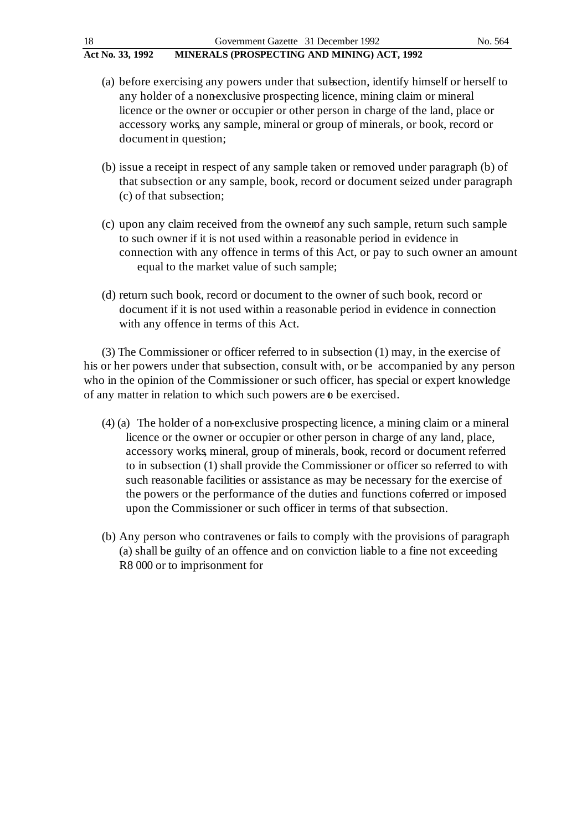- 
- (a) before exercising any powers under that subsection, identify himself or herself to any holder of a nonexclusive prospecting licence, mining claim or mineral licence or the owner or occupier or other person in charge of the land, place or accessory works, any sample, mineral or group of minerals, or book, record or document in question;
- (b) issue a receipt in respect of any sample taken or removed under paragraph (b) of that subsection or any sample, book, record or document seized under paragraph (c) of that subsection;
- (c) upon any claim received from the owner of any such sample, return such sample to such owner if it is not used within a reasonable period in evidence in connection with any offence in terms of this Act, or pay to such owner an amount equal to the market value of such sample;
- (d) return such book, record or document to the owner of such book, record or document if it is not used within a reasonable period in evidence in connection with any offence in terms of this Act.

(3) The Commissioner or officer referred to in subsection (1) may, in the exercise of his or her powers under that subsection, consult with, or be accompanied by any person who in the opinion of the Commissioner or such officer, has special or expert knowledge of any matter in relation to which such powers are  $\theta$  be exercised.

- (4) (a) The holder of a non-exclusive prospecting licence, a mining claim or a mineral licence or the owner or occupier or other person in charge of any land, place, accessory works, mineral, group of minerals, book, record or document referred to in subsection (1) shall provide the Commissioner or officer so referred to with such reasonable facilities or assistance as may be necessary for the exercise of the powers or the performance of the duties and functions coferred or imposed upon the Commissioner or such officer in terms of that subsection.
- (b) Any person who contravenes or fails to comply with the provisions of paragraph (a) shall be guilty of an offence and on conviction liable to a fine not exceeding R8 000 or to imprisonment for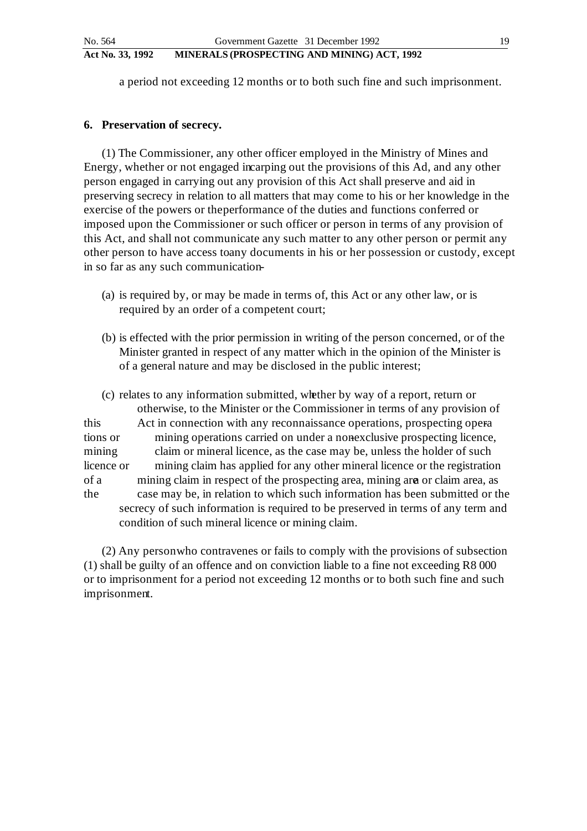a period not exceeding 12 months or to both such fine and such imprisonment.

#### **6. Preservation of secrecy.**

(1) The Commissioner, any other officer employed in the Ministry of Mines and Energy, whether or not engaged incarping out the provisions of this Ad, and any other person engaged in carrying out any provision of this Act shall preserve and aid in preserving secrecy in relation to all matters that may come to his or her knowledge in the exercise of the powers or the performance of the duties and functions conferred or imposed upon the Commissioner or such officer or person in terms of any provision of this Act, and shall not communicate any such matter to any other person or permit any other person to have access to any documents in his or her possession or custody, except in so far as any such communication-

- (a) is required by, or may be made in terms of, this Act or any other law, or is required by an order of a competent court;
- (b) is effected with the prior permission in writing of the person concerned, or of the Minister granted in respect of any matter which in the opinion of the Minister is of a general nature and may be disclosed in the public interest;

(c) relates to any information submitted, whether by way of a report, return or otherwise, to the Minister or the Commissioner in terms of any provision of this Act in connection with any reconnaissance operations, prospecting operations or mining operations carried on under a nonexclusive prospecting licence, mining claim or mineral licence, as the case may be, unless the holder of such licence or mining claim has applied for any other mineral licence or the registration of a mining claim in respect of the prospecting area, mining area or claim area, as the case may be, in relation to which such information has been submitted or the secrecy of such information is required to be preserved in terms of any term and condition of such mineral licence or mining claim.

(2) Any person who contravenes or fails to comply with the provisions of subsection (1) shall be guilty of an offence and on conviction liable to a fine not exceeding R8 000 or to imprisonment for a period not exceeding 12 months or to both such fine and such imprisonment.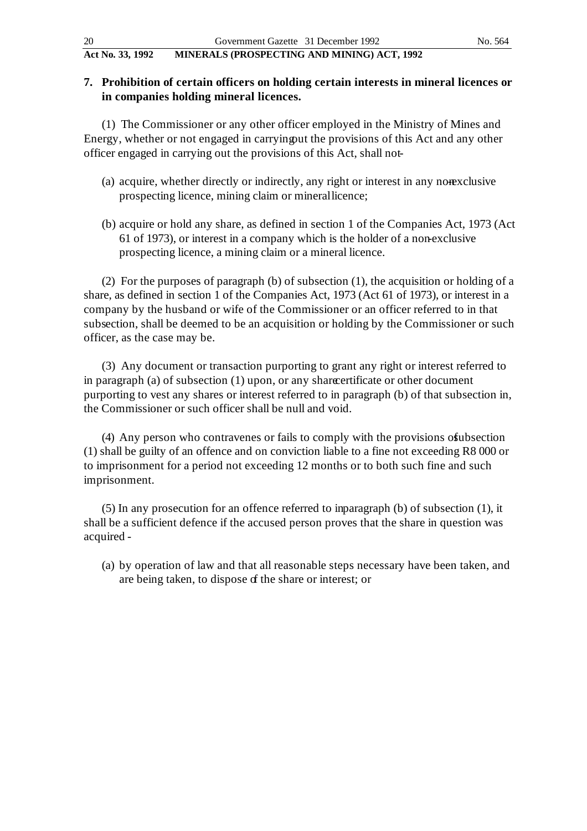# **7. Prohibition of certain officers on holding certain interests in mineral licences or in companies holding mineral licences.**

(1) The Commissioner or any other officer employed in the Ministry of Mines and Energy, whether or not engaged in carrying out the provisions of this Act and any other officer engaged in carrying out the provisions of this Act, shall not -

- (a) acquire, whether directly or indirectly, any right or interest in any nonexclusive prospecting licence, mining claim or mineral licence;
- (b) acquire or hold any share, as defined in section 1 of the Companies Act, 1973 (Act 61 of 1973), or interest in a company which is the holder of a non-exclusive prospecting licence, a mining claim or a mineral licence.

(2) For the purposes of paragraph (b) of subsection (1), the acquisition or holding of a share, as defined in section 1 of the Companies Act, 1973 (Act 61 of 1973), or interest in a company by the husband or wife of the Commissioner or an officer referred to in that subsection, shall be deemed to be an acquisition or holding by the Commissioner or such officer, as the case may be.

(3) Any document or transaction purporting to grant any right or interest referred to in paragraph (a) of subsection (1) upon, or any share certificate or other document purporting to vest any shares or interest referred to in paragraph (b) of that subsection in, the Commissioner or such officer shall be null and void.

 $(4)$  Any person who contravenes or fails to comply with the provisions of ubsection (1) shall be guilty of an offence and on conviction liable to a fine not exceeding R8 000 or to imprisonment for a period not exceeding 12 months or to both such fine and such imprisonment.

 $(5)$  In any prosecution for an offence referred to inparagraph (b) of subsection  $(1)$ , it shall be a sufficient defence if the accused person proves that the share in question was acquired -

(a) by operation of law and that all reasonable steps necessary have been taken, and are being taken, to dispose of the share or interest; or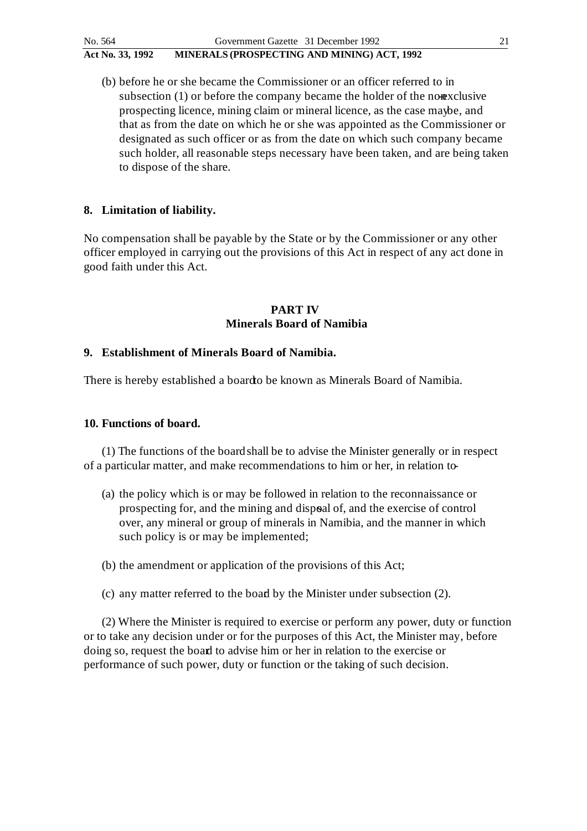(b) before he or she became the Commissioner or an officer referred to in subsection  $(1)$  or before the company became the holder of the nonexclusive prospecting licence, mining claim or mineral licence, as the case maybe, and that as from the date on which he or she was appointed as the Commissioner or designated as such officer or as from the date on which such company became such holder, all reasonable steps necessary have been taken, and are being taken to dispose of the share.

# **8. Limitation of liability.**

No compensation shall be payable by the State or by the Commissioner or any other officer employed in carrying out the provisions of this Act in respect of any act done in good faith under this Act.

## **PART IV Minerals Board of Namibia**

# **9. Establishment of Minerals Board of Namibia.**

There is hereby established a board to be known as Minerals Board of Namibia.

## **10. Functions of board.**

(1) The functions of the board shall be to advise the Minister generally or in respect of a particular matter, and make recommendations to him or her, in relation to -

- (a) the policy which is or may be followed in relation to the reconnaissance or prospecting for, and the mining and disposal of, and the exercise of control over, any mineral or group of minerals in Namibia, and the manner in which such policy is or may be implemented;
- (b) the amendment or application of the provisions of this Act;
- (c) any matter referred to the board by the Minister under subsection (2).

(2) Where the Minister is required to exercise or perform any power, duty or function or to take any decision under or for the purposes of this Act, the Minister may, before doing so, request the board to advise him or her in relation to the exercise or performance of such power, duty or function or the taking of such decision.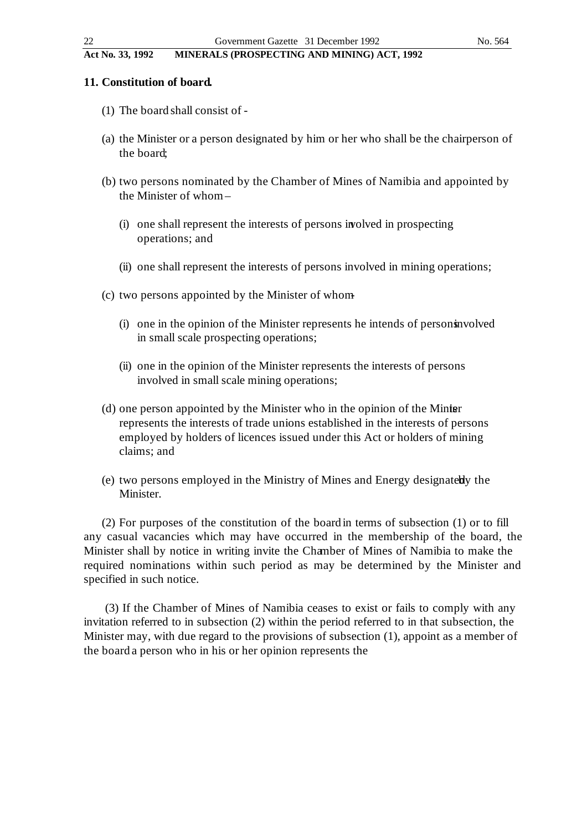#### **11. Constitution of board.**

- (1) The board shall consist of -
- (a) the Minister or a person designated by him or her who shall be the chairperson of the board;
- (b) two persons nominated by the Chamber of Mines of Namibia and appointed by the Minister of whom –
	- (i) one shall represent the interests of persons involved in prospecting operations; and
	- (ii) one shall represent the interests of persons involved in mining operations;
- (c) two persons appointed by the Minister of whom
	- $(i)$  one in the opinion of the Minister represents he intends of persons involved in small scale prospecting operations;
	- (ii) one in the opinion of the Minister represents the interests of persons involved in small scale mining operations;
- (d) one person appointed by the Minister who in the opinion of the Minister represents the interests of trade unions established in the interests of persons employed by holders of licences issued under this Act or holders of mining claims; and
- (e) two persons employed in the Ministry of Mines and Energy designated by the Minister.

(2) For purposes of the constitution of the board in terms of subsection (1) or to fill any casual vacancies which may have occurred in the membership of the board, the Minister shall by notice in writing invite the Chamber of Mines of Namibia to make the required nominations within such period as may be determined by the Minister and specified in such notice.

(3) If the Chamber of Mines of Namibia ceases to exist or fails to comply with any invitation referred to in subsection (2) within the period referred to in that subsection, the Minister may, with due regard to the provisions of subsection (1), appoint as a member of the board a person who in his or her opinion represents the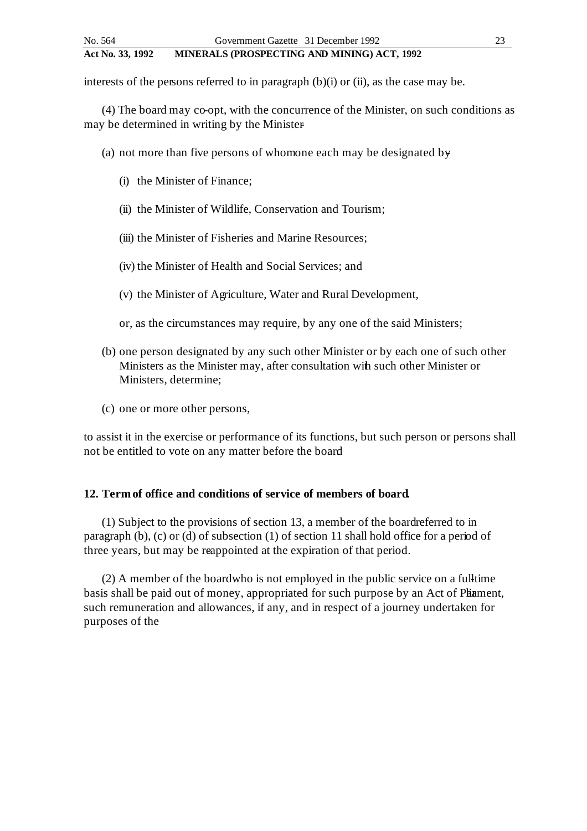interests of the persons referred to in paragraph  $(b)(i)$  or  $(ii)$ , as the case may be.

(4) The board may co-opt, with the concurrence of the Minister, on such conditions as may be determined in writing by the Minister

- (a) not more than five persons of whom one each may be designated by  $\theta$ 
	- (i) the Minister of Finance;
	- (ii) the Minister of Wildlife, Conservation and Tourism;
	- (iii) the Minister of Fisheries and Marine Resources;
	- (iv) the Minister of Health and Social Services; and
	- (v) the Minister of Agriculture, Water and Rural Development,
	- or, as the circumstances may require, by any one of the said Ministers;
- (b) one person designated by any such other Minister or by each one of such other Ministers as the Minister may, after consultation with such other Minister or Ministers, determine;
- (c) one or more other persons,

to assist it in the exercise or performance of its functions, but such person or persons shall not be entitled to vote on any matter before the board.

#### **12. Term of office and conditions of service of members of board.**

(1) Subject to the provisions of section 13, a member of the board referred to in paragraph (b), (c) or (d) of subsection (1) of section 11 shall hold office for a period of three years, but may be reappointed at the expiration of that period.

 $(2)$  A member of the board who is not employed in the public service on a full-time basis shall be paid out of money, appropriated for such purpose by an Act of Phiament, such remuneration and allowances, if any, and in respect of a journey undertaken for purposes of the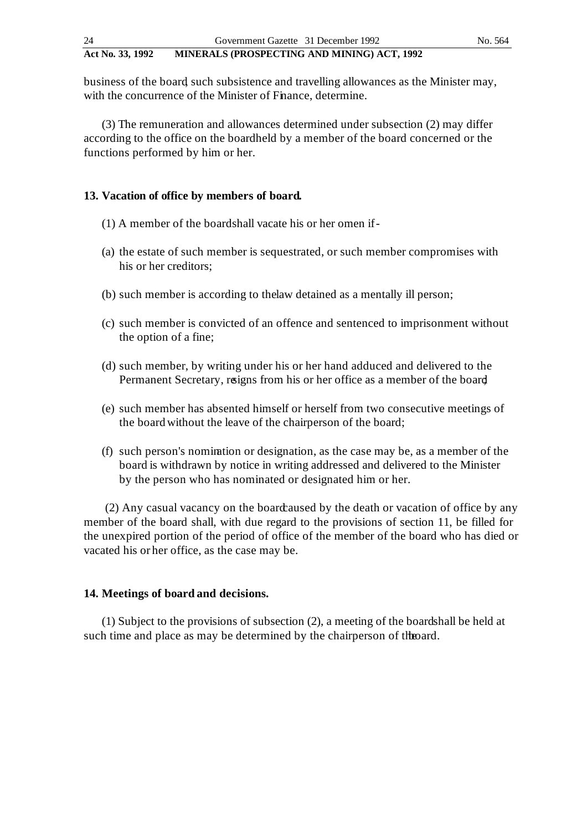business of the board, such subsistence and travelling allowances as the Minister may, with the concurrence of the Minister of Finance, determine.

(3) The remuneration and allowances determined under subsection (2) may differ according to the office on the boardheld by a member of the board concerned or the functions performed by him or her.

# **13. Vacation of office by members of board.**

- (1) A member of the board shall vacate his or her omen if -
- (a) the estate of such member is sequestrated, or such member compromises with his or her creditors;
- (b) such member is according to the law detained as a mentally ill person;
- (c) such member is convicted of an offence and sentenced to imprisonment without the option of a fine;
- (d) such member, by writing under his or her hand adduced and delivered to the Permanent Secretary, resigns from his or her office as a member of the board
- (e) such member has absented himself or herself from two consecutive meetings of the board without the leave of the chairperson of the board;
- (f) such person's nomination or designation, as the case may be, as a member of the board is withdrawn by notice in writing addressed and delivered to the Minister by the person who has nominated or designated him or her.

(2) Any casual vacancy on the board caused by the death or vacation of office by any member of the board shall, with due regard to the provisions of section 11, be filled for the unexpired portion of the period of office of the member of the board who has died or vacated his or her office, as the case may be.

## **14. Meetings of board and decisions.**

 $(1)$  Subject to the provisions of subsection  $(2)$ , a meeting of the boardshall be held at such time and place as may be determined by the chairperson of the board.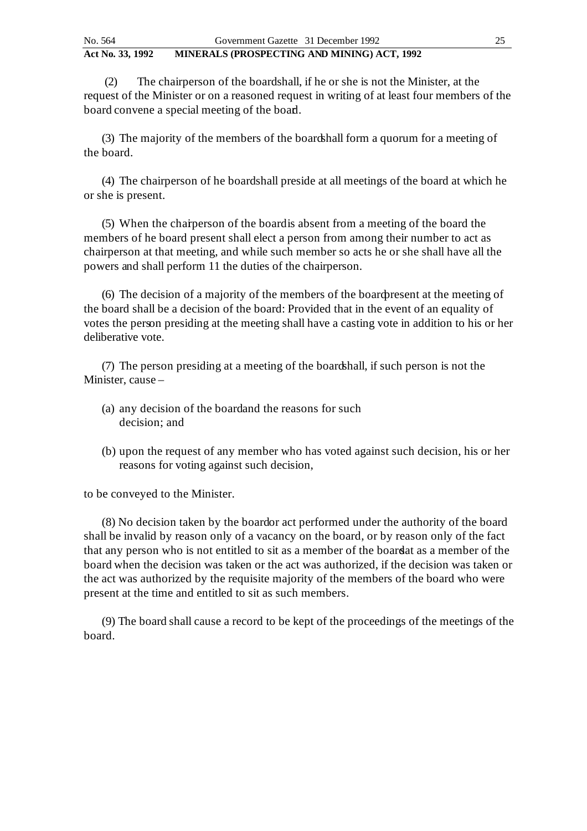(2) The chairperson of the board shall, if he or she is not the Minister, at the request of the Minister or on a reasoned request in writing of at least four members of the board convene a special meeting of the board.

(3) The majority of the members of the boardshall form a quorum for a meeting of the board.

(4) The chairperson of he boardshall preside at all meetings of the board at which he or she is present.

(5) When the chairperson of the board is absent from a meeting of the board the members of he board present shall elect a person from among their number to act as chairperson at that meeting, and while such member so acts he or she shall have all the powers and shall perform 11 the duties of the chairperson.

(6) The decision of a majority of the members of the board present at the meeting of the board shall be a decision of the board: Provided that in the event of an equality of votes the person presiding at the meeting shall have a casting vote in addition to his or her deliberative vote.

 $(7)$  The person presiding at a meeting of the board shall, if such person is not the Minister, cause –

- (a) any decision of the board and the reasons for such decision; and
- (b) upon the request of any member who has voted against such decision, his or her reasons for voting against such decision,

to be conveyed to the Minister.

(8) No decision taken by the boardor act performed under the authority of the board shall be invalid by reason only of a vacancy on the board, or by reason only of the fact that any person who is not entitled to sit as a member of the board at as a member of the board when the decision was taken or the act was authorized, if the decision was taken or the act was authorized by the requisite majority of the members of the board who were present at the time and entitled to sit as such members.

(9) The board shall cause a record to be kept of the proceedings of the meetings of the board.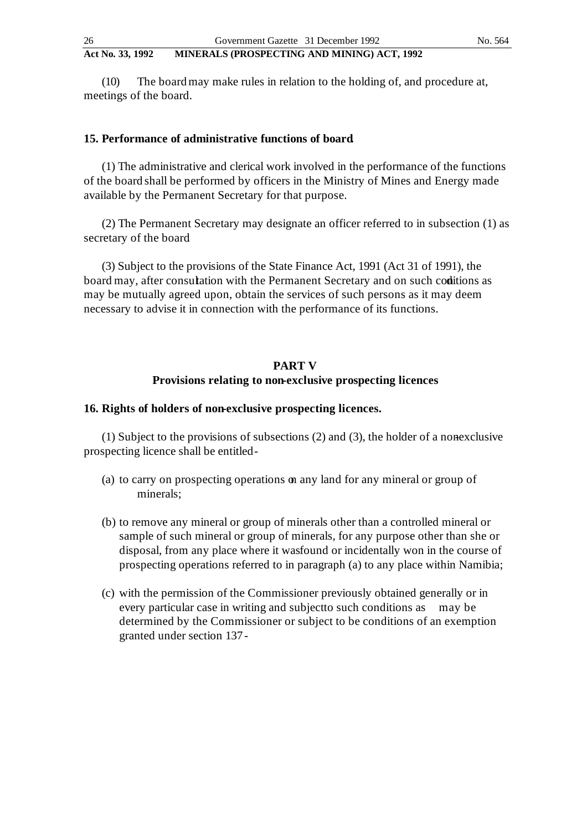(10) The board may make rules in relation to the holding of, and procedure at, meetings of the board.

## **15. Performance of administrative functions of board.**

(1) The administrative and clerical work involved in the performance of the functions of the board shall be performed by officers in the Ministry of Mines and Energy made available by the Permanent Secretary for that purpose.

(2) The Permanent Secretary may designate an officer referred to in subsection (1) as secretary of the board.

(3) Subject to the provisions of the State Finance Act, 1991 (Act 31 of 1991), the board may, after consulation with the Permanent Secretary and on such coditions as may be mutually agreed upon, obtain the services of such persons as it may deem necessary to advise it in connection with the performance of its functions.

# **PART V Provisions relating to non-exclusive prospecting licences**

## **16. Rights of holders of non-exclusive prospecting licences.**

(1) Subject to the provisions of subsections  $(2)$  and  $(3)$ , the holder of a nonexclusive prospecting licence shall be entitled -

- (a) to carry on prospecting operations on any land for any mineral or group of minerals;
- (b) to remove any mineral or group of minerals other than a controlled mineral or sample of such mineral or group of minerals, for any purpose other than she or disposal, from any place where it was found or incidentally won in the course of prospecting operations referred to in paragraph (a) to any place within Namibia;
- (c) with the permission of the Commissioner previously obtained generally or in every particular case in writing and subject to such conditions as may be determined by the Commissioner or subject to be conditions of an exemption granted under section 137 -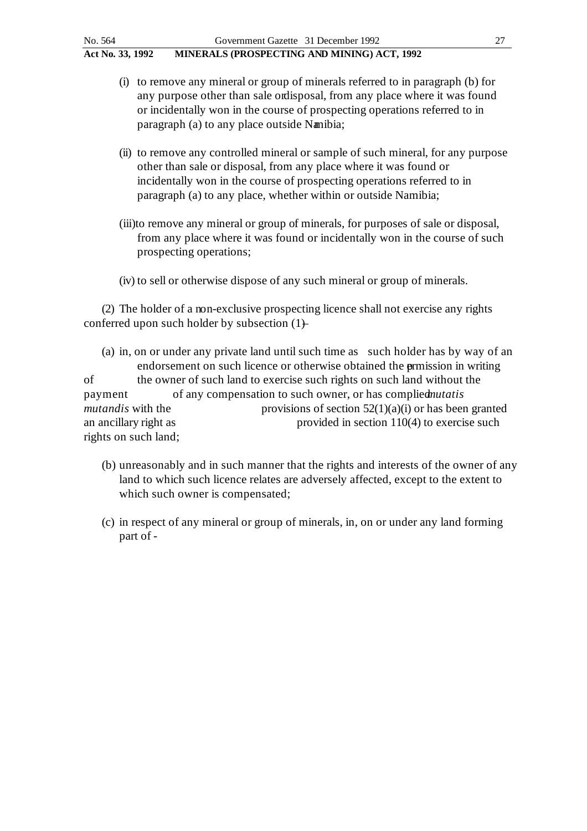- (i) to remove any mineral or group of minerals referred to in paragraph (b) for any purpose other than sale or disposal, from any place where it was found or incidentally won in the course of prospecting operations referred to in paragraph (a) to any place outside Namibia;
- (ii) to remove any controlled mineral or sample of such mineral, for any purpose other than sale or disposal, from any place where it was found or incidentally won in the course of prospecting operations referred to in paragraph (a) to any place, whether within or outside Namibia;
- (iii)to remove any mineral or group of minerals, for purposes of sale or disposal, from any place where it was found or incidentally won in the course of such prospecting operations;
- (iv) to sell or otherwise dispose of any such mineral or group of minerals.

(2) The holder of a non-exclusive prospecting licence shall not exercise any rights conferred upon such holder by subsection  $(1)$ 

- (a) in, on or under any private land until such time as such holder has by way of an endorsement on such licence or otherwise obtained the **ermission** in writing of the owner of such land to exercise such rights on such land without the payment of any compensation to such owner, or has complied *nutatis mutandis* with the provisions of section 52(1)(a)(i) or has been granted an ancillary right as provided in section 110(4) to exercise such rights on such land;
	- (b) unreasonably and in such manner that the rights and interests of the owner of any land to which such licence relates are adversely affected, except to the extent to which such owner is compensated;
	- (c) in respect of any mineral or group of minerals, in, on or under any land forming part of -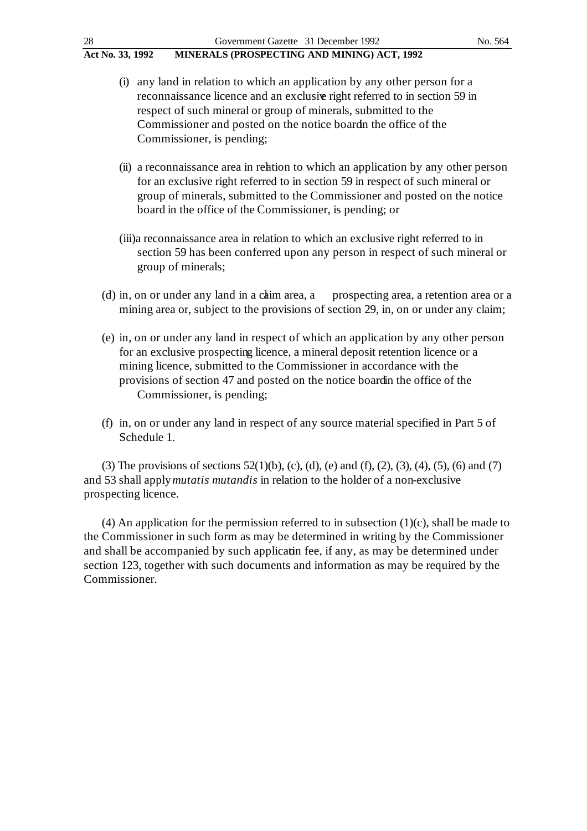| 28               | Government Gazette 31 December 1992                                                                                                                      | No. 564 |
|------------------|----------------------------------------------------------------------------------------------------------------------------------------------------------|---------|
| Act No. 33, 1992 | MINERALS (PROSPECTING AND MINING) ACT, 1992                                                                                                              |         |
|                  | (i) any land in relation to which an application by any other person for a<br>reconnaissance licence and an exclusive right referred to in section 59 in |         |
|                  | respect of such mineral or group of minerals, submitted to the                                                                                           |         |
|                  | Commissioner and posted on the notice board the office of the                                                                                            |         |

Commissioner, is pending;

- (ii) a reconnaissance area in relation to which an application by any other person for an exclusive right referred to in section 59 in respect of such mineral or group of minerals, submitted to the Commissioner and posted on the notice board in the office of the Commissioner, is pending; or
- (iii)a reconnaissance area in relation to which an exclusive right referred to in section 59 has been conferred upon any person in respect of such mineral or group of minerals;
- (d) in, on or under any land in a chaim area, a prospecting area, a retention area or a mining area or, subject to the provisions of section 29, in, on or under any claim;
- (e) in, on or under any land in respect of which an application by any other person for an exclusive prospecting licence, a mineral deposit retention licence or a mining licence, submitted to the Commissioner in accordance with the provisions of section 47 and posted on the notice board in the office of the Commissioner, is pending;
- (f) in, on or under any land in respect of any source material specified in Part 5 of Schedule 1.

(3) The provisions of sections  $52(1)(b)$ , (c), (d), (e) and (f), (2), (3), (4), (5), (6) and (7) and 53 shall apply *mutatis mutandis* in relation to the holder of a non-exclusive prospecting licence.

(4) An application for the permission referred to in subsection  $(1)(c)$ , shall be made to the Commissioner in such form as may be determined in writing by the Commissioner and shall be accompanied by such applicatin fee, if any, as may be determined under section 123, together with such documents and information as may be required by the Commissioner.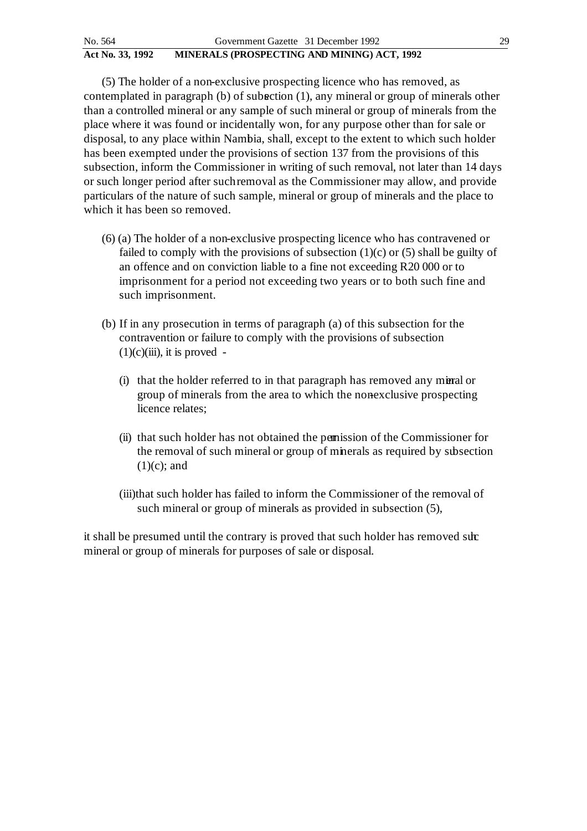(5) The holder of a non-exclusive prospecting licence who has removed, as contemplated in paragraph (b) of subsection (1), any mineral or group of minerals other than a controlled mineral or any sample of such mineral or group of minerals from the place where it was found or incidentally won, for any purpose other than for sale or disposal, to any place within Nambia, shall, except to the extent to which such holder has been exempted under the provisions of section 137 from the provisions of this subsection, inform the Commissioner in writing of such removal, not later than 14 days or such longer period after such removal as the Commissioner may allow, and provide particulars of the nature of such sample, mineral or group of minerals and the place to which it has been so removed.

- (6) (a) The holder of a non-exclusive prospecting licence who has contravened or failed to comply with the provisions of subsection  $(1)(c)$  or  $(5)$  shall be guilty of an offence and on conviction liable to a fine not exceeding R20 000 or to imprisonment for a period not exceeding two years or to both such fine and such imprisonment.
- (b) If in any prosecution in terms of paragraph (a) of this subsection for the contravention or failure to comply with the provisions of subsection  $(1)(c)(iii)$ , it is proved -
	- (i) that the holder referred to in that paragraph has removed any mineral or group of minerals from the area to which the nonexclusive prospecting licence relates;
	- (ii) that such holder has not obtained the permission of the Commissioner for the removal of such mineral or group of minerals as required by subsection  $(1)(c)$ ; and
	- (iii)that such holder has failed to inform the Commissioner of the removal of such mineral or group of minerals as provided in subsection (5),

it shall be presumed until the contrary is proved that such holder has removed submineral or group of minerals for purposes of sale or disposal.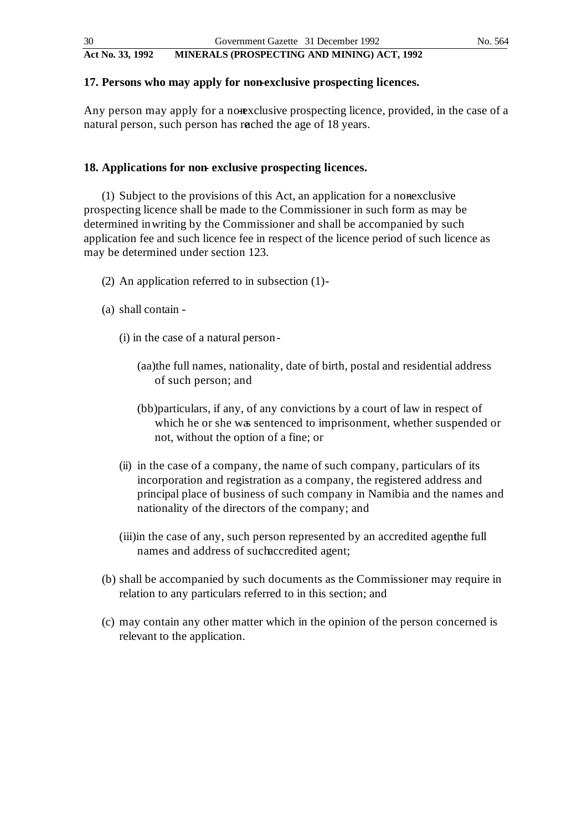# **17. Persons who may apply for non-exclusive prospecting licences.**

Any person may apply for a nonexclusive prospecting licence, provided, in the case of a natural person, such person has reached the age of 18 years.

# **18. Applications for non- exclusive prospecting licences.**

 $(1)$  Subject to the provisions of this Act, an application for a nonexclusive prospecting licence shall be made to the Commissioner in such form as may be determined in writing by the Commissioner and shall be accompanied by such application fee and such licence fee in respect of the licence period of such licence as may be determined under section 123.

- (2) An application referred to in subsection (1) -
- (a) shall contain
	- (i) in the case of a natural person
		- (aa)the full names, nationality, date of birth, postal and residential address of such person; and
		- (bb)particulars, if any, of any convictions by a court of law in respect of which he or she was sentenced to imprisonment, whether suspended or not, without the option of a fine; or
	- (ii) in the case of a company, the name of such company, particulars of its incorporation and registration as a company, the registered address and principal place of business of such company in Namibia and the names and nationality of the directors of the company; and
	- (iii) in the case of any, such person represented by an accredited agenthe full names and address of such accredited agent;
- (b) shall be accompanied by such documents as the Commissioner may require in relation to any particulars referred to in this section; and
- (c) may contain any other matter which in the opinion of the person concerned is relevant to the application.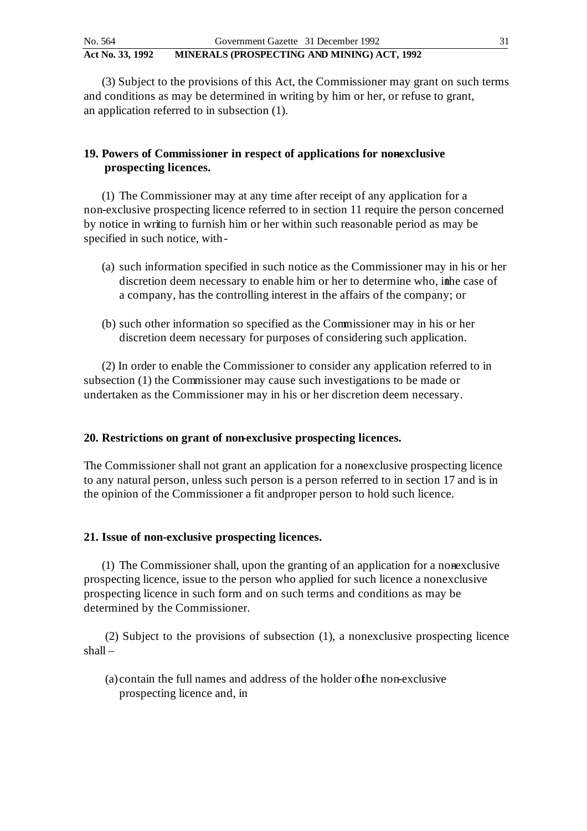(3) Subject to the provisions of this Act, the Commissioner may grant on such terms and conditions as may be determined in writing by him or her, or refuse to grant, an application referred to in subsection (1).

# **19. Powers of Commissioner in respect of applications for nonexclusive prospecting licences.**

(1) The Commissioner may at any time after receipt of any application for a non-exclusive prospecting licence referred to in section 11 require the person concerned by notice in writing to furnish him or her within such reasonable period as may be specified in such notice, with -

- (a) such information specified in such notice as the Commissioner may in his or her discretion deem necessary to enable him or her to determine who, in the case of a company, has the controlling interest in the affairs of the company; or
- (b) such other information so specified as the Commissioner may in his or her discretion deem necessary for purposes of considering such application.

(2) In order to enable the Commissioner to consider any application referred to in subsection (1) the Commissioner may cause such investigations to be made or undertaken as the Commissioner may in his or her discretion deem necessary.

# **20. Restrictions on grant of non-exclusive prospecting licences.**

The Commissioner shall not grant an application for a nonexclusive prospecting licence to any natural person, unless such person is a person referred to in section 17 and is in the opinion of the Commissioner a fit and proper person to hold such licence.

# **21. Issue of non-exclusive prospecting licences.**

 $(1)$  The Commissioner shall, upon the granting of an application for a nonexclusive prospecting licence, issue to the person who applied for such licence a nonexclusive prospecting licence in such form and on such terms and conditions as may be determined by the Commissioner.

(2) Subject to the provisions of subsection (1), a nonexclusive prospecting licence shall –

(a) contain the full names and address of the holder of the non-exclusive prospecting licence and, in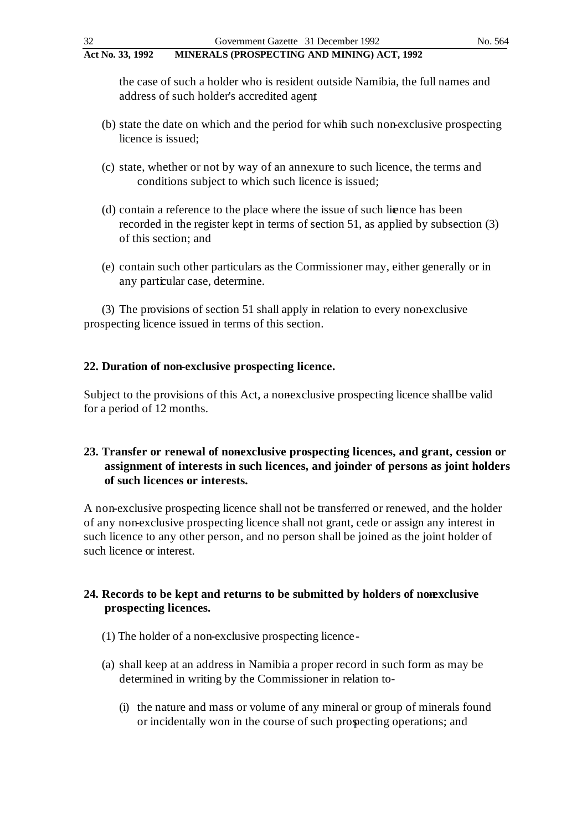the case of such a holder who is resident outside Namibia, the full names and address of such holder's accredited agent

- (b) state the date on which and the period for while such non-exclusive prospecting licence is issued;
- (c) state, whether or not by way of an annexure to such licence, the terms and conditions subject to which such licence is issued;
- (d) contain a reference to the place where the issue of such licence has been recorded in the register kept in terms of section 51, as applied by subsection (3) of this section; and
- (e) contain such other particulars as the Commissioner may, either generally or in any particular case, determine.

(3) The provisions of section 51 shall apply in relation to every non-exclusive prospecting licence issued in terms of this section.

# **22. Duration of non-exclusive prospecting licence.**

Subject to the provisions of this Act, a nonexclusive prospecting licence shall be valid for a period of 12 months.

# 23. Transfer or renewal of nonexclusive prospecting licences, and grant, cession or **assignment of interests in such licences, and joinder of persons as joint holders of such licences or interests.**

A non-exclusive prospecting licence shall not be transferred or renewed, and the holder of any non-exclusive prospecting licence shall not grant, cede or assign any interest in such licence to any other person, and no person shall be joined as the joint holder of such licence or interest.

# 24. Records to be kept and returns to be submitted by holders of nonexclusive **prospecting licences.**

- (1) The holder of a non-exclusive prospecting licence -
- (a) shall keep at an address in Namibia a proper record in such form as may be determined in writing by the Commissioner in relation to-
	- (i) the nature and mass or volume of any mineral or group of minerals found or incidentally won in the course of such prospecting operations; and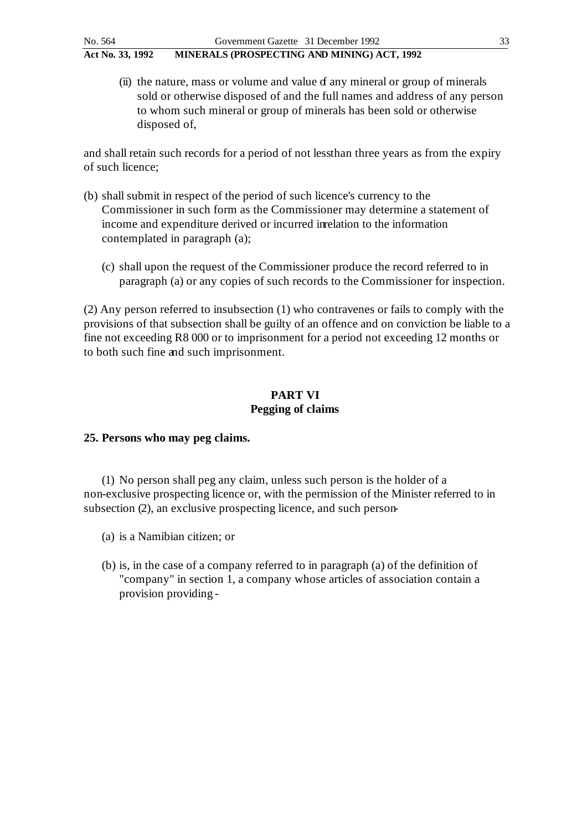$(ii)$  the nature, mass or volume and value  $f$  any mineral or group of minerals sold or otherwise disposed of and the full names and address of any person to whom such mineral or group of minerals has been sold or otherwise disposed of,

and shall retain such records for a period of not less than three years as from the expiry of such licence;

- (b) shall submit in respect of the period of such licence's currency to the Commissioner in such form as the Commissioner may determine a statement of income and expenditure derived or incurred in relation to the information contemplated in paragraph (a);
	- (c) shall upon the request of the Commissioner produce the record referred to in paragraph (a) or any copies of such records to the Commissioner for inspection.

 $(2)$  Any person referred to insubsection  $(1)$  who contravenes or fails to comply with the provisions of that subsection shall be guilty of an offence and on conviction be liable to a fine not exceeding R8 000 or to imprisonment for a period not exceeding 12 months or to both such fine and such imprisonment.

# **PART VI Pegging of claims**

## **25. Persons who may peg claims.**

(1) No person shall peg any claim, unless such person is the holder of a non-exclusive prospecting licence or, with the permission of the Minister referred to in subsection (2), an exclusive prospecting licence, and such person-

- (a) is a Namibian citizen; or
- (b) is, in the case of a company referred to in paragraph (a) of the definition of "company" in section 1, a company whose articles of association contain a provision providing -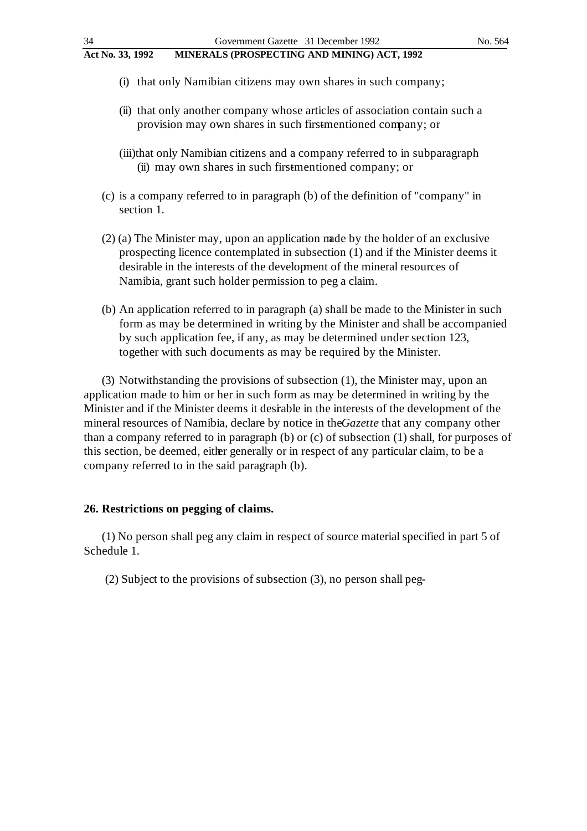- (i) that only Namibian citizens may own shares in such company;
- (ii) that only another company whose articles of association contain such a provision may own shares in such firstmentioned company; or
- (iii)that only Namibian citizens and a company referred to in subparagraph (ii) may own shares in such firstmentioned company; or
- (c) is a company referred to in paragraph (b) of the definition of "company" in section 1.
- (2) (a) The Minister may, upon an application made by the holder of an exclusive prospecting licence contemplated in subsection (1) and if the Minister deems it desirable in the interests of the development of the mineral resources of Namibia, grant such holder permission to peg a claim.
- (b) An application referred to in paragraph (a) shall be made to the Minister in such form as may be determined in writing by the Minister and shall be accompanied by such application fee, if any, as may be determined under section 123, together with such documents as may be required by the Minister.

(3) Notwithstanding the provisions of subsection (1), the Minister may, upon an application made to him or her in such form as may be determined in writing by the Minister and if the Minister deems it desirable in the interests of the development of the mineral resources of Namibia, declare by notice in the *Gazette* that any company other than a company referred to in paragraph (b) or (c) of subsection (1) shall, for purposes of this section, be deemed, either generally or in respect of any particular claim, to be a company referred to in the said paragraph (b).

#### **26. Restrictions on pegging of claims.**

(1) No person shall peg any claim in respect of source material specified in part 5 of Schedule 1.

(2) Subject to the provisions of subsection  $(3)$ , no person shall peg-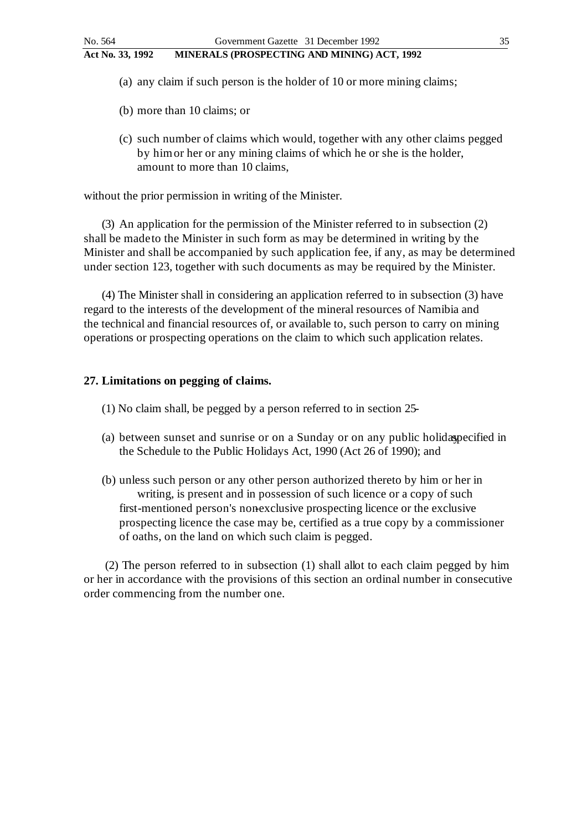- (a) any claim if such person is the holder of 10 or more mining claims;
- (b) more than 10 claims; or
- (c) such number of claims which would, together with any other claims pegged by him or her or any mining claims of which he or she is the holder, amount to more than 10 claims,

without the prior permission in writing of the Minister.

(3) An application for the permission of the Minister referred to in subsection (2) shall be made to the Minister in such form as may be determined in writing by the Minister and shall be accompanied by such application fee, if any, as may be determined under section 123, together with such documents as may be required by the Minister.

(4) The Minister shall in considering an application referred to in subsection (3) have regard to the interests of the development of the mineral resources of Namibia and the technical and financial resources of, or available to, such person to carry on mining operations or prospecting operations on the claim to which such application relates.

#### **27. Limitations on pegging of claims.**

- (1) No claim shall, be pegged by a person referred to in section 25 -
- (a) between sunset and sunrise or on a Sunday or on any public holidaspecified in the Schedule to the Public Holidays Act, 1990 (Act 26 of 1990); and
- (b) unless such person or any other person authorized thereto by him or her in writing, is present and in possession of such licence or a copy of such first-mentioned person's non-exclusive prospecting licence or the exclusive prospecting licence the case may be, certified as a true copy by a commissioner of oaths, on the land on which such claim is pegged.

(2) The person referred to in subsection (1) shall allot to each claim pegged by him or her in accordance with the provisions of this section an ordinal number in consecutive order commencing from the number one.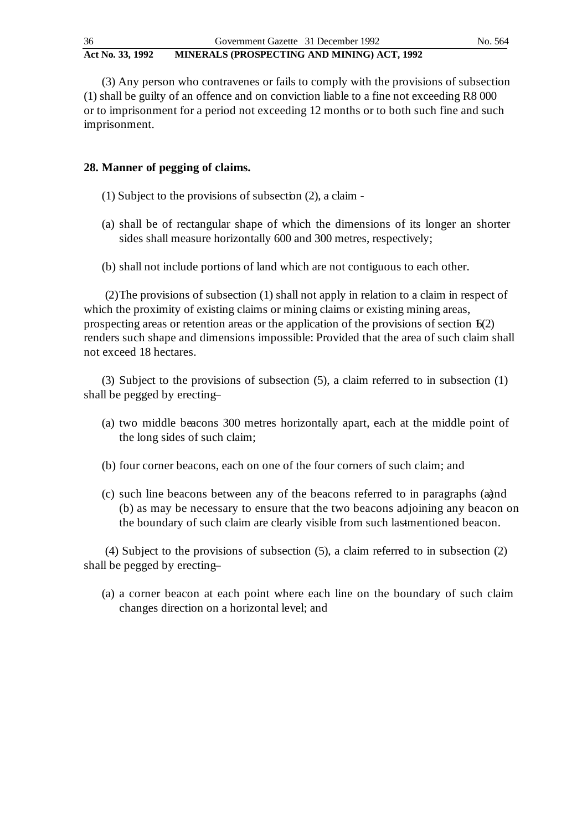(3) Any person who contravenes or fails to comply with the provisions of subsection (1) shall be guilty of an offence and on conviction liable to a fine not exceeding R8 000 or to imprisonment for a period not exceeding 12 months or to both such fine and such imprisonment.

# **28. Manner of pegging of claims.**

- (1) Subject to the provisions of subsection (2), a claim -
- (a) shall be of rectangular shape of which the dimensions of its longer an shorter sides shall measure horizontally 600 and 300 metres, respectively;
- (b) shall not include portions of land which are not contiguous to each other.

(2)The provisions of subsection (1) shall not apply in relation to a claim in respect of which the proximity of existing claims or mining claims or existing mining areas, prospecting areas or retention areas or the application of the provisions of section  $f(2)$ renders such shape and dimensions impossible: Provided that the area of such claim shall not exceed 18 hectares.

(3) Subject to the provisions of subsection (5), a claim referred to in subsection (1) shall be pegged by erecting-

- (a) two middle beacons 300 metres horizontally apart, each at the middle point of the long sides of such claim;
- (b) four corner beacons, each on one of the four corners of such claim; and
- (c) such line beacons between any of the beacons referred to in paragraphs (a) and (b) as may be necessary to ensure that the two beacons adjoining any beacon on the boundary of such claim are clearly visible from such lastmentioned beacon.

(4) Subject to the provisions of subsection (5), a claim referred to in subsection (2) shall be pegged by erecting-

(a) a corner beacon at each point where each line on the boundary of such claim changes direction on a horizontal level; and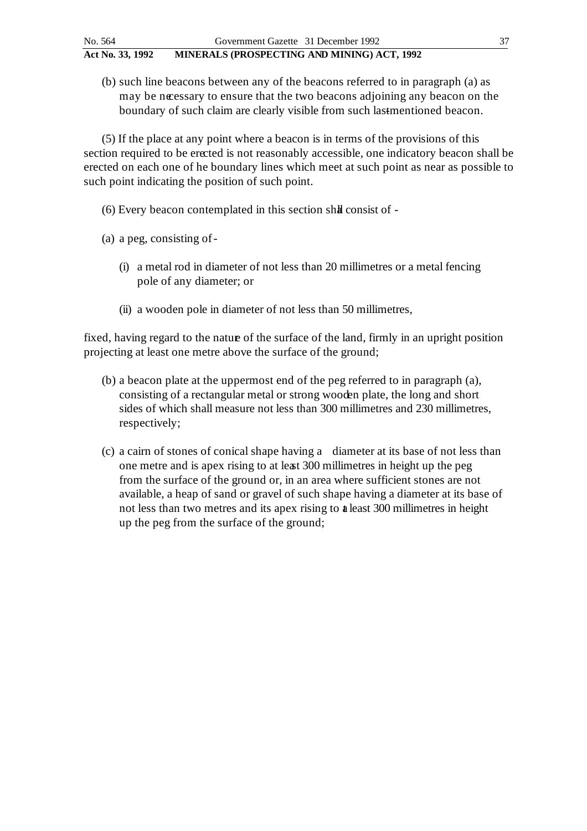(b) such line beacons between any of the beacons referred to in paragraph (a) as may be necessary to ensure that the two beacons adjoining any beacon on the boundary of such claim are clearly visible from such lastmentioned beacon.

(5) If the place at any point where a beacon is in terms of the provisions of this section required to be erected is not reasonably accessible, one indicatory beacon shall be erected on each one of he boundary lines which meet at such point as near as possible to such point indicating the position of such point.

- $(6)$  Every beacon contemplated in this section shall consist of  $-$
- (a) a peg, consisting of
	- (i) a metal rod in diameter of not less than 20 millimetres or a metal fencing pole of any diameter; or
	- (ii) a wooden pole in diameter of not less than 50 millimetres,

fixed, having regard to the natue of the surface of the land, firmly in an upright position projecting at least one metre above the surface of the ground;

- (b) a beacon plate at the uppermost end of the peg referred to in paragraph (a), consisting of a rectangular metal or strong wooden plate, the long and short sides of which shall measure not less than 300 millimetres and 230 millimetres, respectively;
- (c) a cairn of stones of conical shape having a diameter at its base of not less than one metre and is apex rising to at least 300 millimetres in height up the peg from the surface of the ground or, in an area where sufficient stones are not available, a heap of sand or gravel of such shape having a diameter at its base of not less than two metres and its apex rising to **a** least 300 millimetres in height up the peg from the surface of the ground;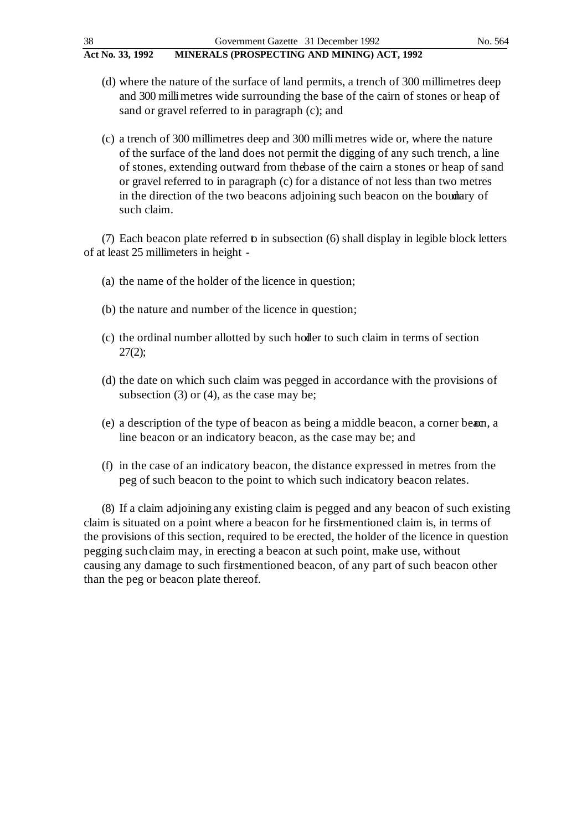- (d) where the nature of the surface of land permits, a trench of 300 millimetres deep and 300 milli metres wide surrounding the base of the cairn of stones or heap of sand or gravel referred to in paragraph (c); and
- (c) a trench of 300 millimetres deep and 300 milli metres wide or, where the nature of the surface of the land does not permit the digging of any such trench, a line of stones, extending outward from the base of the cairn a stones or heap of sand or gravel referred to in paragraph (c) for a distance of not less than two metres in the direction of the two beacons adjoining such beacon on the boundary of such claim.

(7) Each beacon plate referred  $\bf{b}$  in subsection (6) shall display in legible block letters of at least 25 millimeters in height -

- (a) the name of the holder of the licence in question;
- (b) the nature and number of the licence in question;
- (c) the ordinal number allotted by such holder to such claim in terms of section 27(2);
- (d) the date on which such claim was pegged in accordance with the provisions of subsection (3) or (4), as the case may be;
- (e) a description of the type of beacon as being a middle beacon, a corner beam, a line beacon or an indicatory beacon, as the case may be; and
- (f) in the case of an indicatory beacon, the distance expressed in metres from the peg of such beacon to the point to which such indicatory beacon relates.

(8) If a claim adjoining any existing claim is pegged and any beacon of such existing claim is situated on a point where a beacon for he first-mentioned claim is, in terms of the provisions of this section, required to be erected, the holder of the licence in question pegging such claim may, in erecting a beacon at such point, make use, without causing any damage to such firstmentioned beacon, of any part of such beacon other than the peg or beacon plate thereof.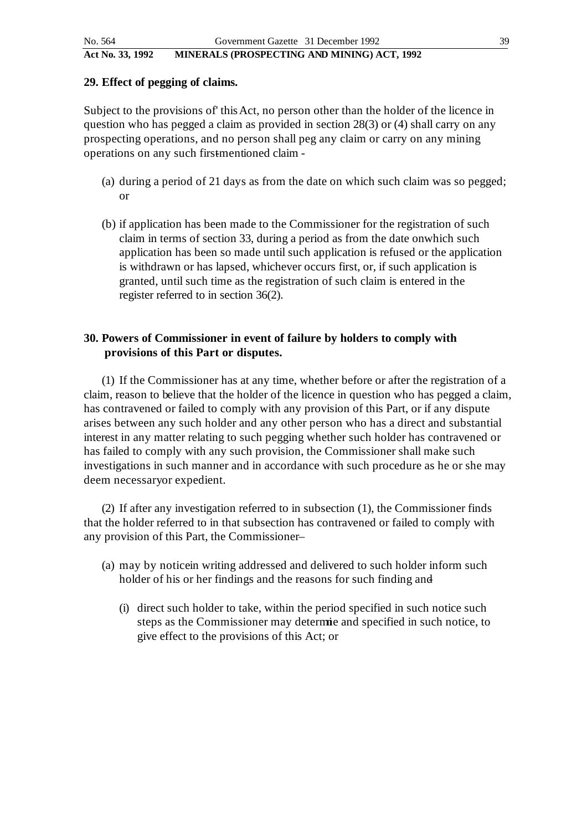#### **29. Effect of pegging of claims.**

Subject to the provisions of' this Act, no person other than the holder of the licence in question who has pegged a claim as provided in section 28(3) or (4) shall carry on any prospecting operations, and no person shall peg any claim or carry on any mining operations on any such firstmentioned claim -

- (a) during a period of 21 days as from the date on which such claim was so pegged; or
- (b) if application has been made to the Commissioner for the registration of such claim in terms of section 33, during a period as from the date on which such application has been so made until such application is refused or the application is withdrawn or has lapsed, whichever occurs first, or, if such application is granted, until such time as the registration of such claim is entered in the register referred to in section 36(2).

## **30. Powers of Commissioner in event of failure by holders to comply with provisions of this Part or disputes.**

(1) If the Commissioner has at any time, whether before or after the registration of a claim, reason to believe that the holder of the licence in question who has pegged a claim, has contravened or failed to comply with any provision of this Part, or if any dispute arises between any such holder and any other person who has a direct and substantial interest in any matter relating to such pegging whether such holder has contravened or has failed to comply with any such provision, the Commissioner shall make such investigations in such manner and in accordance with such procedure as he or she may deem necessary or expedient.

(2) If after any investigation referred to in subsection (1), the Commissioner finds that the holder referred to in that subsection has contravened or failed to comply with any provision of this Part, the Commissioner-

- (a) may by notice in writing addressed and delivered to such holder inform such holder of his or her findings and the reasons for such finding and
	- (i) direct such holder to take, within the period specified in such notice such steps as the Commissioner may determie and specified in such notice, to give effect to the provisions of this Act; or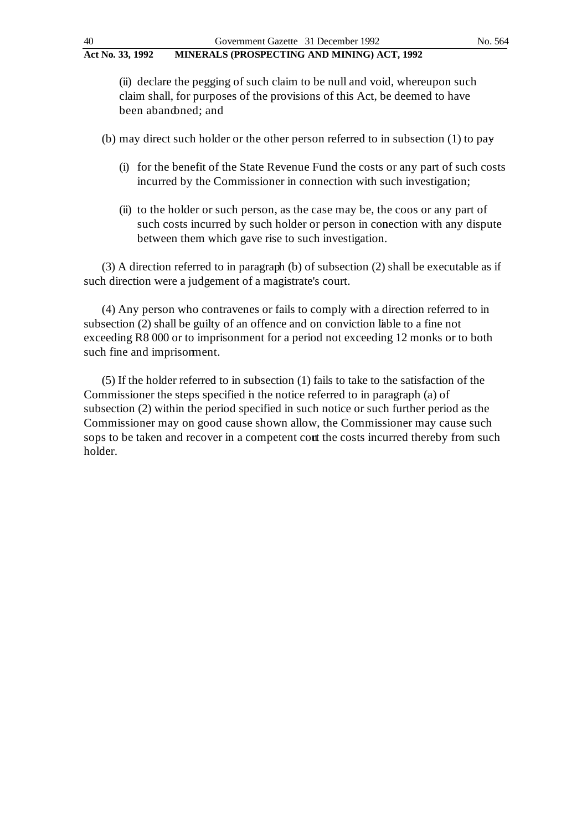(ii) declare the pegging of such claim to be null and void, whereupon such claim shall, for purposes of the provisions of this Act, be deemed to have been abandoned; and

(b) may direct such holder or the other person referred to in subsection  $(1)$  to pay

- (i) for the benefit of the State Revenue Fund the costs or any part of such costs incurred by the Commissioner in connection with such investigation;
- (ii) to the holder or such person, as the case may be, the coos or any part of such costs incurred by such holder or person in conection with any dispute between them which gave rise to such investigation.

(3) A direction referred to in paragraph (b) of subsection (2) shall be executable as if such direction were a judgement of a magistrate's court.

(4) Any person who contravenes or fails to comply with a direction referred to in subsection (2) shall be guilty of an offence and on conviction liable to a fine not exceeding R8 000 or to imprisonment for a period not exceeding 12 monks or to both such fine and imprisonment.

(5) If the holder referred to in subsection (1) fails to take to the satisfaction of the Commissioner the steps specified in the notice referred to in paragraph (a) of subsection (2) within the period specified in such notice or such further period as the Commissioner may on good cause shown allow, the Commissioner may cause such sops to be taken and recover in a competent cont the costs incurred thereby from such holder.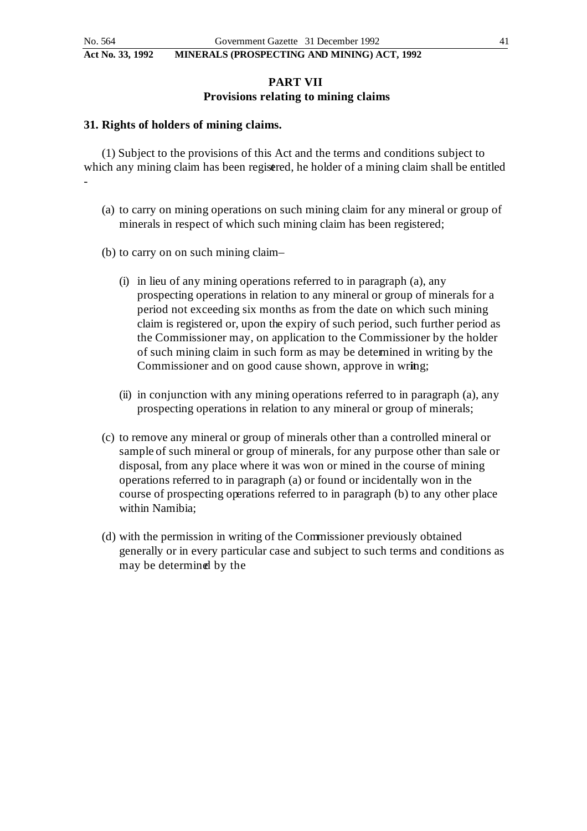-

#### **Act No. 33, 1992 MINERALS (PROSPECTING AND MINING) ACT, 1992**

## **PART VII Provisions relating to mining claims**

#### **31. Rights of holders of mining claims.**

(1) Subject to the provisions of this Act and the terms and conditions subject to which any mining claim has been registered, he holder of a mining claim shall be entitled

- (a) to carry on mining operations on such mining claim for any mineral or group of minerals in respect of which such mining claim has been registered;
- (b) to carry on on such mining claim
	- (i) in lieu of any mining operations referred to in paragraph (a), any prospecting operations in relation to any mineral or group of minerals for a period not exceeding six months as from the date on which such mining claim is registered or, upon the expiry of such period, such further period as the Commissioner may, on application to the Commissioner by the holder of such mining claim in such form as may be determined in writing by the Commissioner and on good cause shown, approve in wring;
	- (ii) in conjunction with any mining operations referred to in paragraph (a), any prospecting operations in relation to any mineral or group of minerals;
- (c) to remove any mineral or group of minerals other than a controlled mineral or sample of such mineral or group of minerals, for any purpose other than sale or disposal, from any place where it was won or mined in the course of mining operations referred to in paragraph (a) or found or incidentally won in the course of prospecting operations referred to in paragraph (b) to any other place within Namibia;
- (d) with the permission in writing of the Commissioner previously obtained generally or in every particular case and subject to such terms and conditions as may be determined by the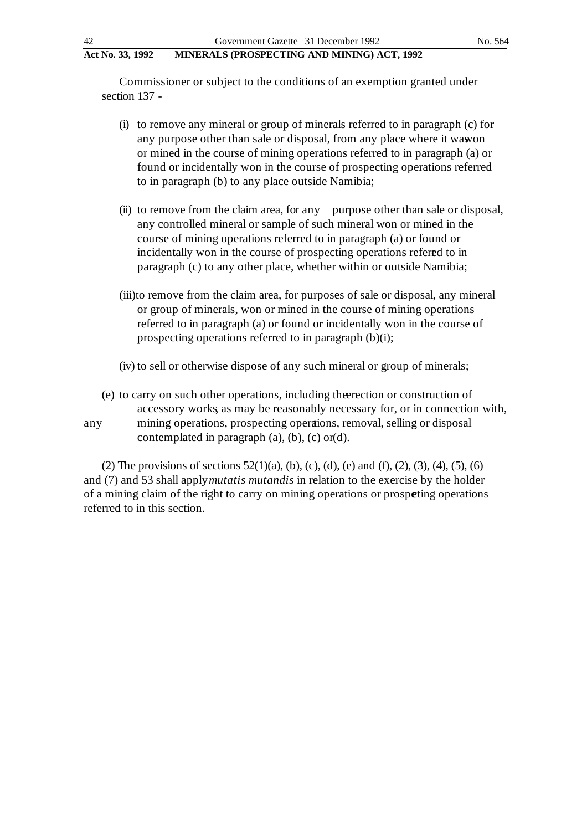Commissioner or subject to the conditions of an exemption granted under section 137 -

- (i) to remove any mineral or group of minerals referred to in paragraph (c) for any purpose other than sale or disposal, from any place where it wawon or mined in the course of mining operations referred to in paragraph (a) or found or incidentally won in the course of prospecting operations referred to in paragraph (b) to any place outside Namibia;
- (ii) to remove from the claim area, for any purpose other than sale or disposal, any controlled mineral or sample of such mineral won or mined in the course of mining operations referred to in paragraph (a) or found or incidentally won in the course of prospecting operations referred to in paragraph (c) to any other place, whether within or outside Namibia;
- (iii)to remove from the claim area, for purposes of sale or disposal, any mineral or group of minerals, won or mined in the course of mining operations referred to in paragraph (a) or found or incidentally won in the course of prospecting operations referred to in paragraph (b)(i);
- (iv) to sell or otherwise dispose of any such mineral or group of minerals;
- (e) to carry on such other operations, including the erection or construction of accessory works, as may be reasonably necessary for, or in connection with, any mining operations, prospecting operations, removal, selling or disposal contemplated in paragraph  $(a)$ ,  $(b)$ ,  $(c)$  or  $(d)$ .

(2) The provisions of sections  $52(1)(a)$ , (b), (c), (d), (e) and (f), (2), (3), (4), (5), (6) and (7) and 53 shall apply *mutatis mutandis* in relation to the exercise by the holder of a mining claim of the right to carry on mining operations or prospeting operations referred to in this section.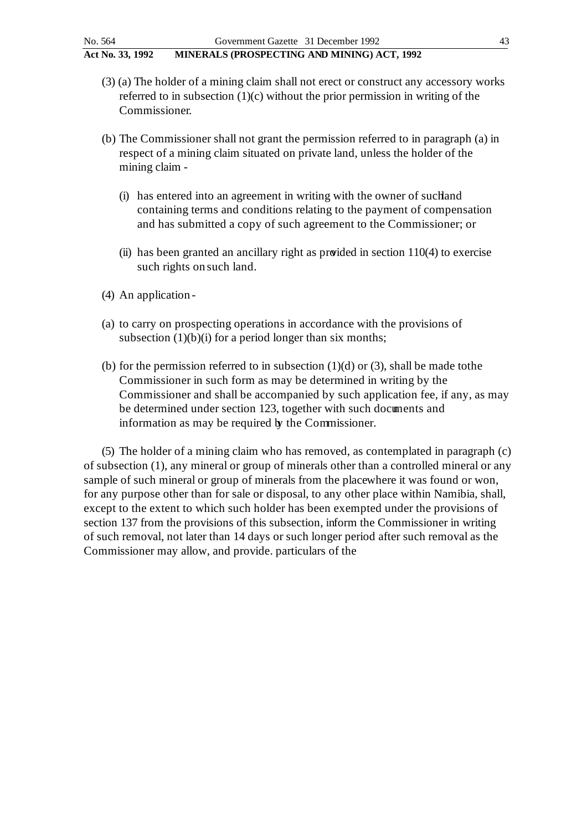- (3) (a) The holder of a mining claim shall not erect or construct any accessory works referred to in subsection  $(1)(c)$  without the prior permission in writing of the Commissioner.
- (b) The Commissioner shall not grant the permission referred to in paragraph (a) in respect of a mining claim situated on private land, unless the holder of the mining claim -
	- (i) has entered into an agreement in writing with the owner of such and containing terms and conditions relating to the payment of compensation and has submitted a copy of such agreement to the Commissioner; or
	- (ii) has been granted an ancillary right as provided in section 110(4) to exercise such rights on such land.
- (4) An application -
- (a) to carry on prospecting operations in accordance with the provisions of subsection  $(1)(b)(i)$  for a period longer than six months;
- (b) for the permission referred to in subsection  $(1)(d)$  or  $(3)$ , shall be made to the Commissioner in such form as may be determined in writing by the Commissioner and shall be accompanied by such application fee, if any, as may be determined under section 123, together with such documents and information as may be required by the Commissioner.

(5) The holder of a mining claim who has removed, as contemplated in paragraph (c) of subsection (1), any mineral or group of minerals other than a controlled mineral or any sample of such mineral or group of minerals from the placewhere it was found or won, for any purpose other than for sale or disposal, to any other place within Namibia, shall, except to the extent to which such holder has been exempted under the provisions of section 137 from the provisions of this subsection, inform the Commissioner in writing of such removal, not later than 14 days or such longer period after such removal as the Commissioner may allow, and provide. particulars of the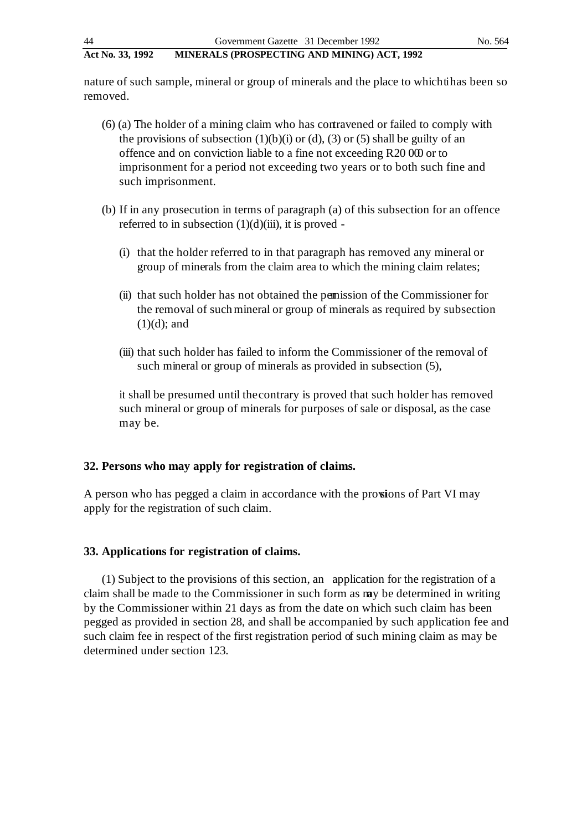nature of such sample, mineral or group of minerals and the place to which that been so removed.

- (6) (a) The holder of a mining claim who has contravened or failed to comply with the provisions of subsection  $(1)(b)(i)$  or  $(d)$ ,  $(3)$  or  $(5)$  shall be guilty of an offence and on conviction liable to a fine not exceeding R20 000 or to imprisonment for a period not exceeding two years or to both such fine and such imprisonment.
- (b) If in any prosecution in terms of paragraph (a) of this subsection for an offence referred to in subsection  $(1)(d)(iii)$ , it is proved -
	- (i) that the holder referred to in that paragraph has removed any mineral or group of minerals from the claim area to which the mining claim relates;
	- (ii) that such holder has not obtained the permission of the Commissioner for the removal of such mineral or group of minerals as required by subsection  $(1)(d)$ ; and
	- (iii) that such holder has failed to inform the Commissioner of the removal of such mineral or group of minerals as provided in subsection (5),

it shall be presumed until the contrary is proved that such holder has removed such mineral or group of minerals for purposes of sale or disposal, as the case may be.

### **32. Persons who may apply for registration of claims.**

A person who has pegged a claim in accordance with the provisions of Part VI may apply for the registration of such claim.

### **33. Applications for registration of claims.**

(1) Subject to the provisions of this section, an application for the registration of a claim shall be made to the Commissioner in such form as may be determined in writing by the Commissioner within 21 days as from the date on which such claim has been pegged as provided in section 28, and shall be accompanied by such application fee and such claim fee in respect of the first registration period of such mining claim as may be determined under section 123.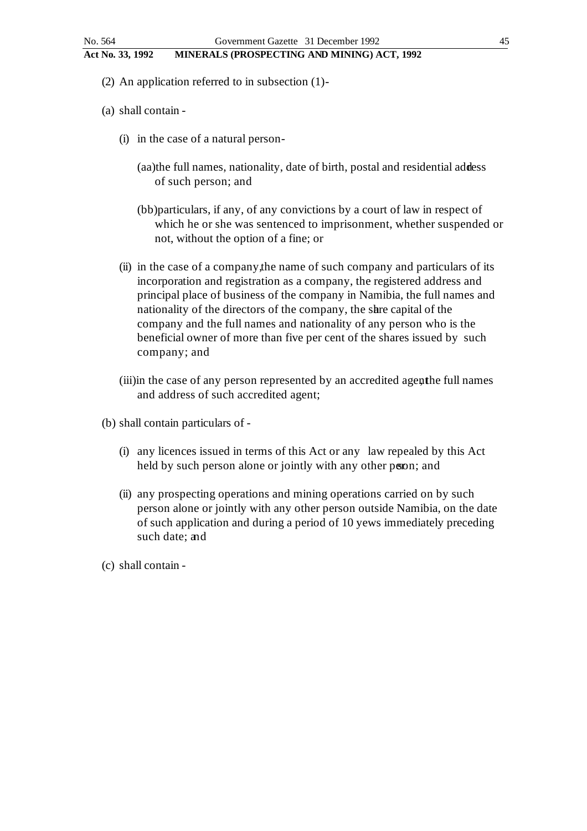- (2) An application referred to in subsection (1) -
- (a) shall contain
	- (i) in the case of a natural person
		- (aa)the full names, nationality, date of birth, postal and residential address of such person; and
		- (bb)particulars, if any, of any convictions by a court of law in respect of which he or she was sentenced to imprisonment, whether suspended or not, without the option of a fine; or
	- (ii) in the case of a company, the name of such company and particulars of its incorporation and registration as a company, the registered address and principal place of business of the company in Namibia, the full names and nationality of the directors of the company, the share capital of the company and the full names and nationality of any person who is the beneficial owner of more than five per cent of the shares issued by such company; and
	- (iii)in the case of any person represented by an accredited agenthe full names and address of such accredited agent;
- (b) shall contain particulars of
	- (i) any licences issued in terms of this Act or any law repealed by this Act held by such person alone or jointly with any other person; and
	- (ii) any prospecting operations and mining operations carried on by such person alone or jointly with any other person outside Namibia, on the date of such application and during a period of 10 yews immediately preceding such date; and
- (c) shall contain -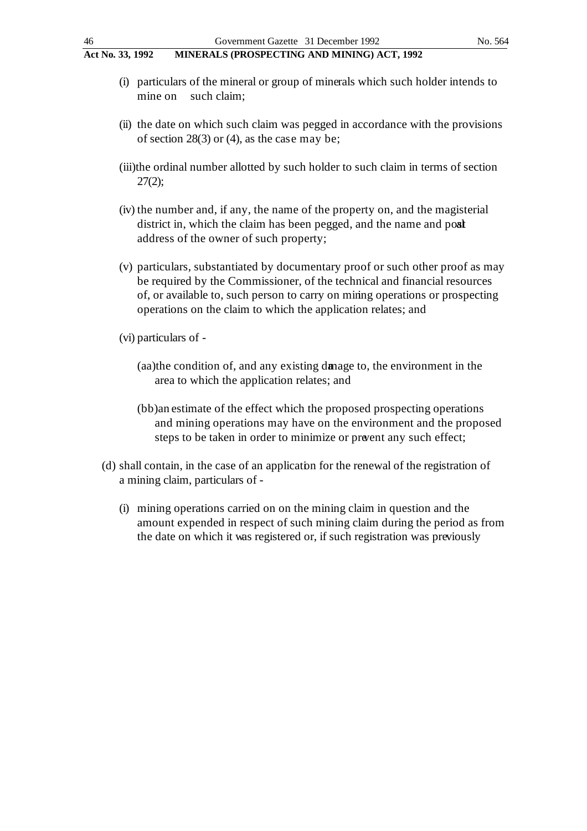- (i) particulars of the mineral or group of minerals which such holder intends to mine on such claim;
- (ii) the date on which such claim was pegged in accordance with the provisions of section 28(3) or (4), as the case may be;
- (iii)the ordinal number allotted by such holder to such claim in terms of section 27(2);
- (iv) the number and, if any, the name of the property on, and the magisterial district in, which the claim has been pegged, and the name and post address of the owner of such property;
- (v) particulars, substantiated by documentary proof or such other proof as may be required by the Commissioner, of the technical and financial resources of, or available to, such person to carry on mining operations or prospecting operations on the claim to which the application relates; and
- (vi) particulars of
	- (aa)the condition of, and any existing damage to, the environment in the area to which the application relates; and
	- (bb)an estimate of the effect which the proposed prospecting operations and mining operations may have on the environment and the proposed steps to be taken in order to minimize or prevent any such effect;
- (d) shall contain, in the case of an application for the renewal of the registration of a mining claim, particulars of -
	- (i) mining operations carried on on the mining claim in question and the amount expended in respect of such mining claim during the period as from the date on which it was registered or, if such registration was previously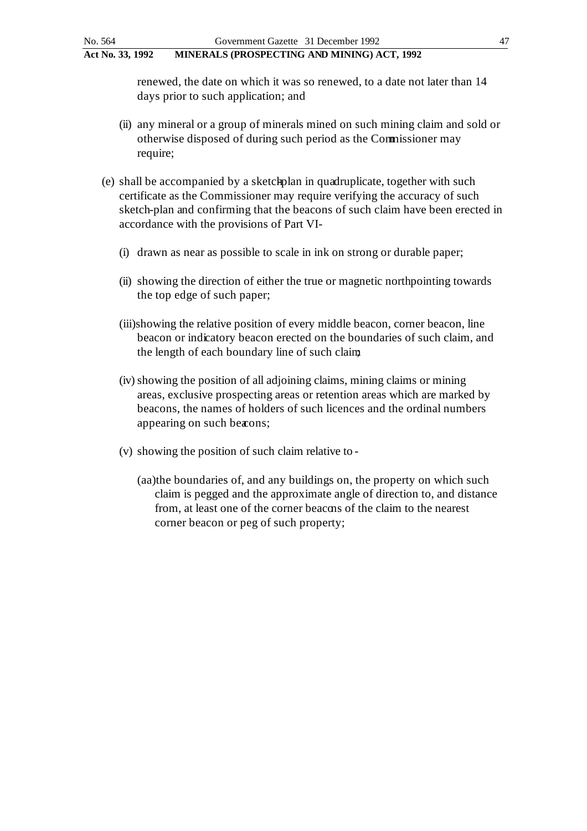renewed, the date on which it was so renewed, to a date not later than 14 days prior to such application; and

- (ii) any mineral or a group of minerals mined on such mining claim and sold or otherwise disposed of during such period as the Commissioner may require;
- $(e)$  shall be accompanied by a sketchplan in quadruplicate, together with such certificate as the Commissioner may require verifying the accuracy of such sketch-plan and confirming that the beacons of such claim have been erected in accordance with the provisions of Part VI-
	- (i) drawn as near as possible to scale in ink on strong or durable paper;
	- (ii) showing the direction of either the true or magnetic north pointing towards the top edge of such paper;
	- (iii)showing the relative position of every middle beacon, corner beacon, line beacon or indicatory beacon erected on the boundaries of such claim, and the length of each boundary line of such claim;
	- (iv) showing the position of all adjoining claims, mining claims or mining areas, exclusive prospecting areas or retention areas which are marked by beacons, the names of holders of such licences and the ordinal numbers appearing on such becons;
	- (v) showing the position of such claim relative to
		- (aa)the boundaries of, and any buildings on, the property on which such claim is pegged and the approximate angle of direction to, and distance from, at least one of the corner beacons of the claim to the nearest corner beacon or peg of such property;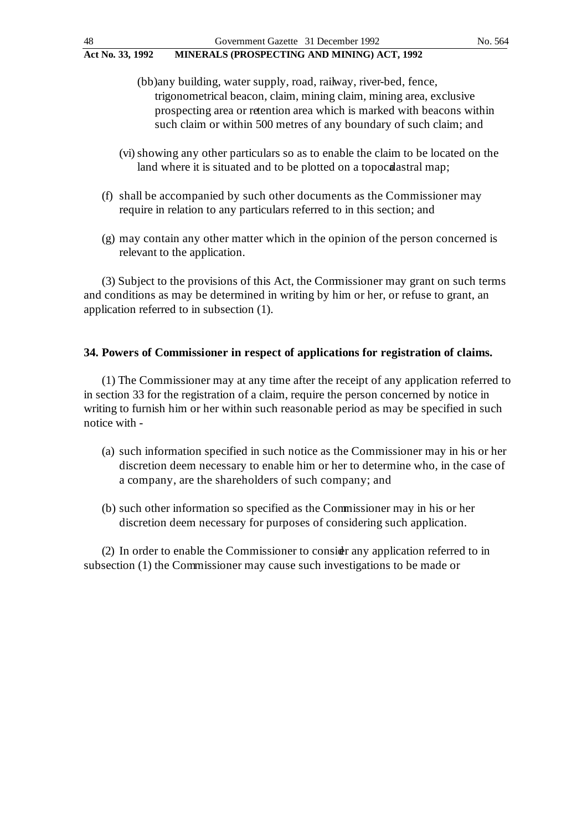- (bb)any building, water supply, road, railway, river-bed, fence, trigonometrical beacon, claim, mining claim, mining area, exclusive prospecting area or retention area which is marked with beacons within such claim or within 500 metres of any boundary of such claim; and
- (vi) showing any other particulars so as to enable the claim to be located on the land where it is situated and to be plotted on a topocal astral map;
- (f) shall be accompanied by such other documents as the Commissioner may require in relation to any particulars referred to in this section; and
- (g) may contain any other matter which in the opinion of the person concerned is relevant to the application.

(3) Subject to the provisions of this Act, the Commissioner may grant on such terms and conditions as may be determined in writing by him or her, or refuse to grant, an application referred to in subsection (1).

### **34. Powers of Commissioner in respect of applications for registration of claims.**

(1) The Commissioner may at any time after the receipt of any application referred to in section 33 for the registration of a claim, require the person concerned by notice in writing to furnish him or her within such reasonable period as may be specified in such notice with -

- (a) such information specified in such notice as the Commissioner may in his or her discretion deem necessary to enable him or her to determine who, in the case of a company, are the shareholders of such company; and
- (b) such other information so specified as the Commissioner may in his or her discretion deem necessary for purposes of considering such application.

(2) In order to enable the Commissioner to consider any application referred to in subsection (1) the Commissioner may cause such investigations to be made or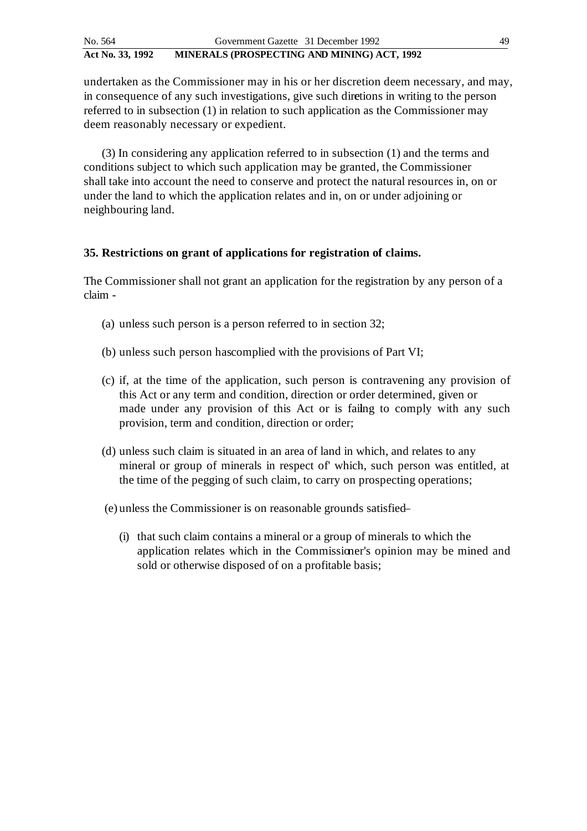undertaken as the Commissioner may in his or her discretion deem necessary, and may, in consequence of any such investigations, give such directions in writing to the person referred to in subsection (1) in relation to such application as the Commissioner may deem reasonably necessary or expedient.

(3) In considering any application referred to in subsection (1) and the terms and conditions subject to which such application may be granted, the Commissioner shall take into account the need to conserve and protect the natural resources in, on or under the land to which the application relates and in, on or under adjoining or neighbouring land.

## **35. Restrictions on grant of applications for registration of claims.**

The Commissioner shall not grant an application for the registration by any person of a claim -

- (a) unless such person is a person referred to in section 32;
- (b) unless such person has complied with the provisions of Part VI;
- (c) if, at the time of the application, such person is contravening any provision of this Act or any term and condition, direction or order determined, given or made under any provision of this Act or is failing to comply with any such provision, term and condition, direction or order;
- (d) unless such claim is situated in an area of land in which, and relates to any mineral or group of minerals in respect of' which, such person was entitled, at the time of the pegging of such claim, to carry on prospecting operations;
- (e) unless the Commissioner is on reasonable grounds satisfied
	- (i) that such claim contains a mineral or a group of minerals to which the application relates which in the Commissioner's opinion may be mined and sold or otherwise disposed of on a profitable basis;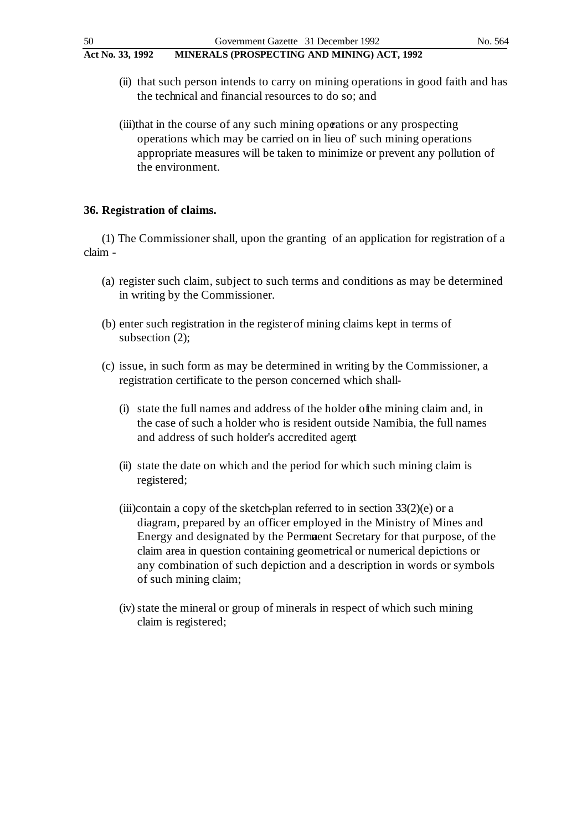- (ii) that such person intends to carry on mining operations in good faith and has the technical and financial resources to do so; and
- (iii)that in the course of any such mining operations or any prospecting operations which may be carried on in lieu of' such mining operations appropriate measures will be taken to minimize or prevent any pollution of the environment.

## **36. Registration of claims.**

(1) The Commissioner shall, upon the granting of an application for registration of a claim -

- (a) register such claim, subject to such terms and conditions as may be determined in writing by the Commissioner.
- (b) enter such registration in the register of mining claims kept in terms of subsection (2);
- (c) issue, in such form as may be determined in writing by the Commissioner, a registration certificate to the person concerned which shall-
	- (i) state the full names and address of the holder of the mining claim and, in the case of such a holder who is resident outside Namibia, the full names and address of such holder's accredited agent
	- (ii) state the date on which and the period for which such mining claim is registered;
	- (iii)contain a copy of the sketch-plan referred to in section  $33(2)(e)$  or a diagram, prepared by an officer employed in the Ministry of Mines and Energy and designated by the Permaent Secretary for that purpose, of the claim area in question containing geometrical or numerical depictions or any combination of such depiction and a description in words or symbols of such mining claim;
	- (iv) state the mineral or group of minerals in respect of which such mining claim is registered;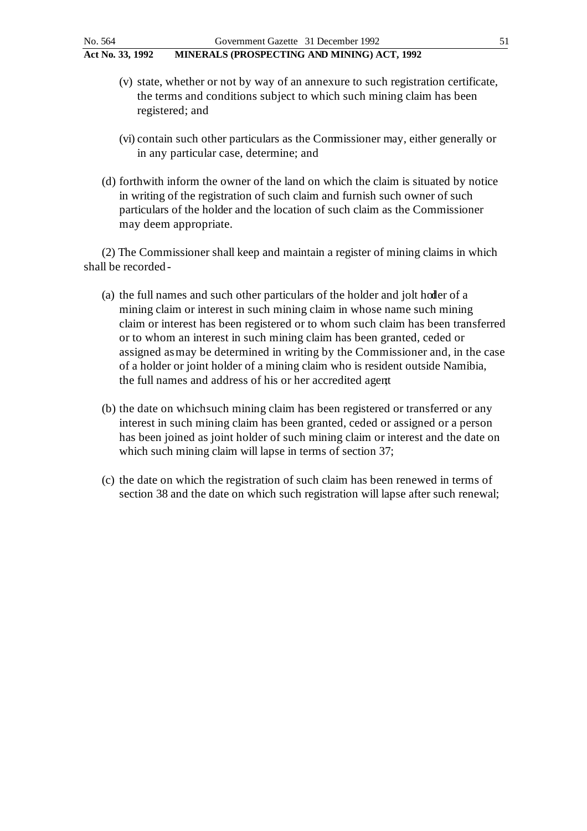- (v) state, whether or not by way of an annexure to such registration certificate, the terms and conditions subject to which such mining claim has been registered; and
- (vi) contain such other particulars as the Commissioner may, either generally or in any particular case, determine; and
- (d) forthwith inform the owner of the land on which the claim is situated by notice in writing of the registration of such claim and furnish such owner of such particulars of the holder and the location of such claim as the Commissioner may deem appropriate.

(2) The Commissioner shall keep and maintain a register of mining claims in which shall be recorded -

- (a) the full names and such other particulars of the holder and jolt holder of a mining claim or interest in such mining claim in whose name such mining claim or interest has been registered or to whom such claim has been transferred or to whom an interest in such mining claim has been granted, ceded or assigned as may be determined in writing by the Commissioner and, in the case of a holder or joint holder of a mining claim who is resident outside Namibia, the full names and address of his or her accredited agent;
- (b) the date on which such mining claim has been registered or transferred or any interest in such mining claim has been granted, ceded or assigned or a person has been joined as joint holder of such mining claim or interest and the date on which such mining claim will lapse in terms of section 37;
- (c) the date on which the registration of such claim has been renewed in terms of section 38 and the date on which such registration will lapse after such renewal;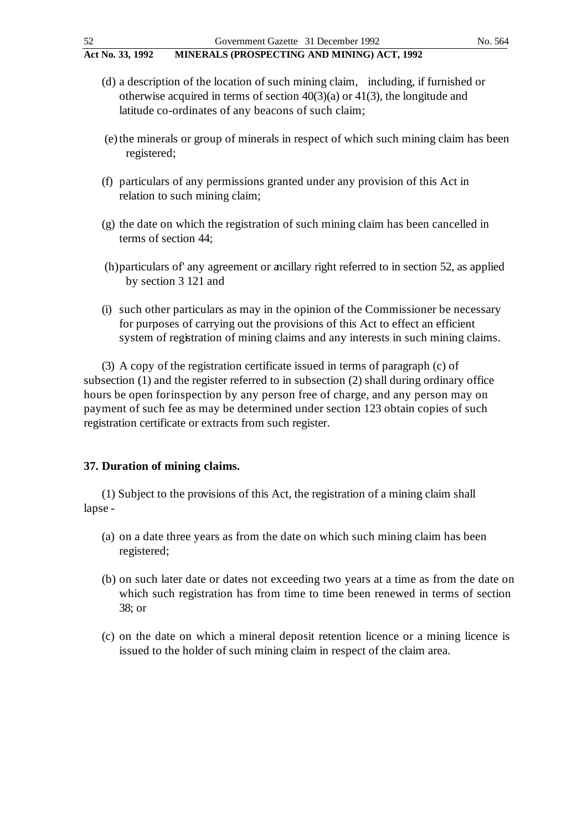- (d) a description of the location of such mining claim, including, if furnished or otherwise acquired in terms of section  $40(3)(a)$  or  $41(3)$ , the longitude and latitude co-ordinates of any beacons of such claim;
- (e) the minerals or group of minerals in respect of which such mining claim has been registered;
- (f) particulars of any permissions granted under any provision of this Act in relation to such mining claim;
- (g) the date on which the registration of such mining claim has been cancelled in terms of section 44;
- (h)particulars of' any agreement or ancillary right referred to in section 52, as applied by section 3 121 and
- (i) such other particulars as may in the opinion of the Commissioner be necessary for purposes of carrying out the provisions of this Act to effect an efficient system of registration of mining claims and any interests in such mining claims.

(3) A copy of the registration certificate issued in terms of paragraph (c) of subsection (1) and the register referred to in subsection (2) shall during ordinary office hours be open for inspection by any person free of charge, and any person may on payment of such fee as may be determined under section 123 obtain copies of such registration certificate or extracts from such register.

### **37. Duration of mining claims.**

(1) Subject to the provisions of this Act, the registration of a mining claim shall lapse -

- (a) on a date three years as from the date on which such mining claim has been registered;
- (b) on such later date or dates not exceeding two years at a time as from the date on which such registration has from time to time been renewed in terms of section 38; or
- (c) on the date on which a mineral deposit retention licence or a mining licence is issued to the holder of such mining claim in respect of the claim area.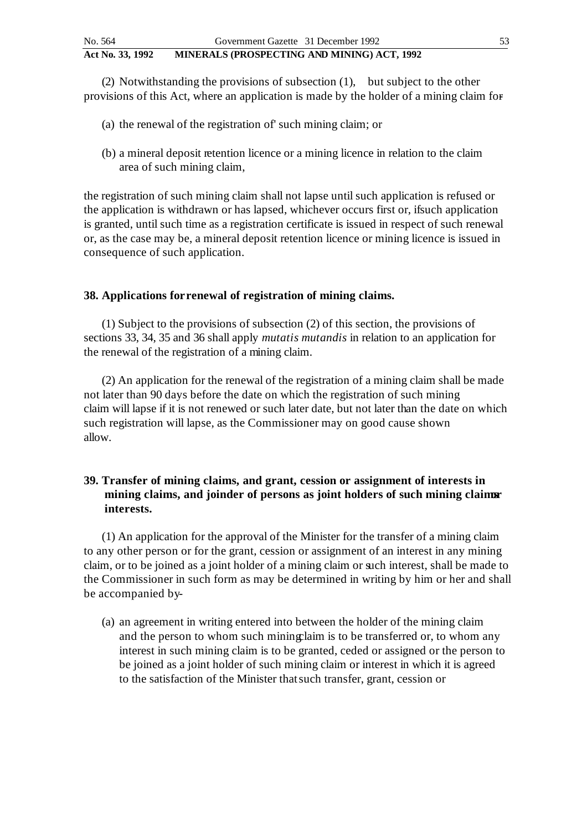(2) Notwithstanding the provisions of subsection (1), but subject to the other provisions of this Act, where an application is made by the holder of a mining claim for -

- (a) the renewal of the registration of' such mining claim; or
- (b) a mineral deposit retention licence or a mining licence in relation to the claim area of such mining claim,

the registration of such mining claim shall not lapse until such application is refused or the application is withdrawn or has lapsed, whichever occurs first or, if such application is granted, until such time as a registration certificate is issued in respect of such renewal or, as the case may be, a mineral deposit retention licence or mining licence is issued in consequence of such application.

## **38. Applications for renewal of registration of mining claims.**

(1) Subject to the provisions of subsection (2) of this section, the provisions of sections 33, 34, 35 and 36 shall apply *mutatis mutandis* in relation to an application for the renewal of the registration of a mining claim.

(2) An application for the renewal of the registration of a mining claim shall be made not later than 90 days before the date on which the registration of such mining claim will lapse if it is not renewed or such later date, but not later than the date on which such registration will lapse, as the Commissioner may on good cause shown allow.

# **39. Transfer of mining claims, and grant, cession or assignment of interests in**  mining claims, and joinder of persons as joint holders of such mining claims **interests.**

(1) An application for the approval of the Minister for the transfer of a mining claim to any other person or for the grant, cession or assignment of an interest in any mining claim, or to be joined as a joint holder of a mining claim or such interest, shall be made to the Commissioner in such form as may be determined in writing by him or her and shall be accompanied by-

(a) an agreement in writing entered into between the holder of the mining claim and the person to whom such mining laim is to be transferred or, to whom any interest in such mining claim is to be granted, ceded or assigned or the person to be joined as a joint holder of such mining claim or interest in which it is agreed to the satisfaction of the Minister that such transfer, grant, cession or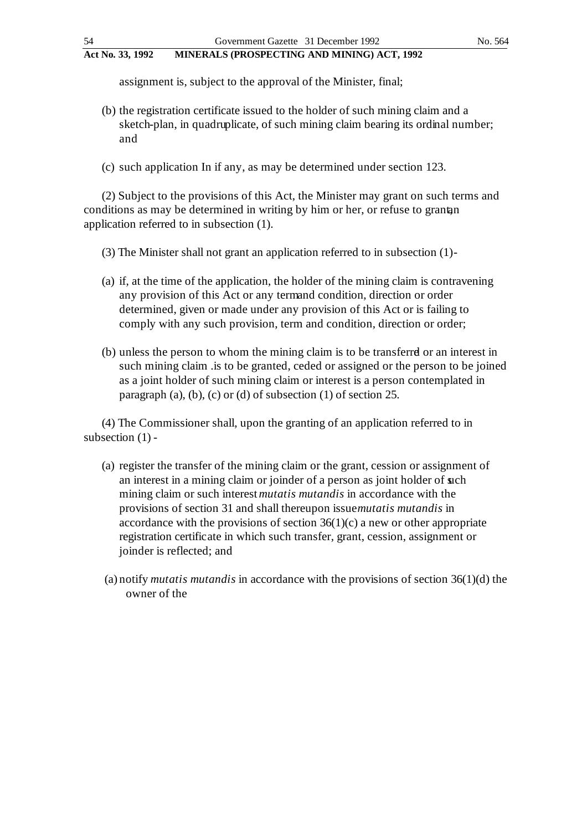assignment is, subject to the approval of the Minister, final;

- (b) the registration certificate issued to the holder of such mining claim and a sketch-plan, in quadruplicate, of such mining claim bearing its ordinal number; and
- (c) such application In if any, as may be determined under section 123.

(2) Subject to the provisions of this Act, the Minister may grant on such terms and conditions as may be determined in writing by him or her, or refuse to grant an application referred to in subsection (1).

(3) The Minister shall not grant an application referred to in subsection (1) -

- (a) if, at the time of the application, the holder of the mining claim is contravening any provision of this Act or any term and condition, direction or order determined, given or made under any provision of this Act or is failing to comply with any such provision, term and condition, direction or order;
- (b) unless the person to whom the mining claim is to be transferred or an interest in such mining claim .is to be granted, ceded or assigned or the person to be joined as a joint holder of such mining claim or interest is a person contemplated in paragraph (a), (b), (c) or (d) of subsection  $(1)$  of section 25.

(4) The Commissioner shall, upon the granting of an application referred to in subsection (1) -

- (a) register the transfer of the mining claim or the grant, cession or assignment of an interest in a mining claim or joinder of a person as joint holder of such mining claim or such interest *mutatis mutandis* in accordance with the provisions of section 31 and shall thereupon issue *mutatis mutandis* in accordance with the provisions of section  $36(1)(c)$  a new or other appropriate registration certificate in which such transfer, grant, cession, assignment or joinder is reflected; and
- (a) notify *mutatis mutandis* in accordance with the provisions of section 36(1)(d) the owner of the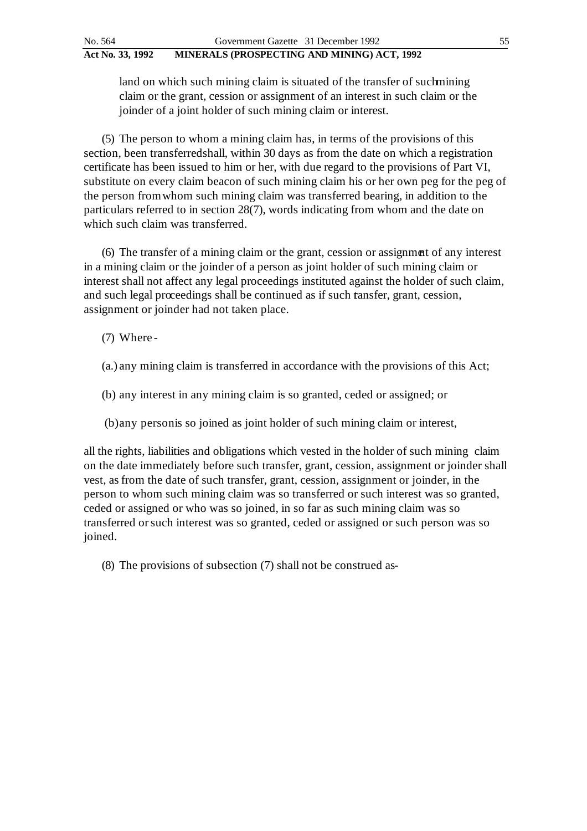land on which such mining claim is situated of the transfer of such mining claim or the grant, cession or assignment of an interest in such claim or the joinder of a joint holder of such mining claim or interest.

(5) The person to whom a mining claim has, in terms of the provisions of this section, been transferred shall, within 30 days as from the date on which a registration certificate has been issued to him or her, with due regard to the provisions of Part VI, substitute on every claim beacon of such mining claim his or her own peg for the peg of the person from whom such mining claim was transferred bearing, in addition to the particulars referred to in section 28(7), words indicating from whom and the date on which such claim was transferred.

(6) The transfer of a mining claim or the grant, cession or assignment of any interest in a mining claim or the joinder of a person as joint holder of such mining claim or interest shall not affect any legal proceedings instituted against the holder of such claim, and such legal proceedings shall be continued as if such tansfer, grant, cession, assignment or joinder had not taken place.

(7) Where -

(a.) any mining claim is transferred in accordance with the provisions of this Act;

(b) any interest in any mining claim is so granted, ceded or assigned; or

(b)any person is so joined as joint holder of such mining claim or interest,

all the rights, liabilities and obligations which vested in the holder of such mining claim on the date immediately before such transfer, grant, cession, assignment or joinder shall vest, as from the date of such transfer, grant, cession, assignment or joinder, in the person to whom such mining claim was so transferred or such interest was so granted, ceded or assigned or who was so joined, in so far as such mining claim was so transferred or such interest was so granted, ceded or assigned or such person was so joined.

(8) The provisions of subsection (7) shall not be construed as -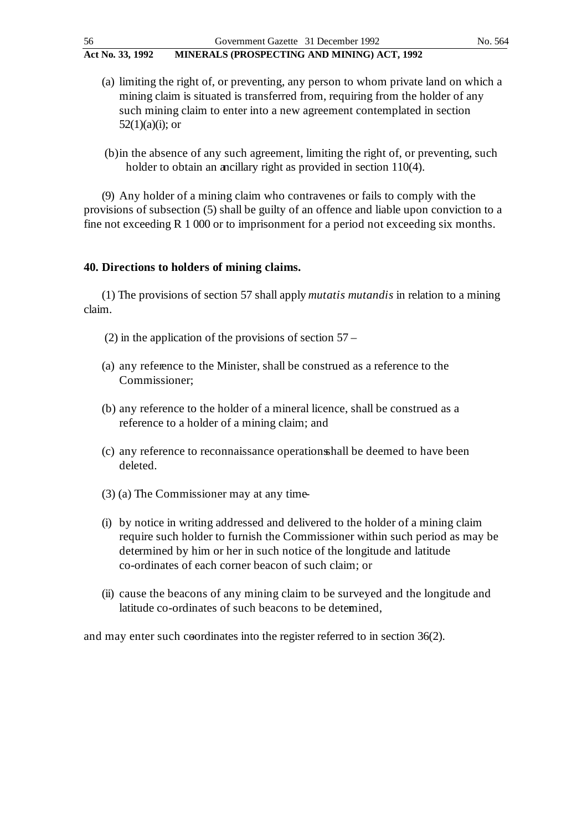- (a) limiting the right of, or preventing, any person to whom private land on which a mining claim is situated is transferred from, requiring from the holder of any such mining claim to enter into a new agreement contemplated in section  $52(1)(a)(i)$ ; or
- (b)in the absence of any such agreement, limiting the right of, or preventing, such holder to obtain an ancillary right as provided in section 110(4).

(9) Any holder of a mining claim who contravenes or fails to comply with the provisions of subsection (5) shall be guilty of an offence and liable upon conviction to a fine not exceeding R 1 000 or to imprisonment for a period not exceeding six months.

#### **40. Directions to holders of mining claims.**

(1) The provisions of section 57 shall apply *mutatis mutandis* in relation to a mining claim.

- (2) in the application of the provisions of section 57 –
- (a) any reference to the Minister, shall be construed as a reference to the Commissioner;
- (b) any reference to the holder of a mineral licence, shall be construed as a reference to a holder of a mining claim; and
- (c) any reference to reconnaissance operations shall be deemed to have been deleted.
- (3) (a) The Commissioner may at any time -
- (i) by notice in writing addressed and delivered to the holder of a mining claim require such holder to furnish the Commissioner within such period as may be determined by him or her in such notice of the longitude and latitude co-ordinates of each corner beacon of such claim; or
- (ii) cause the beacons of any mining claim to be surveyed and the longitude and latitude co-ordinates of such beacons to be determined,

and may enter such coordinates into the register referred to in section 36(2).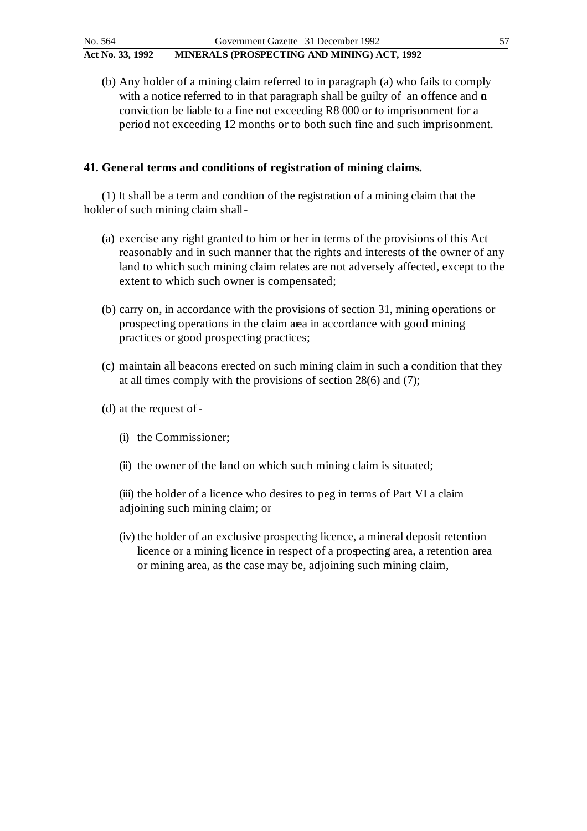(b) Any holder of a mining claim referred to in paragraph (a) who fails to comply with a notice referred to in that paragraph shall be guilty of an offence and  $\alpha$ conviction be liable to a fine not exceeding R8 000 or to imprisonment for a period not exceeding 12 months or to both such fine and such imprisonment.

# **41. General terms and conditions of registration of mining claims.**

(1) It shall be a term and condition of the registration of a mining claim that the holder of such mining claim shall -

- (a) exercise any right granted to him or her in terms of the provisions of this Act reasonably and in such manner that the rights and interests of the owner of any land to which such mining claim relates are not adversely affected, except to the extent to which such owner is compensated;
- (b) carry on, in accordance with the provisions of section 31, mining operations or prospecting operations in the claim area in accordance with good mining practices or good prospecting practices;
- (c) maintain all beacons erected on such mining claim in such a condition that they at all times comply with the provisions of section 28(6) and (7);
- (d) at the request of
	- (i) the Commissioner;
	- (ii) the owner of the land on which such mining claim is situated;
	- (iii) the holder of a licence who desires to peg in terms of Part VI a claim adjoining such mining claim; or
	- (iv) the holder of an exclusive prospecting licence, a mineral deposit retention licence or a mining licence in respect of a prospecting area, a retention area or mining area, as the case may be, adjoining such mining claim,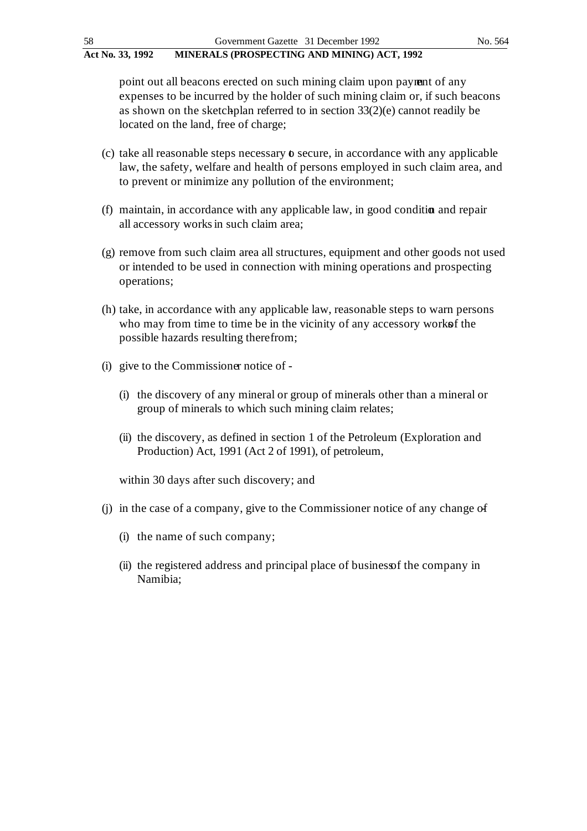point out all beacons erected on such mining claim upon payment of any expenses to be incurred by the holder of such mining claim or, if such beacons as shown on the sketch-plan referred to in section  $33(2)(e)$  cannot readily be located on the land, free of charge;

- (c) take all reasonable steps necessary  $\boldsymbol{\delta}$  secure, in accordance with any applicable law, the safety, welfare and health of persons employed in such claim area, and to prevent or minimize any pollution of the environment;
- $(f)$  maintain, in accordance with any applicable law, in good condition and repair all accessory works in such claim area;
- (g) remove from such claim area all structures, equipment and other goods not used or intended to be used in connection with mining operations and prospecting operations;
- (h) take, in accordance with any applicable law, reasonable steps to warn persons who may from time to time be in the vicinity of any accessory works fthe possible hazards resulting there from;
- (i) give to the Commissioner notice of
	- (i) the discovery of any mineral or group of minerals other than a mineral or group of minerals to which such mining claim relates;
	- (ii) the discovery, as defined in section 1 of the Petroleum (Exploration and Production) Act, 1991 (Act 2 of 1991), of petroleum,

within 30 days after such discovery; and

- (j) in the case of a company, give to the Commissioner notice of any change of
	- (i) the name of such company;
	- (ii) the registered address and principal place of business of the company in Namibia;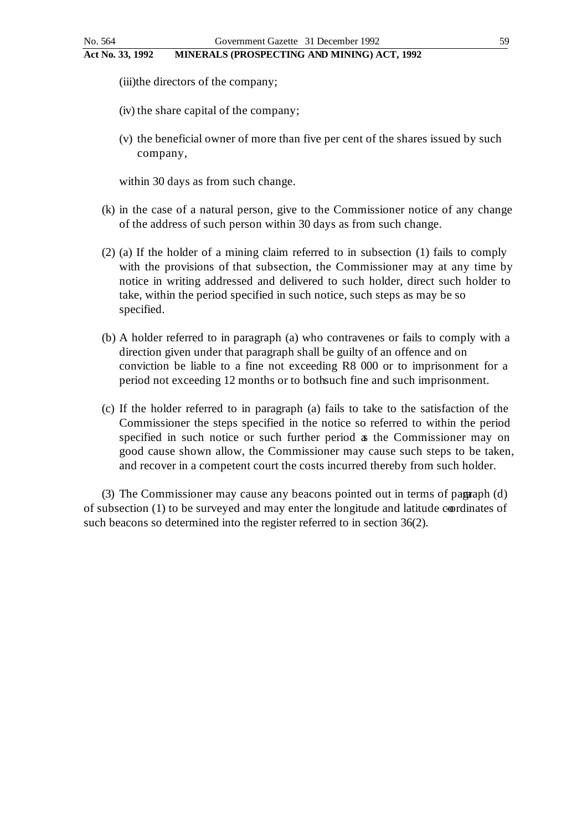(iii)the directors of the company;

- (iv) the share capital of the company;
- (v) the beneficial owner of more than five per cent of the shares issued by such company,

within 30 days as from such change.

- (k) in the case of a natural person, give to the Commissioner notice of any change of the address of such person within 30 days as from such change.
- (2) (a) If the holder of a mining claim referred to in subsection (1) fails to comply with the provisions of that subsection, the Commissioner may at any time by notice in writing addressed and delivered to such holder, direct such holder to take, within the period specified in such notice, such steps as may be so specified.
- (b) A holder referred to in paragraph (a) who contravenes or fails to comply with a direction given under that paragraph shall be guilty of an offence and on conviction be liable to a fine not exceeding R8 000 or to imprisonment for a period not exceeding 12 months or to both such fine and such imprisonment.
- (c) If the holder referred to in paragraph (a) fails to take to the satisfaction of the Commissioner the steps specified in the notice so referred to within the period specified in such notice or such further period as the Commissioner may on good cause shown allow, the Commissioner may cause such steps to be taken, and recover in a competent court the costs incurred thereby from such holder.

(3) The Commissioner may cause any beacons pointed out in terms of pagraph (d) of subsection  $(1)$  to be surveyed and may enter the longitude and latitude coordinates of such beacons so determined into the register referred to in section 36(2).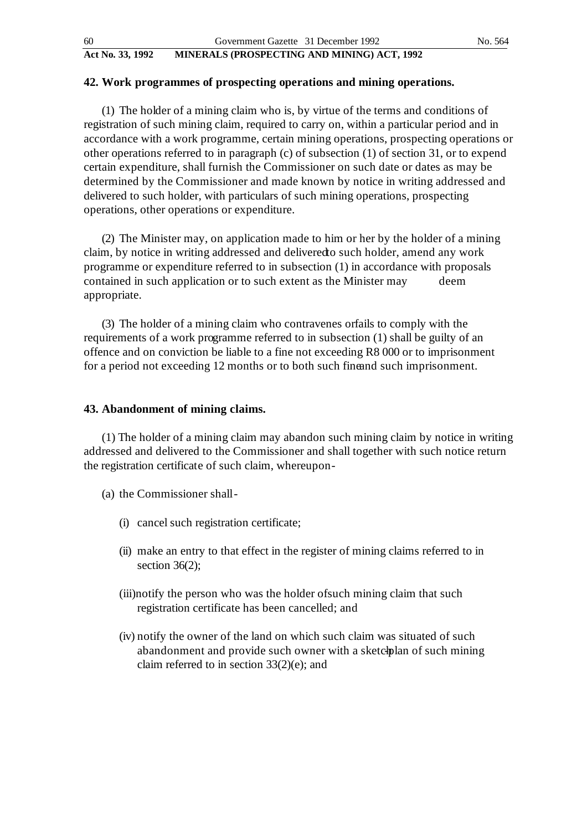#### **42. Work programmes of prospecting operations and mining operations.**

(1) The holder of a mining claim who is, by virtue of the terms and conditions of registration of such mining claim, required to carry on, within a particular period and in accordance with a work programme, certain mining operations, prospecting operations or other operations referred to in paragraph (c) of subsection (1) of section 31, or to expend certain expenditure, shall furnish the Commissioner on such date or dates as may be determined by the Commissioner and made known by notice in writing addressed and delivered to such holder, with particulars of such mining operations, prospecting operations, other operations or expenditure.

(2) The Minister may, on application made to him or her by the holder of a mining claim, by notice in writing addressed and delivered to such holder, amend any work programme or expenditure referred to in subsection (1) in accordance with proposals contained in such application or to such extent as the Minister may deem appropriate.

(3) The holder of a mining claim who contravenes or fails to comply with the requirements of a work programme referred to in subsection (1) shall be guilty of an offence and on conviction be liable to a fine not exceeding R8 000 or to imprisonment for a period not exceeding 12 months or to both such fine and such imprisonment.

#### **43. Abandonment of mining claims.**

(1) The holder of a mining claim may abandon such mining claim by notice in writing addressed and delivered to the Commissioner and shall together with such notice return the registration certificate of such claim, whereupon -

(a) the Commissioner shall -

- (i) cancel such registration certificate;
- (ii) make an entry to that effect in the register of mining claims referred to in section 36(2);
- (iii)notify the person who was the holder of such mining claim that such registration certificate has been cancelled; and
- (iv) notify the owner of the land on which such claim was situated of such abandonment and provide such owner with a sketchplan of such mining claim referred to in section 33(2)(e); and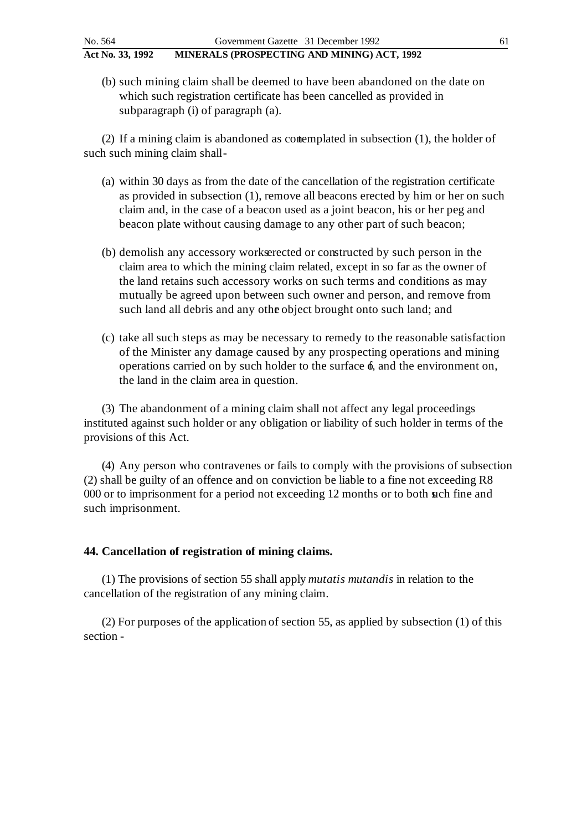(b) such mining claim shall be deemed to have been abandoned on the date on which such registration certificate has been cancelled as provided in subparagraph (i) of paragraph (a).

(2) If a mining claim is abandoned as contemplated in subsection (1), the holder of such such mining claim shall -

- (a) within 30 days as from the date of the cancellation of the registration certificate as provided in subsection (1), remove all beacons erected by him or her on such claim and, in the case of a beacon used as a joint beacon, his or her peg and beacon plate without causing damage to any other part of such beacon;
- (b) demolish any accessory works erected or constructed by such person in the claim area to which the mining claim related, except in so far as the owner of the land retains such accessory works on such terms and conditions as may mutually be agreed upon between such owner and person, and remove from such land all debris and any other object brought onto such land; and
- (c) take all such steps as may be necessary to remedy to the reasonable satisfaction of the Minister any damage caused by any prospecting operations and mining operations carried on by such holder to the surface  $\phi$ , and the environment on, the land in the claim area in question.

(3) The abandonment of a mining claim shall not affect any legal proceedings instituted against such holder or any obligation or liability of such holder in terms of the provisions of this Act.

(4) Any person who contravenes or fails to comply with the provisions of subsection (2) shall be guilty of an offence and on conviction be liable to a fine not exceeding R8 000 or to imprisonment for a period not exceeding 12 months or to both such fine and such imprisonment.

#### **44. Cancellation of registration of mining claims.**

(1) The provisions of section 55 shall apply *mutatis mutandis* in relation to the cancellation of the registration of any mining claim.

(2) For purposes of the application of section 55, as applied by subsection (1) of this section -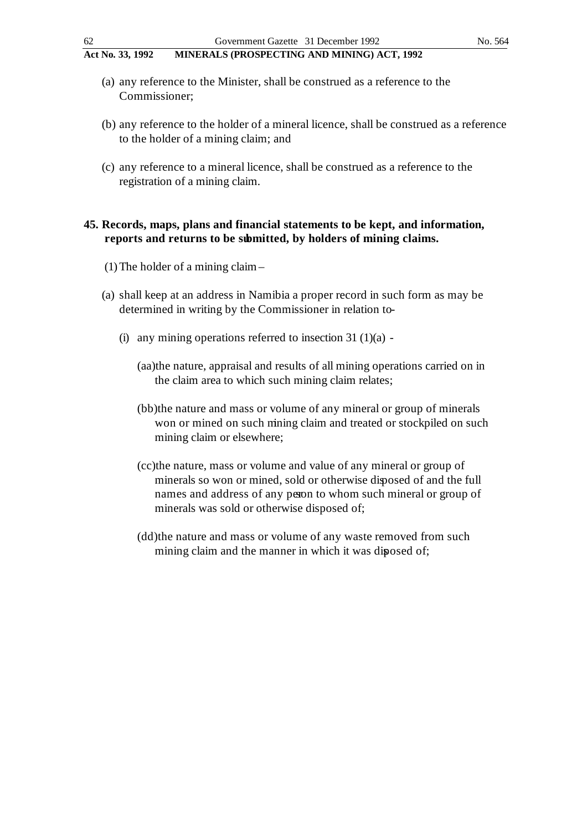- (a) any reference to the Minister, shall be construed as a reference to the Commissioner;
- (b) any reference to the holder of a mineral licence, shall be construed as a reference to the holder of a mining claim; and
- (c) any reference to a mineral licence, shall be construed as a reference to the registration of a mining claim.

## **45. Records, maps, plans and financial statements to be kept, and information, reports and returns to be submitted, by holders of mining claims.**

- (1) The holder of a mining claim –
- (a) shall keep at an address in Namibia a proper record in such form as may be determined in writing by the Commissioner in relation to-
	- (i) any mining operations referred to insection  $31 \cdot (1)(a)$  -
		- (aa)the nature, appraisal and results of all mining operations carried on in the claim area to which such mining claim relates;
		- (bb)the nature and mass or volume of any mineral or group of minerals won or mined on such mining claim and treated or stockpiled on such mining claim or elsewhere;
		- (cc)the nature, mass or volume and value of any mineral or group of minerals so won or mined, sold or otherwise diposed of and the full names and address of any person to whom such mineral or group of minerals was sold or otherwise disposed of;
		- (dd)the nature and mass or volume of any waste removed from such mining claim and the manner in which it was diposed of;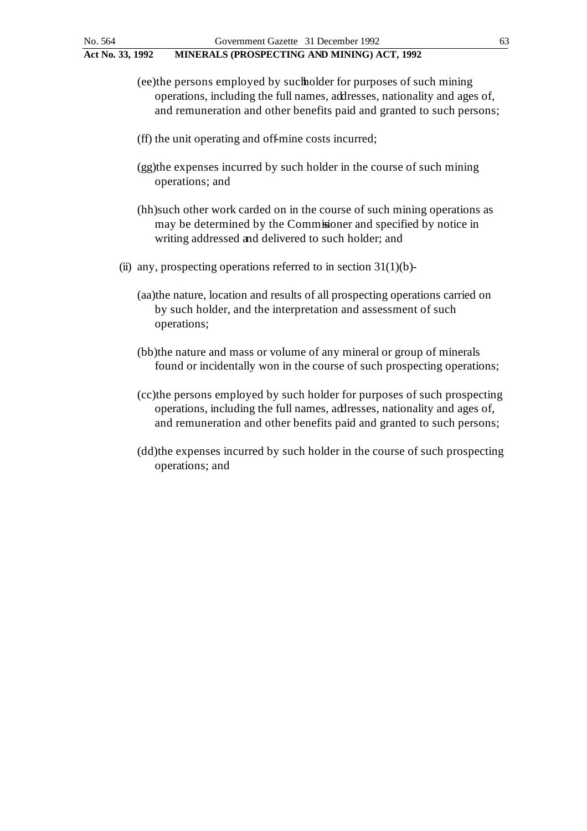- (ee)the persons employed by such holder for purposes of such mining operations, including the full names, addresses, nationality and ages of, and remuneration and other benefits paid and granted to such persons;
- (ff) the unit operating and off-mine costs incurred;
- (gg)the expenses incurred by such holder in the course of such mining operations; and
- (hh)such other work carded on in the course of such mining operations as may be determined by the Commissioner and specified by notice in writing addressed and delivered to such holder; and
- (ii) any, prospecting operations referred to in section  $31(1)(b)$ -
	- (aa)the nature, location and results of all prospecting operations carried on by such holder, and the interpretation and assessment of such operations;
	- (bb)the nature and mass or volume of any mineral or group of minerals found or incidentally won in the course of such prospecting operations;
	- (cc)the persons employed by such holder for purposes of such prospecting operations, including the full names, addresses, nationality and ages of, and remuneration and other benefits paid and granted to such persons;
	- (dd)the expenses incurred by such holder in the course of such prospecting operations; and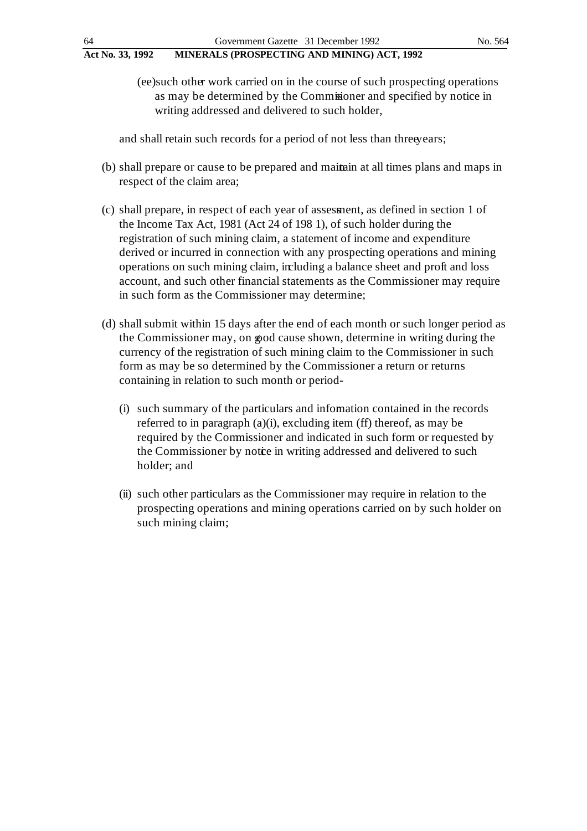and shall retain such records for a period of not less than three years;

- (b) shall prepare or cause to be prepared and maintain at all times plans and maps in respect of the claim area;
- (c) shall prepare, in respect of each year of assessment, as defined in section 1 of the Income Tax Act, 1981 (Act 24 of 198 1), of such holder during the registration of such mining claim, a statement of income and expenditure derived or incurred in connection with any prospecting operations and mining operations on such mining claim, including a balance sheet and profit and loss account, and such other financial statements as the Commissioner may require in such form as the Commissioner may determine;
- (d) shall submit within 15 days after the end of each month or such longer period as the Commissioner may, on good cause shown, determine in writing during the currency of the registration of such mining claim to the Commissioner in such form as may be so determined by the Commissioner a return or returns containing in relation to such month or period-
	- (i) such summary of the particulars and information contained in the records referred to in paragraph (a)(i), excluding item (ff) thereof, as may be required by the Commissioner and indicated in such form or requested by the Commissioner by notice in writing addressed and delivered to such holder; and
	- (ii) such other particulars as the Commissioner may require in relation to the prospecting operations and mining operations carried on by such holder on such mining claim;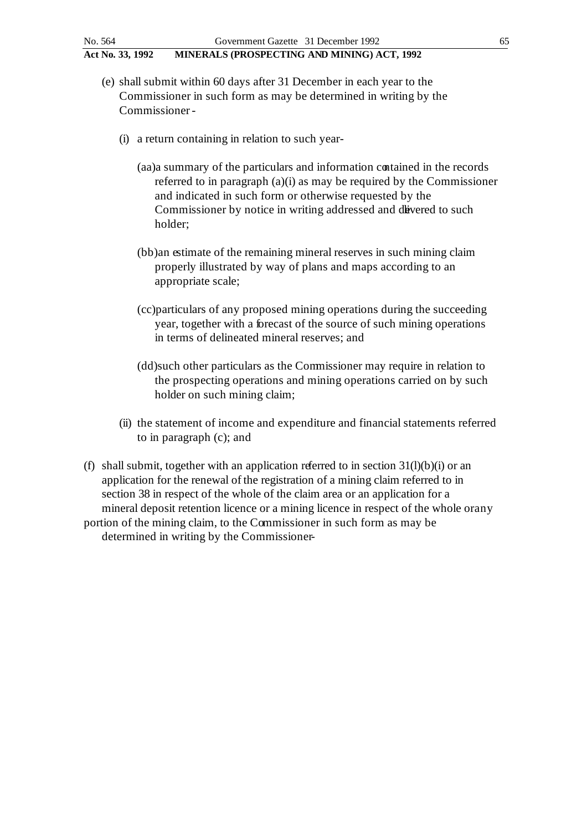- (e) shall submit within 60 days after 31 December in each year to the Commissioner in such form as may be determined in writing by the Commissioner -
	- (i) a return containing in relation to such year
		- (aa)a summary of the particulars and information contained in the records referred to in paragraph (a)(i) as may be required by the Commissioner and indicated in such form or otherwise requested by the Commissioner by notice in writing addressed and divered to such holder;
		- (bb)an estimate of the remaining mineral reserves in such mining claim properly illustrated by way of plans and maps according to an appropriate scale;
		- (cc)particulars of any proposed mining operations during the succeeding year, together with a forecast of the source of such mining operations in terms of delineated mineral reserves; and
		- (dd)such other particulars as the Commissioner may require in relation to the prospecting operations and mining operations carried on by such holder on such mining claim;
	- (ii) the statement of income and expenditure and financial statements referred to in paragraph (c); and
- (f) shall submit, together with an application referred to in section  $31(l)(b)(i)$  or an application for the renewal of the registration of a mining claim referred to in section 38 in respect of the whole of the claim area or an application for a mineral deposit retention licence or a mining licence in respect of the whole or any portion of the mining claim, to the Commissioner in such form as may be determined in writing by the Commissioner-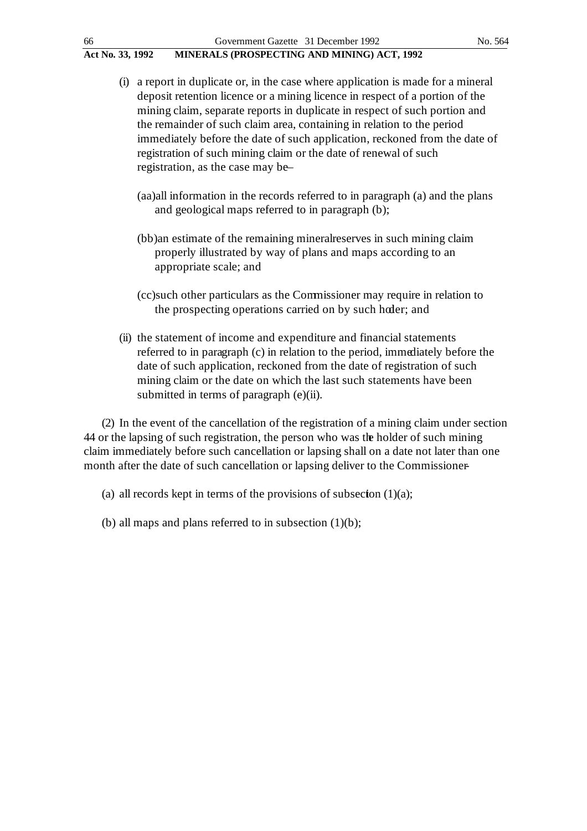| 66               | Government Gazette 31 December 1992                                                                                                                                                                                                                                                                                                                                                                                                                                                                              | No. 564 |
|------------------|------------------------------------------------------------------------------------------------------------------------------------------------------------------------------------------------------------------------------------------------------------------------------------------------------------------------------------------------------------------------------------------------------------------------------------------------------------------------------------------------------------------|---------|
| Act No. 33, 1992 | MINERALS (PROSPECTING AND MINING) ACT, 1992                                                                                                                                                                                                                                                                                                                                                                                                                                                                      |         |
|                  | (i) a report in duplicate or, in the case where application is made for a mineral<br>deposit retention licence or a mining licence in respect of a portion of the<br>mining claim, separate reports in duplicate in respect of such portion and<br>the remainder of such claim area, containing in relation to the period<br>immediately before the date of such application, reckoned from the date of<br>registration of such mining claim or the date of renewal of such<br>registration, as the case may be- |         |
|                  | (aa) all information in the records referred to in paragraph (a) and the plans<br>and geological maps referred to in paragraph (b);                                                                                                                                                                                                                                                                                                                                                                              |         |
|                  | (bb)an estimate of the remaining mineralreserves in such mining claim<br>properly illustrated by way of plans and maps according to an<br>appropriate scale; and                                                                                                                                                                                                                                                                                                                                                 |         |
|                  | (cc)such other particulars as the Commissioner may require in relation to<br>the prospecting operations carried on by such hoder; and                                                                                                                                                                                                                                                                                                                                                                            |         |
|                  | (ii) the statement of income and expenditure and financial statements<br>referred to in paragraph (c) in relation to the period, immediately before the<br>date of such application, reckoned from the date of registration of such<br>mining claim or the date on which the last such statements have been<br>submitted in terms of paragraph (e)(ii).                                                                                                                                                          |         |
|                  | (2) In the event of the cancellation of the registration of a mining claim under section<br>$\mathbf{r}$ and $\mathbf{r}$ and $\mathbf{r}$ and $\mathbf{r}$ and $\mathbf{r}$ and $\mathbf{r}$ and $\mathbf{r}$ and $\mathbf{r}$                                                                                                                                                                                                                                                                                  |         |

44 or the lapsing of such registration, the person who was the holder of such mining claim immediately before such cancellation or lapsing shall on a date not later than one month after the date of such cancellation or lapsing deliver to the Commissioner-

(a) all records kept in terms of the provisions of subsection  $(1)(a)$ ;

(b) all maps and plans referred to in subsection  $(1)(b)$ ;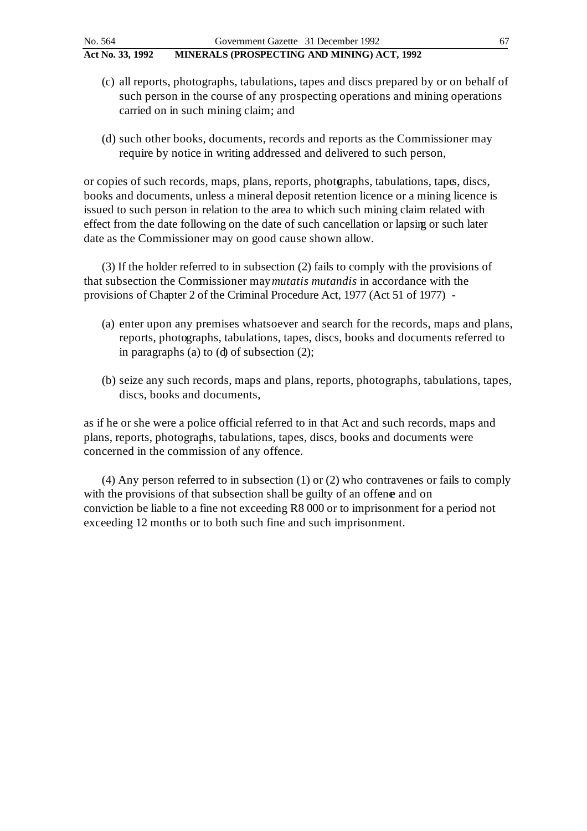- (c) all reports, photographs, tabulations, tapes and discs prepared by or on behalf of such person in the course of any prospecting operations and mining operations carried on in such mining claim; and
- (d) such other books, documents, records and reports as the Commissioner may require by notice in writing addressed and delivered to such person,

or copies of such records, maps, plans, reports, photographs, tabulations, tapes, discs, books and documents, unless a mineral deposit retention licence or a mining licence is issued to such person in relation to the area to which such mining claim related with effect from the date following on the date of such cancellation or lapsing or such later date as the Commissioner may on good cause shown allow.

(3) If the holder referred to in subsection (2) fails to comply with the provisions of that subsection the Commissioner may *mutatis mutandis* in accordance with the provisions of Chapter 2 of the Criminal Procedure Act, 1977 (Act 51 of 1977) -

- (a) enter upon any premises whatsoever and search for the records, maps and plans, reports, photographs, tabulations, tapes, discs, books and documents referred to in paragraphs (a) to (d) of subsection (2);
- (b) seize any such records, maps and plans, reports, photographs, tabulations, tapes, discs, books and documents,

as if he or she were a police official referred to in that Act and such records, maps and plans, reports, photographs, tabulations, tapes, discs, books and documents were concerned in the commission of any offence.

(4) Any person referred to in subsection (1) or (2) who contravenes or fails to comply with the provisions of that subsection shall be guilty of an offene and on conviction be liable to a fine not exceeding R8 000 or to imprisonment for a period not exceeding 12 months or to both such fine and such imprisonment.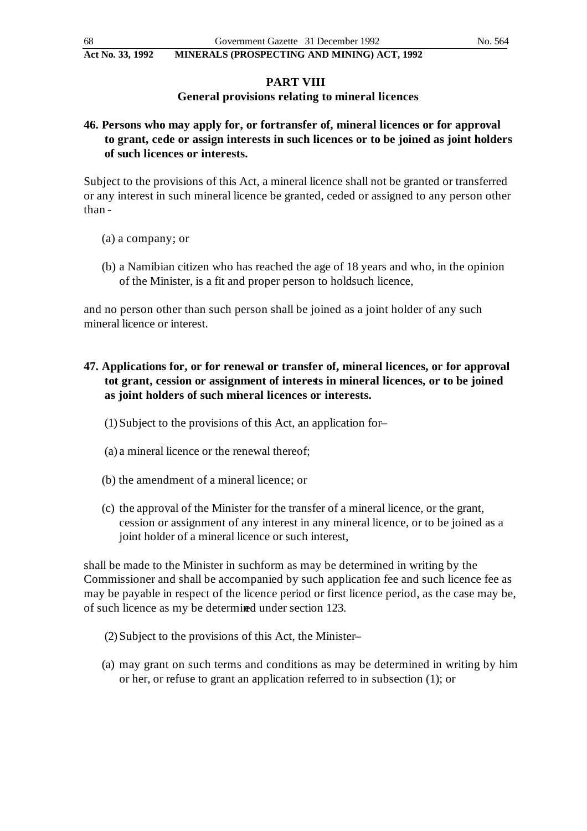## **PART VIII**

# **General provisions relating to mineral licences**

# **46. Persons who may apply for, or for transfer of, mineral licences or for approval to grant, cede or assign interests in such licences or to be joined as joint holders of such licences or interests.**

Subject to the provisions of this Act, a mineral licence shall not be granted or transferred or any interest in such mineral licence be granted, ceded or assigned to any person other than -

- (a) a company; or
- (b) a Namibian citizen who has reached the age of 18 years and who, in the opinion of the Minister, is a fit and proper person to holdsuch licence,

and no person other than such person shall be joined as a joint holder of any such mineral licence or interest.

# **47. Applications for, or for renewal or transfer of, mineral licences, or for approval tot grant, cession or assignment of interests in mineral licences, or to be joined as joint holders of such mineral licences or interests.**

- (1) Subject to the provisions of this Act, an application for –
- (a) a mineral licence or the renewal thereof;
- (b) the amendment of a mineral licence; or
- (c) the approval of the Minister for the transfer of a mineral licence, or the grant, cession or assignment of any interest in any mineral licence, or to be joined as a joint holder of a mineral licence or such interest,

shall be made to the Minister in suchform as may be determined in writing by the Commissioner and shall be accompanied by such application fee and such licence fee as may be payable in respect of the licence period or first licence period, as the case may be, of such licence as my be determined under section 123.

- (2) Subject to the provisions of this Act, the Minister –
- (a) may grant on such terms and conditions as may be determined in writing by him or her, or refuse to grant an application referred to in subsection (1); or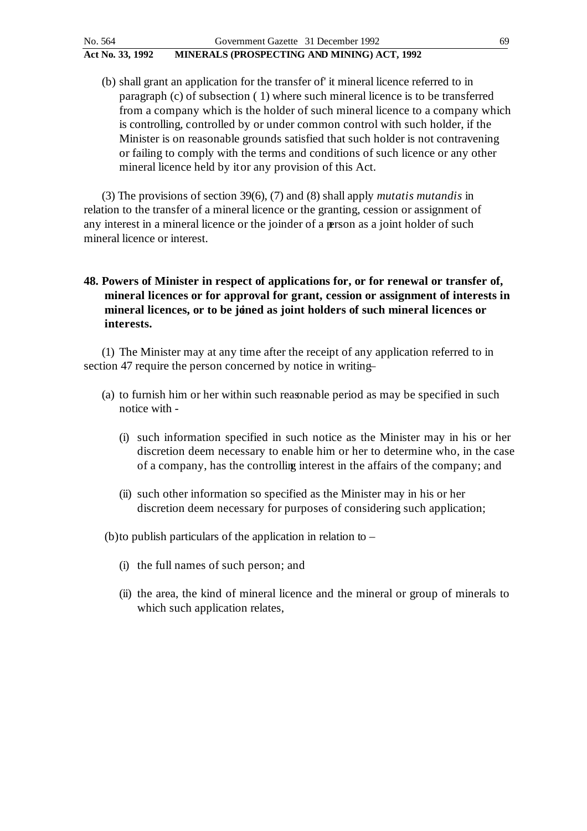(b) shall grant an application for the transfer of' it mineral licence referred to in paragraph (c) of subsection ( 1) where such mineral licence is to be transferred from a company which is the holder of such mineral licence to a company which is controlling, controlled by or under common control with such holder, if the Minister is on reasonable grounds satisfied that such holder is not contravening or failing to comply with the terms and conditions of such licence or any other mineral licence held by it or any provision of this Act.

(3) The provisions of section 39(6), (7) and (8) shall apply *mutatis mutandis* in relation to the transfer of a mineral licence or the granting, cession or assignment of any interest in a mineral licence or the joinder of a person as a joint holder of such mineral licence or interest.

# **48. Powers of Minister in respect of applications for, or for renewal or transfer of, mineral licences or for approval for grant, cession or assignment of interests in**  mineral licences, or to be joined as joint holders of such mineral licences or **interests.**

(1) The Minister may at any time after the receipt of any application referred to in section 47 require the person concerned by notice in writing-

- (a) to furnish him or her within such reasonable period as may be specified in such notice with -
	- (i) such information specified in such notice as the Minister may in his or her discretion deem necessary to enable him or her to determine who, in the case of a company, has the controlling interest in the affairs of the company; and
	- (ii) such other information so specified as the Minister may in his or her discretion deem necessary for purposes of considering such application;

(b)to publish particulars of the application in relation to  $-$ 

- (i) the full names of such person; and
- (ii) the area, the kind of mineral licence and the mineral or group of minerals to which such application relates,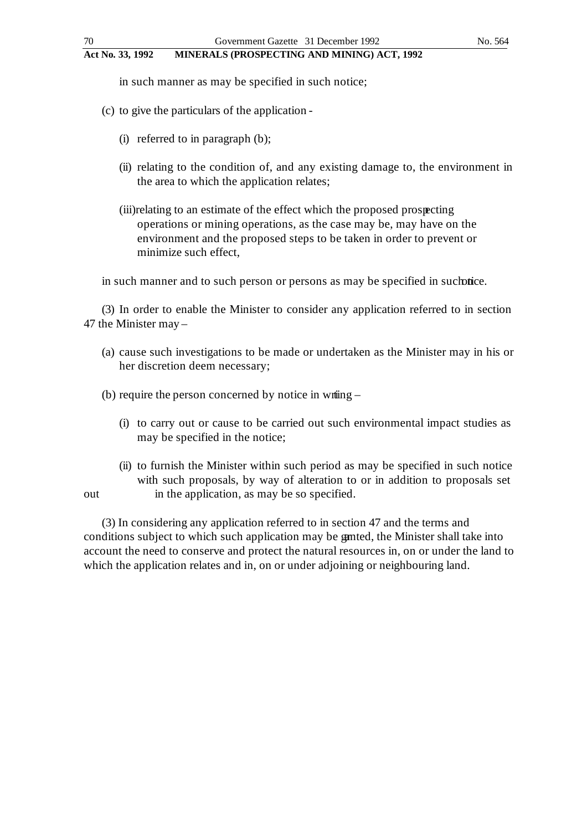in such manner as may be specified in such notice;

- (c) to give the particulars of the application
	- (i) referred to in paragraph (b);
	- (ii) relating to the condition of, and any existing damage to, the environment in the area to which the application relates;
	- (iii)relating to an estimate of the effect which the proposed prospecting operations or mining operations, as the case may be, may have on the environment and the proposed steps to be taken in order to prevent or minimize such effect,

in such manner and to such person or persons as may be specified in such times.

(3) In order to enable the Minister to consider any application referred to in section 47 the Minister may –

- (a) cause such investigations to be made or undertaken as the Minister may in his or her discretion deem necessary;
- (b) require the person concerned by notice in writing  $-$ 
	- (i) to carry out or cause to be carried out such environmental impact studies as may be specified in the notice;
- (ii) to furnish the Minister within such period as may be specified in such notice with such proposals, by way of alteration to or in addition to proposals set out in the application, as may be so specified.

(3) In considering any application referred to in section 47 and the terms and conditions subject to which such application may be granted, the Minister shall take into account the need to conserve and protect the natural resources in, on or under the land to which the application relates and in, on or under adjoining or neighbouring land.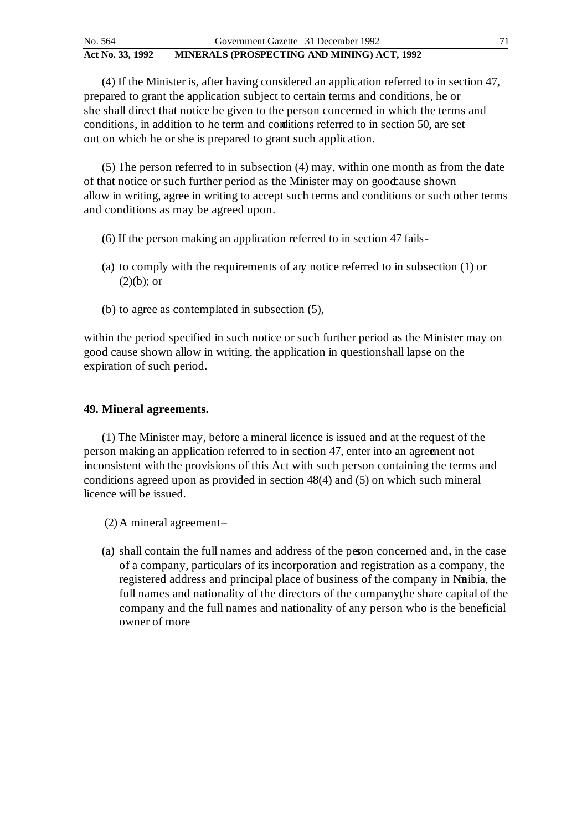(4) If the Minister is, after having considered an application referred to in section 47, prepared to grant the application subject to certain terms and conditions, he or she shall direct that notice be given to the person concerned in which the terms and conditions, in addition to he term and conditions referred to in section 50, are set out on which he or she is prepared to grant such application.

(5) The person referred to in subsection (4) may, within one month as from the date of that notice or such further period as the Minister may on good cause shown allow in writing, agree in writing to accept such terms and conditions or such other terms and conditions as may be agreed upon.

- (6) If the person making an application referred to in section 47 fails -
- (a) to comply with the requirements of any notice referred to in subsection (1) or  $(2)(b)$ ; or
- (b) to agree as contemplated in subsection (5),

within the period specified in such notice or such further period as the Minister may on good cause shown allow in writing, the application in question shall lapse on the expiration of such period.

### **49. Mineral agreements.**

(1) The Minister may, before a mineral licence is issued and at the request of the person making an application referred to in section 47, enter into an agreement not inconsistent with the provisions of this Act with such person containing the terms and conditions agreed upon as provided in section 48(4) and (5) on which such mineral licence will be issued.

(2) A mineral agreement –

(a) shall contain the full names and address of the person concerned and, in the case of a company, particulars of its incorporation and registration as a company, the registered address and principal place of business of the company in Namibia, the full names and nationality of the directors of the company the share capital of the company and the full names and nationality of any person who is the beneficial owner of more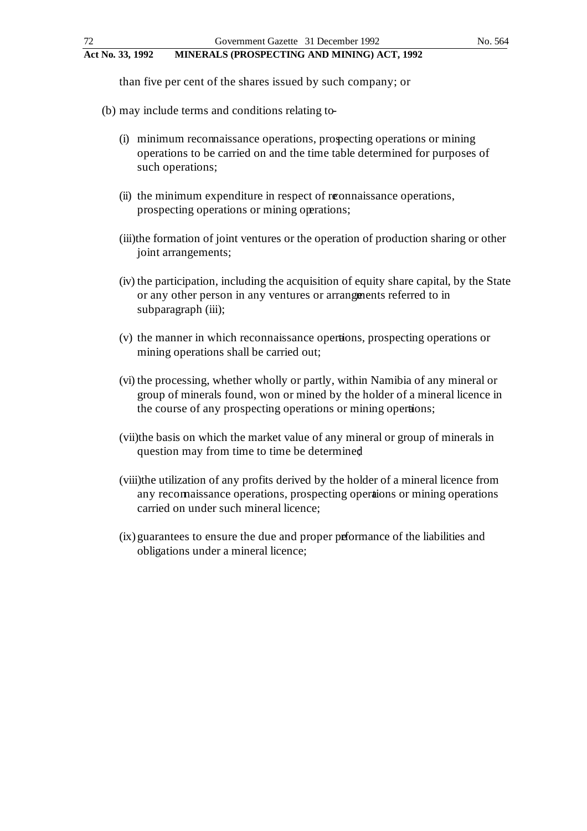than five per cent of the shares issued by such company; or

- (b) may include terms and conditions relating to
	- (i) minimum reconnaissance operations, prospecting operations or mining operations to be carried on and the time table determined for purposes of such operations;
	- (ii) the minimum expenditure in respect of reconnaissance operations, prospecting operations or mining operations;
	- (iii)the formation of joint ventures or the operation of production sharing or other joint arrangements;
	- (iv) the participation, including the acquisition of equity share capital, by the State or any other person in any ventures or arrangements referred to in subparagraph (iii);
	- (v) the manner in which reconnaissance operations, prospecting operations or mining operations shall be carried out;
	- (vi) the processing, whether wholly or partly, within Namibia of any mineral or group of minerals found, won or mined by the holder of a mineral licence in the course of any prospecting operations or mining operations;
	- (vii)the basis on which the market value of any mineral or group of minerals in question may from time to time be determined;
	- (viii)the utilization of any profits derived by the holder of a mineral licence from any reconnaissance operations, prospecting operations or mining operations carried on under such mineral licence;
	- (ix) guarantees to ensure the due and proper performance of the liabilities and obligations under a mineral licence;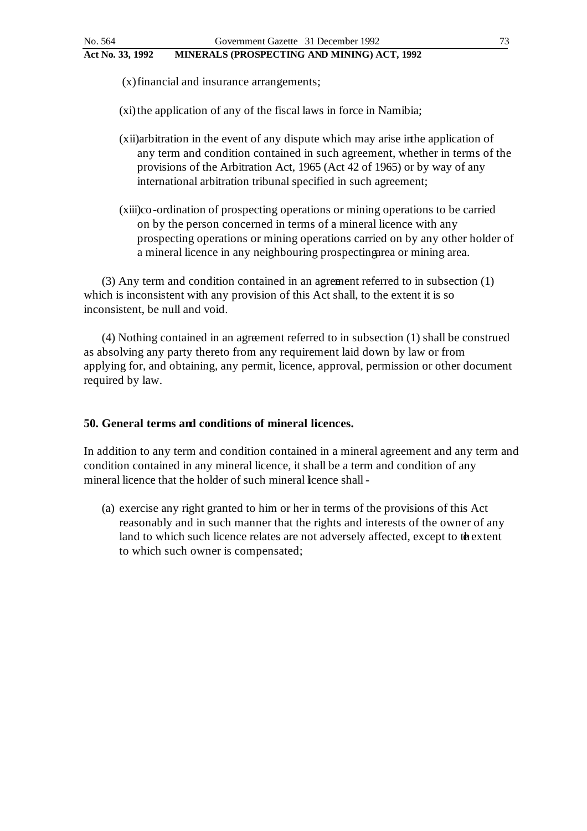(x)financial and insurance arrangements;

 $(xi)$  the application of any of the fiscal laws in force in Namibia;

- (xii)arbitration in the event of any dispute which may arise in the application of any term and condition contained in such agreement, whether in terms of the provisions of the Arbitration Act, 1965 (Act 42 of 1965) or by way of any international arbitration tribunal specified in such agreement;
- (xiii)co-ordination of prospecting operations or mining operations to be carried on by the person concerned in terms of a mineral licence with any prospecting operations or mining operations carried on by any other holder of a mineral licence in any neighbouring prospecting area or mining area.

(3) Any term and condition contained in an agreement referred to in subsection (1) which is inconsistent with any provision of this Act shall, to the extent it is so inconsistent, be null and void.

(4) Nothing contained in an agreement referred to in subsection (1) shall be construed as absolving any party thereto from any requirement laid down by law or from applying for, and obtaining, any permit, licence, approval, permission or other document required by law.

# **50. General terms and conditions of mineral licences.**

In addition to any term and condition contained in a mineral agreement and any term and condition contained in any mineral licence, it shall be a term and condition of any mineral licence that the holder of such mineral licence shall -

(a) exercise any right granted to him or her in terms of the provisions of this Act reasonably and in such manner that the rights and interests of the owner of any land to which such licence relates are not adversely affected, except to the extent to which such owner is compensated;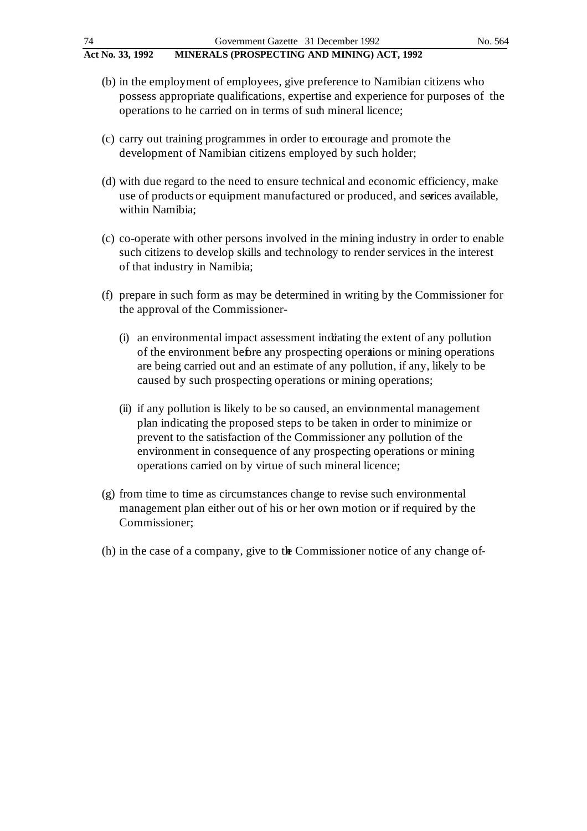- (b) in the employment of employees, give preference to Namibian citizens who possess appropriate qualifications, expertise and experience for purposes of the operations to he carried on in terms of such mineral licence;
- (c) carry out training programmes in order to encourage and promote the development of Namibian citizens employed by such holder;
- (d) with due regard to the need to ensure technical and economic efficiency, make use of products or equipment manufactured or produced, and serices available, within Namibia;
- (c) co-operate with other persons involved in the mining industry in order to enable such citizens to develop skills and technology to render services in the interest of that industry in Namibia;
- (f) prepare in such form as may be determined in writing by the Commissioner for the approval of the Commissioner-
	- (i) an environmental impact assessment indicating the extent of any pollution of the environment before any prospecting operations or mining operations are being carried out and an estimate of any pollution, if any, likely to be caused by such prospecting operations or mining operations;
	- (ii) if any pollution is likely to be so caused, an environmental management plan indicating the proposed steps to be taken in order to minimize or prevent to the satisfaction of the Commissioner any pollution of the environment in consequence of any prospecting operations or mining operations carried on by virtue of such mineral licence;
- (g) from time to time as circumstances change to revise such environmental management plan either out of his or her own motion or if required by the Commissioner;
- (h) in the case of a company, give to the Commissioner notice of any change of -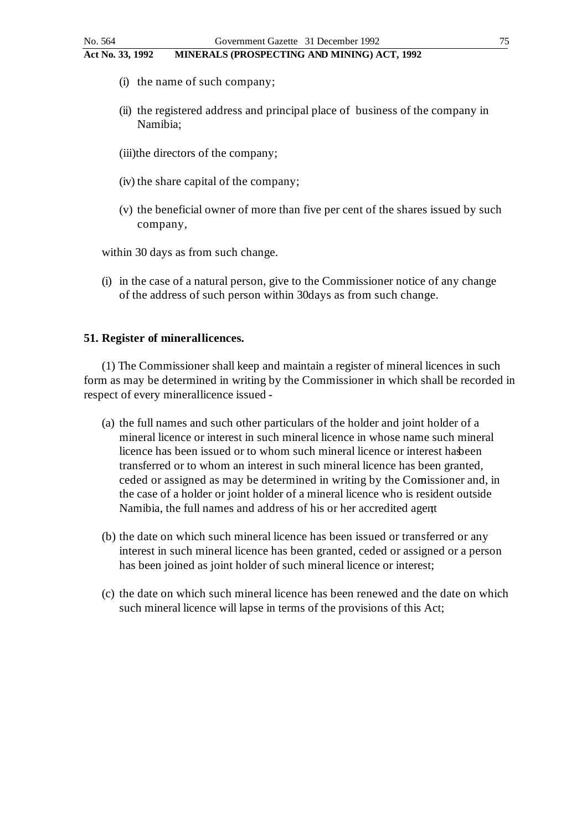- (i) the name of such company;
- (ii) the registered address and principal place of business of the company in Namibia;
- (iii)the directors of the company;
- (iv) the share capital of the company;
- (v) the beneficial owner of more than five per cent of the shares issued by such company,

within 30 days as from such change.

(i) in the case of a natural person, give to the Commissioner notice of any change of the address of such person within 30 days as from such change.

#### **51. Register of minerallicences.**

(1) The Commissioner shall keep and maintain a register of mineral licences in such form as may be determined in writing by the Commissioner in which shall be recorded in respect of every mineral licence issued -

- (a) the full names and such other particulars of the holder and joint holder of a mineral licence or interest in such mineral licence in whose name such mineral licence has been issued or to whom such mineral licence or interest has been transferred or to whom an interest in such mineral licence has been granted, ceded or assigned as may be determined in writing by the Comissioner and, in the case of a holder or joint holder of a mineral licence who is resident outside Namibia, the full names and address of his or her accredited agent;
- (b) the date on which such mineral licence has been issued or transferred or any interest in such mineral licence has been granted, ceded or assigned or a person has been joined as joint holder of such mineral licence or interest;
- (c) the date on which such mineral licence has been renewed and the date on which such mineral licence will lapse in terms of the provisions of this Act;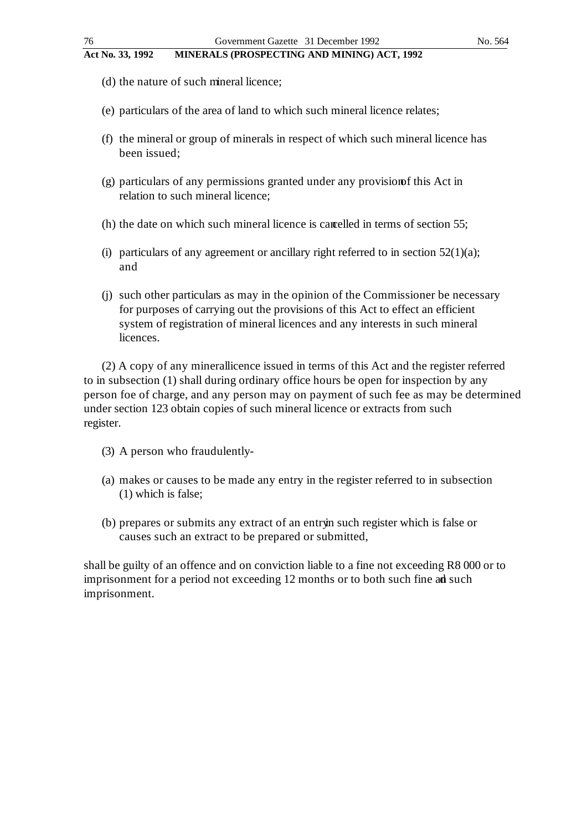- **Act No. 33, 1992 MINERALS (PROSPECTING AND MINING) ACT, 1992**
	- (d) the nature of such mineral licence;
	- (e) particulars of the area of land to which such mineral licence relates;
	- (f) the mineral or group of minerals in respect of which such mineral licence has been issued;
	- $(g)$  particulars of any permissions granted under any provision of this Act in relation to such mineral licence;
	- (h) the date on which such mineral licence is cancelled in terms of section 55;
	- (i) particulars of any agreement or ancillary right referred to in section  $52(1)(a)$ ; and
	- (j) such other particulars as may in the opinion of the Commissioner be necessary for purposes of carrying out the provisions of this Act to effect an efficient system of registration of mineral licences and any interests in such mineral licences.

(2) A copy of any mineral licence issued in terms of this Act and the register referred to in subsection (1) shall during ordinary office hours be open for inspection by any person foe of charge, and any person may on payment of such fee as may be determined under section 123 obtain copies of such mineral licence or extracts from such register.

- (3) A person who fraudulently-
- (a) makes or causes to be made any entry in the register referred to in subsection (1) which is false;
- (b) prepares or submits any extract of an entry in such register which is false or causes such an extract to be prepared or submitted,

shall be guilty of an offence and on conviction liable to a fine not exceeding R8 000 or to imprisonment for a period not exceeding 12 months or to both such fine ad such imprisonment.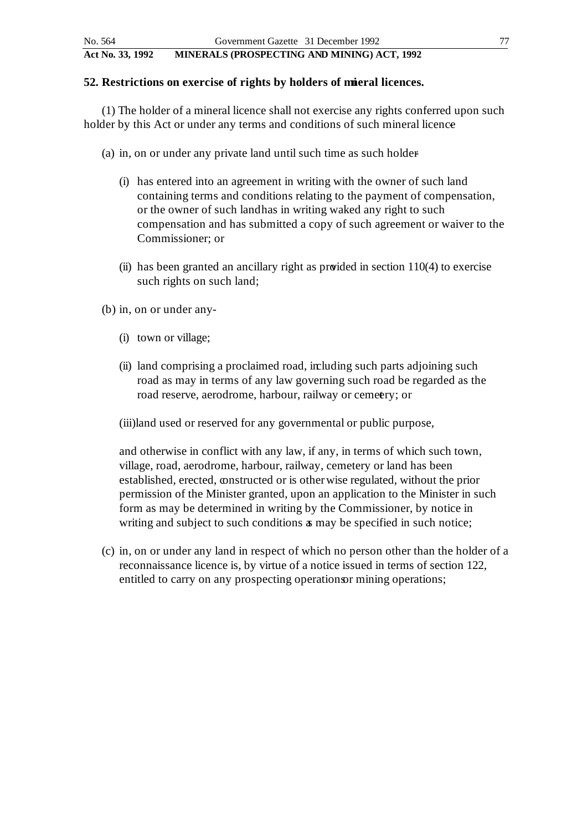#### **52. Restrictions on exercise of rights by holders of mieral licences.**

(1) The holder of a mineral licence shall not exercise any rights conferred upon such holder by this Act or under any terms and conditions of such mineral licence

- (a) in, on or under any private land until such time as such holder
	- (i) has entered into an agreement in writing with the owner of such land containing terms and conditions relating to the payment of compensation, or the owner of such land has in writing waked any right to such compensation and has submitted a copy of such agreement or waiver to the Commissioner; or
	- (ii) has been granted an ancillary right as provided in section 110(4) to exercise such rights on such land;

(b) in, on or under any -

- (i) town or village;
- (ii) land comprising a proclaimed road, including such parts adjoining such road as may in terms of any law governing such road be regarded as the road reserve, aerodrome, harbour, railway or cemetery; or

(iii)land used or reserved for any governmental or public purpose,

and otherwise in conflict with any law, if any, in terms of which such town, village, road, aerodrome, harbour, railway, cemetery or land has been established, erected, constructed or is other wise regulated, without the prior permission of the Minister granted, upon an application to the Minister in such form as may be determined in writing by the Commissioner, by notice in writing and subject to such conditions  $\alpha$  may be specified in such notice;

(c) in, on or under any land in respect of which no person other than the holder of a reconnaissance licence is, by virtue of a notice issued in terms of section 122, entitled to carry on any prospecting operations mining operations;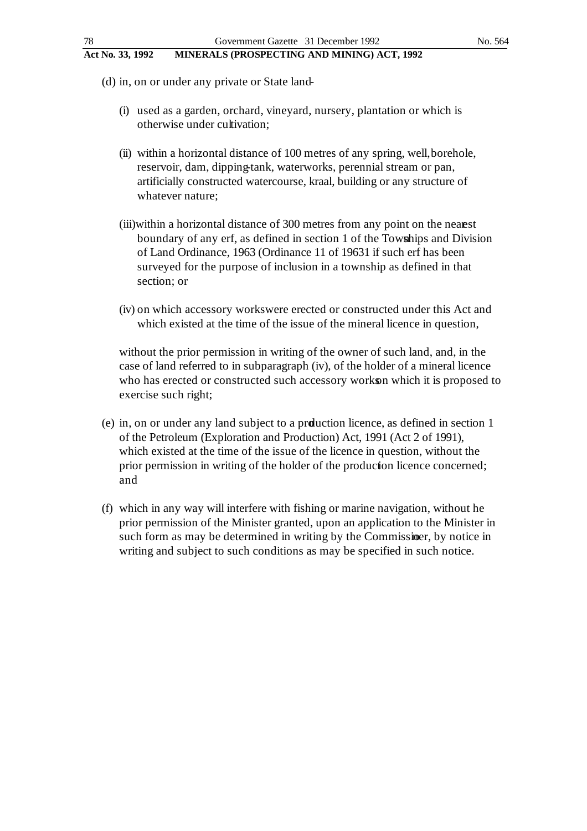- (d) in, on or under any private or State land-
	- (i) used as a garden, orchard, vineyard, nursery, plantation or which is otherwise under cultivation;
	- (ii) within a horizontal distance of 100 metres of any spring, well, borehole, reservoir, dam, dipping-tank, waterworks, perennial stream or pan, artificially constructed watercourse, kraal, building or any structure of whatever nature;
	- (iii)within a horizontal distance of 300 metres from any point on the nearest boundary of any erf, as defined in section 1 of the Towships and Division of Land Ordinance, 1963 (Ordinance 11 of 19631 if such erf has been surveyed for the purpose of inclusion in a township as defined in that section; or
	- (iv) on which accessory works were erected or constructed under this Act and which existed at the time of the issue of the mineral licence in question,

without the prior permission in writing of the owner of such land, and, in the case of land referred to in subparagraph (iv), of the holder of a mineral licence who has erected or constructed such accessory works on which it is proposed to exercise such right;

- (e) in, on or under any land subject to a production licence, as defined in section 1 of the Petroleum (Exploration and Production) Act, 1991 (Act 2 of 1991), which existed at the time of the issue of the licence in question, without the prior permission in writing of the holder of the production licence concerned; and
- (f) which in any way will interfere with fishing or marine navigation, without he prior permission of the Minister granted, upon an application to the Minister in such form as may be determined in writing by the Commissioner, by notice in writing and subject to such conditions as may be specified in such notice.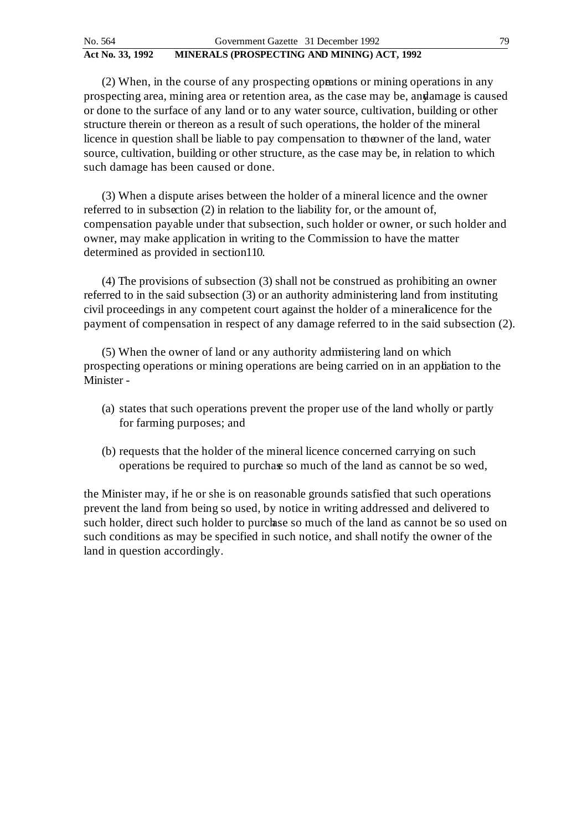(2) When, in the course of any prospecting operations or mining operations in any prospecting area, mining area or retention area, as the case may be, and amage is caused or done to the surface of any land or to any water source, cultivation, building or other structure therein or thereon as a result of such operations, the holder of the mineral licence in question shall be liable to pay compensation to the owner of the land, water source, cultivation, building or other structure, as the case may be, in relation to which such damage has been caused or done.

(3) When a dispute arises between the holder of a mineral licence and the owner referred to in subsection (2) in relation to the liability for, or the amount of, compensation payable under that subsection, such holder or owner, or such holder and owner, may make application in writing to the Commission to have the matter determined as provided in section 110.

(4) The provisions of subsection (3) shall not be construed as prohibiting an owner referred to in the said subsection (3) or an authority administering land from instituting civil proceedings in any competent court against the holder of a mineralicence for the payment of compensation in respect of any damage referred to in the said subsection (2).

(5) When the owner of land or any authority admistering land on which prospecting operations or mining operations are being carried on in an appliation to the Minister -

- (a) states that such operations prevent the proper use of the land wholly or partly for farming purposes; and
- (b) requests that the holder of the mineral licence concerned carrying on such operations be required to purchase so much of the land as cannot be so wed,

the Minister may, if he or she is on reasonable grounds satisfied that such operations prevent the land from being so used, by notice in writing addressed and delivered to such holder, direct such holder to purchase so much of the land as cannot be so used on such conditions as may be specified in such notice, and shall notify the owner of the land in question accordingly.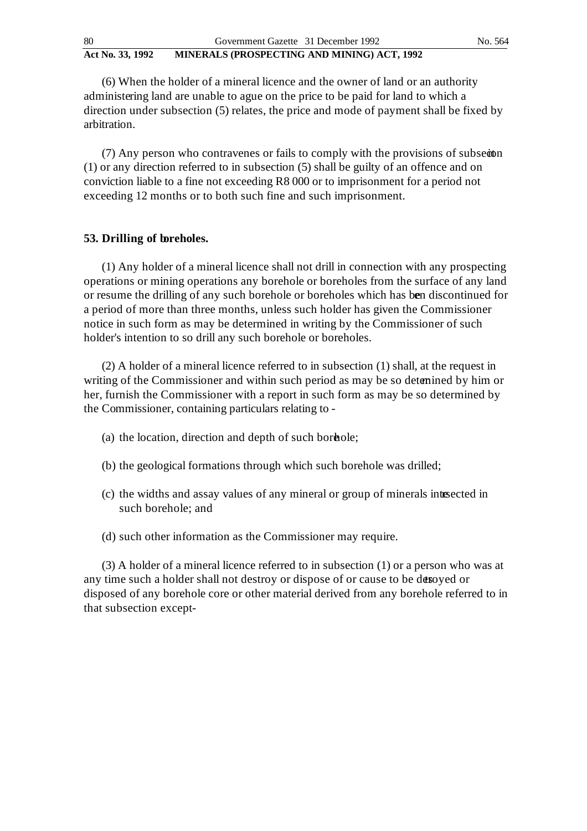(6) When the holder of a mineral licence and the owner of land or an authority administering land are unable to ague on the price to be paid for land to which a direction under subsection (5) relates, the price and mode of payment shall be fixed by arbitration.

(7) Any person who contravenes or fails to comply with the provisions of subsection (1) or any direction referred to in subsection (5) shall be guilty of an offence and on conviction liable to a fine not exceeding R8 000 or to imprisonment for a period not exceeding 12 months or to both such fine and such imprisonment.

# **53. Drilling of boreholes.**

(1) Any holder of a mineral licence shall not drill in connection with any prospecting operations or mining operations any borehole or boreholes from the surface of any land or resume the drilling of any such borehole or boreholes which has been discontinued for a period of more than three months, unless such holder has given the Commissioner notice in such form as may be determined in writing by the Commissioner of such holder's intention to so drill any such borehole or boreholes.

(2) A holder of a mineral licence referred to in subsection (1) shall, at the request in writing of the Commissioner and within such period as may be so detenined by him or her, furnish the Commissioner with a report in such form as may be so determined by the Commissioner, containing particulars relating to -

- (a) the location, direction and depth of such bord ole;
- (b) the geological formations through which such borehole was drilled;
- (c) the widths and assay values of any mineral or group of minerals intersected in such borehole; and
- (d) such other information as the Commissioner may require.

(3) A holder of a mineral licence referred to in subsection (1) or a person who was at any time such a holder shall not destroy or dispose of or cause to be desoyed or disposed of any borehole core or other material derived from any borehole referred to in that subsection except -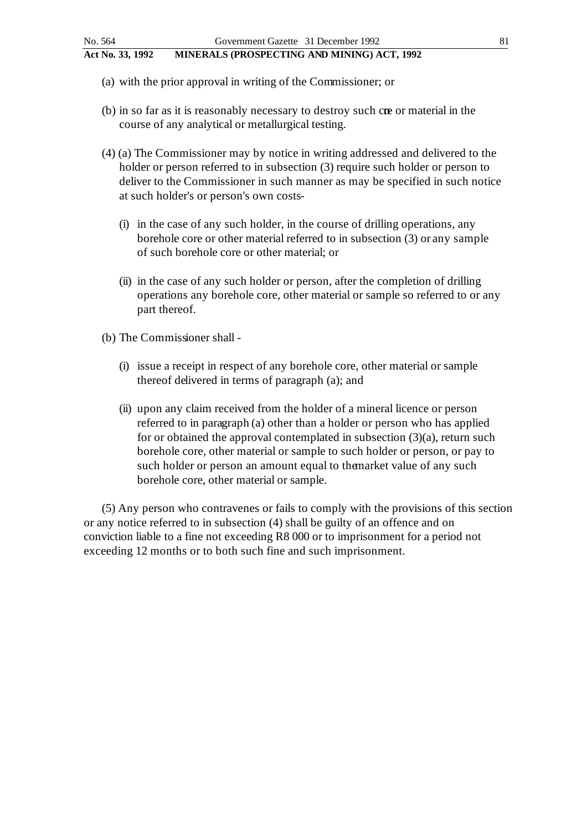- (a) with the prior approval in writing of the Commissioner; or
- (b) in so far as it is reasonably necessary to destroy such core or material in the course of any analytical or metallurgical testing.
- (4) (a) The Commissioner may by notice in writing addressed and delivered to the holder or person referred to in subsection (3) require such holder or person to deliver to the Commissioner in such manner as may be specified in such notice at such holder's or person's own costs-
	- (i) in the case of any such holder, in the course of drilling operations, any borehole core or other material referred to in subsection (3) or any sample of such borehole core or other material; or
	- (ii) in the case of any such holder or person, after the completion of drilling operations any borehole core, other material or sample so referred to or any part thereof.
- (b) The Commissioner shall
	- (i) issue a receipt in respect of any borehole core, other material or sample thereof delivered in terms of paragraph (a); and
	- (ii) upon any claim received from the holder of a mineral licence or person referred to in paragraph (a) other than a holder or person who has applied for or obtained the approval contemplated in subsection  $(3)(a)$ , return such borehole core, other material or sample to such holder or person, or pay to such holder or person an amount equal to the market value of any such borehole core, other material or sample.

(5) Any person who contravenes or fails to comply with the provisions of this section or any notice referred to in subsection (4) shall be guilty of an offence and on conviction liable to a fine not exceeding R8 000 or to imprisonment for a period not exceeding 12 months or to both such fine and such imprisonment.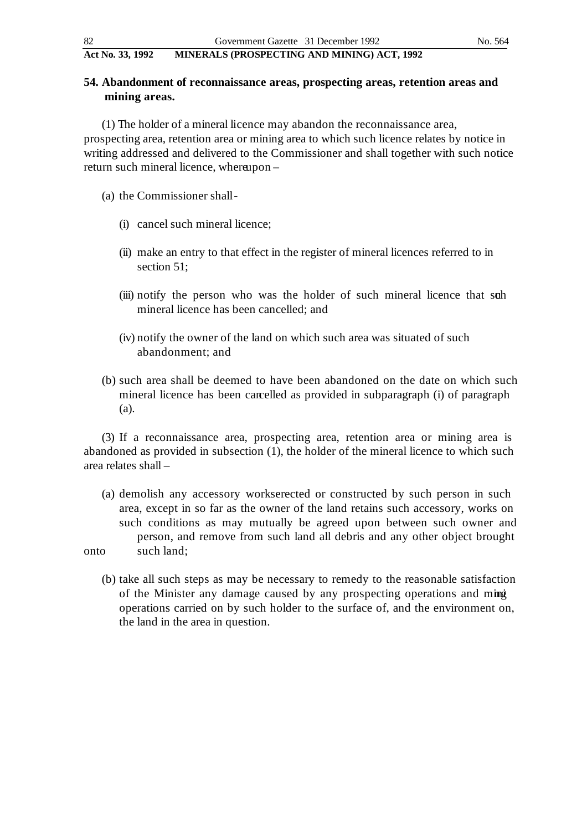# **54. Abandonment of reconnaissance areas, prospecting areas, retention areas and mining areas.**

(1) The holder of a mineral licence may abandon the reconnaissance area, prospecting area, retention area or mining area to which such licence relates by notice in writing addressed and delivered to the Commissioner and shall together with such notice return such mineral licence, whereupon –

- (a) the Commissioner shall
	- (i) cancel such mineral licence;
	- (ii) make an entry to that effect in the register of mineral licences referred to in section 51;
	- (iii) notify the person who was the holder of such mineral licence that such mineral licence has been cancelled; and
	- (iv) notify the owner of the land on which such area was situated of such abandonment; and
- (b) such area shall be deemed to have been abandoned on the date on which such mineral licence has been cancelled as provided in subparagraph (i) of paragraph (a).

(3) If a reconnaissance area, prospecting area, retention area or mining area is abandoned as provided in subsection (1), the holder of the mineral licence to which such area relates shall –

- (a) demolish any accessory works erected or constructed by such person in such area, except in so far as the owner of the land retains such accessory, works on such conditions as may mutually be agreed upon between such owner and person, and remove from such land all debris and any other object brought onto such land;
	- (b) take all such steps as may be necessary to remedy to the reasonable satisfaction of the Minister any damage caused by any prospecting operations and ming operations carried on by such holder to the surface of, and the environment on, the land in the area in question.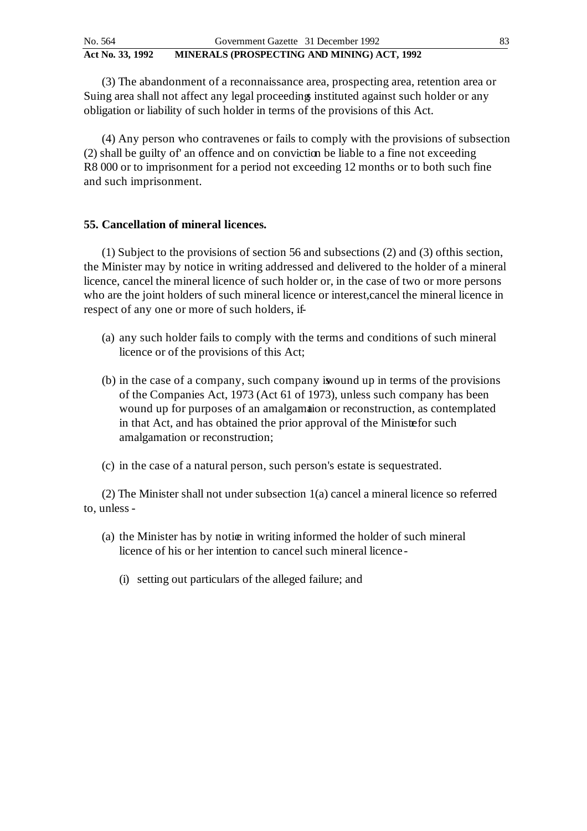| No. 564          | Government Gazette 31 December 1992         | 83 |
|------------------|---------------------------------------------|----|
| Act No. 33, 1992 | MINERALS (PROSPECTING AND MINING) ACT, 1992 |    |

(3) The abandonment of a reconnaissance area, prospecting area, retention area or Suing area shall not affect any legal proceedings instituted against such holder or any obligation or liability of such holder in terms of the provisions of this Act.

(4) Any person who contravenes or fails to comply with the provisions of subsection (2) shall be guilty of' an offence and on conviction be liable to a fine not exceeding R8 000 or to imprisonment for a period not exceeding 12 months or to both such fine and such imprisonment.

### **55. Cancellation of mineral licences.**

(1) Subject to the provisions of section 56 and subsections (2) and (3) of this section, the Minister may by notice in writing addressed and delivered to the holder of a mineral licence, cancel the mineral licence of such holder or, in the case of two or more persons who are the joint holders of such mineral licence or interest, cancel the mineral licence in respect of any one or more of such holders, if-

- (a) any such holder fails to comply with the terms and conditions of such mineral licence or of the provisions of this Act;
- (b) in the case of a company, such company is wound up in terms of the provisions of the Companies Act, 1973 (Act 61 of 1973), unless such company has been wound up for purposes of an amalgamation or reconstruction, as contemplated in that Act, and has obtained the prior approval of the Ministrefor such amalgamation or reconstruction;
- (c) in the case of a natural person, such person's estate is sequestrated.

(2) The Minister shall not under subsection 1(a) cancel a mineral licence so referred to, unless -

- (a) the Minister has by notice in writing informed the holder of such mineral licence of his or her intention to cancel such mineral licence -
	- (i) setting out particulars of the alleged failure; and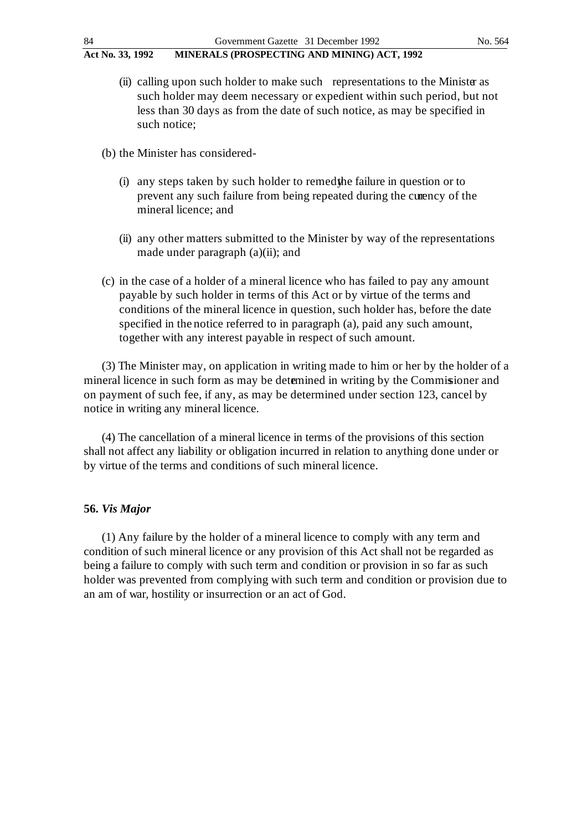- (ii) calling upon such holder to make such representations to the Minister as such holder may deem necessary or expedient within such period, but not less than 30 days as from the date of such notice, as may be specified in such notice;
- (b) the Minister has considered
	- $(i)$  any steps taken by such holder to remed the failure in question or to prevent any such failure from being repeated during the currency of the mineral licence; and
	- (ii) any other matters submitted to the Minister by way of the representations made under paragraph (a)(ii); and
- (c) in the case of a holder of a mineral licence who has failed to pay any amount payable by such holder in terms of this Act or by virtue of the terms and conditions of the mineral licence in question, such holder has, before the date specified in the notice referred to in paragraph (a), paid any such amount, together with any interest payable in respect of such amount.

(3) The Minister may, on application in writing made to him or her by the holder of a mineral licence in such form as may be determined in writing by the Commissioner and on payment of such fee, if any, as may be determined under section 123, cancel by notice in writing any mineral licence.

(4) The cancellation of a mineral licence in terms of the provisions of this section shall not affect any liability or obligation incurred in relation to anything done under or by virtue of the terms and conditions of such mineral licence.

# **56.** *Vis Major*

(1) Any failure by the holder of a mineral licence to comply with any term and condition of such mineral licence or any provision of this Act shall not be regarded as being a failure to comply with such term and condition or provision in so far as such holder was prevented from complying with such term and condition or provision due to an am of war, hostility or insurrection or an act of God.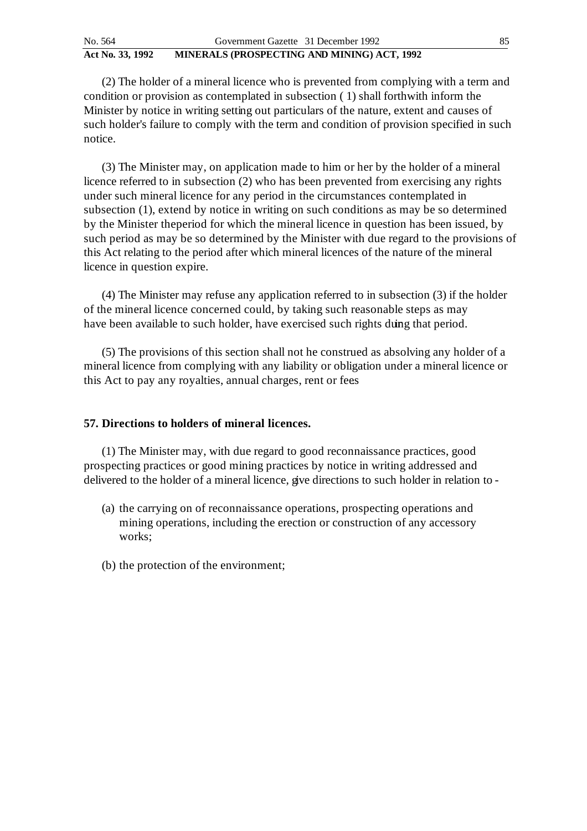(2) The holder of a mineral licence who is prevented from complying with a term and condition or provision as contemplated in subsection ( 1) shall forthwith inform the Minister by notice in writing setting out particulars of the nature, extent and causes of such holder's failure to comply with the term and condition of provision specified in such notice.

(3) The Minister may, on application made to him or her by the holder of a mineral licence referred to in subsection (2) who has been prevented from exercising any rights under such mineral licence for any period in the circumstances contemplated in subsection (1), extend by notice in writing on such conditions as may be so determined by the Minister the period for which the mineral licence in question has been issued, by such period as may be so determined by the Minister with due regard to the provisions of this Act relating to the period after which mineral licences of the nature of the mineral licence in question expire.

(4) The Minister may refuse any application referred to in subsection (3) if the holder of the mineral licence concerned could, by taking such reasonable steps as may have been available to such holder, have exercised such rights duing that period.

(5) The provisions of this section shall not he construed as absolving any holder of a mineral licence from complying with any liability or obligation under a mineral licence or this Act to pay any royalties, annual charges, rent or fees.

#### **57. Directions to holders of mineral licences.**

(1) The Minister may, with due regard to good reconnaissance practices, good prospecting practices or good mining practices by notice in writing addressed and delivered to the holder of a mineral licence, give directions to such holder in relation to -

- (a) the carrying on of reconnaissance operations, prospecting operations and mining operations, including the erection or construction of any accessory works;
- (b) the protection of the environment;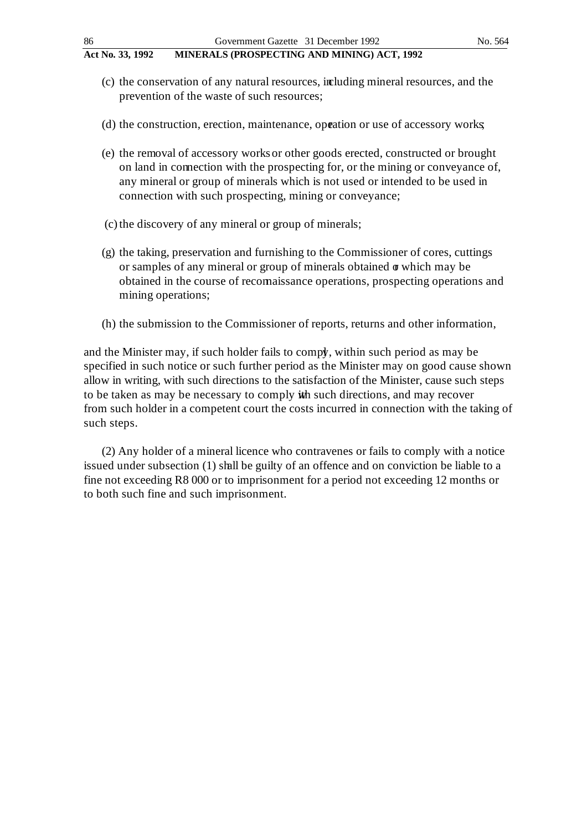- (c) the conservation of any natural resources, including mineral resources, and the prevention of the waste of such resources;
- (d) the construction, erection, maintenance, operation or use of accessory works;
- (e) the removal of accessory works or other goods erected, constructed or brought on land in connection with the prospecting for, or the mining or conveyance of, any mineral or group of minerals which is not used or intended to be used in connection with such prospecting, mining or conveyance;
- (c) the discovery of any mineral or group of minerals;
- (g) the taking, preservation and furnishing to the Commissioner of cores, cuttings or samples of any mineral or group of minerals obtained  $\sigma$  which may be obtained in the course of reconnaissance operations, prospecting operations and mining operations;
- (h) the submission to the Commissioner of reports, returns and other information,

and the Minister may, if such holder fails to comply, within such period as may be specified in such notice or such further period as the Minister may on good cause shown allow in writing, with such directions to the satisfaction of the Minister, cause such steps to be taken as may be necessary to comply ith such directions, and may recover from such holder in a competent court the costs incurred in connection with the taking of such steps.

(2) Any holder of a mineral licence who contravenes or fails to comply with a notice issued under subsection (1) shall be guilty of an offence and on conviction be liable to a fine not exceeding R8 000 or to imprisonment for a period not exceeding 12 months or to both such fine and such imprisonment.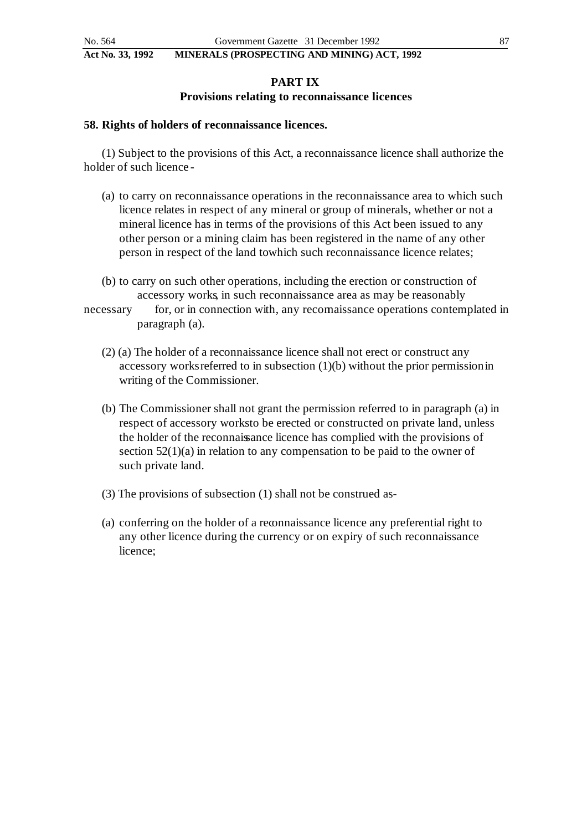# **PART IX Provisions relating to reconnaissance licences**

# **58. Rights of holders of reconnaissance licences.**

(1) Subject to the provisions of this Act, a reconnaissance licence shall authorize the holder of such licence -

- (a) to carry on reconnaissance operations in the reconnaissance area to which such licence relates in respect of any mineral or group of minerals, whether or not a mineral licence has in terms of the provisions of this Act been issued to any other person or a mining claim has been registered in the name of any other person in respect of the land towhich such reconnaissance licence relates;
- (b) to carry on such other operations, including the erection or construction of accessory works, in such reconnaissance area as may be reasonably
- necessary for, or in connection with, any recomaissance operations contemplated in paragraph (a).
	- (2) (a) The holder of a reconnaissance licence shall not erect or construct any accessory works referred to in subsection (1)(b) without the prior permission in writing of the Commissioner.
	- (b) The Commissioner shall not grant the permission referred to in paragraph (a) in respect of accessory works to be erected or constructed on private land, unless the holder of the reconnaissance licence has complied with the provisions of section 52(1)(a) in relation to any compensation to be paid to the owner of such private land.
	- (3) The provisions of subsection (1) shall not be construed as -
	- (a) conferring on the holder of a reconnaissance licence any preferential right to any other licence during the currency or on expiry of such reconnaissance licence;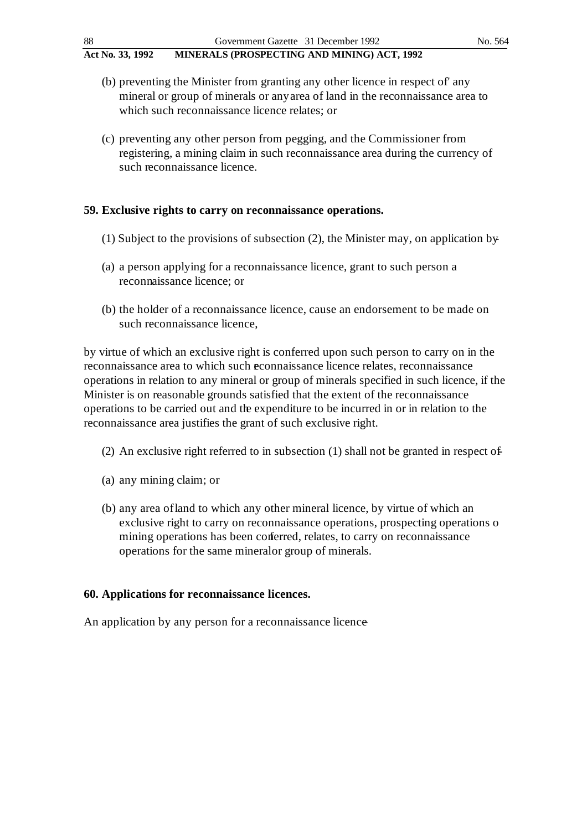- (b) preventing the Minister from granting any other licence in respect of' any mineral or group of minerals or any area of land in the reconnaissance area to which such reconnaissance licence relates; or
- (c) preventing any other person from pegging, and the Commissioner from registering, a mining claim in such reconnaissance area during the currency of such reconnaissance licence.

# **59. Exclusive rights to carry on reconnaissance operations.**

- (1) Subject to the provisions of subsection  $(2)$ , the Minister may, on application by
- (a) a person applying for a reconnaissance licence, grant to such person a reconnaissance licence; or
- (b) the holder of a reconnaissance licence, cause an endorsement to be made on such reconnaissance licence,

by virtue of which an exclusive right is conferred upon such person to carry on in the reconnaissance area to which such reconnaissance licence relates, reconnaissance operations in relation to any mineral or group of minerals specified in such licence, if the Minister is on reasonable grounds satisfied that the extent of the reconnaissance operations to be carried out and the expenditure to be incurred in or in relation to the reconnaissance area justifies the grant of such exclusive right.

- (2) An exclusive right referred to in subsection (1) shall not be granted in respect of
- (a) any mining claim; or
- (b) any area of land to which any other mineral licence, by virtue of which an exclusive right to carry on reconnaissance operations, prospecting operations o mining operations has been conferred, relates, to carry on reconnaissance operations for the same mineral or group of minerals.

# **60. Applications for reconnaissance licences.**

An application by any person for a reconnaissance licence –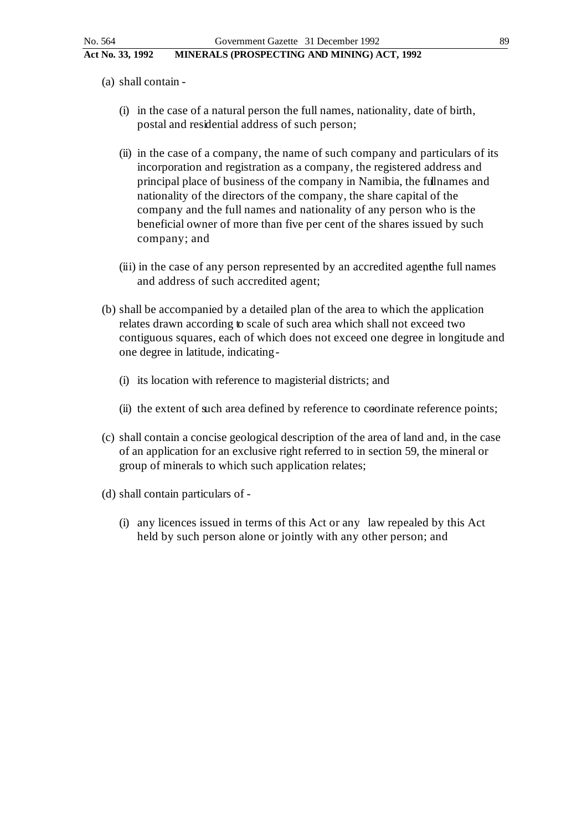- (a) shall contain
	- (i) in the case of a natural person the full names, nationality, date of birth, postal and residential address of such person;
	- (ii) in the case of a company, the name of such company and particulars of its incorporation and registration as a company, the registered address and principal place of business of the company in Namibia, the full names and nationality of the directors of the company, the share capital of the company and the full names and nationality of any person who is the beneficial owner of more than five per cent of the shares issued by such company; and
	- (iii) in the case of any person represented by an accredited agenthe full names and address of such accredited agent;
- (b) shall be accompanied by a detailed plan of the area to which the application relates drawn according to scale of such area which shall not exceed two contiguous squares, each of which does not exceed one degree in longitude and one degree in latitude, indicating -
	- (i) its location with reference to magisterial districts; and
	- (ii) the extent of such area defined by reference to coordinate reference points;
- (c) shall contain a concise geological description of the area of land and, in the case of an application for an exclusive right referred to in section 59, the mineral or group of minerals to which such application relates;
- (d) shall contain particulars of
	- (i) any licences issued in terms of this Act or any law repealed by this Act held by such person alone or jointly with any other person; and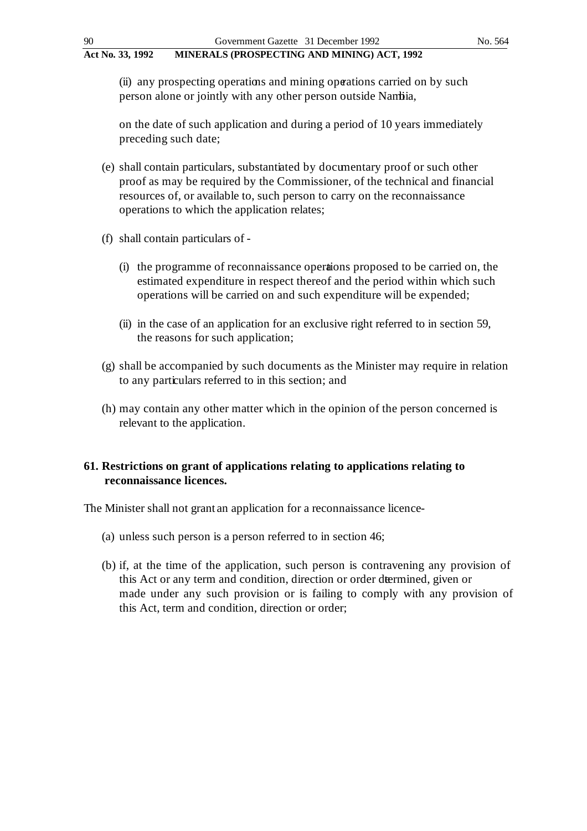(ii) any prospecting operations and mining operations carried on by such person alone or jointly with any other person outside Nambia,

on the date of such application and during a period of 10 years immediately preceding such date;

- (e) shall contain particulars, substantiated by documentary proof or such other proof as may be required by the Commissioner, of the technical and financial resources of, or available to, such person to carry on the reconnaissance operations to which the application relates;
- (f) shall contain particulars of
	- (i) the programme of reconnaissance operations proposed to be carried on, the estimated expenditure in respect thereof and the period within which such operations will be carried on and such expenditure will be expended;
	- (ii) in the case of an application for an exclusive right referred to in section 59, the reasons for such application;
- (g) shall be accompanied by such documents as the Minister may require in relation to any particulars referred to in this section; and
- (h) may contain any other matter which in the opinion of the person concerned is relevant to the application.

# **61. Restrictions on grant of applications relating to applications relating to reconnaissance licences.**

The Minister shall not grant an application for a reconnaissance licence-

- (a) unless such person is a person referred to in section 46;
- (b) if, at the time of the application, such person is contravening any provision of this Act or any term and condition, direction or order determined, given or made under any such provision or is failing to comply with any provision of this Act, term and condition, direction or order;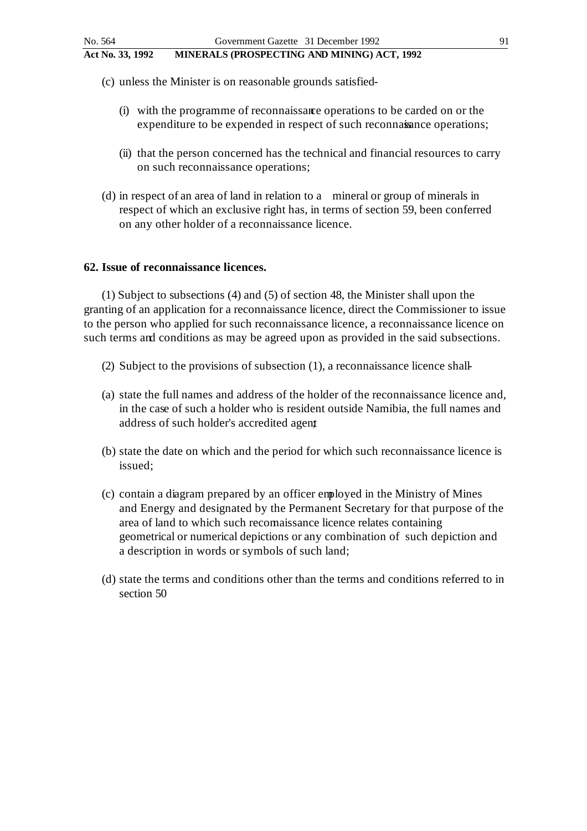(c) unless the Minister is on reasonable grounds satisfied -

- (i) with the programme of reconnaissance operations to be carded on or the expenditure to be expended in respect of such reconnaisance operations;
- (ii) that the person concerned has the technical and financial resources to carry on such reconnaissance operations;
- (d) in respect of an area of land in relation to a mineral or group of minerals in respect of which an exclusive right has, in terms of section 59, been conferred on any other holder of a reconnaissance licence.

### **62. Issue of reconnaissance licences.**

(1) Subject to subsections (4) and (5) of section 48, the Minister shall upon the granting of an application for a reconnaissance licence, direct the Commissioner to issue to the person who applied for such reconnaissance licence, a reconnaissance licence on such terms and conditions as may be agreed upon as provided in the said subsections.

- (2) Subject to the provisions of subsection  $(1)$ , a reconnaissance licence shall-
- (a) state the full names and address of the holder of the reconnaissance licence and, in the case of such a holder who is resident outside Namibia, the full names and address of such holder's accredited agent
- (b) state the date on which and the period for which such reconnaissance licence is issued;
- (c) contain a diagram prepared by an officer employed in the Ministry of Mines and Energy and designated by the Permanent Secretary for that purpose of the area of land to which such reconnaissance licence relates containing geometrical or numerical depictions or any combination of such depiction and a description in words or symbols of such land;
- (d) state the terms and conditions other than the terms and conditions referred to in section 50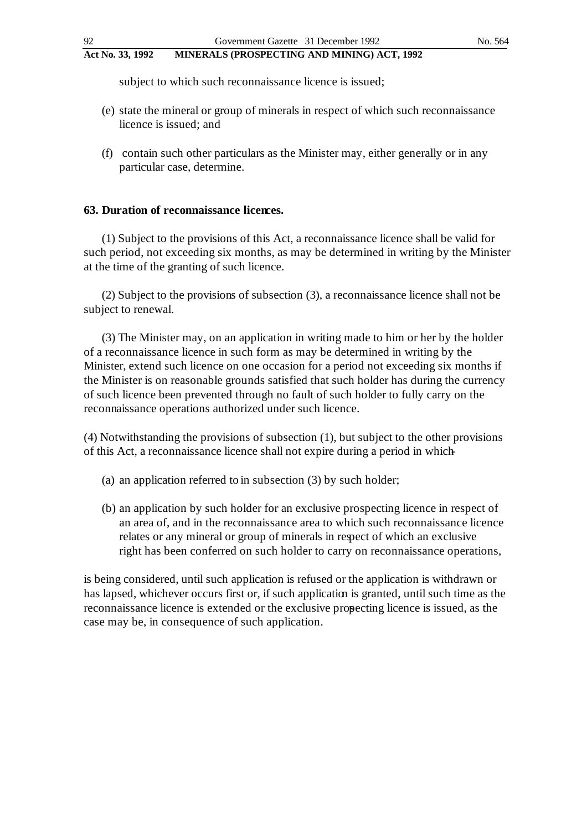subject to which such reconnaissance licence is issued;

- (e) state the mineral or group of minerals in respect of which such reconnaissance licence is issued; and
- (f) contain such other particulars as the Minister may, either generally or in any particular case, determine.

# **63. Duration of reconnaissance licences.**

(1) Subject to the provisions of this Act, a reconnaissance licence shall be valid for such period, not exceeding six months, as may be determined in writing by the Minister at the time of the granting of such licence.

(2) Subject to the provisions of subsection (3), a reconnaissance licence shall not be subject to renewal.

(3) The Minister may, on an application in writing made to him or her by the holder of a reconnaissance licence in such form as may be determined in writing by the Minister, extend such licence on one occasion for a period not exceeding six months if the Minister is on reasonable grounds satisfied that such holder has during the currency of such licence been prevented through no fault of such holder to fully carry on the reconnaissance operations authorized under such licence.

(4) Notwithstanding the provisions of subsection (1), but subject to the other provisions of this Act, a reconnaissance licence shall not expire during a period in which -

- (a) an application referred to in subsection (3) by such holder;
- (b) an application by such holder for an exclusive prospecting licence in respect of an area of, and in the reconnaissance area to which such reconnaissance licence relates or any mineral or group of minerals in respect of which an exclusive right has been conferred on such holder to carry on reconnaissance operations,

is being considered, until such application is refused or the application is withdrawn or has lapsed, whichever occurs first or, if such application is granted, until such time as the reconnaissance licence is extended or the exclusive propecting licence is issued, as the case may be, in consequence of such application.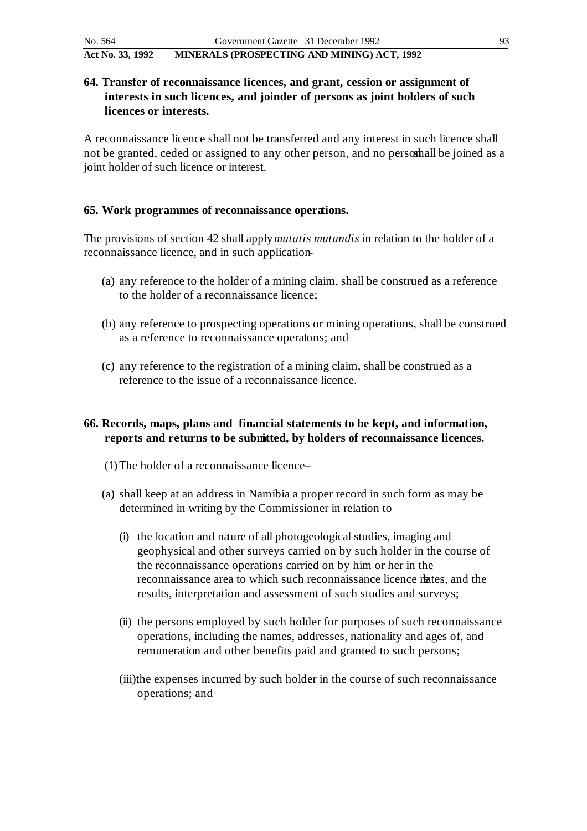# **64. Transfer of reconnaissance licences, and grant, cession or assignment of interests in such licences, and joinder of persons as joint holders of such licences or interests.**

A reconnaissance licence shall not be transferred and any interest in such licence shall not be granted, ceded or assigned to any other person, and no personall be joined as a joint holder of such licence or interest.

# **65. Work programmes of reconnaissance operations.**

The provisions of section 42 shall apply *mutatis mutandis* in relation to the holder of a reconnaissance licence, and in such application-

- (a) any reference to the holder of a mining claim, shall be construed as a reference to the holder of a reconnaissance licence;
- (b) any reference to prospecting operations or mining operations, shall be construed as a reference to reconnaissance operations; and
- (c) any reference to the registration of a mining claim, shall be construed as a reference to the issue of a reconnaissance licence.

# **66. Records, maps, plans and financial statements to be kept, and information, reports and returns to be submitted, by holders of reconnaissance licences.**

- (1) The holder of a reconnaissance licence –
- (a) shall keep at an address in Namibia a proper record in such form as may be determined in writing by the Commissioner in relation to
	- (i) the location and nature of all photogeological studies, imaging and geophysical and other surveys carried on by such holder in the course of the reconnaissance operations carried on by him or her in the reconnaissance area to which such reconnaissance licence relates, and the results, interpretation and assessment of such studies and surveys;
	- (ii) the persons employed by such holder for purposes of such reconnaissance operations, including the names, addresses, nationality and ages of, and remuneration and other benefits paid and granted to such persons;
	- (iii)the expenses incurred by such holder in the course of such reconnaissance operations; and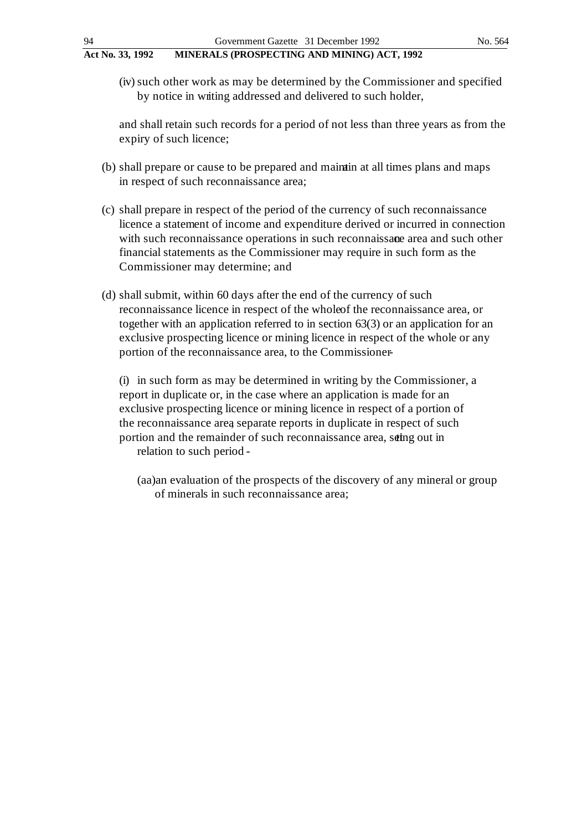(iv) such other work as may be determined by the Commissioner and specified by notice in witting addressed and delivered to such holder,

and shall retain such records for a period of not less than three years as from the expiry of such licence;

- (b) shall prepare or cause to be prepared and maintain at all times plans and maps in respect of such reconnaissance area;
- (c) shall prepare in respect of the period of the currency of such reconnaissance licence a statement of income and expenditure derived or incurred in connection with such reconnaissance operations in such reconnaissance area and such other financial statements as the Commissioner may require in such form as the Commissioner may determine; and
- (d) shall submit, within 60 days after the end of the currency of such reconnaissance licence in respect of the whole of the reconnaissance area, or together with an application referred to in section 63(3) or an application for an exclusive prospecting licence or mining licence in respect of the whole or any portion of the reconnaissance area, to the Commissioner-

(i) in such form as may be determined in writing by the Commissioner, a report in duplicate or, in the case where an application is made for an exclusive prospecting licence or mining licence in respect of a portion of the reconnaissance area, separate reports in duplicate in respect of such portion and the remainder of such reconnaissance area, seting out in relation to such period -

(aa)an evaluation of the prospects of the discovery of any mineral or group of minerals in such reconnaissance area;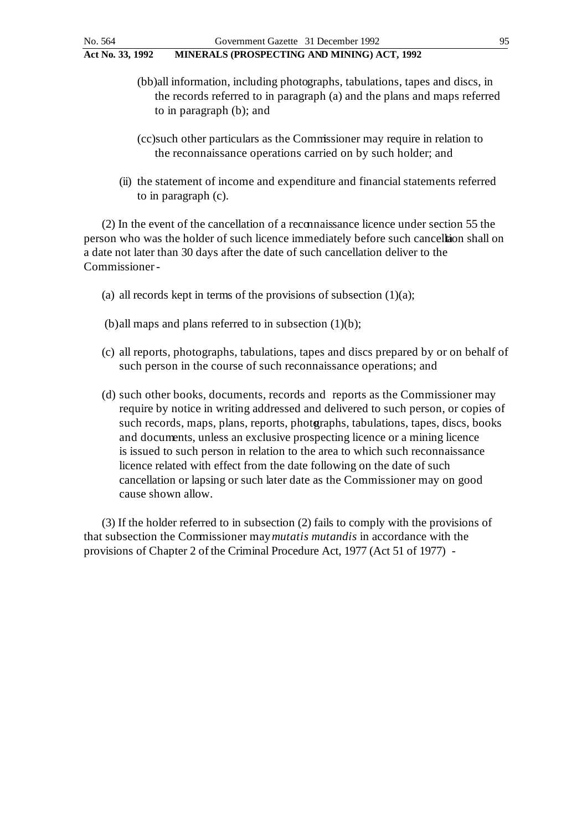- (bb)all information, including photographs, tabulations, tapes and discs, in the records referred to in paragraph (a) and the plans and maps referred to in paragraph (b); and
- (cc)such other particulars as the Commissioner may require in relation to the reconnaissance operations carried on by such holder; and
- (ii) the statement of income and expenditure and financial statements referred to in paragraph (c).

(2) In the event of the cancellation of a reconnaissance licence under section 55 the person who was the holder of such licence immediately before such cancellation shall on a date not later than 30 days after the date of such cancellation deliver to the Commissioner -

- (a) all records kept in terms of the provisions of subsection  $(1)(a)$ ;
- (b)all maps and plans referred to in subsection  $(1)(b)$ ;
- (c) all reports, photographs, tabulations, tapes and discs prepared by or on behalf of such person in the course of such reconnaissance operations; and
- (d) such other books, documents, records and reports as the Commissioner may require by notice in writing addressed and delivered to such person, or copies of such records, maps, plans, reports, photographs, tabulations, tapes, discs, books and documents, unless an exclusive prospecting licence or a mining licence is issued to such person in relation to the area to which such reconnaissance licence related with effect from the date following on the date of such cancellation or lapsing or such later date as the Commissioner may on good cause shown allow.

(3) If the holder referred to in subsection (2) fails to comply with the provisions of that subsection the Commissioner may *mutatis mutandis* in accordance with the provisions of Chapter 2 of the Criminal Procedure Act, 1977 (Act 51 of 1977) -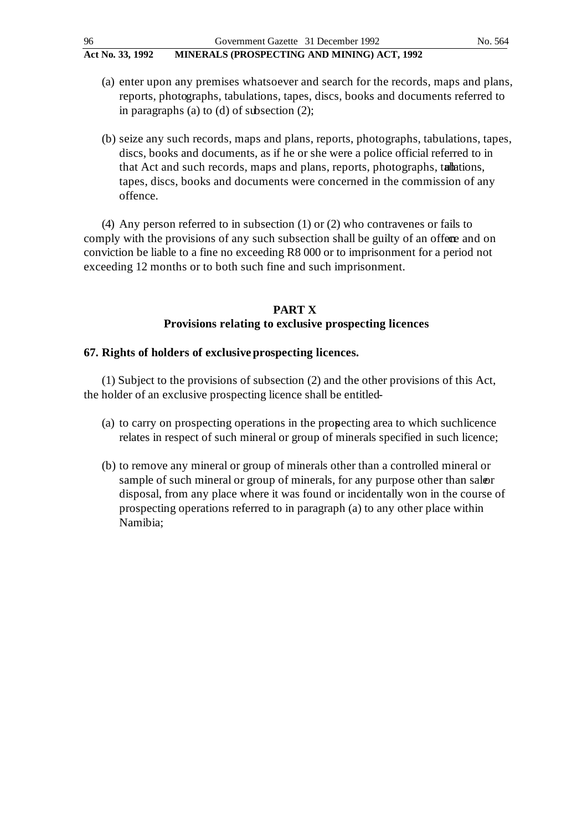- (a) enter upon any premises whatsoever and search for the records, maps and plans, reports, photographs, tabulations, tapes, discs, books and documents referred to in paragraphs (a) to (d) of subsection (2);
- (b) seize any such records, maps and plans, reports, photographs, tabulations, tapes, discs, books and documents, as if he or she were a police official referred to in that Act and such records, maps and plans, reports, photographs, tallations, tapes, discs, books and documents were concerned in the commission of any offence.

(4) Any person referred to in subsection (1) or (2) who contravenes or fails to comply with the provisions of any such subsection shall be guilty of an offere and on conviction be liable to a fine no exceeding R8 000 or to imprisonment for a period not exceeding 12 months or to both such fine and such imprisonment.

# **PART X Provisions relating to exclusive prospecting licences**

# **67. Rights of holders of exclusive prospecting licences.**

(1) Subject to the provisions of subsection (2) and the other provisions of this Act, the holder of an exclusive prospecting licence shall be entitled-

- (a) to carry on prospecting operations in the prospecting area to which such licence relates in respect of such mineral or group of minerals specified in such licence;
- (b) to remove any mineral or group of minerals other than a controlled mineral or sample of such mineral or group of minerals, for any purpose other than saloer disposal, from any place where it was found or incidentally won in the course of prospecting operations referred to in paragraph (a) to any other place within Namibia;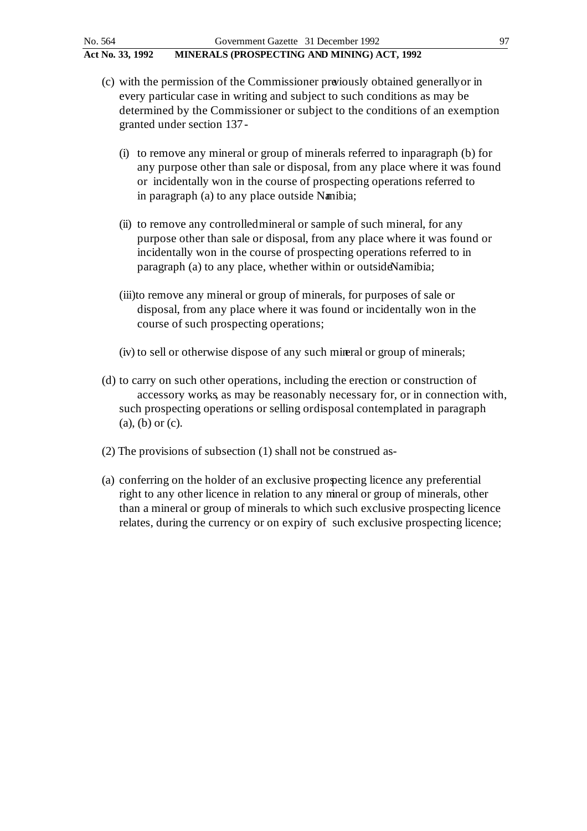- (c) with the permission of the Commissioner previously obtained generally or in every particular case in writing and subject to such conditions as may be determined by the Commissioner or subject to the conditions of an exemption granted under section 137 -
	- (i) to remove any mineral or group of minerals referred to in paragraph (b) for any purpose other than sale or disposal, from any place where it was found or incidentally won in the course of prospecting operations referred to in paragraph (a) to any place outside Namibia;
	- (ii) to remove any controlled mineral or sample of such mineral, for any purpose other than sale or disposal, from any place where it was found or incidentally won in the course of prospecting operations referred to in paragraph (a) to any place, whether within or outside Namibia;
	- (iii)to remove any mineral or group of minerals, for purposes of sale or disposal, from any place where it was found or incidentally won in the course of such prospecting operations;
	- (iv) to sell or otherwise dispose of any such mineral or group of minerals;
- (d) to carry on such other operations, including the erection or construction of accessory works, as may be reasonably necessary for, or in connection with, such prospecting operations or selling or disposal contemplated in paragraph (a), (b) or (c).
- (2) The provisions of subsection (1) shall not be construed as -
- (a) conferring on the holder of an exclusive prospecting licence any preferential right to any other licence in relation to any mineral or group of minerals, other than a mineral or group of minerals to which such exclusive prospecting licence relates, during the currency or on expiry of such exclusive prospecting licence;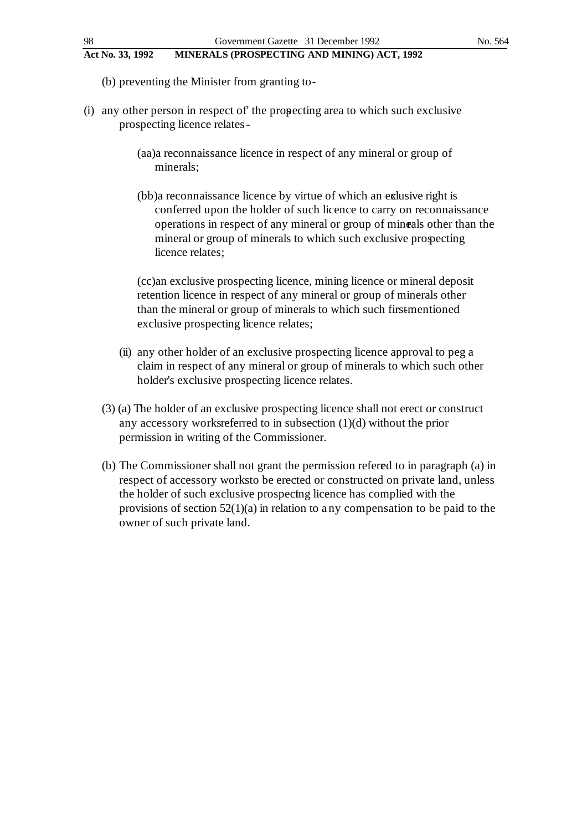- (b) preventing the Minister from granting to -
- (i) any other person in respect of the propecting area to which such exclusive prospecting licence relates -
	- (aa)a reconnaissance licence in respect of any mineral or group of minerals;
	- (bb)a reconnaissance licence by virtue of which an exalusive right is conferred upon the holder of such licence to carry on reconnaissance operations in respect of any mineral or group of minerals other than the mineral or group of minerals to which such exclusive prospecting licence relates;

(cc)an exclusive prospecting licence, mining licence or mineral deposit retention licence in respect of any mineral or group of minerals other than the mineral or group of minerals to which such first-mentioned exclusive prospecting licence relates;

- (ii) any other holder of an exclusive prospecting licence approval to peg a claim in respect of any mineral or group of minerals to which such other holder's exclusive prospecting licence relates.
- (3) (a) The holder of an exclusive prospecting licence shall not erect or construct any accessory works referred to in subsection  $(1)(d)$  without the prior permission in writing of the Commissioner.
- (b) The Commissioner shall not grant the permission referred to in paragraph (a) in respect of accessory works to be erected or constructed on private land, unless the holder of such exclusive prospecting licence has complied with the provisions of section 52(1)(a) in relation to a ny compensation to be paid to the owner of such private land.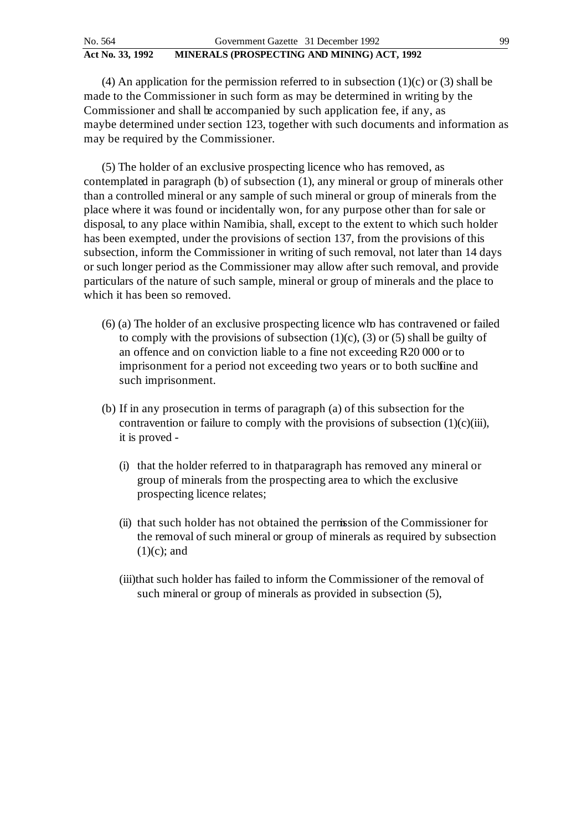(4) An application for the permission referred to in subsection  $(1)(c)$  or  $(3)$  shall be made to the Commissioner in such form as may be determined in writing by the Commissioner and shall be accompanied by such application fee, if any, as maybe determined under section 123, together with such documents and information as may be required by the Commissioner.

(5) The holder of an exclusive prospecting licence who has removed, as contemplated in paragraph (b) of subsection (1), any mineral or group of minerals other than a controlled mineral or any sample of such mineral or group of minerals from the place where it was found or incidentally won, for any purpose other than for sale or disposal, to any place within Namibia, shall, except to the extent to which such holder has been exempted, under the provisions of section 137, from the provisions of this subsection, inform the Commissioner in writing of such removal, not later than 14 days or such longer period as the Commissioner may allow after such removal, and provide particulars of the nature of such sample, mineral or group of minerals and the place to which it has been so removed.

- (6) (a) The holder of an exclusive prospecting licence who has contravened or failed to comply with the provisions of subsection  $(1)(c)$ ,  $(3)$  or  $(5)$  shall be guilty of an offence and on conviction liable to a fine not exceeding R20 000 or to imprisonment for a period not exceeding two years or to both such fine and such imprisonment.
- (b) If in any prosecution in terms of paragraph (a) of this subsection for the contravention or failure to comply with the provisions of subsection  $(1)(c)(iii)$ , it is proved -
	- (i) that the holder referred to in that paragraph has removed any mineral or group of minerals from the prospecting area to which the exclusive prospecting licence relates;
	- (ii) that such holder has not obtained the permission of the Commissioner for the removal of such mineral or group of minerals as required by subsection  $(1)(c)$ ; and
	- (iii)that such holder has failed to inform the Commissioner of the removal of such mineral or group of minerals as provided in subsection (5),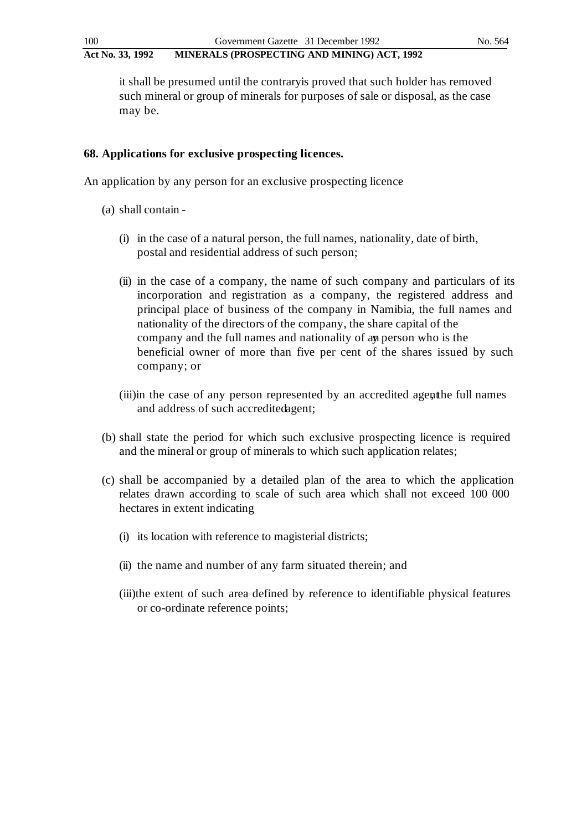it shall be presumed until the contrary is proved that such holder has removed such mineral or group of minerals for purposes of sale or disposal, as the case may be.

### **68. Applications for exclusive prospecting licences.**

An application by any person for an exclusive prospecting licence

- (a) shall contain
	- (i) in the case of a natural person, the full names, nationality, date of birth, postal and residential address of such person;
	- (ii) in the case of a company, the name of such company and particulars of its incorporation and registration as a company, the registered address and principal place of business of the company in Namibia, the full names and nationality of the directors of the company, the share capital of the company and the full names and nationality of any person who is the beneficial owner of more than five per cent of the shares issued by such company; or
	- (iii)in the case of any person represented by an accredited agent the full names and address of such accredited agent;
- (b) shall state the period for which such exclusive prospecting licence is required and the mineral or group of minerals to which such application relates;
- (c) shall be accompanied by a detailed plan of the area to which the application relates drawn according to scale of such area which shall not exceed 100 000 hectares in extent indicating
	- (i) its location with reference to magisterial districts;
	- (ii) the name and number of any farm situated therein; and
	- (iii)the extent of such area defined by reference to identifiable physical features or co-ordinate reference points;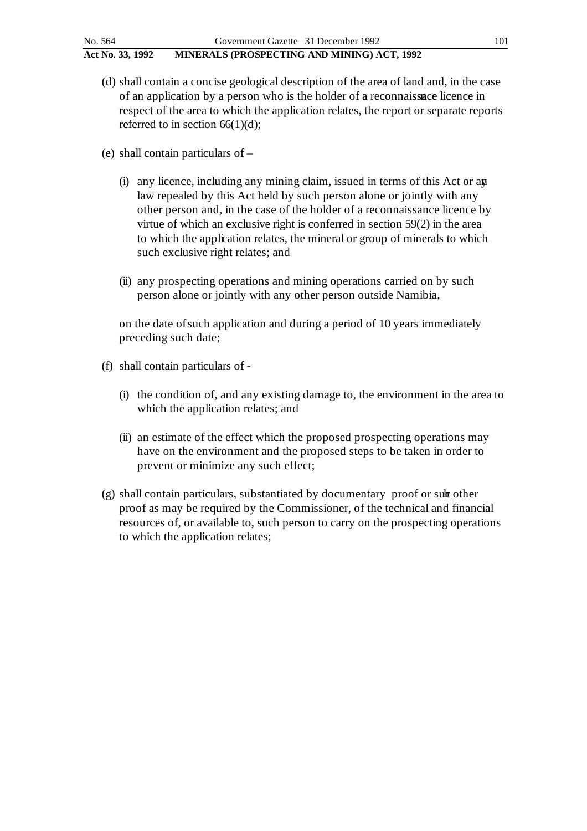- (d) shall contain a concise geological description of the area of land and, in the case of an application by a person who is the holder of a reconnaissance licence in respect of the area to which the application relates, the report or separate reports referred to in section  $66(1)(d)$ ;
- (e) shall contain particulars of
	- (i) any licence, including any mining claim, issued in terms of this Act or any law repealed by this Act held by such person alone or jointly with any other person and, in the case of the holder of a reconnaissance licence by virtue of which an exclusive right is conferred in section 59(2) in the area to which the application relates, the mineral or group of minerals to which such exclusive right relates; and
	- (ii) any prospecting operations and mining operations carried on by such person alone or jointly with any other person outside Namibia,

on the date of such application and during a period of 10 years immediately preceding such date;

- (f) shall contain particulars of
	- (i) the condition of, and any existing damage to, the environment in the area to which the application relates; and
	- (ii) an estimate of the effect which the proposed prospecting operations may have on the environment and the proposed steps to be taken in order to prevent or minimize any such effect;
- $(g)$  shall contain particulars, substantiated by documentary proof or sult other proof as may be required by the Commissioner, of the technical and financial resources of, or available to, such person to carry on the prospecting operations to which the application relates;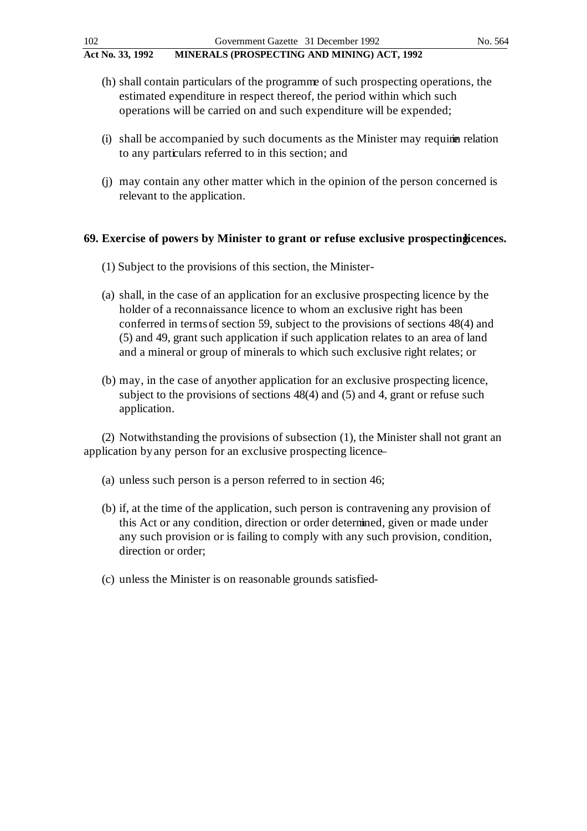- (h) shall contain particulars of the programme of such prospecting operations, the estimated expenditure in respect thereof, the period within which such operations will be carried on and such expenditure will be expended;
- $(i)$  shall be accompanied by such documents as the Minister may require relation to any particulars referred to in this section; and
- (j) may contain any other matter which in the opinion of the person concerned is relevant to the application.

### **69.** Exercise of powers by Minister to grant or refuse exclusive prospecting icences.

- (1) Subject to the provisions of this section, the Minister -
- (a) shall, in the case of an application for an exclusive prospecting licence by the holder of a reconnaissance licence to whom an exclusive right has been conferred in terms of section 59, subject to the provisions of sections 48(4) and (5) and 49, grant such application if such application relates to an area of land and a mineral or group of minerals to which such exclusive right relates; or
- (b) may, in the case of any other application for an exclusive prospecting licence, subject to the provisions of sections 48(4) and (5) and 4, grant or refuse such application.

(2) Notwithstanding the provisions of subsection (1), the Minister shall not grant an application by any person for an exclusive prospecting licence –

- (a) unless such person is a person referred to in section 46;
- (b) if, at the time of the application, such person is contravening any provision of this Act or any condition, direction or order determined, given or made under any such provision or is failing to comply with any such provision, condition, direction or order;
- (c) unless the Minister is on reasonable grounds satisfied -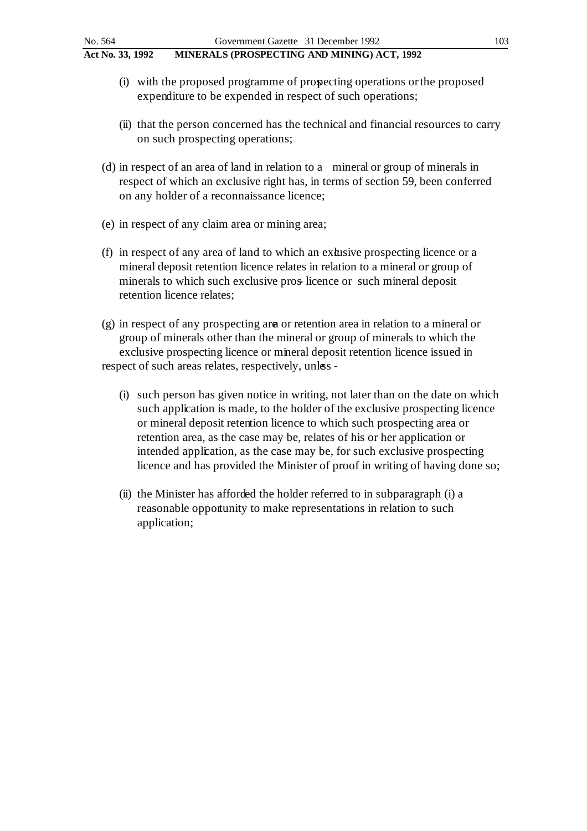- (i) with the proposed programme of prospecting operations or the proposed expenditure to be expended in respect of such operations;
- (ii) that the person concerned has the technical and financial resources to carry on such prospecting operations;
- (d) in respect of an area of land in relation to a mineral or group of minerals in respect of which an exclusive right has, in terms of section 59, been conferred on any holder of a reconnaissance licence;
- (e) in respect of any claim area or mining area;
- (f) in respect of any area of land to which an extusive prospecting licence or a mineral deposit retention licence relates in relation to a mineral or group of minerals to which such exclusive pros- licence or such mineral deposit retention licence relates;
- (g) in respect of any prospecting area or retention area in relation to a mineral or group of minerals other than the mineral or group of minerals to which the exclusive prospecting licence or mineral deposit retention licence issued in respect of such areas relates, respectively, unles-
	- (i) such person has given notice in writing, not later than on the date on which such application is made, to the holder of the exclusive prospecting licence or mineral deposit retention licence to which such prospecting area or retention area, as the case may be, relates of his or her application or intended application, as the case may be, for such exclusive prospecting licence and has provided the Minister of proof in writing of having done so;
	- (ii) the Minister has afforded the holder referred to in subparagraph (i) a reasonable opportunity to make representations in relation to such application;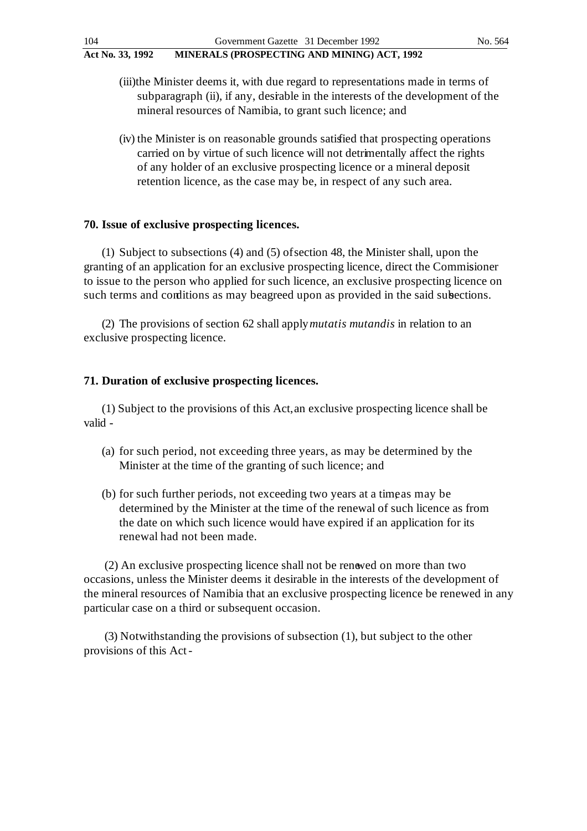- (iii)the Minister deems it, with due regard to representations made in terms of subparagraph (ii), if any, desirable in the interests of the development of the mineral resources of Namibia, to grant such licence; and
- (iv) the Minister is on reasonable grounds satisfied that prospecting operations carried on by virtue of such licence will not detrimentally affect the rights of any holder of an exclusive prospecting licence or a mineral deposit retention licence, as the case may be, in respect of any such area.

### **70. Issue of exclusive prospecting licences.**

(1) Subject to subsections (4) and (5) of section 48, the Minister shall, upon the granting of an application for an exclusive prospecting licence, direct the Commisioner to issue to the person who applied for such licence, an exclusive prospecting licence on such terms and conditions as may be agreed upon as provided in the said subsections.

(2) The provisions of section 62 shall apply *mutatis mutandis* in relation to an exclusive prospecting licence.

### **71. Duration of exclusive prospecting licences.**

(1) Subject to the provisions of this Act, an exclusive prospecting licence shall be valid -

- (a) for such period, not exceeding three years, as may be determined by the Minister at the time of the granting of such licence; and
- (b) for such further periods, not exceeding two years at a time as may be determined by the Minister at the time of the renewal of such licence as from the date on which such licence would have expired if an application for its renewal had not been made.

(2) An exclusive prospecting licence shall not be renewed on more than two occasions, unless the Minister deems it desirable in the interests of the development of the mineral resources of Namibia that an exclusive prospecting licence be renewed in any particular case on a third or subsequent occasion.

(3) Notwithstanding the provisions of subsection (1), but subject to the other provisions of this Act -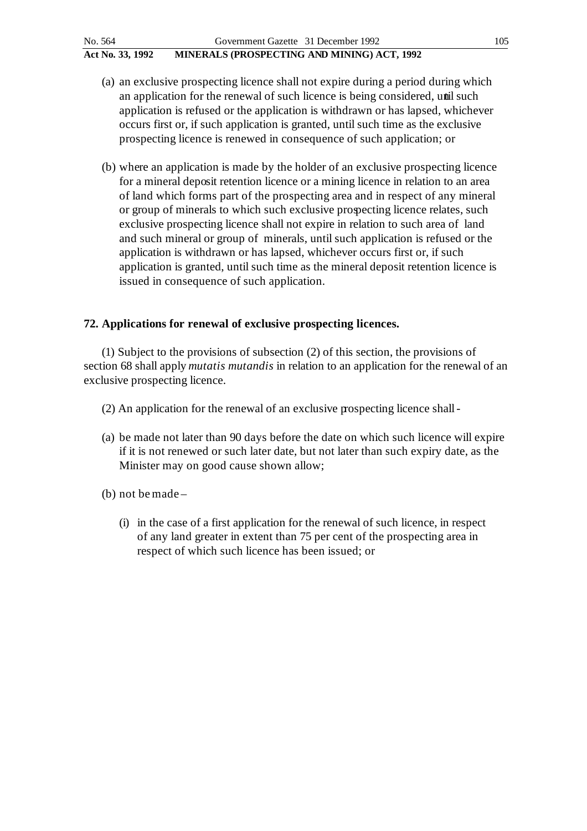- (a) an exclusive prospecting licence shall not expire during a period during which an application for the renewal of such licence is being considered, until such application is refused or the application is withdrawn or has lapsed, whichever occurs first or, if such application is granted, until such time as the exclusive prospecting licence is renewed in consequence of such application; or
- (b) where an application is made by the holder of an exclusive prospecting licence for a mineral deposit retention licence or a mining licence in relation to an area of land which forms part of the prospecting area and in respect of any mineral or group of minerals to which such exclusive prospecting licence relates, such exclusive prospecting licence shall not expire in relation to such area of land and such mineral or group of minerals, until such application is refused or the application is withdrawn or has lapsed, whichever occurs first or, if such application is granted, until such time as the mineral deposit retention licence is issued in consequence of such application.

# **72. Applications for renewal of exclusive prospecting licences.**

(1) Subject to the provisions of subsection (2) of this section, the provisions of section 68 shall apply *mutatis mutandis* in relation to an application for the renewal of an exclusive prospecting licence.

- (2) An application for the renewal of an exclusive prospecting licence shall -
- (a) be made not later than 90 days before the date on which such licence will expire if it is not renewed or such later date, but not later than such expiry date, as the Minister may on good cause shown allow;
- (b) not be made
	- (i) in the case of a first application for the renewal of such licence, in respect of any land greater in extent than 75 per cent of the prospecting area in respect of which such licence has been issued; or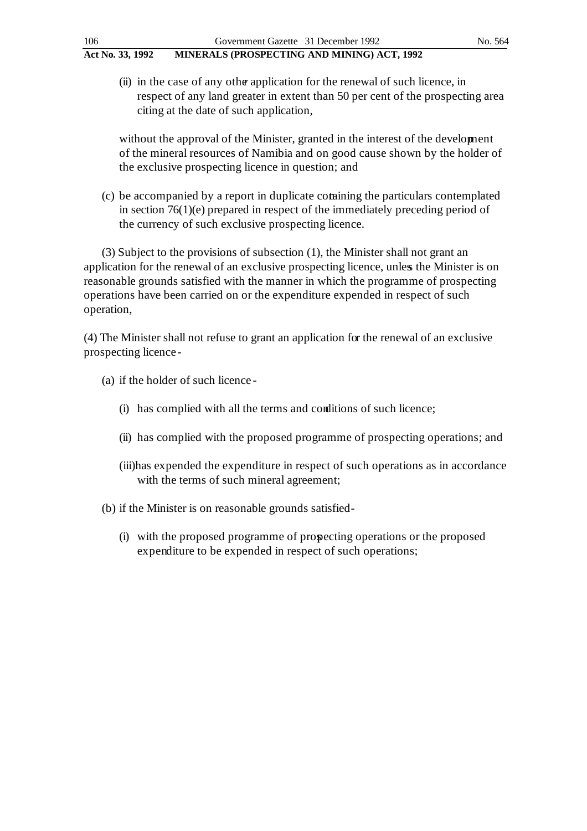(ii) in the case of any other application for the renewal of such licence, in respect of any land greater in extent than 50 per cent of the prospecting area citing at the date of such application,

without the approval of the Minister, granted in the interest of the development of the mineral resources of Namibia and on good cause shown by the holder of the exclusive prospecting licence in question; and

(c) be accompanied by a report in duplicate containing the particulars contemplated in section 76(1)(e) prepared in respect of the immediately preceding period of the currency of such exclusive prospecting licence.

(3) Subject to the provisions of subsection (1), the Minister shall not grant an application for the renewal of an exclusive prospecting licence, unles the Minister is on reasonable grounds satisfied with the manner in which the programme of prospecting operations have been carried on or the expenditure expended in respect of such operation,

(4) The Minister shall not refuse to grant an application for the renewal of an exclusive prospecting licence -

(a) if the holder of such licence -

- (i) has complied with all the terms and conditions of such licence;
- (ii) has complied with the proposed programme of prospecting operations; and
- (iii)has expended the expenditure in respect of such operations as in accordance with the terms of such mineral agreement;
- (b) if the Minister is on reasonable grounds satisfied
	- (i) with the proposed programme of prospecting operations or the proposed expenditure to be expended in respect of such operations;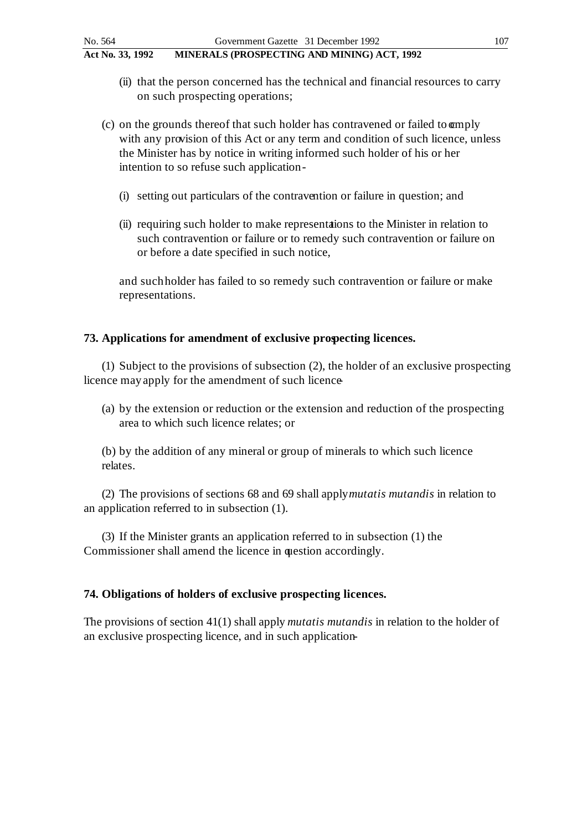- (ii) that the person concerned has the technical and financial resources to carry on such prospecting operations;
- (c) on the grounds thereof that such holder has contravened or failed to **comply** with any provision of this Act or any term and condition of such licence, unless the Minister has by notice in writing informed such holder of his or her intention to so refuse such application -
	- (i) setting out particulars of the contravention or failure in question; and
	- (ii) requiring such holder to make representations to the Minister in relation to such contravention or failure or to remedy such contravention or failure on or before a date specified in such notice,

and such holder has failed to so remedy such contravention or failure or make representations.

# **73. Applications for amendment of exclusive prospecting licences.**

(1) Subject to the provisions of subsection (2), the holder of an exclusive prospecting licence may apply for the amendment of such licence

(a) by the extension or reduction or the extension and reduction of the prospecting area to which such licence relates; or

(b) by the addition of any mineral or group of minerals to which such licence relates.

(2) The provisions of sections 68 and 69 shall apply *mutatis mutandis* in relation to an application referred to in subsection (1).

(3) If the Minister grants an application referred to in subsection (1) the Commissioner shall amend the licence in question accordingly.

# **74. Obligations of holders of exclusive prospecting licences.**

The provisions of section 41(1) shall apply *mutatis mutandis* in relation to the holder of an exclusive prospecting licence, and in such application-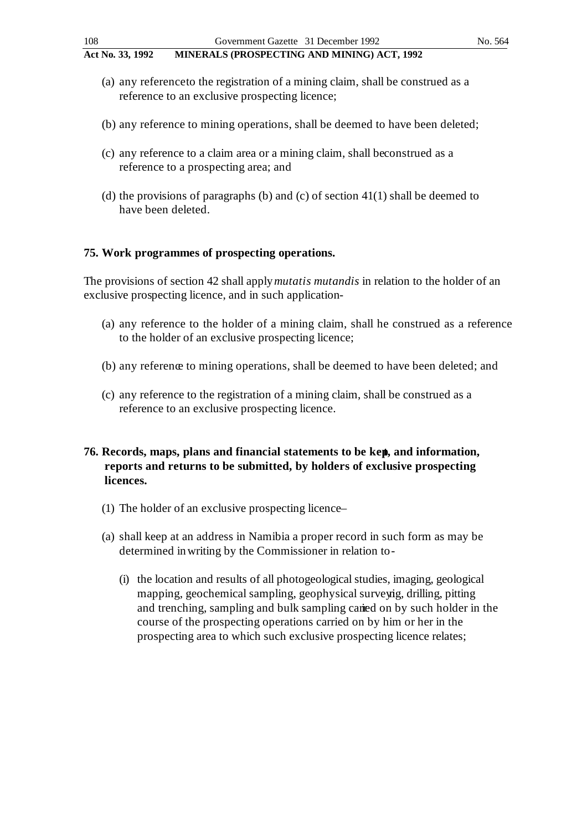- (a) any reference to the registration of a mining claim, shall be construed as a reference to an exclusive prospecting licence;
- (b) any reference to mining operations, shall be deemed to have been deleted;
- (c) any reference to a claim area or a mining claim, shall be construed as a reference to a prospecting area; and
- (d) the provisions of paragraphs (b) and (c) of section  $41(1)$  shall be deemed to have been deleted.

### **75. Work programmes of prospecting operations.**

The provisions of section 42 shall apply *mutatis mutandis* in relation to the holder of an exclusive prospecting licence, and in such application-

- (a) any reference to the holder of a mining claim, shall he construed as a reference to the holder of an exclusive prospecting licence;
- (b) any reference to mining operations, shall be deemed to have been deleted; and
- (c) any reference to the registration of a mining claim, shall be construed as a reference to an exclusive prospecting licence.
- **76. Records, maps, plans and financial statements to be kept, and information, reports and returns to be submitted, by holders of exclusive prospecting licences.**
	- (1) The holder of an exclusive prospecting licence –
	- (a) shall keep at an address in Namibia a proper record in such form as may be determined in writing by the Commissioner in relation to -
		- (i) the location and results of all photogeological studies, imaging, geological mapping, geochemical sampling, geophysical surveyig, drilling, pitting and trenching, sampling and bulk sampling carried on by such holder in the course of the prospecting operations carried on by him or her in the prospecting area to which such exclusive prospecting licence relates;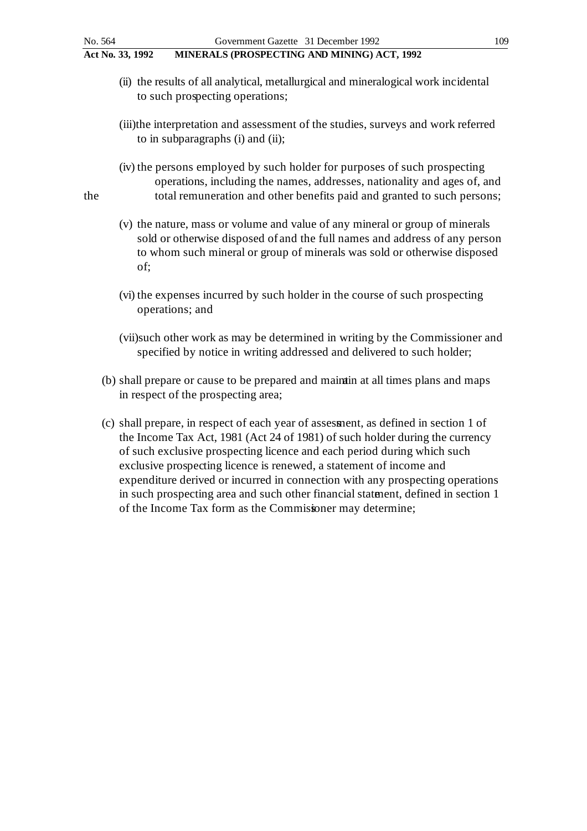- (ii) the results of all analytical, metallurgical and mineralogical work incidental to such prospecting operations;
- (iii)the interpretation and assessment of the studies, surveys and work referred to in subparagraphs (i) and (ii);
- (iv) the persons employed by such holder for purposes of such prospecting operations, including the names, addresses, nationality and ages of, and the total remuneration and other benefits paid and granted to such persons;
	- (v) the nature, mass or volume and value of any mineral or group of minerals sold or otherwise disposed of and the full names and address of any person to whom such mineral or group of minerals was sold or otherwise disposed of;
	- (vi) the expenses incurred by such holder in the course of such prospecting operations; and
	- (vii)such other work as may be determined in writing by the Commissioner and specified by notice in writing addressed and delivered to such holder;
	- (b) shall prepare or cause to be prepared and maintain at all times plans and maps in respect of the prospecting area;
	- (c) shall prepare, in respect of each year of assessment, as defined in section 1 of the Income Tax Act, 1981 (Act 24 of 1981) of such holder during the currency of such exclusive prospecting licence and each period during which such exclusive prospecting licence is renewed, a statement of income and expenditure derived or incurred in connection with any prospecting operations in such prospecting area and such other financial statement, defined in section 1 of the Income Tax form as the Commissioner may determine;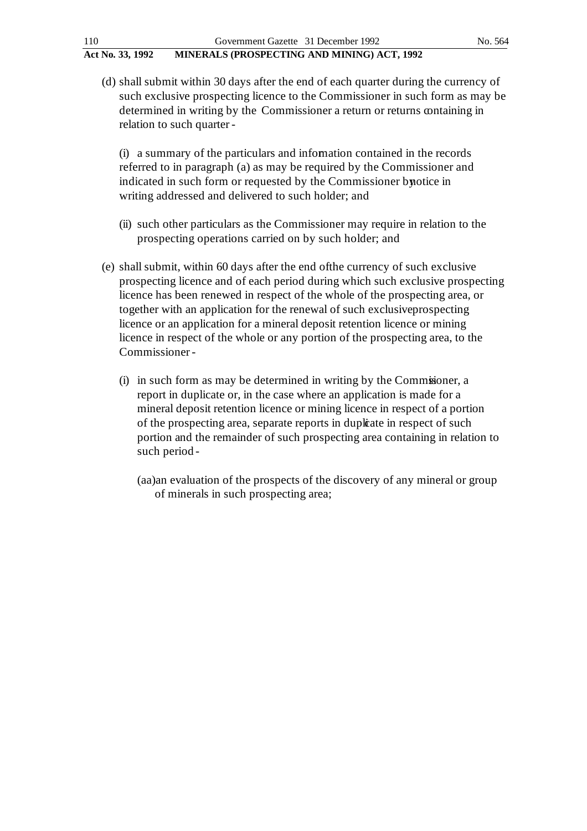(d) shall submit within 30 days after the end of each quarter during the currency of such exclusive prospecting licence to the Commissioner in such form as may be determined in writing by the Commissioner a return or returns containing in relation to such quarter -

(i) a summary of the particulars and information contained in the records referred to in paragraph (a) as may be required by the Commissioner and indicated in such form or requested by the Commissioner by notice in writing addressed and delivered to such holder; and

- (ii) such other particulars as the Commissioner may require in relation to the prospecting operations carried on by such holder; and
- (e) shall submit, within 60 days after the end of the currency of such exclusive prospecting licence and of each period during which such exclusive prospecting licence has been renewed in respect of the whole of the prospecting area, or together with an application for the renewal of such exclusive prospecting licence or an application for a mineral deposit retention licence or mining licence in respect of the whole or any portion of the prospecting area, to the Commissioner -
	- (i) in such form as may be determined in writing by the Commissioner, a report in duplicate or, in the case where an application is made for a mineral deposit retention licence or mining licence in respect of a portion of the prospecting area, separate reports in duplicate in respect of such portion and the remainder of such prospecting area containing in relation to such period -
		- (aa)an evaluation of the prospects of the discovery of any mineral or group of minerals in such prospecting area;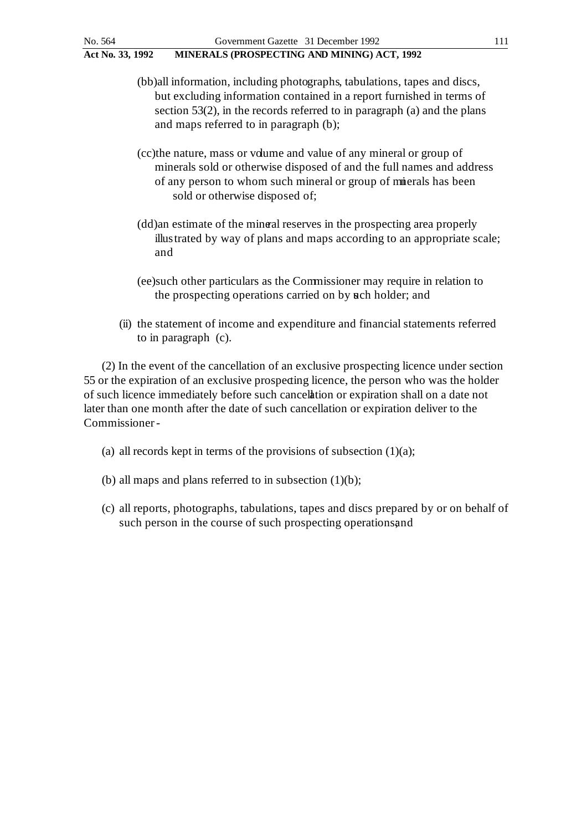- (bb)all information, including photographs, tabulations, tapes and discs, but excluding information contained in a report furnished in terms of section 53(2), in the records referred to in paragraph (a) and the plans and maps referred to in paragraph (b);
- (cc)the nature, mass or volume and value of any mineral or group of minerals sold or otherwise disposed of and the full names and address of any person to whom such mineral or group of minerals has been sold or otherwise disposed of;
- (dd)an estimate of the mineral reserves in the prospecting area properly illustrated by way of plans and maps according to an appropriate scale; and
- (ee)such other particulars as the Commissioner may require in relation to the prospecting operations carried on by ach holder; and
- (ii) the statement of income and expenditure and financial statements referred to in paragraph (c).

(2) In the event of the cancellation of an exclusive prospecting licence under section 55 or the expiration of an exclusive prospecting licence, the person who was the holder of such licence immediately before such cancellation or expiration shall on a date not later than one month after the date of such cancellation or expiration deliver to the Commissioner -

- (a) all records kept in terms of the provisions of subsection  $(1)(a)$ ;
- (b) all maps and plans referred to in subsection  $(1)(b)$ ;
- (c) all reports, photographs, tabulations, tapes and discs prepared by or on behalf of such person in the course of such prospecting operations, and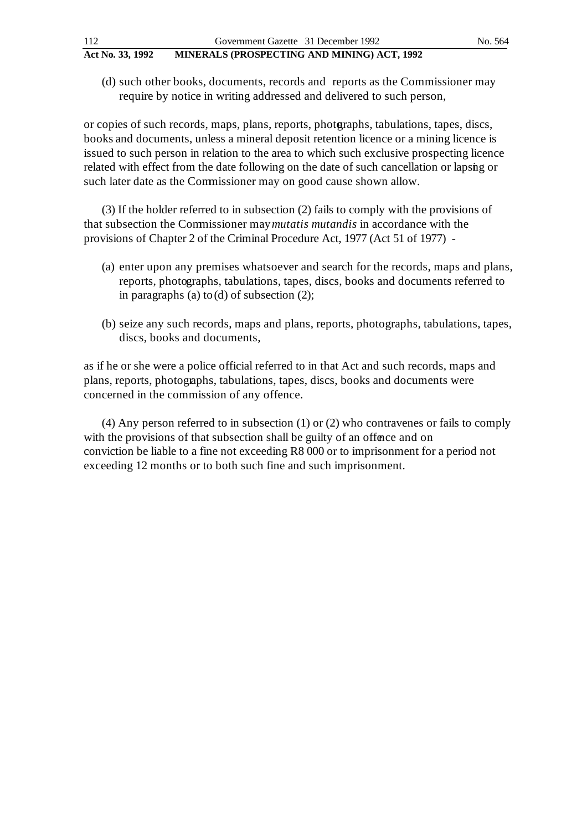(d) such other books, documents, records and reports as the Commissioner may require by notice in writing addressed and delivered to such person,

or copies of such records, maps, plans, reports, photoraphs, tabulations, tapes, discs, books and documents, unless a mineral deposit retention licence or a mining licence is issued to such person in relation to the area to which such exclusive prospecting licence related with effect from the date following on the date of such cancellation or lapsing or such later date as the Commissioner may on good cause shown allow.

(3) If the holder referred to in subsection (2) fails to comply with the provisions of that subsection the Commissioner may *mutatis mutandis* in accordance with the provisions of Chapter 2 of the Criminal Procedure Act, 1977 (Act 51 of 1977) -

- (a) enter upon any premises whatsoever and search for the records, maps and plans, reports, photographs, tabulations, tapes, discs, books and documents referred to in paragraphs (a) to (d) of subsection (2);
- (b) seize any such records, maps and plans, reports, photographs, tabulations, tapes, discs, books and documents,

as if he or she were a police official referred to in that Act and such records, maps and plans, reports, photographs, tabulations, tapes, discs, books and documents were concerned in the commission of any offence.

(4) Any person referred to in subsection (1) or (2) who contravenes or fails to comply with the provisions of that subsection shall be guilty of an offence and on conviction be liable to a fine not exceeding R8 000 or to imprisonment for a period not exceeding 12 months or to both such fine and such imprisonment.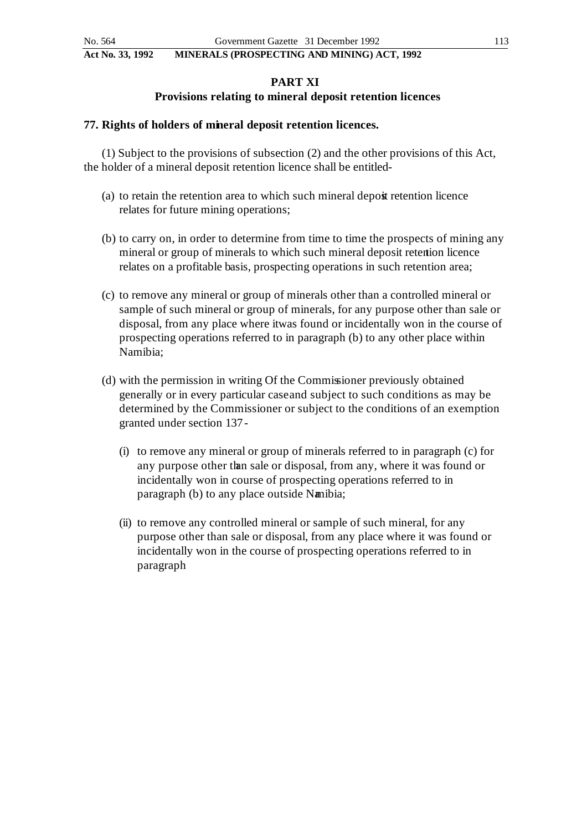# **PART XI**

# **Provisions relating to mineral deposit retention licences**

## **77. Rights of holders of mineral deposit retention licences.**

(1) Subject to the provisions of subsection (2) and the other provisions of this Act, the holder of a mineral deposit retention licence shall be entitled -

- (a) to retain the retention area to which such mineral deposit retention licence relates for future mining operations;
- (b) to carry on, in order to determine from time to time the prospects of mining any mineral or group of minerals to which such mineral deposit retention licence relates on a profitable basis, prospecting operations in such retention area;
- (c) to remove any mineral or group of minerals other than a controlled mineral or sample of such mineral or group of minerals, for any purpose other than sale or disposal, from any place where it was found or incidentally won in the course of prospecting operations referred to in paragraph (b) to any other place within Namibia;
- (d) with the permission in writing Of the Commissioner previously obtained generally or in every particular case and subject to such conditions as may be determined by the Commissioner or subject to the conditions of an exemption granted under section 137 -
	- (i) to remove any mineral or group of minerals referred to in paragraph (c) for any purpose other than sale or disposal, from any, where it was found or incidentally won in course of prospecting operations referred to in paragraph (b) to any place outside Namibia;
	- (ii) to remove any controlled mineral or sample of such mineral, for any purpose other than sale or disposal, from any place where it was found or incidentally won in the course of prospecting operations referred to in paragraph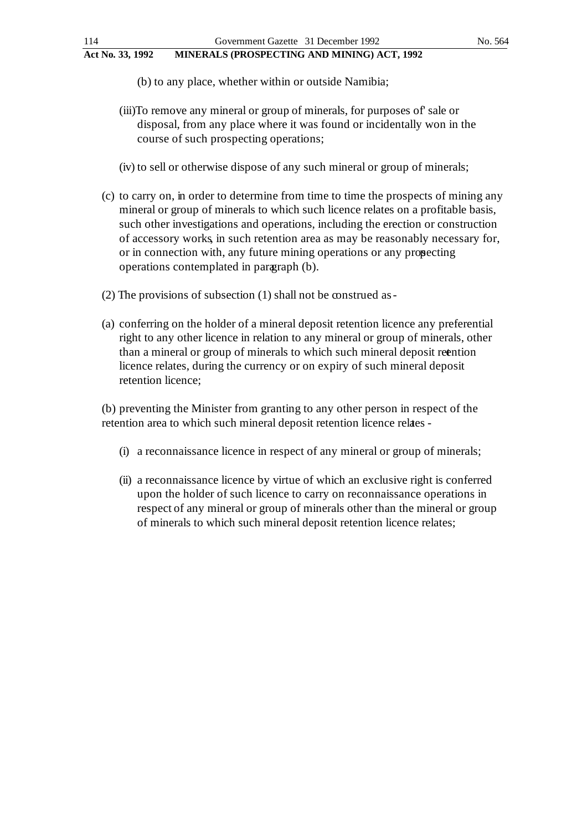- (b) to any place, whether within or outside Namibia;
- (iii)To remove any mineral or group of minerals, for purposes of' sale or disposal, from any place where it was found or incidentally won in the course of such prospecting operations;
- (iv) to sell or otherwise dispose of any such mineral or group of minerals;
- (c) to carry on, in order to determine from time to time the prospects of mining any mineral or group of minerals to which such licence relates on a profitable basis, such other investigations and operations, including the erection or construction of accessory works, in such retention area as may be reasonably necessary for, or in connection with, any future mining operations or any prospecting operations contemplated in paragraph (b).
- $(2)$  The provisions of subsection  $(1)$  shall not be construed as -
- (a) conferring on the holder of a mineral deposit retention licence any preferential right to any other licence in relation to any mineral or group of minerals, other than a mineral or group of minerals to which such mineral deposit retention licence relates, during the currency or on expiry of such mineral deposit retention licence;

(b) preventing the Minister from granting to any other person in respect of the retention area to which such mineral deposit retention licence relates -

- (i) a reconnaissance licence in respect of any mineral or group of minerals;
- (ii) a reconnaissance licence by virtue of which an exclusive right is conferred upon the holder of such licence to carry on reconnaissance operations in respect of any mineral or group of minerals other than the mineral or group of minerals to which such mineral deposit retention licence relates;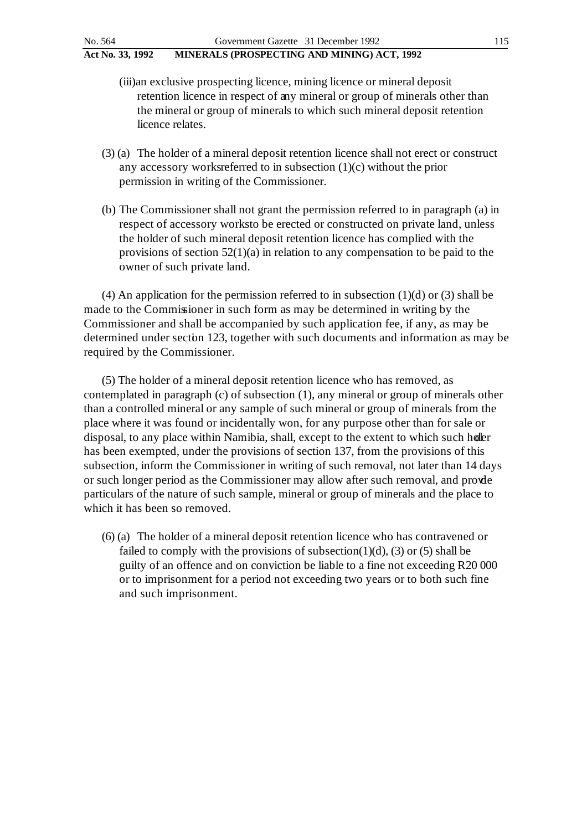- (iii)an exclusive prospecting licence, mining licence or mineral deposit retention licence in respect of any mineral or group of minerals other than the mineral or group of minerals to which such mineral deposit retention licence relates.
- (3) (a) The holder of a mineral deposit retention licence shall not erect or construct any accessory works referred to in subsection  $(1)(c)$  without the prior permission in writing of the Commissioner.
- (b) The Commissioner shall not grant the permission referred to in paragraph (a) in respect of accessory works to be erected or constructed on private land, unless the holder of such mineral deposit retention licence has complied with the provisions of section 52(1)(a) in relation to any compensation to be paid to the owner of such private land.

(4) An application for the permission referred to in subsection  $(1)(d)$  or  $(3)$  shall be made to the Commissioner in such form as may be determined in writing by the Commissioner and shall be accompanied by such application fee, if any, as may be determined under section 123, together with such documents and information as may be required by the Commissioner.

(5) The holder of a mineral deposit retention licence who has removed, as contemplated in paragraph (c) of subsection (1), any mineral or group of minerals other than a controlled mineral or any sample of such mineral or group of minerals from the place where it was found or incidentally won, for any purpose other than for sale or disposal, to any place within Namibia, shall, except to the extent to which such holer has been exempted, under the provisions of section 137, from the provisions of this subsection, inform the Commissioner in writing of such removal, not later than 14 days or such longer period as the Commissioner may allow after such removal, and provide particulars of the nature of such sample, mineral or group of minerals and the place to which it has been so removed.

(6) (a) The holder of a mineral deposit retention licence who has contravened or failed to comply with the provisions of subsection(1)(d), (3) or (5) shall be guilty of an offence and on conviction be liable to a fine not exceeding R20 000 or to imprisonment for a period not exceeding two years or to both such fine and such imprisonment.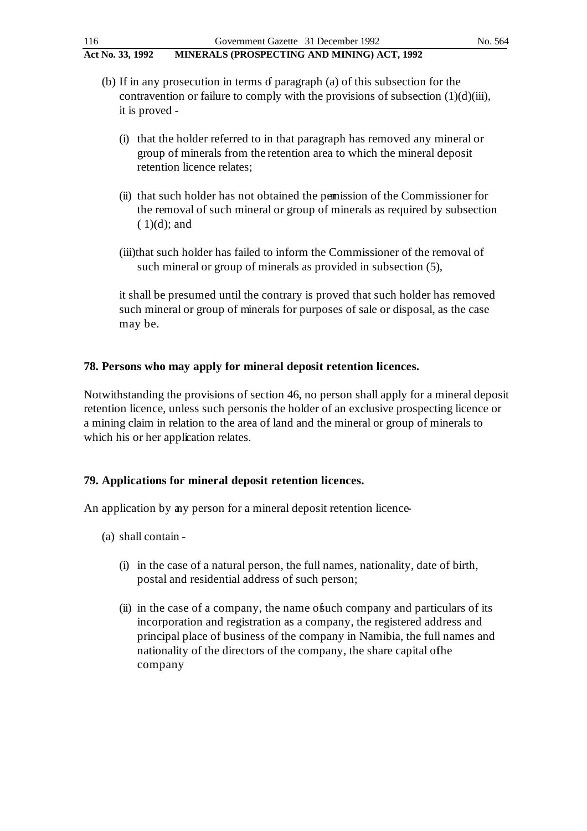- (b) If in any prosecution in terms  $\sigma$  paragraph (a) of this subsection for the contravention or failure to comply with the provisions of subsection  $(1)(d)(iii)$ , it is proved -
	- (i) that the holder referred to in that paragraph has removed any mineral or group of minerals from the retention area to which the mineral deposit retention licence relates;
	- (ii) that such holder has not obtained the permission of the Commissioner for the removal of such mineral or group of minerals as required by subsection  $(1)(d)$ ; and
	- (iii)that such holder has failed to inform the Commissioner of the removal of such mineral or group of minerals as provided in subsection (5),

it shall be presumed until the contrary is proved that such holder has removed such mineral or group of minerals for purposes of sale or disposal, as the case may be.

# **78. Persons who may apply for mineral deposit retention licences.**

Notwithstanding the provisions of section 46, no person shall apply for a mineral deposit retention licence, unless such person is the holder of an exclusive prospecting licence or a mining claim in relation to the area of land and the mineral or group of minerals to which his or her application relates.

# **79. Applications for mineral deposit retention licences.**

An application by any person for a mineral deposit retention licence-

- (a) shall contain
	- (i) in the case of a natural person, the full names, nationality, date of birth, postal and residential address of such person;
	- (ii) in the case of a company, the name of such company and particulars of its incorporation and registration as a company, the registered address and principal place of business of the company in Namibia, the full names and nationality of the directors of the company, the share capital of the company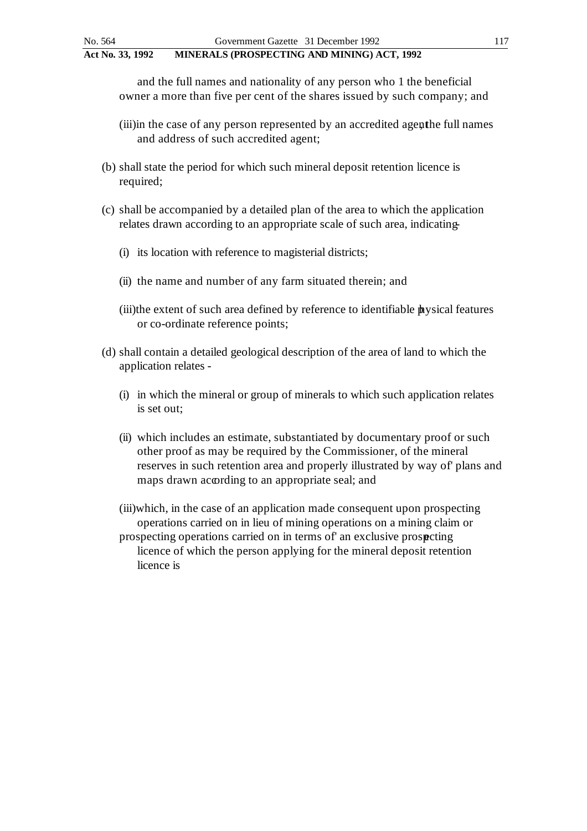and the full names and nationality of any person who 1 the beneficial owner a more than five per cent of the shares issued by such company; and

- (iii) in the case of any person represented by an accredited agenthe full names and address of such accredited agent;
- (b) shall state the period for which such mineral deposit retention licence is required;
- (c) shall be accompanied by a detailed plan of the area to which the application relates drawn according to an appropriate scale of such area, indicating-
	- (i) its location with reference to magisterial districts;
	- (ii) the name and number of any farm situated therein; and
	- $(iii)$ the extent of such area defined by reference to identifiable  $\mathbf{h}$ ysical features or co-ordinate reference points;
- (d) shall contain a detailed geological description of the area of land to which the application relates -
	- (i) in which the mineral or group of minerals to which such application relates is set out;
	- (ii) which includes an estimate, substantiated by documentary proof or such other proof as may be required by the Commissioner, of the mineral reserves in such retention area and properly illustrated by way of' plans and maps drawn according to an appropriate seal; and
	- (iii)which, in the case of an application made consequent upon prospecting operations carried on in lieu of mining operations on a mining claim or
	- prospecting operations carried on in terms of' an exclusive prospecting licence of which the person applying for the mineral deposit retention licence is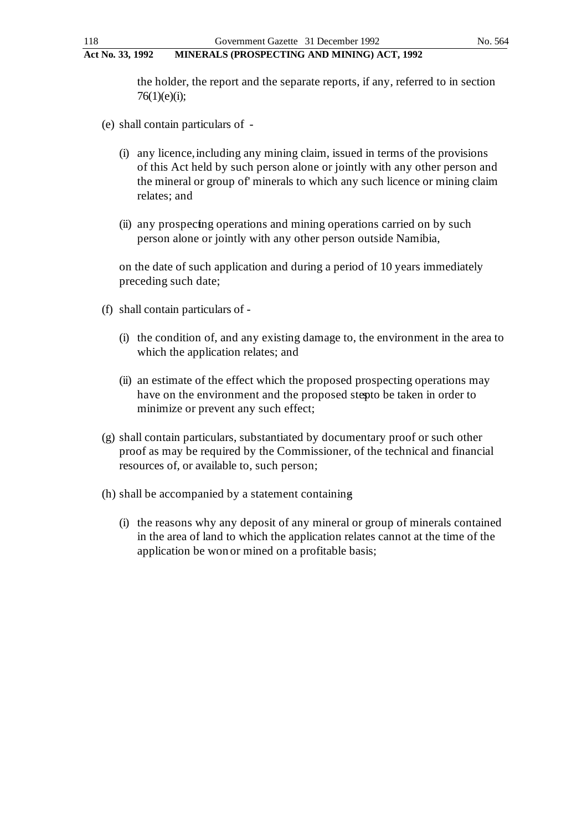the holder, the report and the separate reports, if any, referred to in section  $76(1)(e)(i);$ 

- (e) shall contain particulars of
	- (i) any licence, including any mining claim, issued in terms of the provisions of this Act held by such person alone or jointly with any other person and the mineral or group of' minerals to which any such licence or mining claim relates; and
	- (ii) any prospecting operations and mining operations carried on by such person alone or jointly with any other person outside Namibia,

on the date of such application and during a period of 10 years immediately preceding such date;

- (f) shall contain particulars of
	- (i) the condition of, and any existing damage to, the environment in the area to which the application relates; and
	- (ii) an estimate of the effect which the proposed prospecting operations may have on the environment and the proposed stepto be taken in order to minimize or prevent any such effect;
- (g) shall contain particulars, substantiated by documentary proof or such other proof as may be required by the Commissioner, of the technical and financial resources of, or available to, such person;
- (h) shall be accompanied by a statement containing
	- (i) the reasons why any deposit of any mineral or group of minerals contained in the area of land to which the application relates cannot at the time of the application be won or mined on a profitable basis;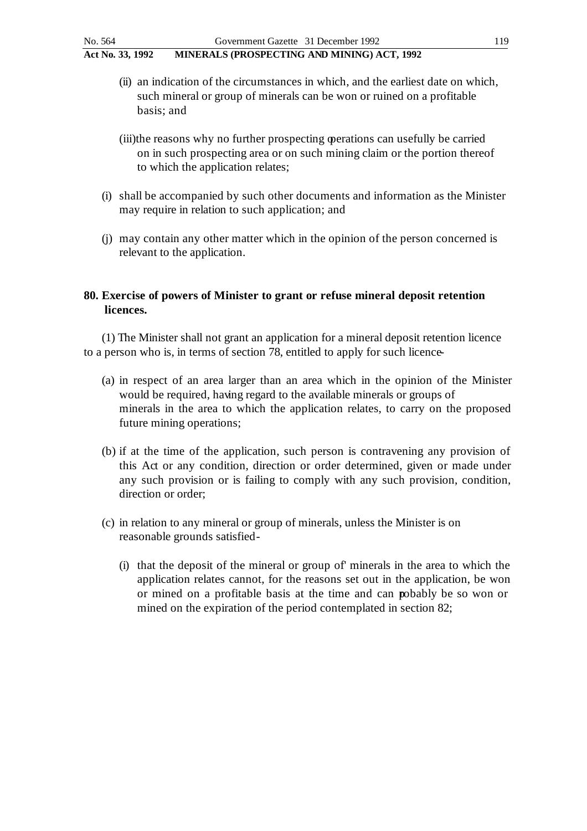- (ii) an indication of the circumstances in which, and the earliest date on which, such mineral or group of minerals can be won or ruined on a profitable basis; and
- (iii)the reasons why no further prospecting operations can usefully be carried on in such prospecting area or on such mining claim or the portion thereof to which the application relates;
- (i) shall be accompanied by such other documents and information as the Minister may require in relation to such application; and
- (j) may contain any other matter which in the opinion of the person concerned is relevant to the application.

# **80. Exercise of powers of Minister to grant or refuse mineral deposit retention licences.**

(1) The Minister shall not grant an application for a mineral deposit retention licence to a person who is, in terms of section 78, entitled to apply for such licence -

- (a) in respect of an area larger than an area which in the opinion of the Minister would be required, having regard to the available minerals or groups of minerals in the area to which the application relates, to carry on the proposed future mining operations;
- (b) if at the time of the application, such person is contravening any provision of this Act or any condition, direction or order determined, given or made under any such provision or is failing to comply with any such provision, condition, direction or order;
- (c) in relation to any mineral or group of minerals, unless the Minister is on reasonable grounds satisfied -
	- (i) that the deposit of the mineral or group of' minerals in the area to which the application relates cannot, for the reasons set out in the application, be won or mined on a profitable basis at the time and can pobably be so won or mined on the expiration of the period contemplated in section 82;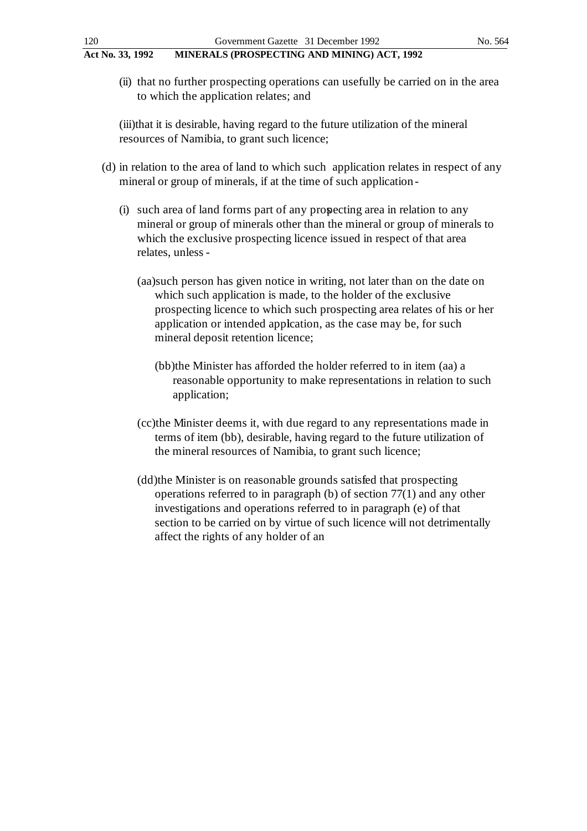(ii) that no further prospecting operations can usefully be carried on in the area to which the application relates; and

(iii)that it is desirable, having regard to the future utilization of the mineral resources of Namibia, to grant such licence;

- (d) in relation to the area of land to which such application relates in respect of any mineral or group of minerals, if at the time of such application -
	- (i) such area of land forms part of any prospecting area in relation to any mineral or group of minerals other than the mineral or group of minerals to which the exclusive prospecting licence issued in respect of that area relates, unless -
		- (aa)such person has given notice in writing, not later than on the date on which such application is made, to the holder of the exclusive prospecting licence to which such prospecting area relates of his or her application or intended application, as the case may be, for such mineral deposit retention licence;
			- (bb)the Minister has afforded the holder referred to in item (aa) a reasonable opportunity to make representations in relation to such application;
		- (cc)the Minister deems it, with due regard to any representations made in terms of item (bb), desirable, having regard to the future utilization of the mineral resources of Namibia, to grant such licence;
		- (dd)the Minister is on reasonable grounds satisfied that prospecting operations referred to in paragraph (b) of section 77(1) and any other investigations and operations referred to in paragraph (e) of that section to be carried on by virtue of such licence will not detrimentally affect the rights of any holder of an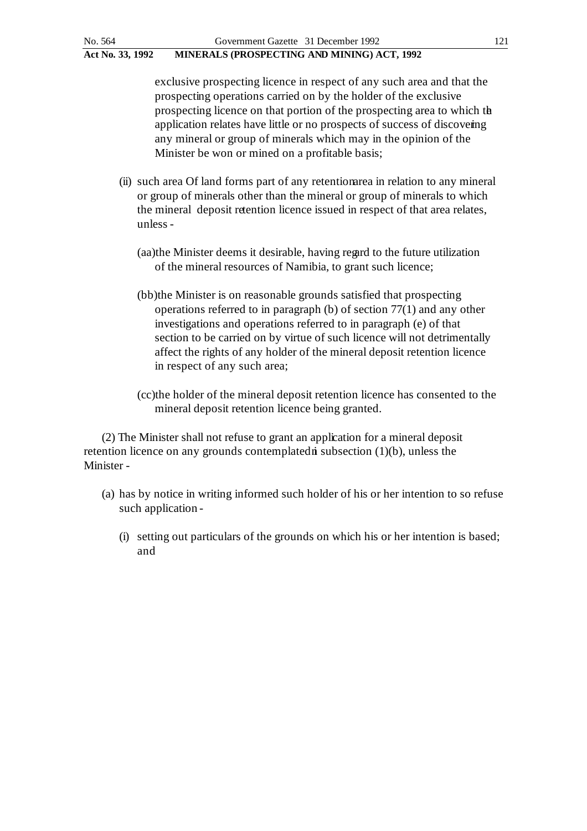exclusive prospecting licence in respect of any such area and that the prospecting operations carried on by the holder of the exclusive prospecting licence on that portion of the prospecting area to which the application relates have little or no prospects of success of discovering any mineral or group of minerals which may in the opinion of the Minister be won or mined on a profitable basis;

- (ii) such area Of land forms part of any retention area in relation to any mineral or group of minerals other than the mineral or group of minerals to which the mineral deposit retention licence issued in respect of that area relates, unless -
	- (aa)the Minister deems it desirable, having regard to the future utilization of the mineral resources of Namibia, to grant such licence;
	- (bb)the Minister is on reasonable grounds satisfied that prospecting operations referred to in paragraph (b) of section 77(1) and any other investigations and operations referred to in paragraph (e) of that section to be carried on by virtue of such licence will not detrimentally affect the rights of any holder of the mineral deposit retention licence in respect of any such area;
	- (cc)the holder of the mineral deposit retention licence has consented to the mineral deposit retention licence being granted.

(2) The Minister shall not refuse to grant an application for a mineral deposit retention licence on any grounds contemplated in subsection  $(1)(b)$ , unless the Minister -

- (a) has by notice in writing informed such holder of his or her intention to so refuse such application -
	- (i) setting out particulars of the grounds on which his or her intention is based; and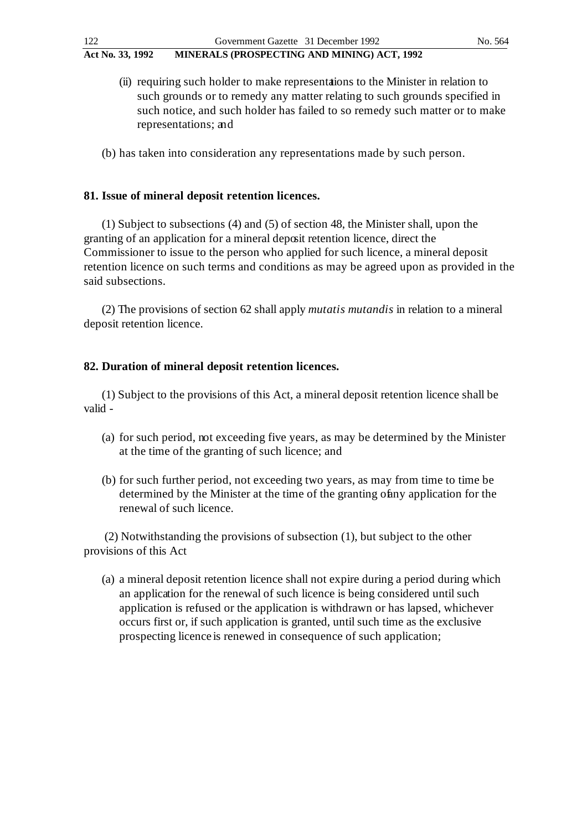(ii) requiring such holder to make representations to the Minister in relation to such grounds or to remedy any matter relating to such grounds specified in such notice, and such holder has failed to so remedy such matter or to make representations; and

(b) has taken into consideration any representations made by such person.

# **81. Issue of mineral deposit retention licences.**

(1) Subject to subsections (4) and (5) of section 48, the Minister shall, upon the granting of an application for a mineral deposit retention licence, direct the Commissioner to issue to the person who applied for such licence, a mineral deposit retention licence on such terms and conditions as may be agreed upon as provided in the said subsections.

(2) The provisions of section 62 shall apply *mutatis mutandis* in relation to a mineral deposit retention licence.

## **82. Duration of mineral deposit retention licences.**

(1) Subject to the provisions of this Act, a mineral deposit retention licence shall be valid -

- (a) for such period, not exceeding five years, as may be determined by the Minister at the time of the granting of such licence; and
- (b) for such further period, not exceeding two years, as may from time to time be determined by the Minister at the time of the granting of any application for the renewal of such licence.

(2) Notwithstanding the provisions of subsection (1), but subject to the other provisions of this Act

(a) a mineral deposit retention licence shall not expire during a period during which an application for the renewal of such licence is being considered until such application is refused or the application is withdrawn or has lapsed, whichever occurs first or, if such application is granted, until such time as the exclusive prospecting licence is renewed in consequence of such application;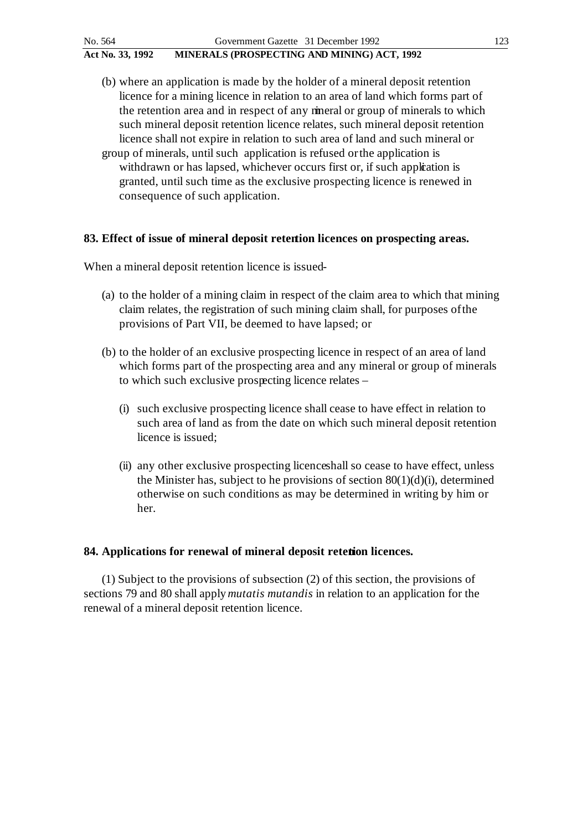- (b) where an application is made by the holder of a mineral deposit retention licence for a mining licence in relation to an area of land which forms part of the retention area and in respect of any mineral or group of minerals to which such mineral deposit retention licence relates, such mineral deposit retention licence shall not expire in relation to such area of land and such mineral or
- group of minerals, until such application is refused or the application is withdrawn or has lapsed, whichever occurs first or, if such application is granted, until such time as the exclusive prospecting licence is renewed in consequence of such application.

### **83. Effect of issue of mineral deposit retention licences on prospecting areas.**

When a mineral deposit retention licence is issued-

- (a) to the holder of a mining claim in respect of the claim area to which that mining claim relates, the registration of such mining claim shall, for purposes of the provisions of Part VII, be deemed to have lapsed; or
- (b) to the holder of an exclusive prospecting licence in respect of an area of land which forms part of the prospecting area and any mineral or group of minerals to which such exclusive prospecting licence relates –
	- (i) such exclusive prospecting licence shall cease to have effect in relation to such area of land as from the date on which such mineral deposit retention licence is issued;
	- (ii) any other exclusive prospecting licence shall so cease to have effect, unless the Minister has, subject to he provisions of section  $80(1)(d)(i)$ , determined otherwise on such conditions as may be determined in writing by him or her.

### 84. Applications for renewal of mineral deposit retetion licences.

(1) Subject to the provisions of subsection (2) of this section, the provisions of sections 79 and 80 shall apply *mutatis mutandis* in relation to an application for the renewal of a mineral deposit retention licence.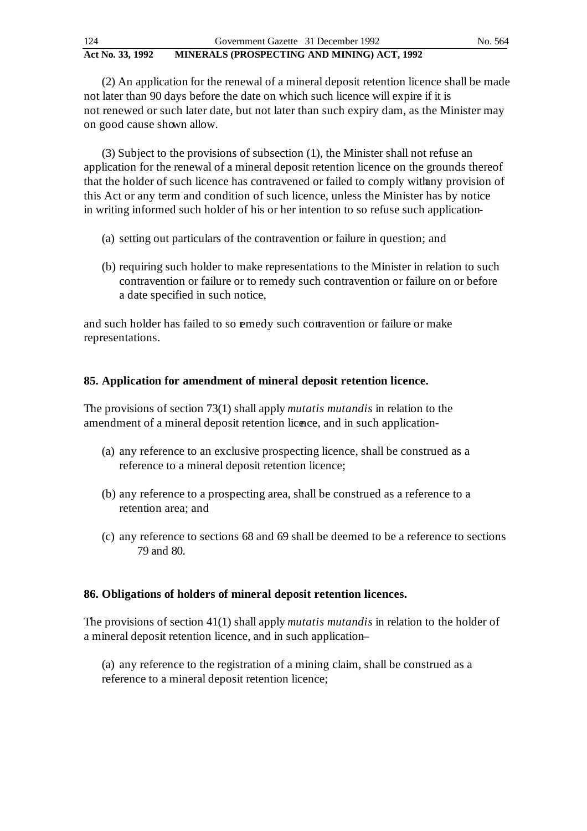| Act No. 33, 1992 | MINERALS (PROSPECTING AND MINING) ACT, 1992 |         |
|------------------|---------------------------------------------|---------|
| 124              | Government Gazette 31 December 1992         | No. 564 |

(2) An application for the renewal of a mineral deposit retention licence shall be made not later than 90 days before the date on which such licence will expire if it is not renewed or such later date, but not later than such expiry dam, as the Minister may on good cause shown allow.

(3) Subject to the provisions of subsection (1), the Minister shall not refuse an application for the renewal of a mineral deposit retention licence on the grounds thereof that the holder of such licence has contravened or failed to comply with any provision of this Act or any term and condition of such licence, unless the Minister has by notice in writing informed such holder of his or her intention to so refuse such application-

- (a) setting out particulars of the contravention or failure in question; and
- (b) requiring such holder to make representations to the Minister in relation to such contravention or failure or to remedy such contravention or failure on or before a date specified in such notice,

and such holder has failed to so emedy such contravention or failure or make representations.

# **85. Application for amendment of mineral deposit retention licence.**

The provisions of section 73(1) shall apply *mutatis mutandis* in relation to the amendment of a mineral deposit retention licence, and in such application-

- (a) any reference to an exclusive prospecting licence, shall be construed as a reference to a mineral deposit retention licence;
- (b) any reference to a prospecting area, shall be construed as a reference to a retention area; and
- (c) any reference to sections 68 and 69 shall be deemed to be a reference to sections 79 and 80.

### **86. Obligations of holders of mineral deposit retention licences.**

The provisions of section 41(1) shall apply *mutatis mutandis* in relation to the holder of a mineral deposit retention licence, and in such application-

(a) any reference to the registration of a mining claim, shall be construed as a reference to a mineral deposit retention licence;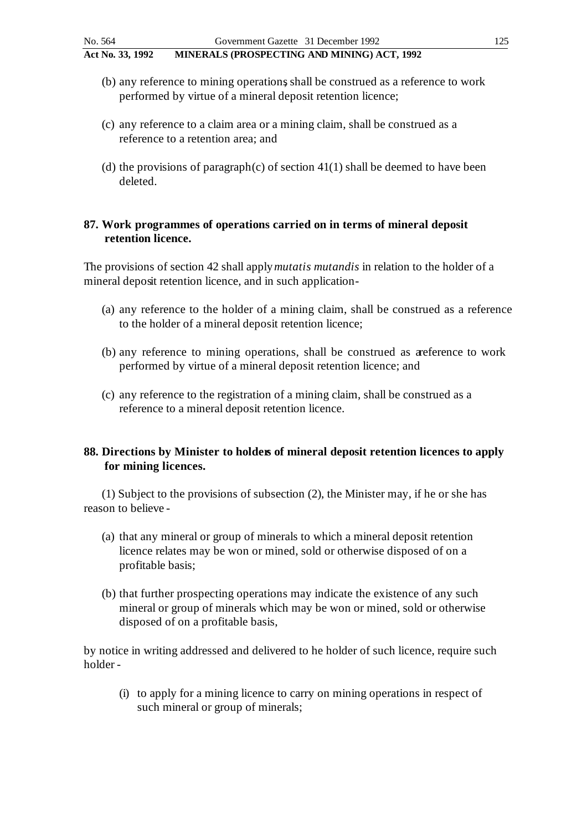- (b) any reference to mining operations, shall be construed as a reference to work performed by virtue of a mineral deposit retention licence;
- (c) any reference to a claim area or a mining claim, shall be construed as a reference to a retention area; and
- (d) the provisions of paragraph (c) of section  $41(1)$  shall be deemed to have been deleted.

## **87. Work programmes of operations carried on in terms of mineral deposit retention licence.**

The provisions of section 42 shall apply *mutatis mutandis* in relation to the holder of a mineral deposit retention licence, and in such application -

- (a) any reference to the holder of a mining claim, shall be construed as a reference to the holder of a mineral deposit retention licence;
- (b) any reference to mining operations, shall be construed as a reference to work performed by virtue of a mineral deposit retention licence; and
- (c) any reference to the registration of a mining claim, shall be construed as a reference to a mineral deposit retention licence.

## **88. Directions by Minister to holders of mineral deposit retention licences to apply for mining licences.**

(1) Subject to the provisions of subsection (2), the Minister may, if he or she has reason to believe -

- (a) that any mineral or group of minerals to which a mineral deposit retention licence relates may be won or mined, sold or otherwise disposed of on a profitable basis;
- (b) that further prospecting operations may indicate the existence of any such mineral or group of minerals which may be won or mined, sold or otherwise disposed of on a profitable basis,

by notice in writing addressed and delivered to he holder of such licence, require such holder -

(i) to apply for a mining licence to carry on mining operations in respect of such mineral or group of minerals;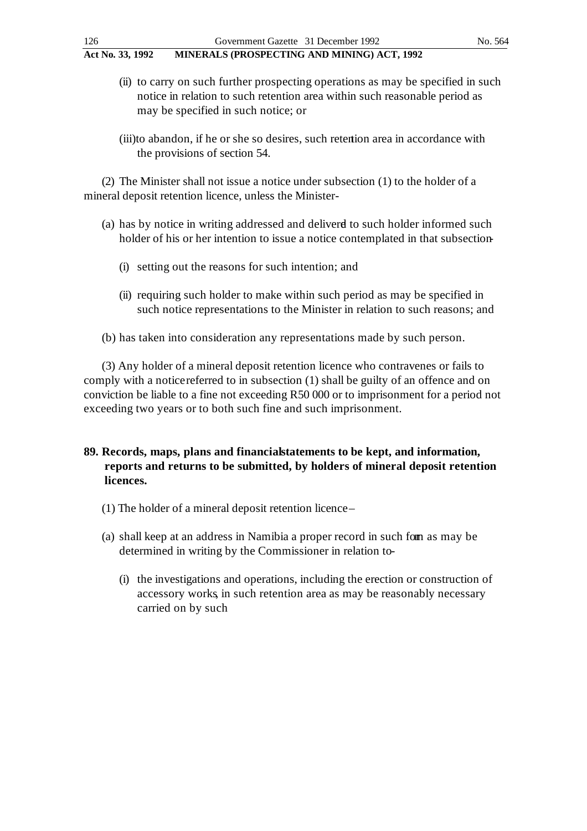- (ii) to carry on such further prospecting operations as may be specified in such notice in relation to such retention area within such reasonable period as may be specified in such notice; or
- (iii)to abandon, if he or she so desires, such retention area in accordance with the provisions of section 54.

(2) The Minister shall not issue a notice under subsection (1) to the holder of a mineral deposit retention licence, unless the Minister-

- (a) has by notice in writing addressed and delivered to such holder informed such holder of his or her intention to issue a notice contemplated in that subsection-
	- (i) setting out the reasons for such intention; and
	- (ii) requiring such holder to make within such period as may be specified in such notice representations to the Minister in relation to such reasons; and

(b) has taken into consideration any representations made by such person.

(3) Any holder of a mineral deposit retention licence who contravenes or fails to comply with a notice referred to in subsection (1) shall be guilty of an offence and on conviction be liable to a fine not exceeding R50 000 or to imprisonment for a period not exceeding two years or to both such fine and such imprisonment.

# **89. Records, maps, plans and financial statements to be kept, and information, reports and returns to be submitted, by holders of mineral deposit retention licences.**

- (1) The holder of a mineral deposit retention licence –
- (a) shall keep at an address in Namibia a proper record in such form as may be determined in writing by the Commissioner in relation to-
	- (i) the investigations and operations, including the erection or construction of accessory works, in such retention area as may be reasonably necessary carried on by such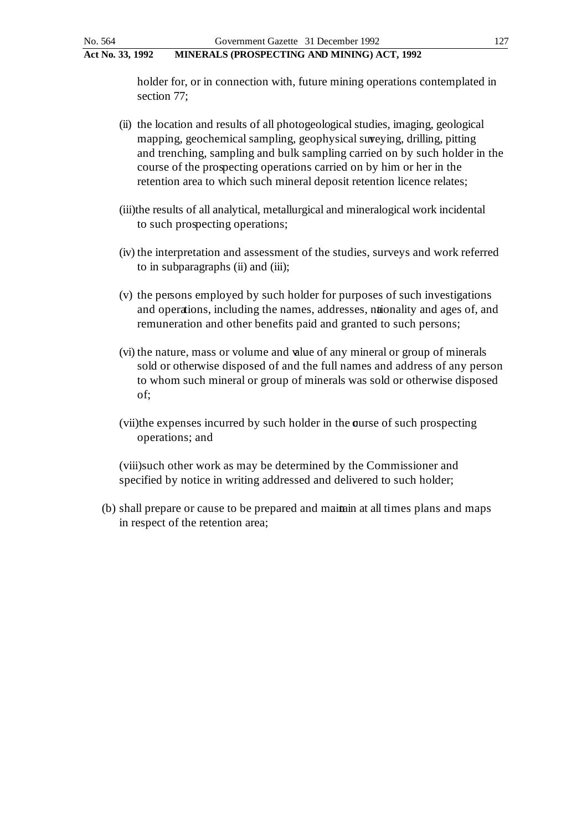holder for, or in connection with, future mining operations contemplated in section 77;

- (ii) the location and results of all photogeological studies, imaging, geological mapping, geochemical sampling, geophysical surveying, drilling, pitting and trenching, sampling and bulk sampling carried on by such holder in the course of the prospecting operations carried on by him or her in the retention area to which such mineral deposit retention licence relates;
- (iii)the results of all analytical, metallurgical and mineralogical work incidental to such prospecting operations;
- (iv) the interpretation and assessment of the studies, surveys and work referred to in subparagraphs (ii) and (iii);
- (v) the persons employed by such holder for purposes of such investigations and operations, including the names, addresses, nationality and ages of, and remuneration and other benefits paid and granted to such persons;
- (vi) the nature, mass or volume and value of any mineral or group of minerals sold or otherwise disposed of and the full names and address of any person to whom such mineral or group of minerals was sold or otherwise disposed of;
- (vii)the expenses incurred by such holder in the course of such prospecting operations; and

(viii)such other work as may be determined by the Commissioner and specified by notice in writing addressed and delivered to such holder;

(b) shall prepare or cause to be prepared and maintain at all times plans and maps in respect of the retention area;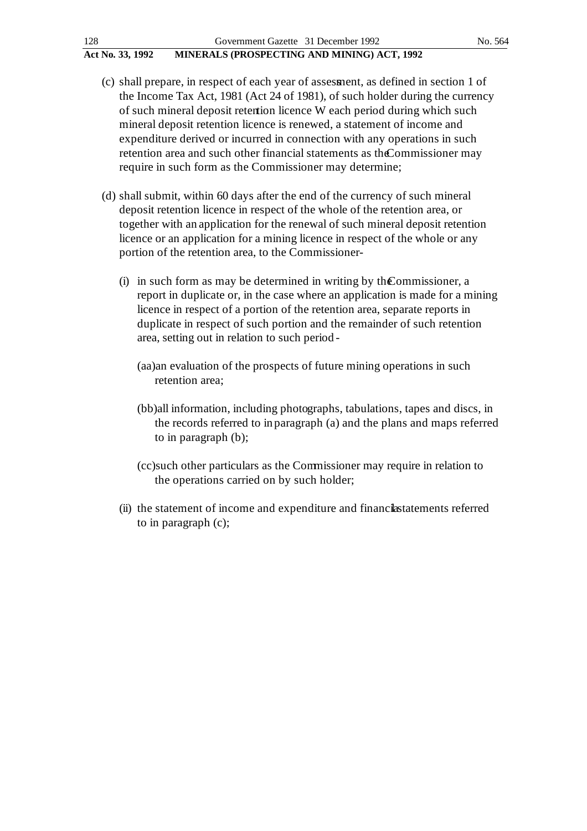| 128              | Government Gazette 31 December 1992         | No. 564 |
|------------------|---------------------------------------------|---------|
| Act No. 33, 1992 | MINERALS (PROSPECTING AND MINING) ACT, 1992 |         |

- (c) shall prepare, in respect of each year of assessment, as defined in section 1 of the Income Tax Act, 1981 (Act 24 of 1981), of such holder during the currency of such mineral deposit retention licence W each period during which such mineral deposit retention licence is renewed, a statement of income and expenditure derived or incurred in connection with any operations in such retention area and such other financial statements as the Commissioner may require in such form as the Commissioner may determine;
- (d) shall submit, within 60 days after the end of the currency of such mineral deposit retention licence in respect of the whole of the retention area, or together with an application for the renewal of such mineral deposit retention licence or an application for a mining licence in respect of the whole or any portion of the retention area, to the Commissioner-
	- (i) in such form as may be determined in writing by the Commissioner, a report in duplicate or, in the case where an application is made for a mining licence in respect of a portion of the retention area, separate reports in duplicate in respect of such portion and the remainder of such retention area, setting out in relation to such period -
		- (aa)an evaluation of the prospects of future mining operations in such retention area;
		- (bb)all information, including photographs, tabulations, tapes and discs, in the records referred to in paragraph (a) and the plans and maps referred to in paragraph (b);
		- (cc)such other particulars as the Commissioner may require in relation to the operations carried on by such holder;
	- (ii) the statement of income and expenditure and financilastatements referred to in paragraph (c);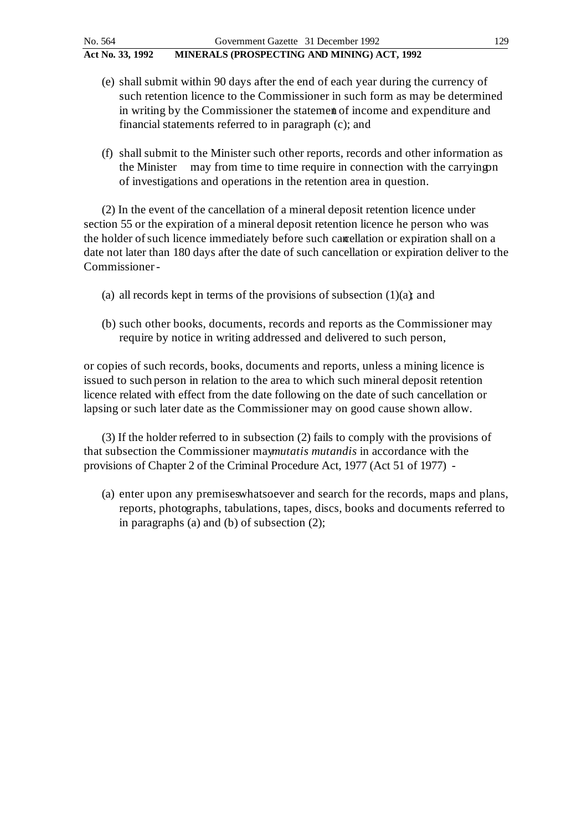- (e) shall submit within 90 days after the end of each year during the currency of such retention licence to the Commissioner in such form as may be determined in writing by the Commissioner the statement of income and expenditure and financial statements referred to in paragraph (c); and
- (f) shall submit to the Minister such other reports, records and other information as the Minister may from time to time require in connection with the carrying on of investigations and operations in the retention area in question.

(2) In the event of the cancellation of a mineral deposit retention licence under section 55 or the expiration of a mineral deposit retention licence he person who was the holder of such licence immediately before such cancellation or expiration shall on a date not later than 180 days after the date of such cancellation or expiration deliver to the Commissioner -

- (a) all records kept in terms of the provisions of subsection  $(1)(a)$ ; and
- (b) such other books, documents, records and reports as the Commissioner may require by notice in writing addressed and delivered to such person,

or copies of such records, books, documents and reports, unless a mining licence is issued to such person in relation to the area to which such mineral deposit retention licence related with effect from the date following on the date of such cancellation or lapsing or such later date as the Commissioner may on good cause shown allow.

(3) If the holder referred to in subsection (2) fails to comply with the provisions of that subsection the Commissioner may*mutatis mutandis* in accordance with the provisions of Chapter 2 of the Criminal Procedure Act, 1977 (Act 51 of 1977) -

(a) enter upon any premises whatsoever and search for the records, maps and plans, reports, photographs, tabulations, tapes, discs, books and documents referred to in paragraphs (a) and (b) of subsection (2);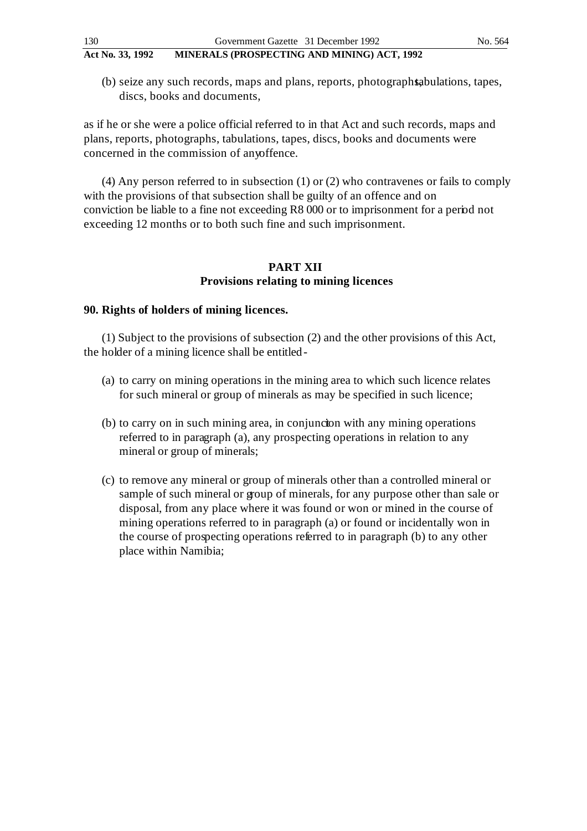(b) seize any such records, maps and plans, reports, photographs, appled that the states, tapes, discs, books and documents,

as if he or she were a police official referred to in that Act and such records, maps and plans, reports, photographs, tabulations, tapes, discs, books and documents were concerned in the commission of any offence.

(4) Any person referred to in subsection (1) or (2) who contravenes or fails to comply with the provisions of that subsection shall be guilty of an offence and on conviction be liable to a fine not exceeding R8 000 or to imprisonment for a period not exceeding 12 months or to both such fine and such imprisonment.

## **PART XII Provisions relating to mining licences**

### **90. Rights of holders of mining licences.**

(1) Subject to the provisions of subsection (2) and the other provisions of this Act, the holder of a mining licence shall be entitled -

- (a) to carry on mining operations in the mining area to which such licence relates for such mineral or group of minerals as may be specified in such licence;
- (b) to carry on in such mining area, in conjuncton with any mining operations referred to in paragraph (a), any prospecting operations in relation to any mineral or group of minerals;
- (c) to remove any mineral or group of minerals other than a controlled mineral or sample of such mineral or group of minerals, for any purpose other than sale or disposal, from any place where it was found or won or mined in the course of mining operations referred to in paragraph (a) or found or incidentally won in the course of prospecting operations referred to in paragraph (b) to any other place within Namibia;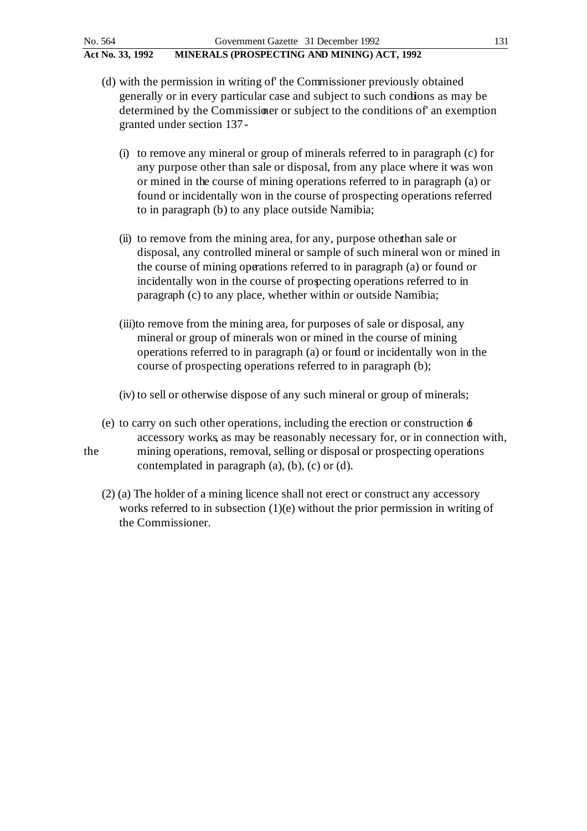(d) with the permission in writing of' the Commissioner previously obtained

- generally or in every particular case and subject to such condions as may be determined by the Commissioner or subject to the conditions of' an exemption granted under section 137 -
	- (i) to remove any mineral or group of minerals referred to in paragraph (c) for any purpose other than sale or disposal, from any place where it was won or mined in the course of mining operations referred to in paragraph (a) or found or incidentally won in the course of prospecting operations referred to in paragraph (b) to any place outside Namibia;
	- (ii) to remove from the mining area, for any, purpose other than sale or disposal, any controlled mineral or sample of such mineral won or mined in the course of mining operations referred to in paragraph (a) or found or incidentally won in the course of prospecting operations referred to in paragraph (c) to any place, whether within or outside Namibia;
	- (iii)to remove from the mining area, for purposes of sale or disposal, any mineral or group of minerals won or mined in the course of mining operations referred to in paragraph (a) or found or incidentally won in the course of prospecting operations referred to in paragraph (b);
	- (iv) to sell or otherwise dispose of any such mineral or group of minerals;
- (e) to carry on such other operations, including the erection or construction  $\phi$ accessory works, as may be reasonably necessary for, or in connection with, the mining operations, removal, selling or disposal or prospecting operations contemplated in paragraph (a), (b), (c) or (d).
	- (2) (a) The holder of a mining licence shall not erect or construct any accessory works referred to in subsection  $(1)(e)$  without the prior permission in writing of the Commissioner.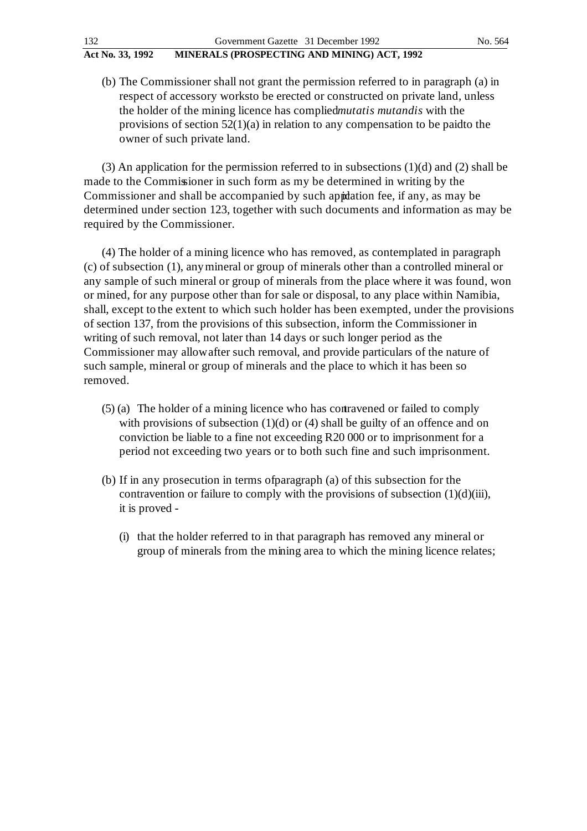- 
- (b) The Commissioner shall not grant the permission referred to in paragraph (a) in respect of accessory works to be erected or constructed on private land, unless the holder of the mining licence has complied *mutatis mutandis* with the provisions of section  $52(1)(a)$  in relation to any compensation to be paid to the owner of such private land.

(3) An application for the permission referred to in subsections  $(1)(d)$  and  $(2)$  shall be made to the Commissioner in such form as my be determined in writing by the Commissioner and shall be accompanied by such appdation fee, if any, as may be determined under section 123, together with such documents and information as may be required by the Commissioner.

(4) The holder of a mining licence who has removed, as contemplated in paragraph (c) of subsection (1), any mineral or group of minerals other than a controlled mineral or any sample of such mineral or group of minerals from the place where it was found, won or mined, for any purpose other than for sale or disposal, to any place within Namibia, shall, except to the extent to which such holder has been exempted, under the provisions of section 137, from the provisions of this subsection, inform the Commissioner in writing of such removal, not later than 14 days or such longer period as the Commissioner may allow after such removal, and provide particulars of the nature of such sample, mineral or group of minerals and the place to which it has been so removed.

- (5) (a) The holder of a mining licence who has contravened or failed to comply with provisions of subsection  $(1)(d)$  or  $(4)$  shall be guilty of an offence and on conviction be liable to a fine not exceeding R20 000 or to imprisonment for a period not exceeding two years or to both such fine and such imprisonment.
- (b) If in any prosecution in terms of paragraph (a) of this subsection for the contravention or failure to comply with the provisions of subsection  $(1)(d)(iii)$ , it is proved -
	- (i) that the holder referred to in that paragraph has removed any mineral or group of minerals from the mining area to which the mining licence relates;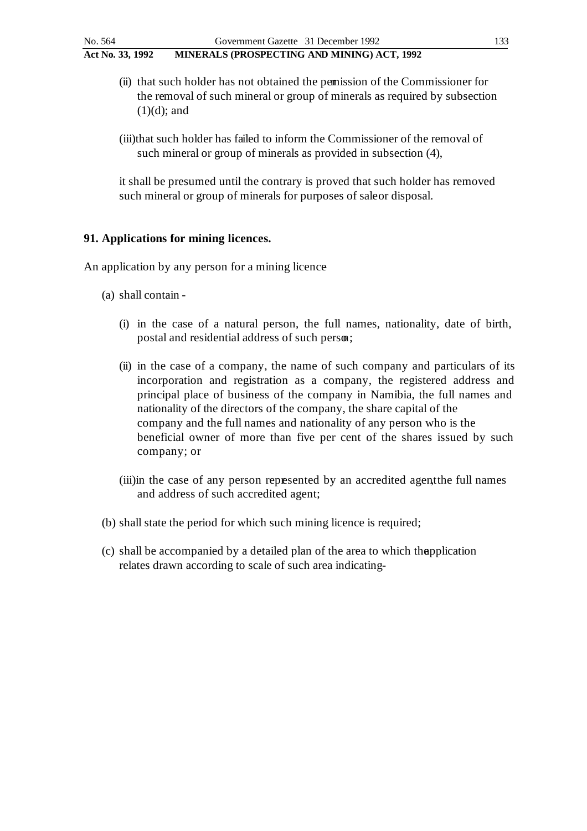- (ii) that such holder has not obtained the permission of the Commissioner for the removal of such mineral or group of minerals as required by subsection  $(1)(d)$ ; and
- (iii)that such holder has failed to inform the Commissioner of the removal of such mineral or group of minerals as provided in subsection (4),

it shall be presumed until the contrary is proved that such holder has removed such mineral or group of minerals for purposes of sale or disposal.

# **91. Applications for mining licences.**

An application by any person for a mining licence

- (a) shall contain
	- (i) in the case of a natural person, the full names, nationality, date of birth, postal and residential address of such person;
	- (ii) in the case of a company, the name of such company and particulars of its incorporation and registration as a company, the registered address and principal place of business of the company in Namibia, the full names and nationality of the directors of the company, the share capital of the company and the full names and nationality of any person who is the beneficial owner of more than five per cent of the shares issued by such company; or
	- (iii)in the case of any person represented by an accredited agent the full names and address of such accredited agent;
- (b) shall state the period for which such mining licence is required;
- (c) shall be accompanied by a detailed plan of the area to which the application relates drawn according to scale of such area indicating-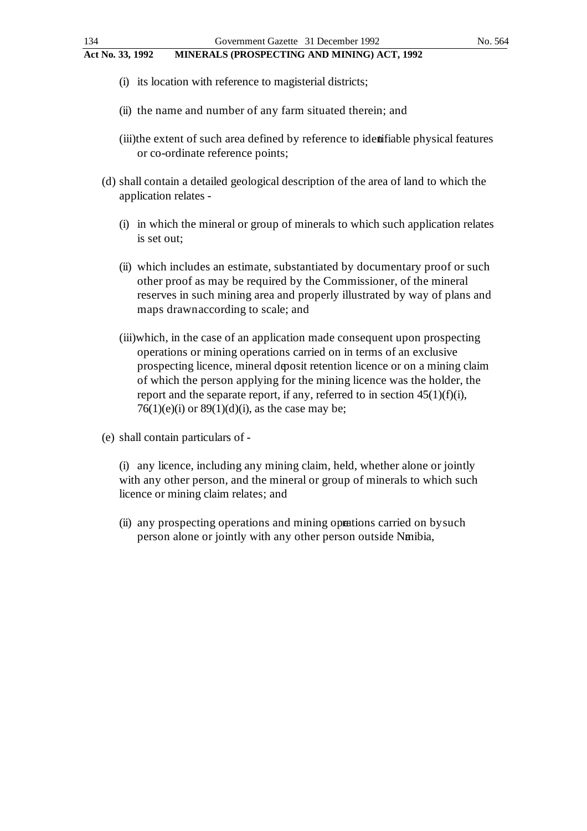- **Act No. 33, 1992 MINERALS (PROSPECTING AND MINING) ACT, 1992**
	- (i) its location with reference to magisterial districts;
	- (ii) the name and number of any farm situated therein; and
	- (iii)the extent of such area defined by reference to identifiable physical features or co-ordinate reference points;
	- (d) shall contain a detailed geological description of the area of land to which the application relates -
		- (i) in which the mineral or group of minerals to which such application relates is set out;
		- (ii) which includes an estimate, substantiated by documentary proof or such other proof as may be required by the Commissioner, of the mineral reserves in such mining area and properly illustrated by way of plans and maps drawn according to scale; and
		- (iii)which, in the case of an application made consequent upon prospecting operations or mining operations carried on in terms of an exclusive prospecting licence, mineral deposit retention licence or on a mining claim of which the person applying for the mining licence was the holder, the report and the separate report, if any, referred to in section  $45(1)(f)(i)$ ,  $76(1)(e)(i)$  or  $89(1)(d)(i)$ , as the case may be;
	- (e) shall contain particulars of -

(i) any licence, including any mining claim, held, whether alone or jointly with any other person, and the mineral or group of minerals to which such licence or mining claim relates; and

(ii) any prospecting operations and mining opeations carried on by such person alone or jointly with any other person outside Nmibia,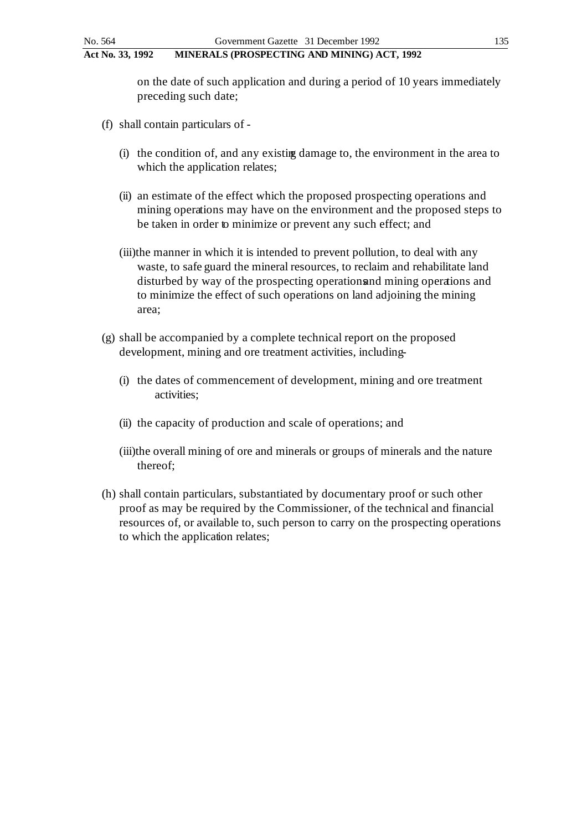on the date of such application and during a period of 10 years immediately preceding such date;

- (f) shall contain particulars of
	- (i) the condition of, and any existing damage to, the environment in the area to which the application relates;
	- (ii) an estimate of the effect which the proposed prospecting operations and mining operations may have on the environment and the proposed steps to be taken in order to minimize or prevent any such effect; and
	- (iii)the manner in which it is intended to prevent pollution, to deal with any waste, to safe guard the mineral resources, to reclaim and rehabilitate land disturbed by way of the prospecting operations and mining operations and to minimize the effect of such operations on land adjoining the mining area;
- (g) shall be accompanied by a complete technical report on the proposed development, mining and ore treatment activities, including-
	- (i) the dates of commencement of development, mining and ore treatment activities;
	- (ii) the capacity of production and scale of operations; and
	- (iii)the overall mining of ore and minerals or groups of minerals and the nature thereof;
- (h) shall contain particulars, substantiated by documentary proof or such other proof as may be required by the Commissioner, of the technical and financial resources of, or available to, such person to carry on the prospecting operations to which the application relates;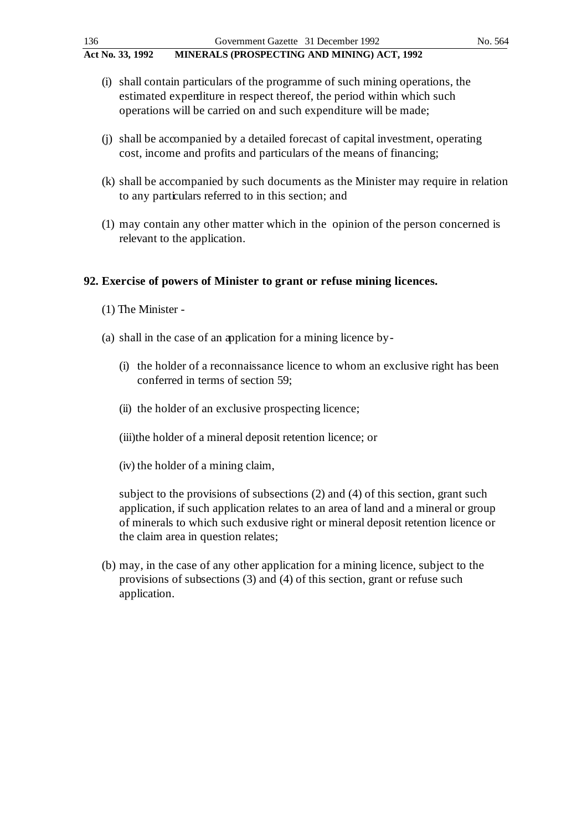- (i) shall contain particulars of the programme of such mining operations, the estimated expenditure in respect thereof, the period within which such operations will be carried on and such expenditure will be made;
- (j) shall be accompanied by a detailed forecast of capital investment, operating cost, income and profits and particulars of the means of financing;
- (k) shall be accompanied by such documents as the Minister may require in relation to any particulars referred to in this section; and
- (1) may contain any other matter which in the opinion of the person concerned is relevant to the application.

## **92. Exercise of powers of Minister to grant or refuse mining licences.**

- (1) The Minister -
- (a) shall in the case of an application for a mining licence by
	- (i) the holder of a reconnaissance licence to whom an exclusive right has been conferred in terms of section 59;
	- (ii) the holder of an exclusive prospecting licence;
	- (iii)the holder of a mineral deposit retention licence; or
	- (iv) the holder of a mining claim,

subject to the provisions of subsections (2) and (4) of this section, grant such application, if such application relates to an area of land and a mineral or group of minerals to which such exdusive right or mineral deposit retention licence or the claim area in question relates;

(b) may, in the case of any other application for a mining licence, subject to the provisions of subsections (3) and (4) of this section, grant or refuse such application.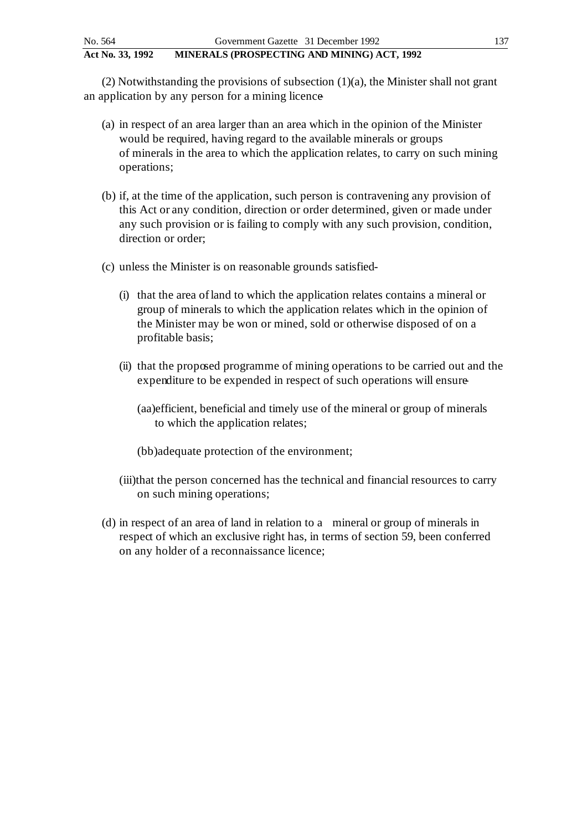(2) Notwithstanding the provisions of subsection (1)(a), the Minister shall not grant an application by any person for a mining licence

- (a) in respect of an area larger than an area which in the opinion of the Minister would be required, having regard to the available minerals or groups of minerals in the area to which the application relates, to carry on such mining operations;
- (b) if, at the time of the application, such person is contravening any provision of this Act or any condition, direction or order determined, given or made under any such provision or is failing to comply with any such provision, condition, direction or order;
- (c) unless the Minister is on reasonable grounds satisfied
	- (i) that the area of land to which the application relates contains a mineral or group of minerals to which the application relates which in the opinion of the Minister may be won or mined, sold or otherwise disposed of on a profitable basis;
	- (ii) that the proposed programme of mining operations to be carried out and the expenditure to be expended in respect of such operations will ensure
		- (aa)efficient, beneficial and timely use of the mineral or group of minerals to which the application relates;
		- (bb)adequate protection of the environment;
	- (iii)that the person concerned has the technical and financial resources to carry on such mining operations;
- (d) in respect of an area of land in relation to a mineral or group of minerals in respect of which an exclusive right has, in terms of section 59, been conferred on any holder of a reconnaissance licence;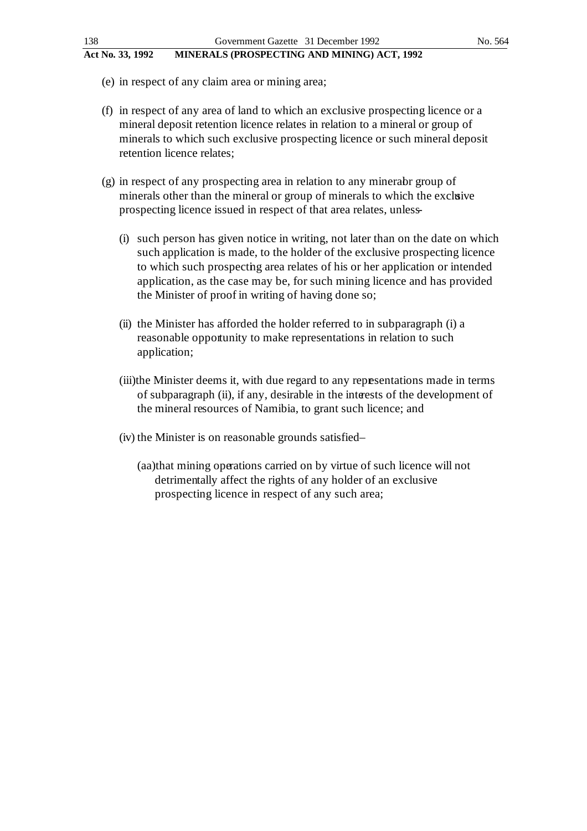- (e) in respect of any claim area or mining area;
- (f) in respect of any area of land to which an exclusive prospecting licence or a mineral deposit retention licence relates in relation to a mineral or group of minerals to which such exclusive prospecting licence or such mineral deposit retention licence relates;
- $(g)$  in respect of any prospecting area in relation to any minerabr group of minerals other than the mineral or group of minerals to which the exclusive prospecting licence issued in respect of that area relates, unless-
	- (i) such person has given notice in writing, not later than on the date on which such application is made, to the holder of the exclusive prospecting licence to which such prospecting area relates of his or her application or intended application, as the case may be, for such mining licence and has provided the Minister of proof in writing of having done so;
	- (ii) the Minister has afforded the holder referred to in subparagraph (i) a reasonable opportunity to make representations in relation to such application;
	- (iii)the Minister deems it, with due regard to any representations made in terms of subparagraph (ii), if any, desirable in the interests of the development of the mineral resources of Namibia, to grant such licence; and
	- (iv) the Minister is on reasonable grounds satisfied
		- (aa)that mining operations carried on by virtue of such licence will not detrimentally affect the rights of any holder of an exclusive prospecting licence in respect of any such area;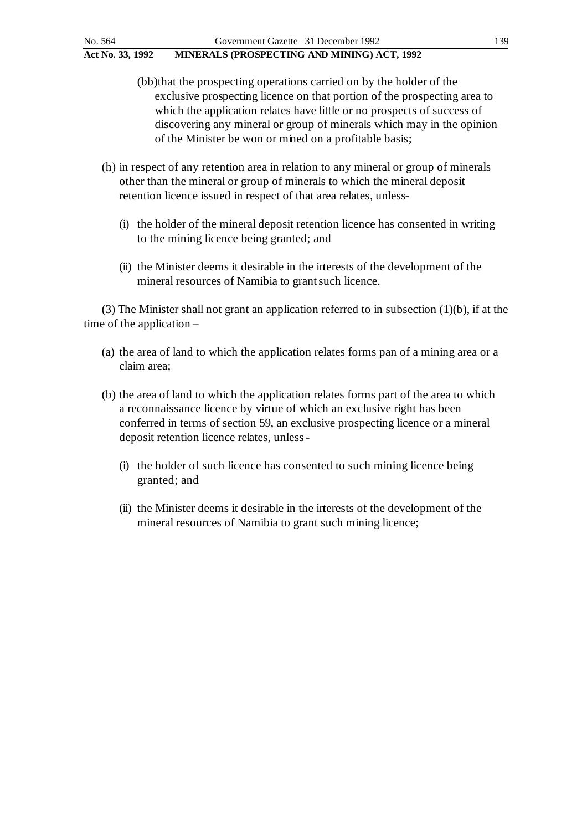- (bb)that the prospecting operations carried on by the holder of the exclusive prospecting licence on that portion of the prospecting area to which the application relates have little or no prospects of success of discovering any mineral or group of minerals which may in the opinion of the Minister be won or mined on a profitable basis;
- (h) in respect of any retention area in relation to any mineral or group of minerals other than the mineral or group of minerals to which the mineral deposit retention licence issued in respect of that area relates, unless-
	- (i) the holder of the mineral deposit retention licence has consented in writing to the mining licence being granted; and
	- (ii) the Minister deems it desirable in the interests of the development of the mineral resources of Namibia to grant such licence.

(3) The Minister shall not grant an application referred to in subsection (1)(b), if at the time of the application –

- (a) the area of land to which the application relates forms pan of a mining area or a claim area;
- (b) the area of land to which the application relates forms part of the area to which a reconnaissance licence by virtue of which an exclusive right has been conferred in terms of section 59, an exclusive prospecting licence or a mineral deposit retention licence relates, unless -
	- (i) the holder of such licence has consented to such mining licence being granted; and
	- (ii) the Minister deems it desirable in the interests of the development of the mineral resources of Namibia to grant such mining licence;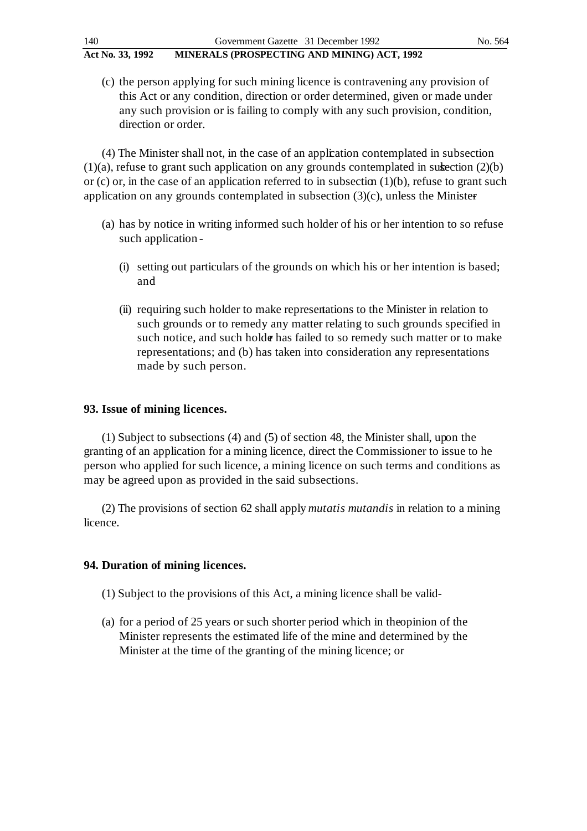(c) the person applying for such mining licence is contravening any provision of this Act or any condition, direction or order determined, given or made under any such provision or is failing to comply with any such provision, condition, direction or order.

(4) The Minister shall not, in the case of an application contemplated in subsection  $(1)(a)$ , refuse to grant such application on any grounds contemplated in subsection  $(2)(b)$ or (c) or, in the case of an application referred to in subsection  $(1)(b)$ , refuse to grant such application on any grounds contemplated in subsection  $(3)(c)$ , unless the Minister

- (a) has by notice in writing informed such holder of his or her intention to so refuse such application -
	- (i) setting out particulars of the grounds on which his or her intention is based; and
	- (ii) requiring such holder to make representations to the Minister in relation to such grounds or to remedy any matter relating to such grounds specified in such notice, and such holder has failed to so remedy such matter or to make representations; and (b) has taken into consideration any representations made by such person.

### **93. Issue of mining licences.**

(1) Subject to subsections (4) and (5) of section 48, the Minister shall, upon the granting of an application for a mining licence, direct the Commissioner to issue to he person who applied for such licence, a mining licence on such terms and conditions as may be agreed upon as provided in the said subsections.

(2) The provisions of section 62 shall apply *mutatis mutandis* in relation to a mining licence.

### **94. Duration of mining licences.**

- (1) Subject to the provisions of this Act, a mining licence shall be valid -
- (a) for a period of 25 years or such shorter period which in the opinion of the Minister represents the estimated life of the mine and determined by the Minister at the time of the granting of the mining licence; or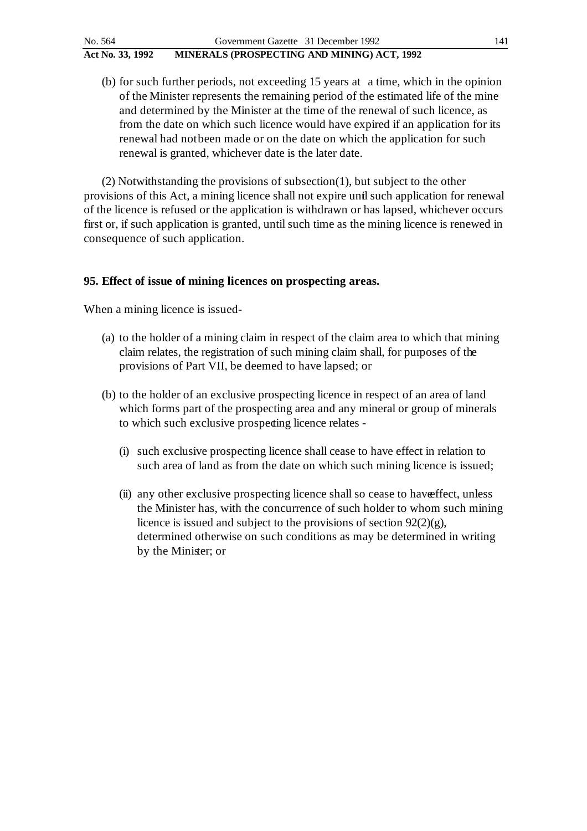(b) for such further periods, not exceeding 15 years at a time, which in the opinion of the Minister represents the remaining period of the estimated life of the mine and determined by the Minister at the time of the renewal of such licence, as from the date on which such licence would have expired if an application for its renewal had not been made or on the date on which the application for such renewal is granted, whichever date is the later date.

(2) Notwithstanding the provisions of subsection(1), but subject to the other provisions of this Act, a mining licence shall not expire until such application for renewal of the licence is refused or the application is withdrawn or has lapsed, whichever occurs first or, if such application is granted, until such time as the mining licence is renewed in consequence of such application.

## **95. Effect of issue of mining licences on prospecting areas.**

When a mining licence is issued-

- (a) to the holder of a mining claim in respect of the claim area to which that mining claim relates, the registration of such mining claim shall, for purposes of the provisions of Part VII, be deemed to have lapsed; or
- (b) to the holder of an exclusive prospecting licence in respect of an area of land which forms part of the prospecting area and any mineral or group of minerals to which such exclusive prospecting licence relates -
	- (i) such exclusive prospecting licence shall cease to have effect in relation to such area of land as from the date on which such mining licence is issued;
	- (ii) any other exclusive prospecting licence shall so cease to have ffect, unless the Minister has, with the concurrence of such holder to whom such mining licence is issued and subject to the provisions of section 92(2)(g), determined otherwise on such conditions as may be determined in writing by the Minister; or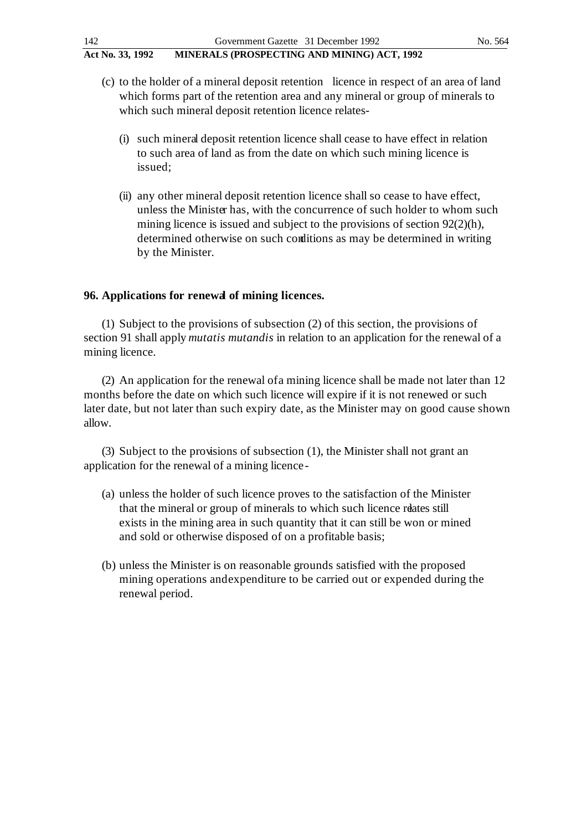- (c) to the holder of a mineral deposit retention licence in respect of an area of land which forms part of the retention area and any mineral or group of minerals to which such mineral deposit retention licence relates-
	- (i) such mineral deposit retention licence shall cease to have effect in relation to such area of land as from the date on which such mining licence is issued;
	- (ii) any other mineral deposit retention licence shall so cease to have effect, unless the Minister has, with the concurrence of such holder to whom such mining licence is issued and subject to the provisions of section 92(2)(h), determined otherwise on such conditions as may be determined in writing by the Minister.

### **96. Applications for renewal of mining licences.**

(1) Subject to the provisions of subsection (2) of this section, the provisions of section 91 shall apply *mutatis mutandis* in relation to an application for the renewal of a mining licence.

(2) An application for the renewal of a mining licence shall be made not later than 12 months before the date on which such licence will expire if it is not renewed or such later date, but not later than such expiry date, as the Minister may on good cause shown allow.

(3) Subject to the provisions of subsection (1), the Minister shall not grant an application for the renewal of a mining licence -

- (a) unless the holder of such licence proves to the satisfaction of the Minister that the mineral or group of minerals to which such licence relates still exists in the mining area in such quantity that it can still be won or mined and sold or otherwise disposed of on a profitable basis;
- (b) unless the Minister is on reasonable grounds satisfied with the proposed mining operations and expenditure to be carried out or expended during the renewal period.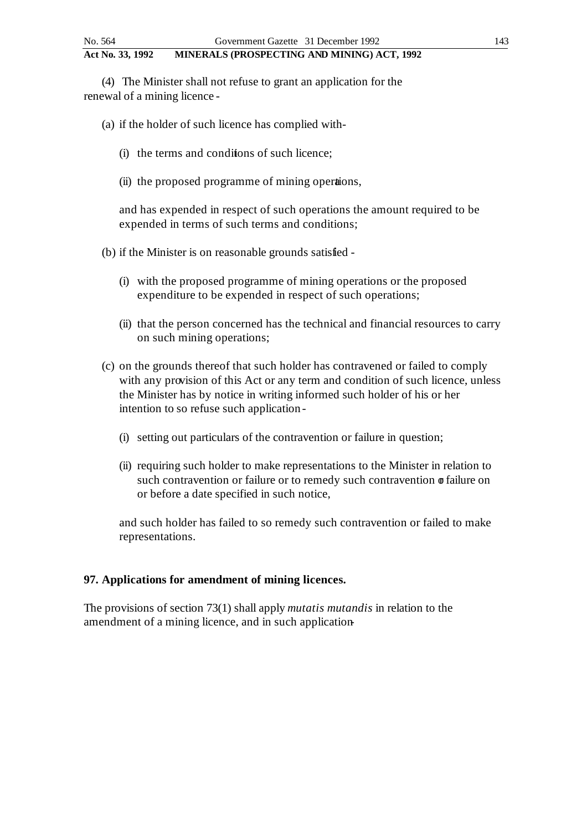(4) The Minister shall not refuse to grant an application for the renewal of a mining licence -

(a) if the holder of such licence has complied with -

- (i) the terms and conditions of such licence;
- (ii) the proposed programme of mining operations,

and has expended in respect of such operations the amount required to be expended in terms of such terms and conditions;

- (b) if the Minister is on reasonable grounds satisfied
	- (i) with the proposed programme of mining operations or the proposed expenditure to be expended in respect of such operations;
	- (ii) that the person concerned has the technical and financial resources to carry on such mining operations;
- (c) on the grounds thereof that such holder has contravened or failed to comply with any provision of this Act or any term and condition of such licence, unless the Minister has by notice in writing informed such holder of his or her intention to so refuse such application -
	- (i) setting out particulars of the contravention or failure in question;
	- (ii) requiring such holder to make representations to the Minister in relation to such contravention or failure or to remedy such contravention  $\sigma$  failure on or before a date specified in such notice,

and such holder has failed to so remedy such contravention or failed to make representations.

#### **97. Applications for amendment of mining licences.**

The provisions of section 73(1) shall apply *mutatis mutandis* in relation to the amendment of a mining licence, and in such application-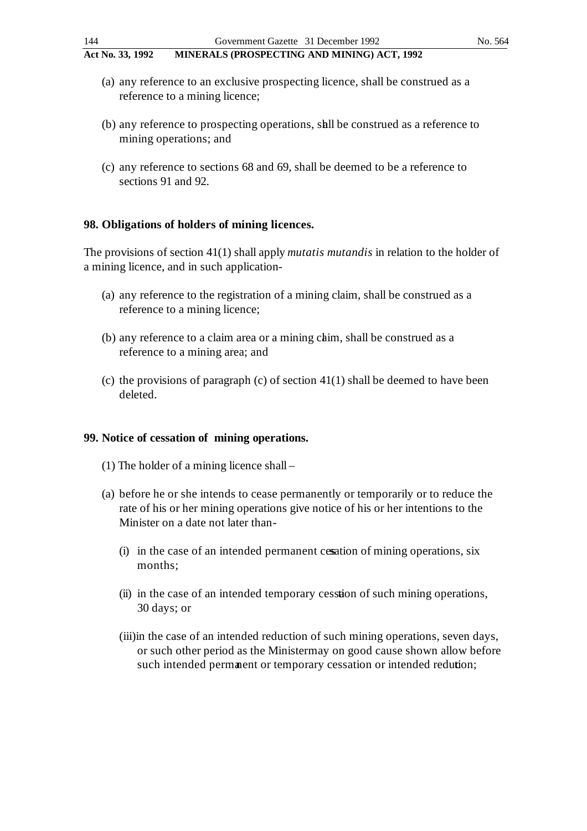- (a) any reference to an exclusive prospecting licence, shall be construed as a reference to a mining licence;
- (b) any reference to prospecting operations, shall be construed as a reference to mining operations; and
- (c) any reference to sections 68 and 69, shall be deemed to be a reference to sections 91 and 92.

### **98. Obligations of holders of mining licences.**

The provisions of section 41(1) shall apply *mutatis mutandis* in relation to the holder of a mining licence, and in such application-

- (a) any reference to the registration of a mining claim, shall be construed as a reference to a mining licence;
- (b) any reference to a claim area or a mining chim, shall be construed as a reference to a mining area; and
- (c) the provisions of paragraph (c) of section  $41(1)$  shall be deemed to have been deleted.

#### **99. Notice of cessation of mining operations.**

- (1) The holder of a mining licence shall –
- (a) before he or she intends to cease permanently or temporarily or to reduce the rate of his or her mining operations give notice of his or her intentions to the Minister on a date not later than -
	- (i) in the case of an intended permanent cessation of mining operations, six months;
	- (ii) in the case of an intended temporary cession of such mining operations, 30 days; or
	- (iii)in the case of an intended reduction of such mining operations, seven days, or such other period as the Ministermay on good cause shown allow before such intended permanent or temporary cessation or intended redution;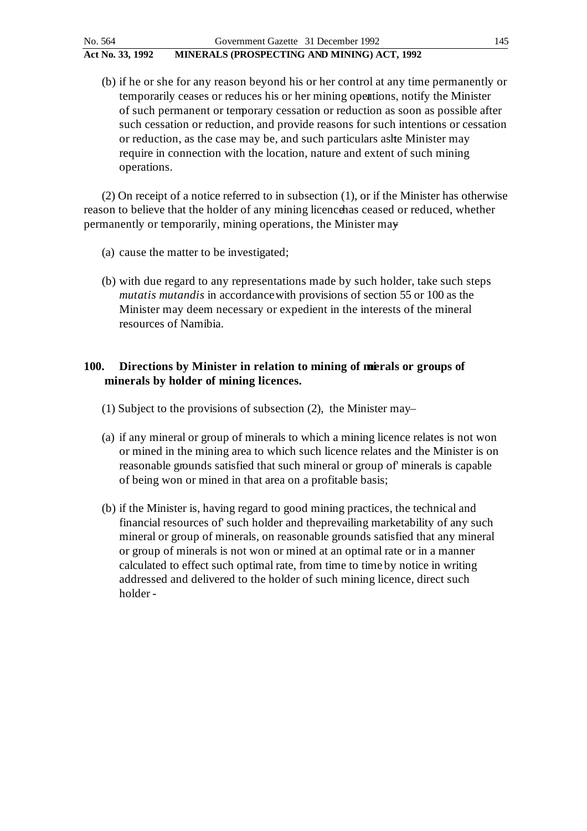(b) if he or she for any reason beyond his or her control at any time permanently or temporarily ceases or reduces his or her mining operations, notify the Minister of such permanent or temporary cessation or reduction as soon as possible after such cessation or reduction, and provide reasons for such intentions or cessation or reduction, as the case may be, and such particulars as the Minister may require in connection with the location, nature and extent of such mining operations.

(2) On receipt of a notice referred to in subsection (1), or if the Minister has otherwise reason to believe that the holder of any mining licence has ceased or reduced, whether permanently or temporarily, mining operations, the Minister may -

- (a) cause the matter to be investigated;
- (b) with due regard to any representations made by such holder, take such steps *mutatis mutandis* in accordance with provisions of section 55 or 100 as the Minister may deem necessary or expedient in the interests of the mineral resources of Namibia.

## **100.** Directions by Minister in relation to mining of misrals or groups of **minerals by holder of mining licences.**

- (1) Subject to the provisions of subsection  $(2)$ , the Minister may-
- (a) if any mineral or group of minerals to which a mining licence relates is not won or mined in the mining area to which such licence relates and the Minister is on reasonable grounds satisfied that such mineral or group of' minerals is capable of being won or mined in that area on a profitable basis;
- (b) if the Minister is, having regard to good mining practices, the technical and financial resources of' such holder and the prevailing marketability of any such mineral or group of minerals, on reasonable grounds satisfied that any mineral or group of minerals is not won or mined at an optimal rate or in a manner calculated to effect such optimal rate, from time to time by notice in writing addressed and delivered to the holder of such mining licence, direct such holder -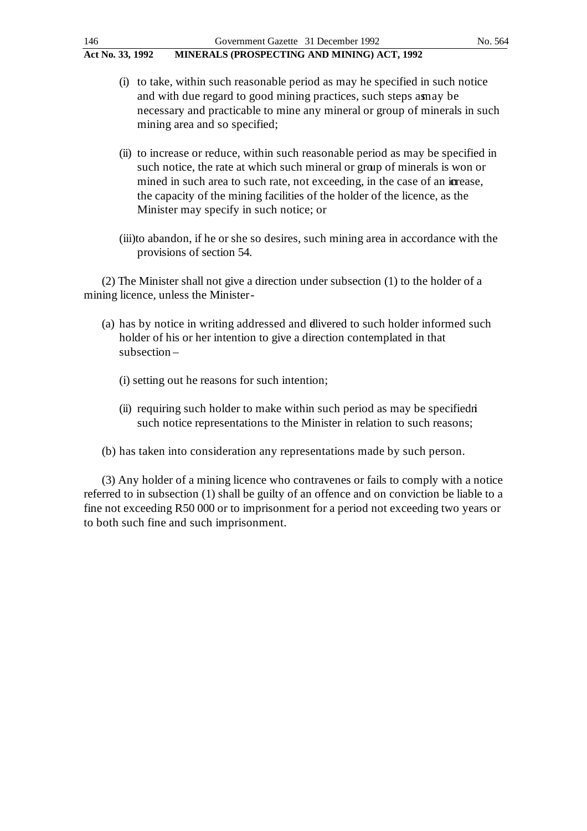| 146              | Government Gazette 31 December 1992         | No. 564 |
|------------------|---------------------------------------------|---------|
| Act No. 33, 1992 | MINERALS (PROSPECTING AND MINING) ACT, 1992 |         |

- (i) to take, within such reasonable period as may he specified in such notice and with due regard to good mining practices, such steps as may be necessary and practicable to mine any mineral or group of minerals in such mining area and so specified;
- (ii) to increase or reduce, within such reasonable period as may be specified in such notice, the rate at which such mineral or group of minerals is won or mined in such area to such rate, not exceeding, in the case of an igrease. the capacity of the mining facilities of the holder of the licence, as the Minister may specify in such notice; or
- (iii)to abandon, if he or she so desires, such mining area in accordance with the provisions of section 54.

(2) The Minister shall not give a direction under subsection (1) to the holder of a mining licence, unless the Minister -

- (a) has by notice in writing addressed and divered to such holder informed such holder of his or her intention to give a direction contemplated in that subsection –
	- (i) setting out he reasons for such intention;
	- (ii) requiring such holder to make within such period as may be specified in such notice representations to the Minister in relation to such reasons;
- (b) has taken into consideration any representations made by such person.

(3) Any holder of a mining licence who contravenes or fails to comply with a notice referred to in subsection (1) shall be guilty of an offence and on conviction be liable to a fine not exceeding R50 000 or to imprisonment for a period not exceeding two years or to both such fine and such imprisonment.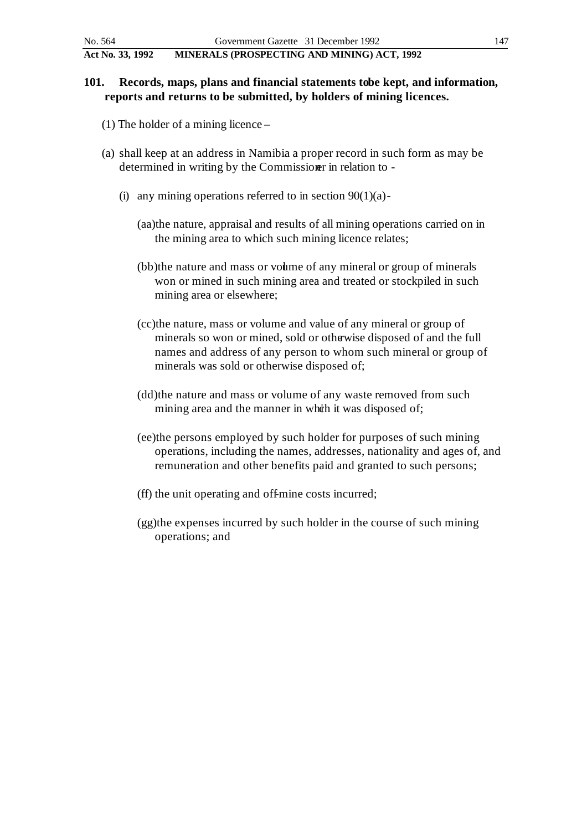## **101.** Records, maps, plans and financial statements tobe kept, and information, **reports and returns to be submitted, by holders of mining licences.**

- (1) The holder of a mining licence –
- (a) shall keep at an address in Namibia a proper record in such form as may be determined in writing by the Commissioner in relation to -
	- (i) any mining operations referred to in section  $90(1)(a)$ -
		- (aa)the nature, appraisal and results of all mining operations carried on in the mining area to which such mining licence relates;
		- (bb)the nature and mass or volume of any mineral or group of minerals won or mined in such mining area and treated or stockpiled in such mining area or elsewhere;
		- (cc)the nature, mass or volume and value of any mineral or group of minerals so won or mined, sold or otherwise disposed of and the full names and address of any person to whom such mineral or group of minerals was sold or otherwise disposed of;
		- (dd)the nature and mass or volume of any waste removed from such mining area and the manner in which it was disposed of;
		- (ee)the persons employed by such holder for purposes of such mining operations, including the names, addresses, nationality and ages of, and remuneration and other benefits paid and granted to such persons;
		- (ff) the unit operating and off-mine costs incurred;
		- (gg)the expenses incurred by such holder in the course of such mining operations; and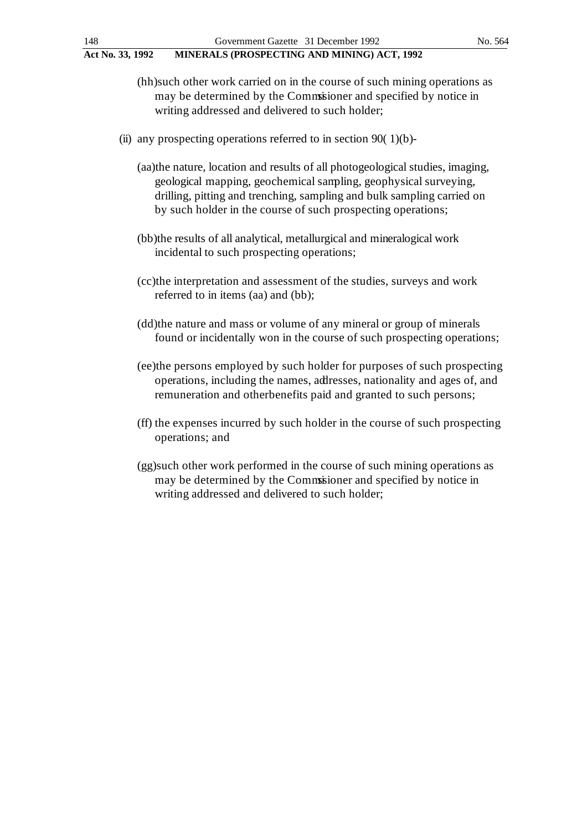- (hh)such other work carried on in the course of such mining operations as may be determined by the Commissioner and specified by notice in writing addressed and delivered to such holder;
- (ii) any prospecting operations referred to in section 90( $1$ )(b)-
	- (aa)the nature, location and results of all photogeological studies, imaging, geological mapping, geochemical sampling, geophysical surveying, drilling, pitting and trenching, sampling and bulk sampling carried on by such holder in the course of such prospecting operations;
	- (bb)the results of all analytical, metallurgical and mineralogical work incidental to such prospecting operations;
	- (cc)the interpretation and assessment of the studies, surveys and work referred to in items (aa) and (bb);
	- (dd)the nature and mass or volume of any mineral or group of minerals found or incidentally won in the course of such prospecting operations;
	- (ee)the persons employed by such holder for purposes of such prospecting operations, including the names, addresses, nationality and ages of, and remuneration and other benefits paid and granted to such persons;
	- (ff) the expenses incurred by such holder in the course of such prospecting operations; and
	- (gg)such other work performed in the course of such mining operations as may be determined by the Commissioner and specified by notice in writing addressed and delivered to such holder;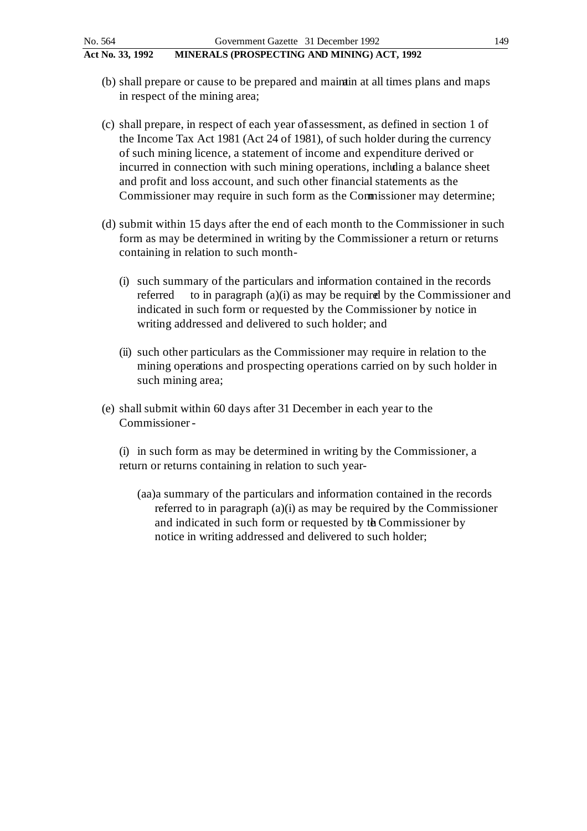- 
- (b) shall prepare or cause to be prepared and maintain at all times plans and maps in respect of the mining area;
- (c) shall prepare, in respect of each year of' assessment, as defined in section 1 of the Income Tax Act 1981 (Act 24 of 1981), of such holder during the currency of such mining licence, a statement of income and expenditure derived or incurred in connection with such mining operations, including a balance sheet and profit and loss account, and such other financial statements as the Commissioner may require in such form as the Commissioner may determine;
- (d) submit within 15 days after the end of each month to the Commissioner in such form as may be determined in writing by the Commissioner a return or returns containing in relation to such month-
	- (i) such summary of the particulars and in formation contained in the records referred to in paragraph  $(a)(i)$  as may be required by the Commissioner and indicated in such form or requested by the Commissioner by notice in writing addressed and delivered to such holder; and
	- (ii) such other particulars as the Commissioner may require in relation to the mining operations and prospecting operations carried on by such holder in such mining area;
- (e) shall submit within 60 days after 31 December in each year to the Commissioner -

(i) in such form as may be determined in writing by the Commissioner, a return or returns containing in relation to such year-

(aa)a summary of the particulars and in formation contained in the records referred to in paragraph (a)(i) as may be required by the Commissioner and indicated in such form or requested by the Commissioner by notice in writing addressed and delivered to such holder;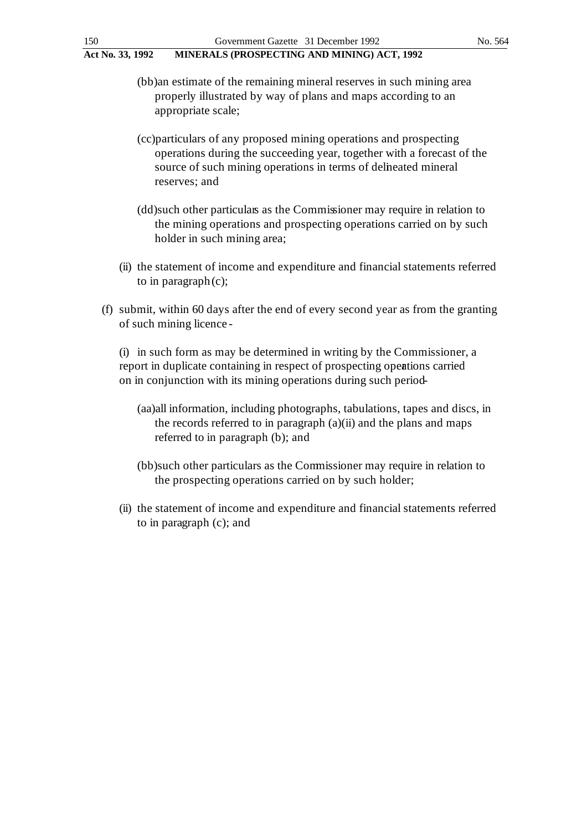(bb)an estimate of the remaining mineral reserves in such mining area properly illustrated by way of plans and maps according to an appropriate scale;

- (cc)particulars of any proposed mining operations and prospecting operations during the succeeding year, together with a forecast of the source of such mining operations in terms of delineated mineral reserves; and
- (dd)such other particulars as the Commissioner may require in relation to the mining operations and prospecting operations carried on by such holder in such mining area;
- (ii) the statement of income and expenditure and financial statements referred to in paragraph (c);
- (f) submit, within 60 days after the end of every second year as from the granting of such mining licence -

(i) in such form as may be determined in writing by the Commissioner, a report in duplicate containing in respect of prospecting operations carried on in conjunction with its mining operations during such period-

- (aa)all information, including photographs, tabulations, tapes and discs, in the records referred to in paragraph (a)(ii) and the plans and maps referred to in paragraph (b); and
- (bb)such other particulars as the Commissioner may require in relation to the prospecting operations carried on by such holder;
- (ii) the statement of income and expenditure and financial statements referred to in paragraph (c); and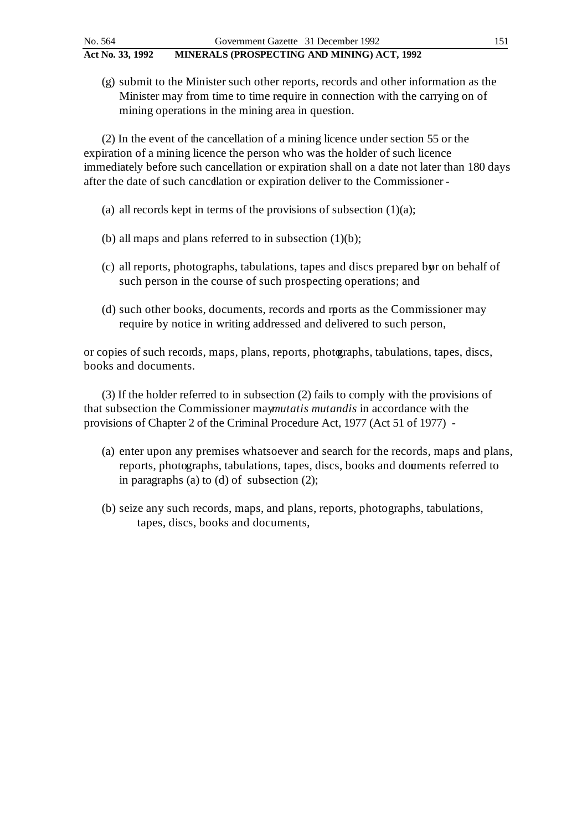(g) submit to the Minister such other reports, records and other information as the Minister may from time to time require in connection with the carrying on of mining operations in the mining area in question.

(2) In the event of the cancellation of a mining licence under section 55 or the expiration of a mining licence the person who was the holder of such licence immediately before such cancellation or expiration shall on a date not later than 180 days after the date of such cancellation or expiration deliver to the Commissioner -

- (a) all records kept in terms of the provisions of subsection  $(1)(a)$ ;
- (b) all maps and plans referred to in subsection  $(1)(b)$ ;
- (c) all reports, photographs, tabulations, tapes and discs prepared by ron behalf of such person in the course of such prospecting operations; and
- (d) such other books, documents, records and reports as the Commissioner may require by notice in writing addressed and delivered to such person,

or copies of such records, maps, plans, reports, photographs, tabulations, tapes, discs, books and documents.

(3) If the holder referred to in subsection (2) fails to comply with the provisions of that subsection the Commissioner may*mutatis mutandis* in accordance with the provisions of Chapter 2 of the Criminal Procedure Act, 1977 (Act 51 of 1977) -

- (a) enter upon any premises whatsoever and search for the records, maps and plans, reports, photographs, tabulations, tapes, discs, books and douments referred to in paragraphs (a) to (d) of subsection (2);
- (b) seize any such records, maps, and plans, reports, photographs, tabulations, tapes, discs, books and documents,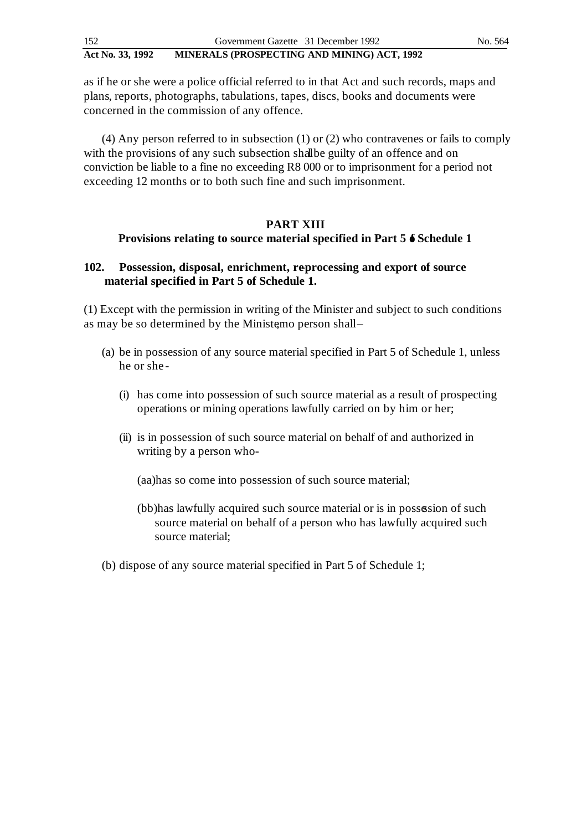as if he or she were a police official referred to in that Act and such records, maps and plans, reports, photographs, tabulations, tapes, discs, books and documents were concerned in the commission of any offence.

(4) Any person referred to in subsection (1) or (2) who contravenes or fails to comply with the provisions of any such subsection shall be guilty of an offence and on conviction be liable to a fine no exceeding R8 000 or to imprisonment for a period not exceeding 12 months or to both such fine and such imprisonment.

#### **PART XIII**

#### **Provisions relating to source material specified in Part 5 6 Schedule 1**

## **102.** Possession, disposal, enrichment, reprocessing and export of source **material specified in Part 5 of Schedule 1.**

(1) Except with the permission in writing of the Minister and subject to such conditions as may be so determined by the Ministemo person shall-

- (a) be in possession of any source material specified in Part 5 of Schedule 1, unless he or she -
	- (i) has come into possession of such source material as a result of prospecting operations or mining operations lawfully carried on by him or her;
	- (ii) is in possession of such source material on behalf of and authorized in writing by a person who-

(aa)has so come into possession of such source material;

- (bb)has lawfully acquired such source material or is in possession of such source material on behalf of a person who has lawfully acquired such source material;
- (b) dispose of any source material specified in Part 5 of Schedule 1;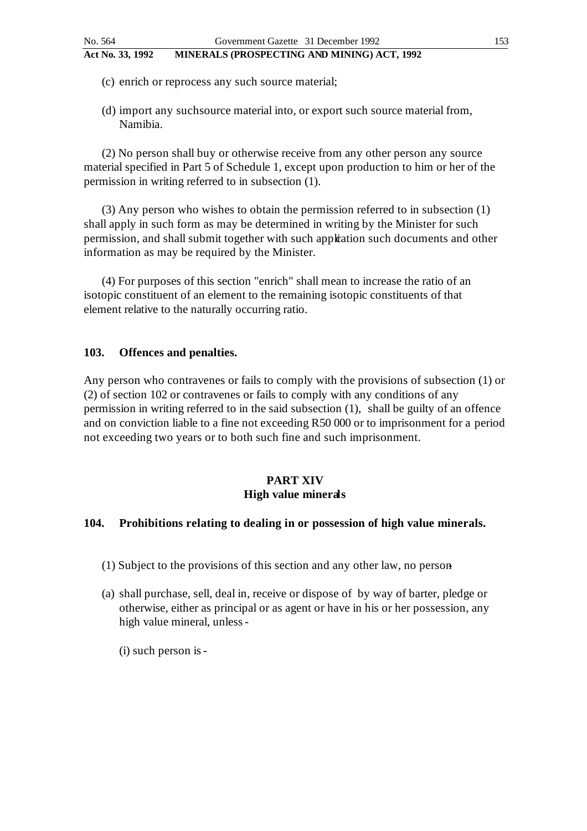- (c) enrich or reprocess any such source material;
- (d) import any such source material into, or export such source material from, Namibia.

(2) No person shall buy or otherwise receive from any other person any source material specified in Part 5 of Schedule 1, except upon production to him or her of the permission in writing referred to in subsection (1).

(3) Any person who wishes to obtain the permission referred to in subsection (1) shall apply in such form as may be determined in writing by the Minister for such permission, and shall submit together with such application such documents and other information as may be required by the Minister.

(4) For purposes of this section "enrich" shall mean to increase the ratio of an isotopic constituent of an element to the remaining isotopic constituents of that element relative to the naturally occurring ratio.

### **103. Offences and penalties.**

Any person who contravenes or fails to comply with the provisions of subsection (1) or (2) of section 102 or contravenes or fails to comply with any conditions of any permission in writing referred to in the said subsection (1), shall be guilty of an offence and on conviction liable to a fine not exceeding R50 000 or to imprisonment for a period not exceeding two years or to both such fine and such imprisonment.

## **PART XIV High value minerals**

#### **104. Prohibitions relating to dealing in or possession of high value minerals.**

- (1) Subject to the provisions of this section and any other law, no person -
- (a) shall purchase, sell, deal in, receive or dispose of by way of barter, pledge or otherwise, either as principal or as agent or have in his or her possession, any high value mineral, unless -
	- (i) such person is -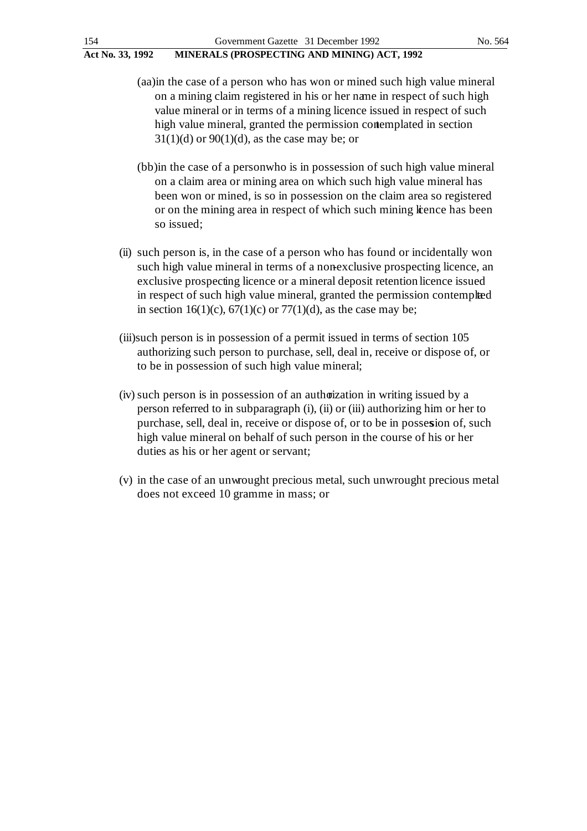- (aa)in the case of a person who has won or mined such high value mineral on a mining claim registered in his or her name in respect of such high value mineral or in terms of a mining licence issued in respect of such high value mineral, granted the permission contemplated in section  $31(1)(d)$  or  $90(1)(d)$ , as the case may be; or
- (bb) in the case of a person who is in possession of such high value mineral on a claim area or mining area on which such high value mineral has been won or mined, is so in possession on the claim area so registered or on the mining area in respect of which such mining lience has been so issued;
- (ii) such person is, in the case of a person who has found or incidentally won such high value mineral in terms of a nonexclusive prospecting licence, an exclusive prospecting licence or a mineral deposit retention licence issued in respect of such high value mineral, granted the permission contemplated in section 16(1)(c),  $67(1)(c)$  or  $77(1)(d)$ , as the case may be;
- (iii)such person is in possession of a permit issued in terms of section 105 authorizing such person to purchase, sell, deal in, receive or dispose of, or to be in possession of such high value mineral;
- (iv) such person is in possession of an authorization in writing issued by a person referred to in subparagraph (i), (ii) or (iii) authorizing him or her to purchase, sell, deal in, receive or dispose of, or to be in possession of, such high value mineral on behalf of such person in the course of his or her duties as his or her agent or servant;
- (v) in the case of an unwrought precious metal, such unwrought precious metal does not exceed 10 gramme in mass; or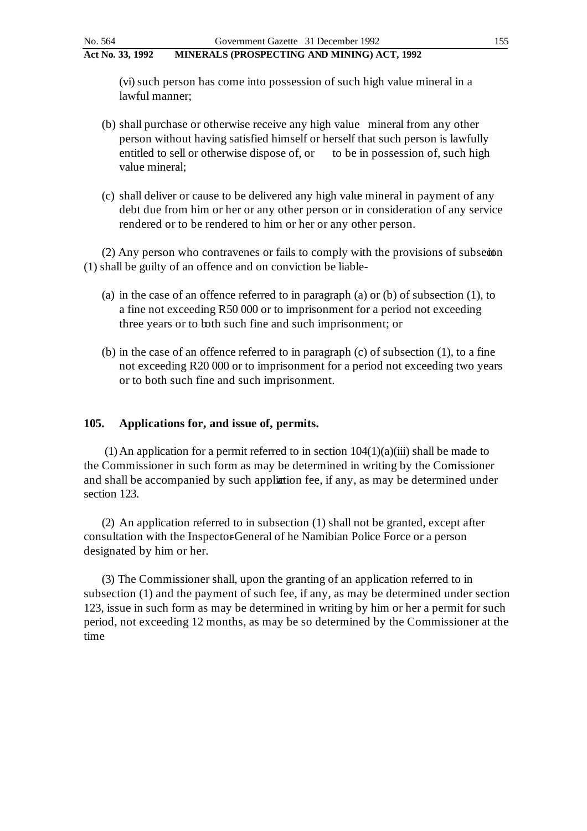(vi) such person has come into possession of such high value mineral in a lawful manner;

- (b) shall purchase or otherwise receive any high value mineral from any other person without having satisfied himself or herself that such person is lawfully entitled to sell or otherwise dispose of, or to be in possession of, such high value mineral;
- (c) shall deliver or cause to be delivered any high value mineral in payment of any debt due from him or her or any other person or in consideration of any service rendered or to be rendered to him or her or any other person.

 $(2)$  Any person who contravenes or fails to comply with the provisions of subsection (1) shall be guilty of an offence and on conviction be liable -

- (a) in the case of an offence referred to in paragraph (a) or (b) of subsection (1), to a fine not exceeding R50 000 or to imprisonment for a period not exceeding three years or to both such fine and such imprisonment; or
- (b) in the case of an offence referred to in paragraph (c) of subsection (1), to a fine not exceeding R20 000 or to imprisonment for a period not exceeding two years or to both such fine and such imprisonment.

#### **105. Applications for, and issue of, permits.**

(1) An application for a permit referred to in section  $104(1)(a)(iii)$  shall be made to the Commissioner in such form as may be determined in writing by the Comissioner and shall be accompanied by such application fee, if any, as may be determined under section 123.

(2) An application referred to in subsection (1) shall not be granted, except after consultation with the Inspector-General of he Namibian Police Force or a person designated by him or her.

(3) The Commissioner shall, upon the granting of an application referred to in subsection (1) and the payment of such fee, if any, as may be determined under section 123, issue in such form as may be determined in writing by him or her a permit for such period, not exceeding 12 months, as may be so determined by the Commissioner at the time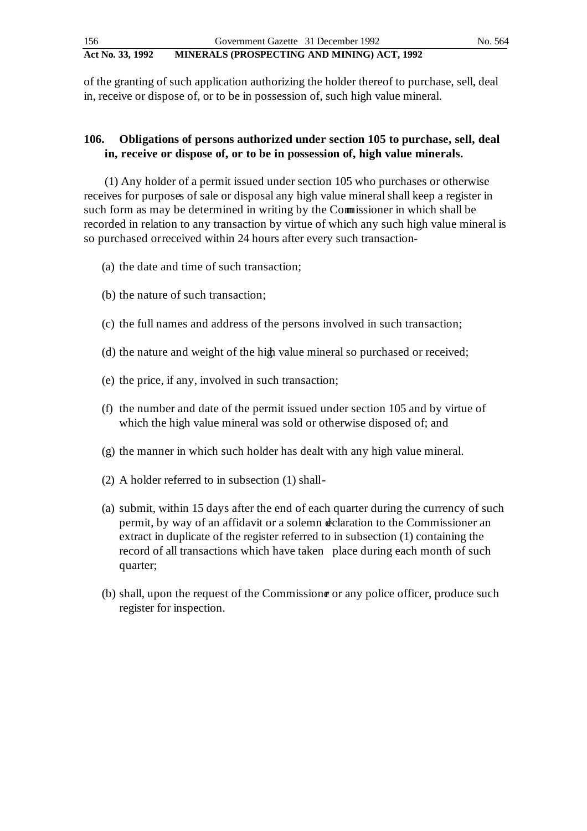of the granting of such application authorizing the holder thereof to purchase, sell, deal in, receive or dispose of, or to be in possession of, such high value mineral.

## **106. Obligations of persons authorized under section 105 to purchase, sell, deal in, receive or dispose of, or to be in possession of, high value minerals.**

 (1) Any holder of a permit issued under section 105 who purchases or otherwise receives for purposes of sale or disposal any high value mineral shall keep a register in such form as may be determined in writing by the Commissioner in which shall be recorded in relation to any transaction by virtue of which any such high value mineral is so purchased or received within 24 hours after every such transaction-

- (a) the date and time of such transaction;
- (b) the nature of such transaction;
- (c) the full names and address of the persons involved in such transaction;
- (d) the nature and weight of the high value mineral so purchased or received;
- (e) the price, if any, involved in such transaction;
- (f) the number and date of the permit issued under section 105 and by virtue of which the high value mineral was sold or otherwise disposed of; and
- (g) the manner in which such holder has dealt with any high value mineral.
- (2) A holder referred to in subsection (1) shall -
- (a) submit, within 15 days after the end of each quarter during the currency of such permit, by way of an affidavit or a solemn declaration to the Commissioner an extract in duplicate of the register referred to in subsection (1) containing the record of all transactions which have taken place during each month of such quarter;
- (b) shall, upon the request of the Commissione or any police officer, produce such register for inspection.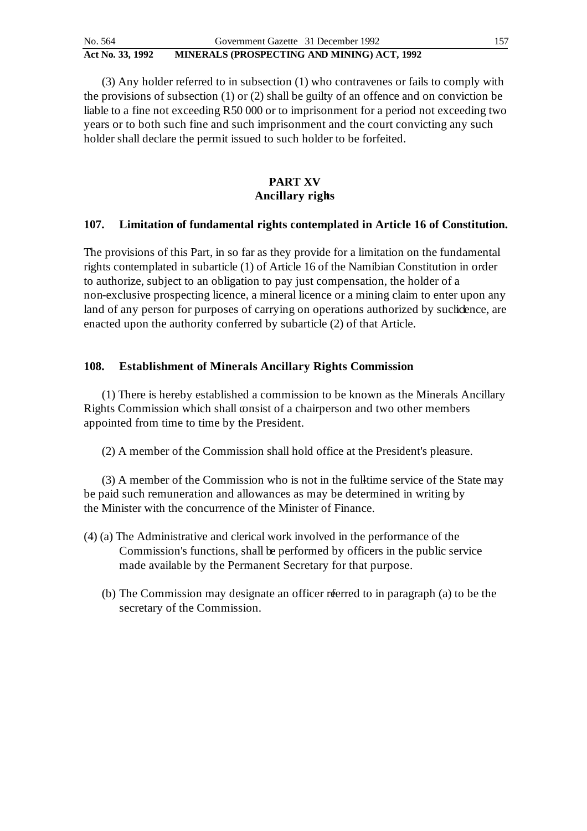(3) Any holder referred to in subsection (1) who contravenes or fails to comply with the provisions of subsection (1) or (2) shall be guilty of an offence and on conviction be liable to a fine not exceeding R50 000 or to imprisonment for a period not exceeding two years or to both such fine and such imprisonment and the court convicting any such holder shall declare the permit issued to such holder to be forfeited.

## **PART XV Ancillary rights**

### **107. Limitation of fundamental rights contemplated in Article 16 of Constitution.**

The provisions of this Part, in so far as they provide for a limitation on the fundamental rights contemplated in subarticle (1) of Article 16 of the Namibian Constitution in order to authorize, subject to an obligation to pay just compensation, the holder of a non-exclusive prospecting licence, a mineral licence or a mining claim to enter upon any land of any person for purposes of carrying on operations authorized by such chees, are enacted upon the authority conferred by subarticle (2) of that Article.

## **108. Establishment of Minerals Ancillary Rights Commission**

(1) There is hereby established a commission to be known as the Minerals Ancillary Rights Commission which shall consist of a chairperson and two other members appointed from time to time by the President.

(2) A member of the Commission shall hold office at the President's pleasure.

(3) A member of the Commission who is not in the full-time service of the State may be paid such remuneration and allowances as may be determined in writing by the Minister with the concurrence of the Minister of Finance.

- (4) (a) The Administrative and clerical work involved in the performance of the Commission's functions, shall be performed by officers in the public service made available by the Permanent Secretary for that purpose.
	- (b) The Commission may designate an officer referred to in paragraph (a) to be the secretary of the Commission.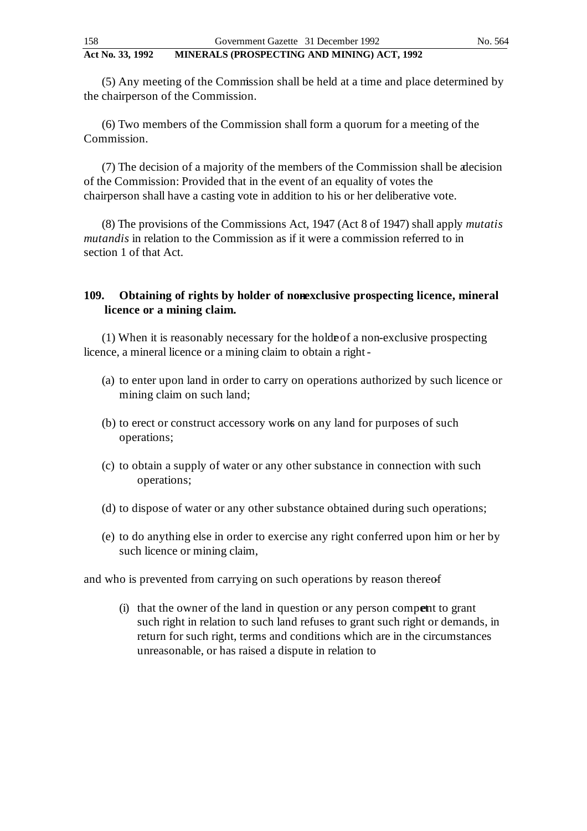(5) Any meeting of the Commission shall be held at a time and place determined by the chairperson of the Commission.

(6) Two members of the Commission shall form a quorum for a meeting of the Commission.

(7) The decision of a majority of the members of the Commission shall be a decision of the Commission: Provided that in the event of an equality of votes the chairperson shall have a casting vote in addition to his or her deliberative vote.

(8) The provisions of the Commissions Act, 1947 (Act 8 of 1947) shall apply *mutatis mutandis* in relation to the Commission as if it were a commission referred to in section 1 of that Act.

## **109.** Obtaining of rights by holder of nonexclusive prospecting licence, mineral **licence or a mining claim.**

 $(1)$  When it is reasonably necessary for the holde of a non-exclusive prospecting licence, a mineral licence or a mining claim to obtain a right -

- (a) to enter upon land in order to carry on operations authorized by such licence or mining claim on such land;
- (b) to erect or construct accessory works on any land for purposes of such operations;
- (c) to obtain a supply of water or any other substance in connection with such operations;
- (d) to dispose of water or any other substance obtained during such operations;
- (e) to do anything else in order to exercise any right conferred upon him or her by such licence or mining claim,

and who is prevented from carrying on such operations by reason thereof

(i) that the owner of the land in question or any person compent to grant such right in relation to such land refuses to grant such right or demands, in return for such right, terms and conditions which are in the circumstances unreasonable, or has raised a dispute in relation to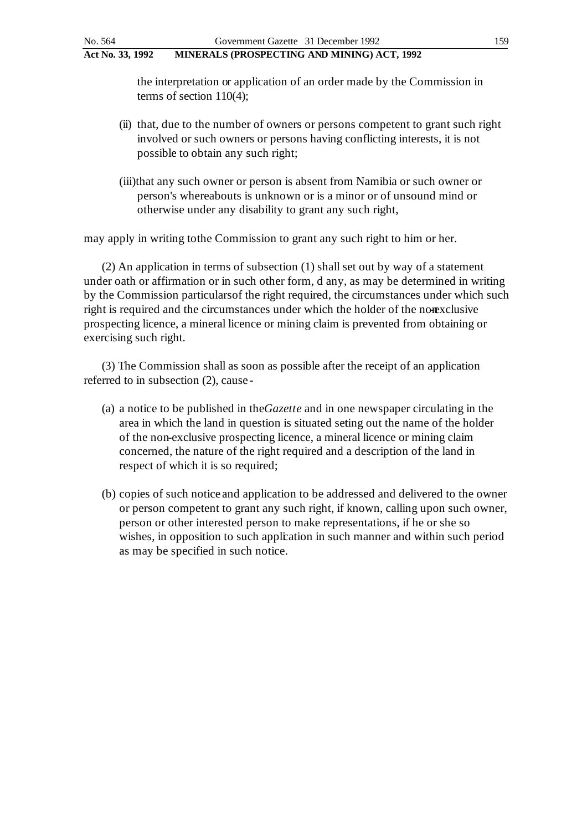the interpretation or application of an order made by the Commission in terms of section 110(4);

- (ii) that, due to the number of owners or persons competent to grant such right involved or such owners or persons having conflicting interests, it is not possible to obtain any such right;
- (iii)that any such owner or person is absent from Namibia or such owner or person's whereabouts is unknown or is a minor or of unsound mind or otherwise under any disability to grant any such right,

may apply in writing to the Commission to grant any such right to him or her.

(2) An application in terms of subsection (1) shall set out by way of a statement under oath or affirmation or in such other form, d any, as may be determined in writing by the Commission particulars of the right required, the circumstances under which such right is required and the circumstances under which the holder of the nonexclusive prospecting licence, a mineral licence or mining claim is prevented from obtaining or exercising such right.

(3) The Commission shall as soon as possible after the receipt of an application referred to in subsection (2), cause -

- (a) a notice to be published in the *Gazette* and in one newspaper circulating in the area in which the land in question is situated seting out the name of the holder of the non-exclusive prospecting licence, a mineral licence or mining claim concerned, the nature of the right required and a description of the land in respect of which it is so required;
- (b) copies of such notice and application to be addressed and delivered to the owner or person competent to grant any such right, if known, calling upon such owner, person or other interested person to make representations, if he or she so wishes, in opposition to such application in such manner and within such period as may be specified in such notice.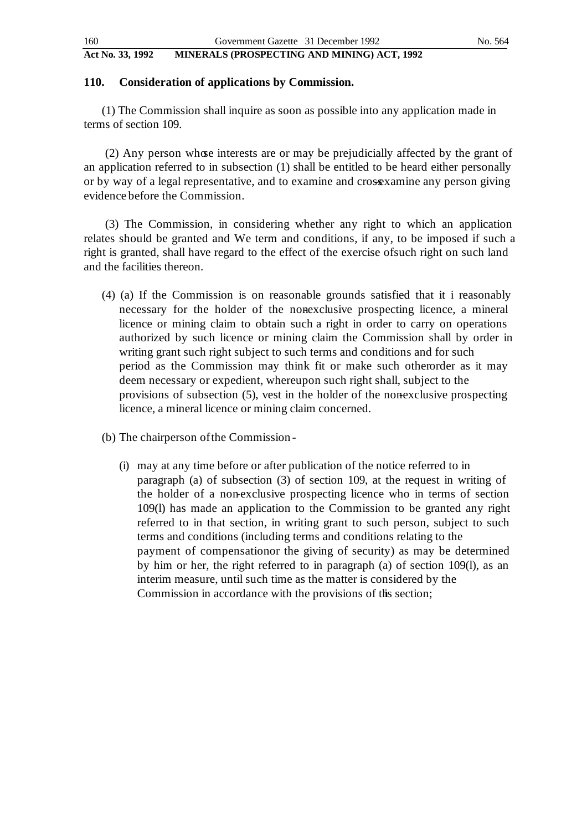## **110. Consideration of applications by Commission.**

(1) The Commission shall inquire as soon as possible into any application made in terms of section 109.

(2) Any person whose interests are or may be prejudicially affected by the grant of an application referred to in subsection (1) shall be entitled to be heard either personally or by way of a legal representative, and to examine and crossxamine any person giving evidence before the Commission.

(3) The Commission, in considering whether any right to which an application relates should be granted and We term and conditions, if any, to be imposed if such a right is granted, shall have regard to the effect of the exercise of such right on such land and the facilities thereon.

- (4) (a) If the Commission is on reasonable grounds satisfied that it i reasonably necessary for the holder of the nonexclusive prospecting licence, a mineral licence or mining claim to obtain such a right in order to carry on operations authorized by such licence or mining claim the Commission shall by order in writing grant such right subject to such terms and conditions and for such period as the Commission may think fit or make such otherorder as it may deem necessary or expedient, whereupon such right shall, subject to the provisions of subsection  $(5)$ , vest in the holder of the non-exclusive prospecting licence, a mineral licence or mining claim concerned.
- (b) The chairperson of the Commission
	- (i) may at any time before or after publication of the notice referred to in paragraph (a) of subsection (3) of section 109, at the request in writing of the holder of a non-exclusive prospecting licence who in terms of section 109(l) has made an application to the Commission to be granted any right referred to in that section, in writing grant to such person, subject to such terms and conditions (including terms and conditions relating to the payment of compensation or the giving of security) as may be determined by him or her, the right referred to in paragraph (a) of section 109(l), as an interim measure, until such time as the matter is considered by the Commission in accordance with the provisions of this section;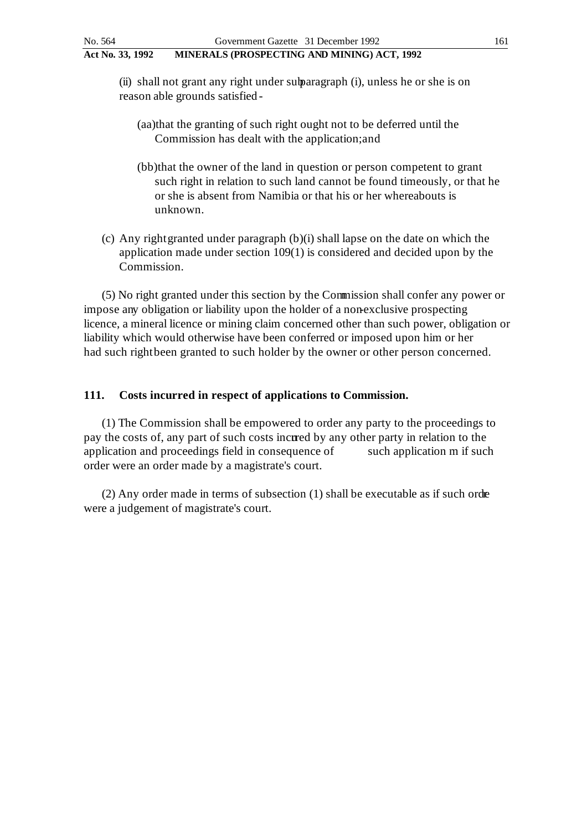(ii) shall not grant any right under subparagraph (i), unless he or she is on reason able grounds satisfied -

- (aa)that the granting of such right ought not to be deferred until the Commission has dealt with the application; and
- (bb)that the owner of the land in question or person competent to grant such right in relation to such land cannot be found timeously, or that he or she is absent from Namibia or that his or her whereabouts is unknown.
- (c) Any right granted under paragraph (b)(i) shall lapse on the date on which the application made under section 109(1) is considered and decided upon by the Commission.

(5) No right granted under this section by the Commission shall confer any power or impose any obligation or liability upon the holder of a non-exclusive prospecting licence, a mineral licence or mining claim concerned other than such power, obligation or liability which would otherwise have been conferred or imposed upon him or her had such right been granted to such holder by the owner or other person concerned.

## **111. Costs incurred in respect of applications to Commission.**

(1) The Commission shall be empowered to order any party to the proceedings to pay the costs of, any part of such costs incurred by any other party in relation to the application and proceedings field in consequence of such application m if such order were an order made by a magistrate's court.

 $(2)$  Any order made in terms of subsection  $(1)$  shall be executable as if such order were a judgement of magistrate's court.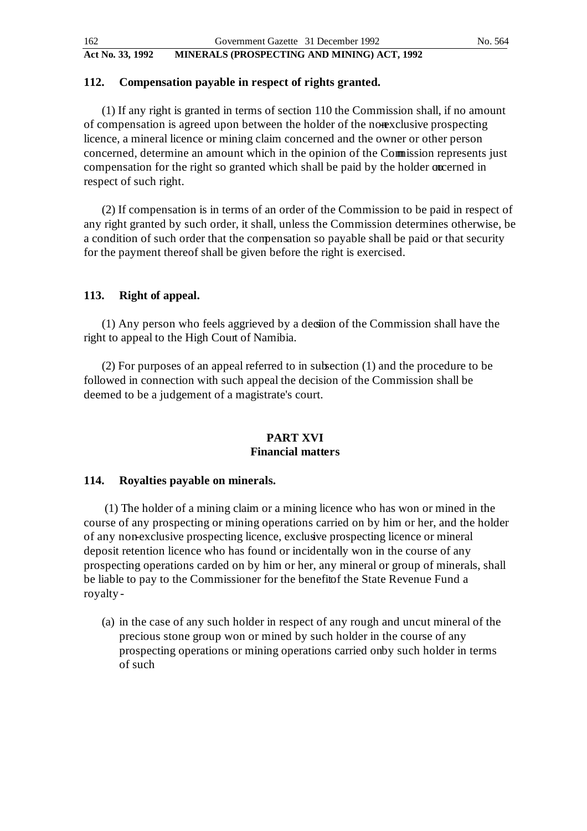## **112. Compensation payable in respect of rights granted.**

(1) If any right is granted in terms of section 110 the Commission shall, if no amount of compensation is agreed upon between the holder of the nonexclusive prospecting licence, a mineral licence or mining claim concerned and the owner or other person concerned, determine an amount which in the opinion of the Commission represents just compensation for the right so granted which shall be paid by the holder occurried in respect of such right.

(2) If compensation is in terms of an order of the Commission to be paid in respect of any right granted by such order, it shall, unless the Commission determines otherwise, be a condition of such order that the compensation so payable shall be paid or that security for the payment thereof shall be given before the right is exercised.

## **113. Right of appeal.**

(1) Any person who feels aggrieved by a decision of the Commission shall have the right to appeal to the High Court of Namibia.

(2) For purposes of an appeal referred to in subsection (1) and the procedure to be followed in connection with such appeal the decision of the Commission shall be deemed to be a judgement of a magistrate's court.

### **PART XVI Financial matters**

## **114. Royalties payable on minerals.**

 (1) The holder of a mining claim or a mining licence who has won or mined in the course of any prospecting or mining operations carried on by him or her, and the holder of any non-exclusive prospecting licence, exclusive prospecting licence or mineral deposit retention licence who has found or incidentally won in the course of any prospecting operations carded on by him or her, any mineral or group of minerals, shall be liable to pay to the Commissioner for the benefit of the State Revenue Fund a royalty -

(a) in the case of any such holder in respect of any rough and uncut mineral of the precious stone group won or mined by such holder in the course of any prospecting operations or mining operations carried on by such holder in terms of such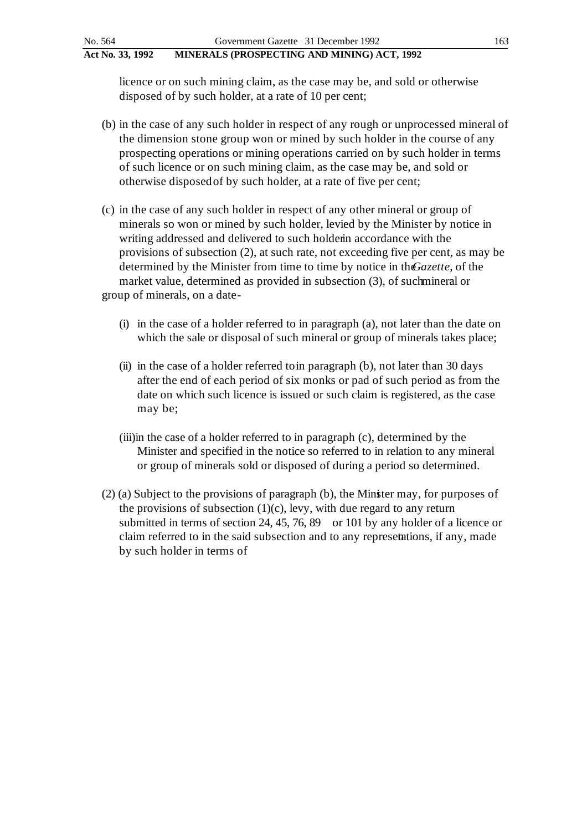licence or on such mining claim, as the case may be, and sold or otherwise disposed of by such holder, at a rate of 10 per cent;

- (b) in the case of any such holder in respect of any rough or unprocessed mineral of the dimension stone group won or mined by such holder in the course of any prospecting operations or mining operations carried on by such holder in terms of such licence or on such mining claim, as the case may be, and sold or otherwise disposed of by such holder, at a rate of five per cent;
- (c) in the case of any such holder in respect of any other mineral or group of minerals so won or mined by such holder, levied by the Minister by notice in writing addressed and delivered to such holder in accordance with the provisions of subsection (2), at such rate, not exceeding five per cent, as may be determined by the Minister from time to time by notice in the *Gazette*, of the market value, determined as provided in subsection  $(3)$ , of such mineral or group of minerals, on a date -
	- (i) in the case of a holder referred to in paragraph (a), not later than the date on which the sale or disposal of such mineral or group of minerals takes place;
	- (ii) in the case of a holder referred to in paragraph (b), not later than 30 days after the end of each period of six monks or pad of such period as from the date on which such licence is issued or such claim is registered, as the case may be;
	- (iii)in the case of a holder referred to in paragraph (c), determined by the Minister and specified in the notice so referred to in relation to any mineral or group of minerals sold or disposed of during a period so determined.
- (2) (a) Subject to the provisions of paragraph (b), the Minister may, for purposes of the provisions of subsection  $(1)(c)$ , levy, with due regard to any return submitted in terms of section 24, 45, 76, 89 or 101 by any holder of a licence or claim referred to in the said subsection and to any representions, if any, made by such holder in terms of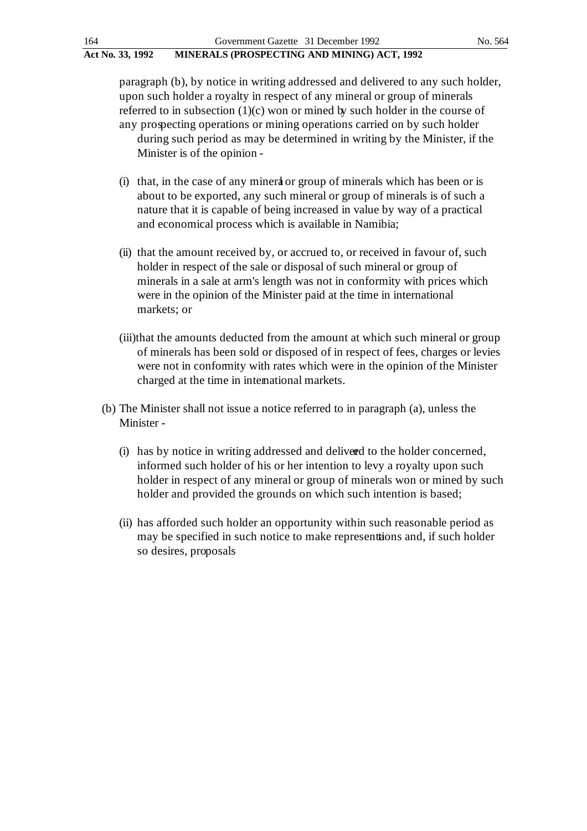paragraph (b), by notice in writing addressed and delivered to any such holder, upon such holder a royalty in respect of any mineral or group of minerals referred to in subsection  $(1)(c)$  won or mined by such holder in the course of any prospecting operations or mining operations carried on by such holder during such period as may be determined in writing by the Minister, if the

Minister is of the opinion -

- (i) that, in the case of any mineral or group of minerals which has been or is about to be exported, any such mineral or group of minerals is of such a nature that it is capable of being increased in value by way of a practical and economical process which is available in Namibia;
- (ii) that the amount received by, or accrued to, or received in favour of, such holder in respect of the sale or disposal of such mineral or group of minerals in a sale at arm's length was not in conformity with prices which were in the opinion of the Minister paid at the time in international markets; or
- (iii)that the amounts deducted from the amount at which such mineral or group of minerals has been sold or disposed of in respect of fees, charges or levies were not in conformity with rates which were in the opinion of the Minister charged at the time in international markets.
- (b) The Minister shall not issue a notice referred to in paragraph (a), unless the Minister -
	- (i) has by notice in writing addressed and delivered to the holder concerned, informed such holder of his or her intention to levy a royalty upon such holder in respect of any mineral or group of minerals won or mined by such holder and provided the grounds on which such intention is based;
	- (ii) has afforded such holder an opportunity within such reasonable period as may be specified in such notice to make representations and, if such holder so desires, proposals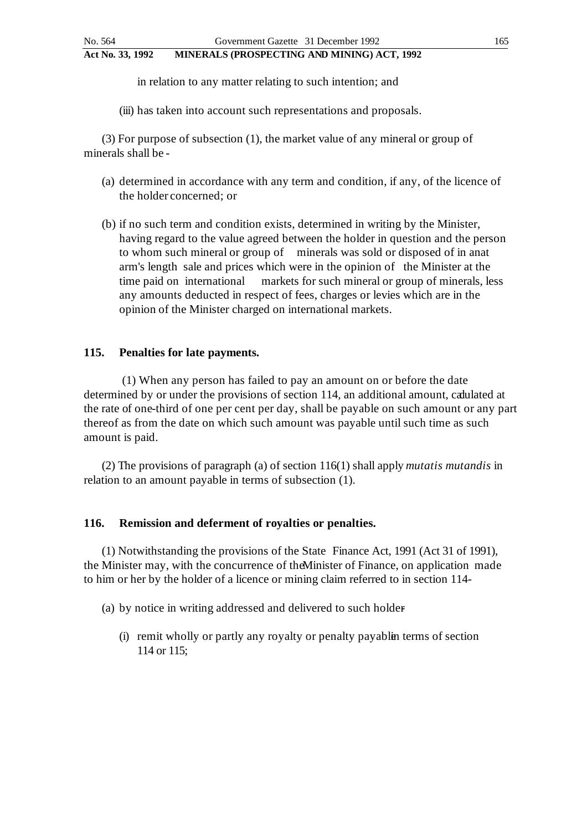in relation to any matter relating to such intention; and

(iii) has taken into account such representations and proposals.

(3) For purpose of subsection (1), the market value of any mineral or group of minerals shall be -

- (a) determined in accordance with any term and condition, if any, of the licence of the holder concerned; or
- (b) if no such term and condition exists, determined in writing by the Minister, having regard to the value agreed between the holder in question and the person to whom such mineral or group of minerals was sold or disposed of in anat arm's length sale and prices which were in the opinion of the Minister at the time paid on international markets for such mineral or group of minerals, less any amounts deducted in respect of fees, charges or levies which are in the opinion of the Minister charged on international markets.

### **115. Penalties for late payments.**

 (1) When any person has failed to pay an amount on or before the date determined by or under the provisions of section 114, an additional amount, calulated at the rate of one-third of one per cent per day, shall be payable on such amount or any part thereof as from the date on which such amount was payable until such time as such amount is paid.

(2) The provisions of paragraph (a) of section 116(1) shall apply *mutatis mutandis* in relation to an amount payable in terms of subsection (1).

#### **116. Remission and deferment of royalties or penalties.**

(1) Notwithstanding the provisions of the State Finance Act, 1991 (Act 31 of 1991), the Minister may, with the concurrence of the Minister of Finance, on application made to him or her by the holder of a licence or mining claim referred to in section 114 -

- (a) by notice in writing addressed and delivered to such holder
	- $(i)$  remit wholly or partly any royalty or penalty payable terms of section 114 or 115;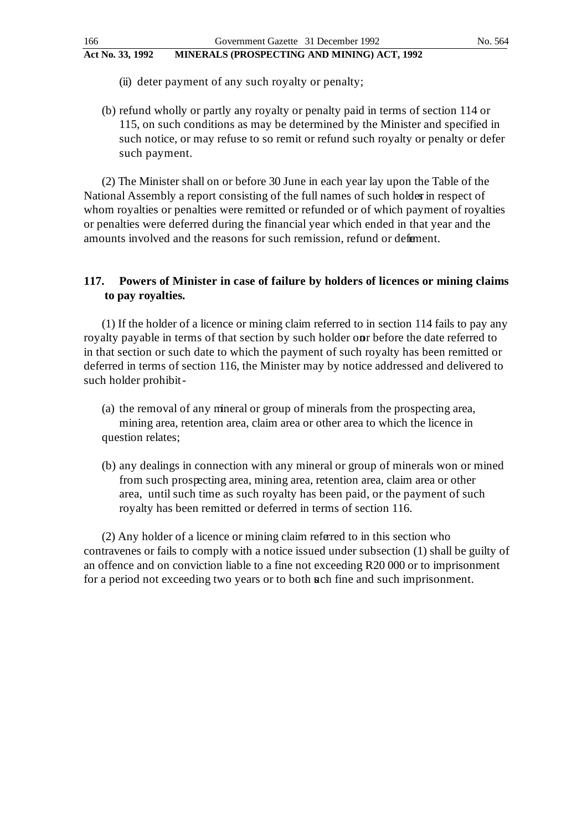- (ii) deter payment of any such royalty or penalty;
- (b) refund wholly or partly any royalty or penalty paid in terms of section 114 or 115, on such conditions as may be determined by the Minister and specified in such notice, or may refuse to so remit or refund such royalty or penalty or defer such payment.

(2) The Minister shall on or before 30 June in each year lay upon the Table of the National Assembly a report consisting of the full names of such holder in respect of whom royalties or penalties were remitted or refunded or of which payment of royalties or penalties were deferred during the financial year which ended in that year and the amounts involved and the reasons for such remission, refund or deferment.

## **117. Powers of Minister in case of failure by holders of licences or mining claims to pay royalties.**

(1) If the holder of a licence or mining claim referred to in section 114 fails to pay any royalty payable in terms of that section by such holder onr before the date referred to in that section or such date to which the payment of such royalty has been remitted or deferred in terms of section 116, the Minister may by notice addressed and delivered to such holder prohibit -

- (a) the removal of any mineral or group of minerals from the prospecting area, mining area, retention area, claim area or other area to which the licence in question relates;
- (b) any dealings in connection with any mineral or group of minerals won or mined from such prospecting area, mining area, retention area, claim area or other area, until such time as such royalty has been paid, or the payment of such royalty has been remitted or deferred in terms of section 116.

(2) Any holder of a licence or mining claim referred to in this section who contravenes or fails to comply with a notice issued under subsection (1) shall be guilty of an offence and on conviction liable to a fine not exceeding R20 000 or to imprisonment for a period not exceeding two years or to both such fine and such imprisonment.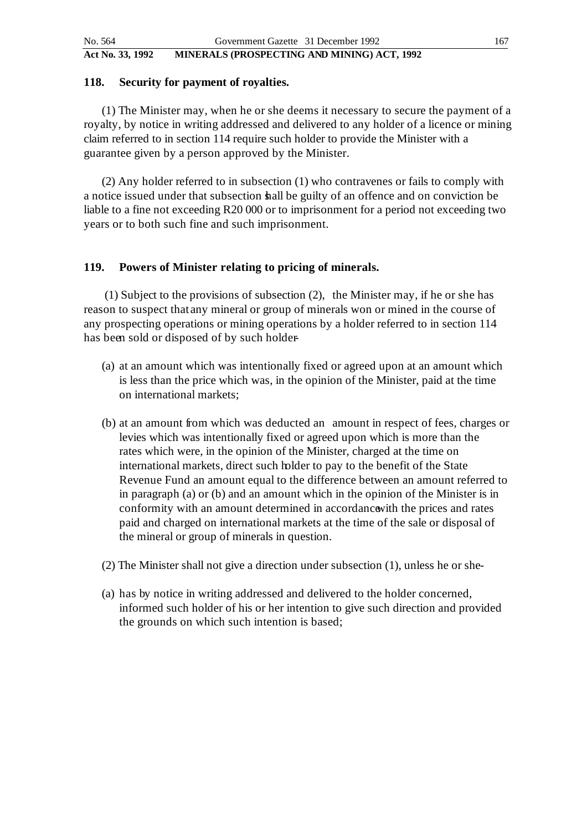#### **118. Security for payment of royalties.**

(1) The Minister may, when he or she deems it necessary to secure the payment of a royalty, by notice in writing addressed and delivered to any holder of a licence or mining claim referred to in section 114 require such holder to provide the Minister with a guarantee given by a person approved by the Minister.

(2) Any holder referred to in subsection (1) who contravenes or fails to comply with a notice issued under that subsection hall be guilty of an offence and on conviction be liable to a fine not exceeding R20 000 or to imprisonment for a period not exceeding two years or to both such fine and such imprisonment.

### **119. Powers of Minister relating to pricing of minerals.**

 (1) Subject to the provisions of subsection (2), the Minister may, if he or she has reason to suspect that any mineral or group of minerals won or mined in the course of any prospecting operations or mining operations by a holder referred to in section 114 has been sold or disposed of by such holder-

- (a) at an amount which was intentionally fixed or agreed upon at an amount which is less than the price which was, in the opinion of the Minister, paid at the time on international markets;
- (b) at an amount from which was deducted an amount in respect of fees, charges or levies which was intentionally fixed or agreed upon which is more than the rates which were, in the opinion of the Minister, charged at the time on international markets, direct such holder to pay to the benefit of the State Revenue Fund an amount equal to the difference between an amount referred to in paragraph (a) or (b) and an amount which in the opinion of the Minister is in conformity with an amount determined in accordance with the prices and rates paid and charged on international markets at the time of the sale or disposal of the mineral or group of minerals in question.
- (2) The Minister shall not give a direction under subsection (1), unless he or she -
- (a) has by notice in writing addressed and delivered to the holder concerned, informed such holder of his or her intention to give such direction and provided the grounds on which such intention is based;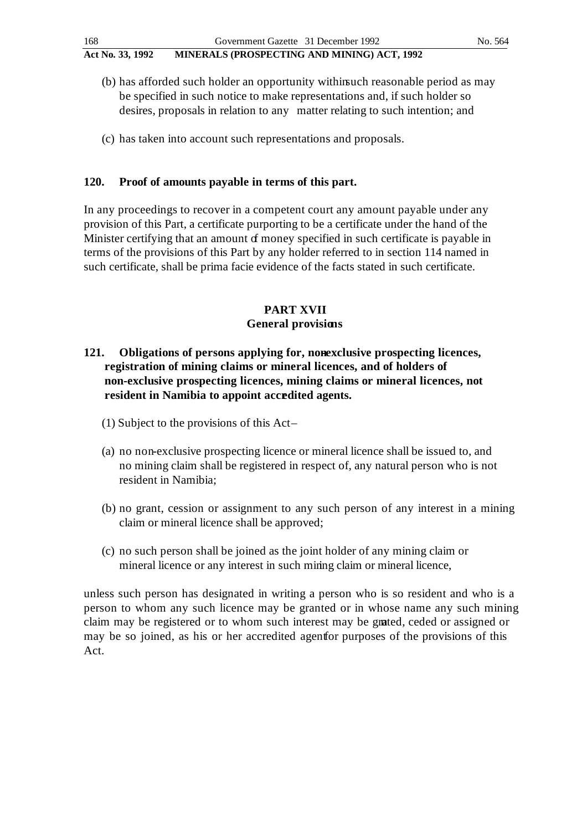- (b) has afforded such holder an opportunity within such reasonable period as may be specified in such notice to make representations and, if such holder so desires, proposals in relation to any matter relating to such intention; and
- (c) has taken into account such representations and proposals.

## **120. Proof of amounts payable in terms of this part.**

In any proceedings to recover in a competent court any amount payable under any provision of this Part, a certificate purporting to be a certificate under the hand of the Minister certifying that an amount of money specified in such certificate is payable in terms of the provisions of this Part by any holder referred to in section 114 named in such certificate, shall be prima facie evidence of the facts stated in such certificate.

## **PART XVII General provisions**

## **121.** Obligations of persons applying for, nonexclusive prospecting licences, **registration of mining claims or mineral licences, and of holders of non-exclusive prospecting licences, mining claims or mineral licences, not resident in Namibia to appoint accredited agents.**

- (1) Subject to the provisions of this Act –
- (a) no non-exclusive prospecting licence or mineral licence shall be issued to, and no mining claim shall be registered in respect of, any natural person who is not resident in Namibia;
- (b) no grant, cession or assignment to any such person of any interest in a mining claim or mineral licence shall be approved;
- (c) no such person shall be joined as the joint holder of any mining claim or mineral licence or any interest in such mining claim or mineral licence,

unless such person has designated in writing a person who is so resident and who is a person to whom any such licence may be granted or in whose name any such mining claim may be registered or to whom such interest may be granted, ceded or assigned or may be so joined, as his or her accredited agent for purposes of the provisions of this Act.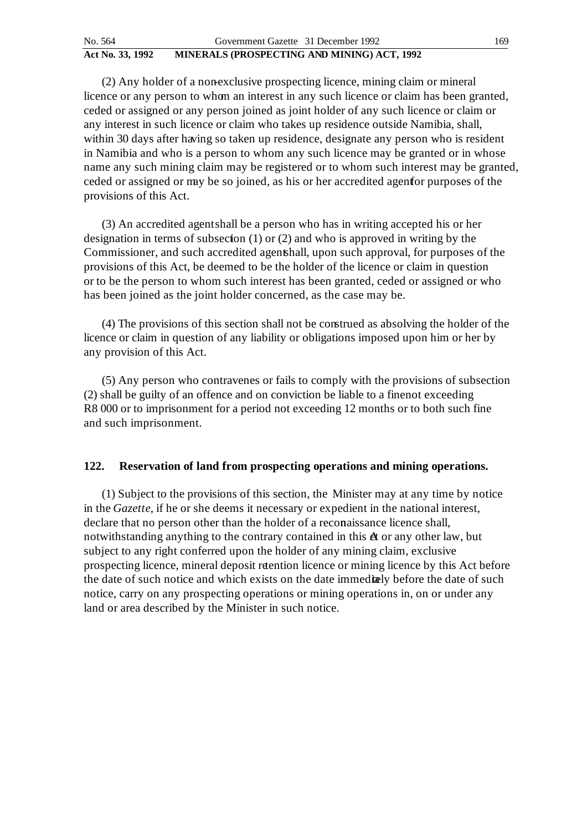| No. 564          | Government Gazette 31 December 1992         | 169 |
|------------------|---------------------------------------------|-----|
| Act No. 33, 1992 | MINERALS (PROSPECTING AND MINING) ACT, 1992 |     |

(2) Any holder of a non-exclusive prospecting licence, mining claim or mineral licence or any person to whom an interest in any such licence or claim has been granted, ceded or assigned or any person joined as joint holder of any such licence or claim or any interest in such licence or claim who takes up residence outside Namibia, shall, within 30 days after having so taken up residence, designate any person who is resident in Namibia and who is a person to whom any such licence may be granted or in whose name any such mining claim may be registered or to whom such interest may be granted, ceded or assigned or may be so joined, as his or her accredited agent for purposes of the provisions of this Act.

(3) An accredited agent shall be a person who has in writing accepted his or her designation in terms of subsection  $(1)$  or  $(2)$  and who is approved in writing by the Commissioner, and such accredited agent shall, upon such approval, for purposes of the provisions of this Act, be deemed to be the holder of the licence or claim in question or to be the person to whom such interest has been granted, ceded or assigned or who has been joined as the joint holder concerned, as the case may be.

(4) The provisions of this section shall not be construed as absolving the holder of the licence or claim in question of any liability or obligations imposed upon him or her by any provision of this Act.

(5) Any person who contravenes or fails to comply with the provisions of subsection  $(2)$  shall be guilty of an offence and on conviction be liable to a fine not exceeding R8 000 or to imprisonment for a period not exceeding 12 months or to both such fine and such imprisonment.

## **122. Reservation of land from prospecting operations and mining operations.**

(1) Subject to the provisions of this section, the Minister may at any time by notice in the *Gazette,* if he or she deems it necessary or expedient in the national interest, declare that no person other than the holder of a reconaissance licence shall, notwithstanding anything to the contrary contained in this  $\hat{\alpha}$  or any other law, but subject to any right conferred upon the holder of any mining claim, exclusive prospecting licence, mineral deposit retention licence or mining licence by this Act before the date of such notice and which exists on the date immediately before the date of such notice, carry on any prospecting operations or mining operations in, on or under any land or area described by the Minister in such notice.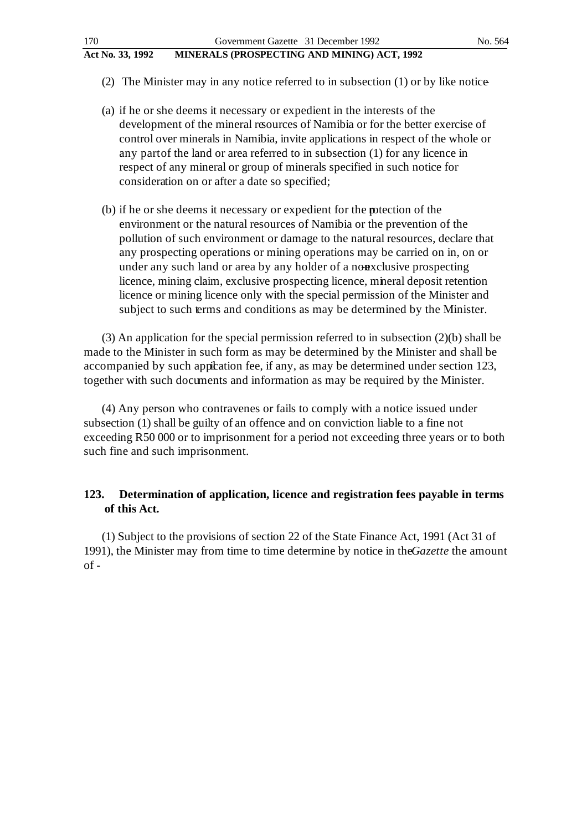- (2) The Minister may in any notice referred to in subsection (1) or by like notice-
- (a) if he or she deems it necessary or expedient in the interests of the development of the mineral resources of Namibia or for the better exercise of control over minerals in Namibia, invite applications in respect of the whole or any part of the land or area referred to in subsection (1) for any licence in respect of any mineral or group of minerals specified in such notice for consideration on or after a date so specified;
- (b) if he or she deems it necessary or expedient for the **peroperation** of the environment or the natural resources of Namibia or the prevention of the pollution of such environment or damage to the natural resources, declare that any prospecting operations or mining operations may be carried on in, on or under any such land or area by any holder of a non-exclusive prospecting licence, mining claim, exclusive prospecting licence, mineral deposit retention licence or mining licence only with the special permission of the Minister and subject to such terms and conditions as may be determined by the Minister.

(3) An application for the special permission referred to in subsection (2)(b) shall be made to the Minister in such form as may be determined by the Minister and shall be accompanied by such appication fee, if any, as may be determined under section 123, together with such documents and information as may be required by the Minister.

(4) Any person who contravenes or fails to comply with a notice issued under subsection (1) shall be guilty of an offence and on conviction liable to a fine not exceeding R50 000 or to imprisonment for a period not exceeding three years or to both such fine and such imprisonment.

## **123. Determination of application, licence and registration fees payable in terms of this Act.**

(1) Subject to the provisions of section 22 of the State Finance Act, 1991 (Act 31 of 1991), the Minister may from time to time determine by notice in the *Gazette* the amount  $of -$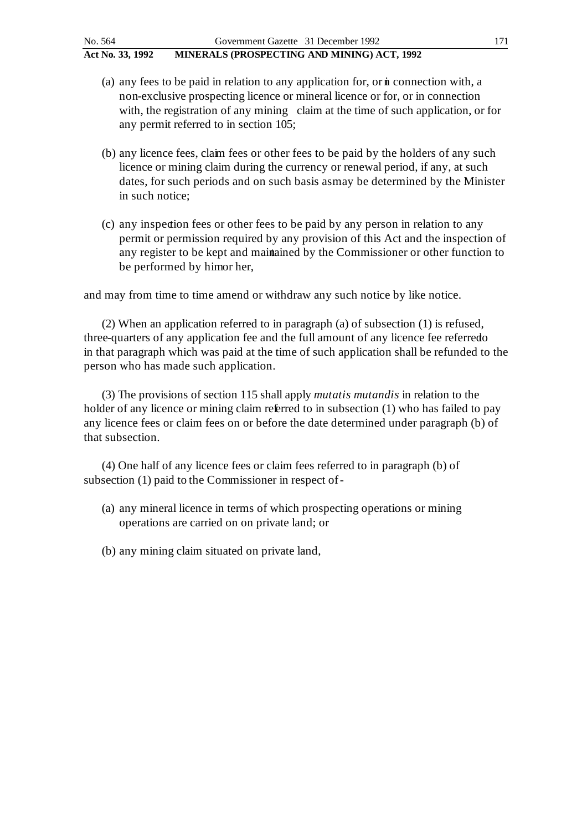- (a) any fees to be paid in relation to any application for, or  $\dot{m}$  connection with, a non-exclusive prospecting licence or mineral licence or for, or in connection with, the registration of any mining claim at the time of such application, or for any permit referred to in section 105;
- (b) any licence fees, claim fees or other fees to be paid by the holders of any such licence or mining claim during the currency or renewal period, if any, at such dates, for such periods and on such basis as may be determined by the Minister in such notice;
- (c) any inspection fees or other fees to be paid by any person in relation to any permit or permission required by any provision of this Act and the inspection of any register to be kept and maintained by the Commissioner or other function to be performed by himor her,

and may from time to time amend or withdraw any such notice by like notice.

(2) When an application referred to in paragraph (a) of subsection (1) is refused, three-quarters of any application fee and the full amount of any licence fee referred o in that paragraph which was paid at the time of such application shall be refunded to the person who has made such application.

(3) The provisions of section 115 shall apply *mutatis mutandis* in relation to the holder of any licence or mining claim referred to in subsection (1) who has failed to pay any licence fees or claim fees on or before the date determined under paragraph (b) of that subsection.

(4) One half of any licence fees or claim fees referred to in paragraph (b) of subsection (1) paid to the Commissioner in respect of -

- (a) any mineral licence in terms of which prospecting operations or mining operations are carried on on private land; or
- (b) any mining claim situated on private land,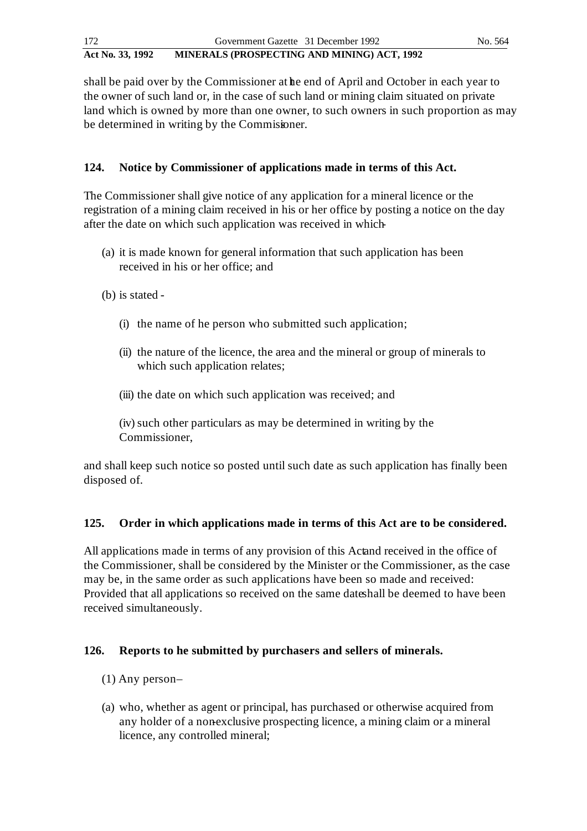shall be paid over by the Commissioner at he end of April and October in each year to the owner of such land or, in the case of such land or mining claim situated on private land which is owned by more than one owner, to such owners in such proportion as may be determined in writing by the Commissioner.

## **124. Notice by Commissioner of applications made in terms of this Act.**

The Commissioner shall give notice of any application for a mineral licence or the registration of a mining claim received in his or her office by posting a notice on the day after the date on which such application was received in which -

- (a) it is made known for general information that such application has been received in his or her office; and
- (b) is stated
	- (i) the name of he person who submitted such application;
	- (ii) the nature of the licence, the area and the mineral or group of minerals to which such application relates;
	- (iii) the date on which such application was received; and
	- (iv) such other particulars as may be determined in writing by the Commissioner,

and shall keep such notice so posted until such date as such application has finally been disposed of.

## **125. Order in which applications made in terms of this Act are to be considered.**

All applications made in terms of any provision of this Actand received in the office of the Commissioner, shall be considered by the Minister or the Commissioner, as the case may be, in the same order as such applications have been so made and received: Provided that all applications so received on the same dates hall be deemed to have been received simultaneously.

## **126. Reports to he submitted by purchasers and sellers of minerals.**

- $(1)$  Any person-
- (a) who, whether as agent or principal, has purchased or otherwise acquired from any holder of a nonexclusive prospecting licence, a mining claim or a mineral licence, any controlled mineral;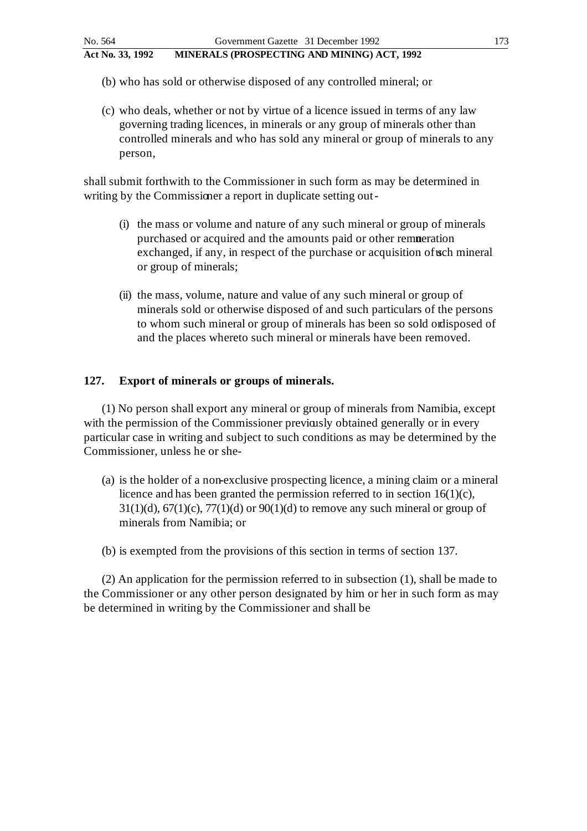- (b) who has sold or otherwise disposed of any controlled mineral; or
- (c) who deals, whether or not by virtue of a licence issued in terms of any law governing trading licences, in minerals or any group of minerals other than controlled minerals and who has sold any mineral or group of minerals to any person,

shall submit forthwith to the Commissioner in such form as may be determined in writing by the Commissioner a report in duplicate setting out -

- (i) the mass or volume and nature of any such mineral or group of minerals purchased or acquired and the amounts paid or other remueration exchanged, if any, in respect of the purchase or acquisition of such mineral or group of minerals;
- (ii) the mass, volume, nature and value of any such mineral or group of minerals sold or otherwise disposed of and such particulars of the persons to whom such mineral or group of minerals has been so sold ordisposed of and the places whereto such mineral or minerals have been removed.

## **127. Export of minerals or groups of minerals.**

(1) No person shall export any mineral or group of minerals from Namibia, except with the permission of the Commissioner previously obtained generally or in every particular case in writing and subject to such conditions as may be determined by the Commissioner, unless he or she-

- (a) is the holder of a non-exclusive prospecting licence, a mining claim or a mineral licence and has been granted the permission referred to in section 16(1)(c),  $31(1)(d)$ ,  $67(1)(c)$ ,  $77(1)(d)$  or  $90(1)(d)$  to remove any such mineral or group of minerals from Namibia; or
- (b) is exempted from the provisions of this section in terms of section 137.

(2) An application for the permission referred to in subsection (1), shall be made to the Commissioner or any other person designated by him or her in such form as may be determined in writing by the Commissioner and shall be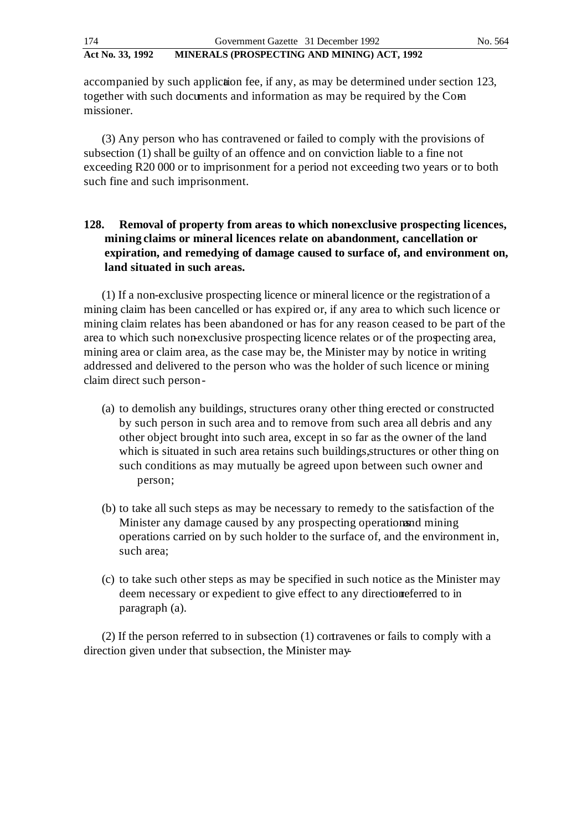accompanied by such appliction fee, if any, as may be determined under section 123, together with such documents and information as may be required by the Commissioner.

(3) Any person who has contravened or failed to comply with the provisions of subsection (1) shall be guilty of an offence and on conviction liable to a fine not exceeding R20 000 or to imprisonment for a period not exceeding two years or to both such fine and such imprisonment.

## 128. Removal of property from areas to which non-exclusive prospecting licences, **mining claims or mineral licences relate on abandonment, cancellation or expiration, and remedying of damage caused to surface of, and environment on, land situated in such areas.**

(1) If a non-exclusive prospecting licence or mineral licence or the registration of a mining claim has been cancelled or has expired or, if any area to which such licence or mining claim relates has been abandoned or has for any reason ceased to be part of the area to which such non-exclusive prospecting licence relates or of the prospecting area, mining area or claim area, as the case may be, the Minister may by notice in writing addressed and delivered to the person who was the holder of such licence or mining claim direct such person -

- (a) to demolish any buildings, structures or any other thing erected or constructed by such person in such area and to remove from such area all debris and any other object brought into such area, except in so far as the owner of the land which is situated in such area retains such buildings, structures or other thing on such conditions as may mutually be agreed upon between such owner and person;
- (b) to take all such steps as may be necessary to remedy to the satisfaction of the Minister any damage caused by any prospecting operations and mining operations carried on by such holder to the surface of, and the environment in, such area;
- (c) to take such other steps as may be specified in such notice as the Minister may deem necessary or expedient to give effect to any direction referred to in paragraph (a).

(2) If the person referred to in subsection (1) contravenes or fails to comply with a direction given under that subsection, the Minister may-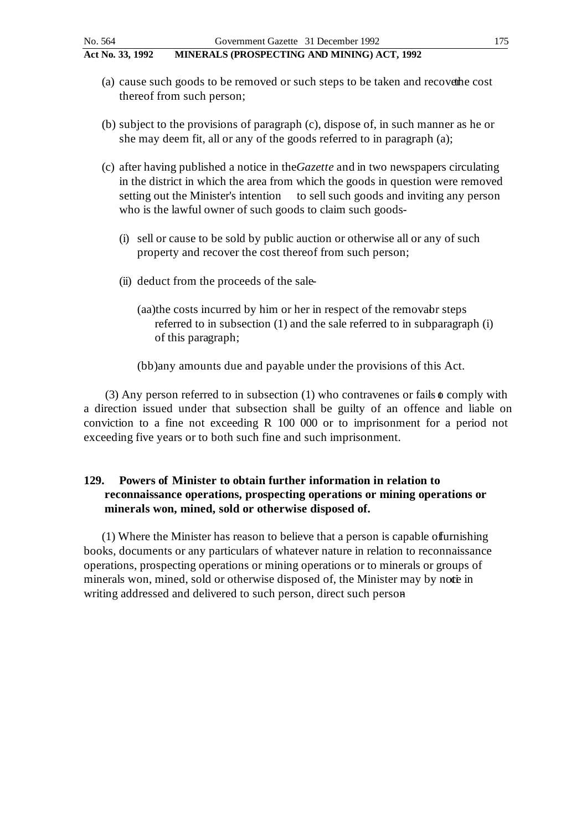- (a) cause such goods to be removed or such steps to be taken and recover the cost thereof from such person;
- (b) subject to the provisions of paragraph (c), dispose of, in such manner as he or she may deem fit, all or any of the goods referred to in paragraph (a);
- (c) after having published a notice in the *Gazette* and in two newspapers circulating in the district in which the area from which the goods in question were removed setting out the Minister's intention to sell such goods and inviting any person who is the lawful owner of such goods to claim such goods-
	- (i) sell or cause to be sold by public auction or otherwise all or any of such property and recover the cost thereof from such person;
	- (ii) deduct from the proceeds of the sale-
		- (aa)the costs incurred by him or her in respect of the removabr steps referred to in subsection (1) and the sale referred to in subparagraph (i) of this paragraph;
		- (bb)any amounts due and payable under the provisions of this Act.

(3) Any person referred to in subsection (1) who contravenes or fails  $\phi$  comply with a direction issued under that subsection shall be guilty of an offence and liable on conviction to a fine not exceeding R 100 000 or to imprisonment for a period not exceeding five years or to both such fine and such imprisonment.

## **129. Powers of Minister to obtain further information in relation to reconnaissance operations, prospecting operations or mining operations or minerals won, mined, sold or otherwise disposed of.**

(1) Where the Minister has reason to believe that a person is capable of furnishing books, documents or any particulars of whatever nature in relation to reconnaissance operations, prospecting operations or mining operations or to minerals or groups of minerals won, mined, sold or otherwise disposed of, the Minister may by note in writing addressed and delivered to such person, direct such person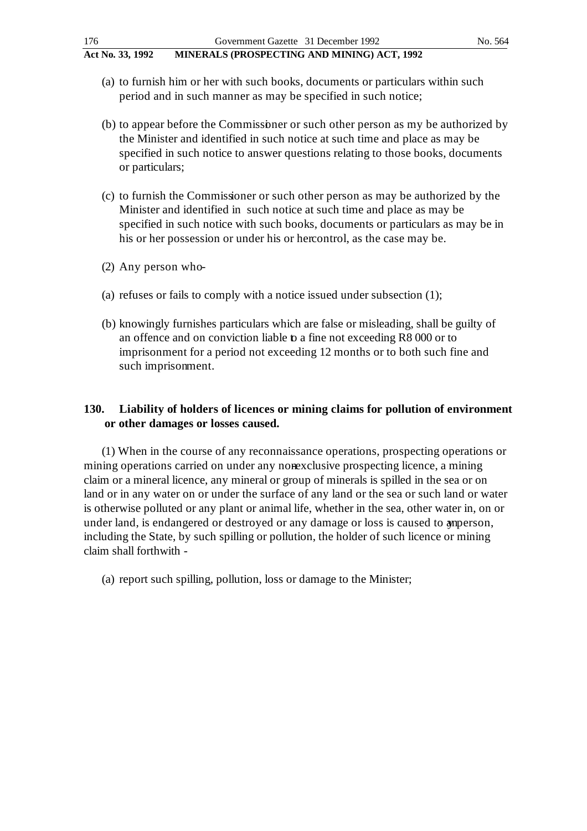- (a) to furnish him or her with such books, documents or particulars within such period and in such manner as may be specified in such notice;
- (b) to appear before the Commissioner or such other person as my be authorized by the Minister and identified in such notice at such time and place as may be specified in such notice to answer questions relating to those books, documents or particulars;
- (c) to furnish the Commissioner or such other person as may be authorized by the Minister and identified in such notice at such time and place as may be specified in such notice with such books, documents or particulars as may be in his or her possession or under his or her control, as the case may be.
- $(2)$  Any person who-
- (a) refuses or fails to comply with a notice issued under subsection (1);
- (b) knowingly furnishes particulars which are false or misleading, shall be guilty of an offence and on conviction liable to a fine not exceeding R8 000 or to imprisonment for a period not exceeding 12 months or to both such fine and such imprisonment.

## **130. Liability of holders of licences or mining claims for pollution of environment or other damages or losses caused.**

(1) When in the course of any reconnaissance operations, prospecting operations or mining operations carried on under any nonexclusive prospecting licence, a mining claim or a mineral licence, any mineral or group of minerals is spilled in the sea or on land or in any water on or under the surface of any land or the sea or such land or water is otherwise polluted or any plant or animal life, whether in the sea, other water in, on or under land, is endangered or destroyed or any damage or loss is caused to amperson, including the State, by such spilling or pollution, the holder of such licence or mining claim shall forthwith -

(a) report such spilling, pollution, loss or damage to the Minister;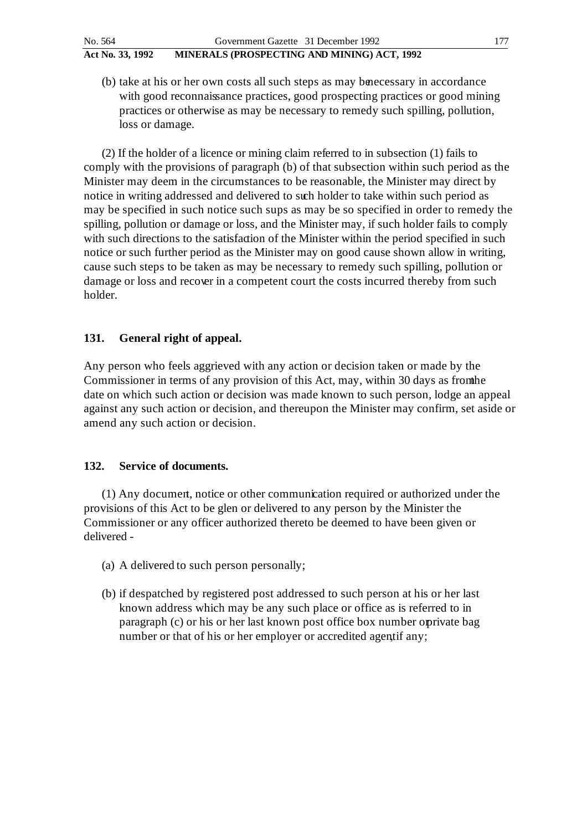(b) take at his or her own costs all such steps as may be necessary in accordance with good reconnaissance practices, good prospecting practices or good mining practices or otherwise as may be necessary to remedy such spilling, pollution, loss or damage.

(2) If the holder of a licence or mining claim referred to in subsection (1) fails to comply with the provisions of paragraph (b) of that subsection within such period as the Minister may deem in the circumstances to be reasonable, the Minister may direct by notice in writing addressed and delivered to such holder to take within such period as may be specified in such notice such sups as may be so specified in order to remedy the spilling, pollution or damage or loss, and the Minister may, if such holder fails to comply with such directions to the satisfaction of the Minister within the period specified in such notice or such further period as the Minister may on good cause shown allow in writing, cause such steps to be taken as may be necessary to remedy such spilling, pollution or damage or loss and recover in a competent court the costs incurred thereby from such holder.

## **131. General right of appeal.**

Any person who feels aggrieved with any action or decision taken or made by the Commissioner in terms of any provision of this Act, may, within 30 days as from the date on which such action or decision was made known to such person, lodge an appeal against any such action or decision, and thereupon the Minister may confirm, set aside or amend any such action or decision.

## **132. Service of documents.**

(1) Any document, notice or other communication required or authorized under the provisions of this Act to be glen or delivered to any person by the Minister the Commissioner or any officer authorized thereto be deemed to have been given or delivered -

- (a) A delivered to such person personally;
- (b) if despatched by registered post addressed to such person at his or her last known address which may be any such place or office as is referred to in paragraph (c) or his or her last known post office box number opprivate bag number or that of his or her employer or accredited agentif any;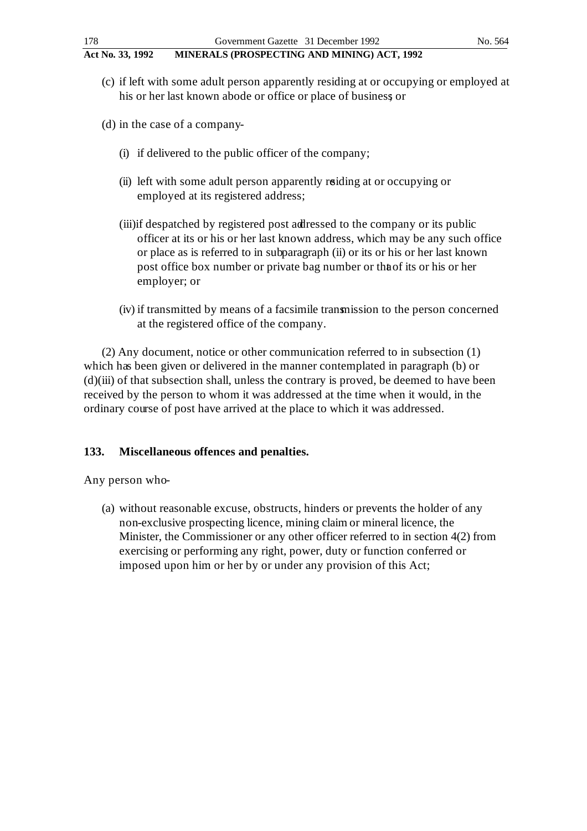- (c) if left with some adult person apparently residing at or occupying or employed at his or her last known abode or office or place of business; or
- (d) in the case of a company-
	- (i) if delivered to the public officer of the company;
	- (ii) left with some adult person apparently residing at or occupying or employed at its registered address;
	- (iii)if despatched by registered post addressed to the company or its public officer at its or his or her last known address, which may be any such office or place as is referred to in subparagraph (ii) or its or his or her last known post office box number or private bag number or that its or his or her employer; or
	- (iv) if transmitted by means of a facsimile transmission to the person concerned at the registered office of the company.

(2) Any document, notice or other communication referred to in subsection (1) which has been given or delivered in the manner contemplated in paragraph (b) or (d)(iii) of that subsection shall, unless the contrary is proved, be deemed to have been received by the person to whom it was addressed at the time when it would, in the ordinary course of post have arrived at the place to which it was addressed.

## **133. Miscellaneous offences and penalties.**

Any person who-

(a) without reasonable excuse, obstructs, hinders or prevents the holder of any non-exclusive prospecting licence, mining claim or mineral licence, the Minister, the Commissioner or any other officer referred to in section 4(2) from exercising or performing any right, power, duty or function conferred or imposed upon him or her by or under any provision of this Act;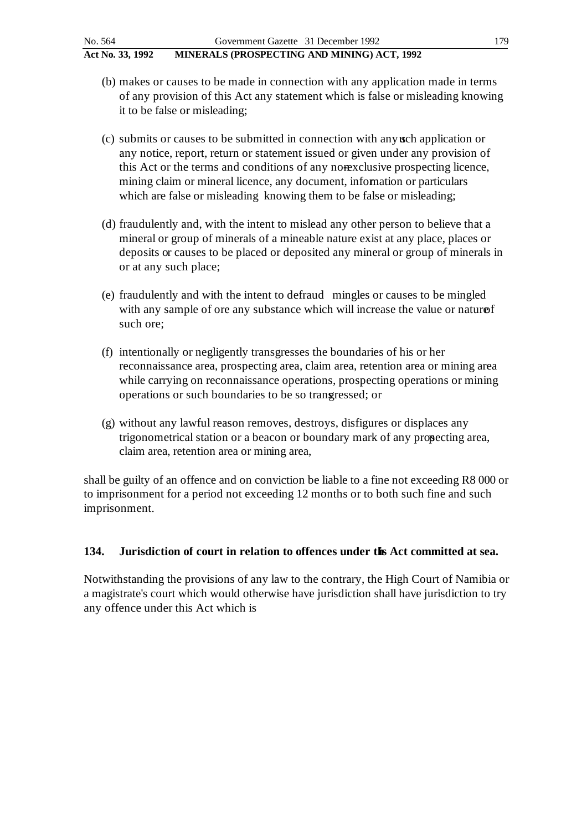- (b) makes or causes to be made in connection with any application made in terms of any provision of this Act any statement which is false or misleading knowing it to be false or misleading;
- (c) submits or causes to be submitted in connection with any such application or any notice, report, return or statement issued or given under any provision of this Act or the terms and conditions of any nonexclusive prospecting licence, mining claim or mineral licence, any document, information or particulars which are false or misleading knowing them to be false or misleading;
- (d) fraudulently and, with the intent to mislead any other person to believe that a mineral or group of minerals of a mineable nature exist at any place, places or deposits or causes to be placed or deposited any mineral or group of minerals in or at any such place;
- (e) fraudulently and with the intent to defraud mingles or causes to be mingled with any sample of ore any substance which will increase the value or nature of such ore;
- (f) intentionally or negligently transgresses the boundaries of his or her reconnaissance area, prospecting area, claim area, retention area or mining area while carrying on reconnaissance operations, prospecting operations or mining operations or such boundaries to be so transgressed; or
- (g) without any lawful reason removes, destroys, disfigures or displaces any trigonometrical station or a beacon or boundary mark of any propecting area, claim area, retention area or mining area,

shall be guilty of an offence and on conviction be liable to a fine not exceeding R8 000 or to imprisonment for a period not exceeding 12 months or to both such fine and such imprisonment.

## **134. Jurisdiction of court in relation to offences under this Act committed at sea.**

Notwithstanding the provisions of any law to the contrary, the High Court of Namibia or a magistrate's court which would otherwise have jurisdiction shall have jurisdiction to try any offence under this Act which is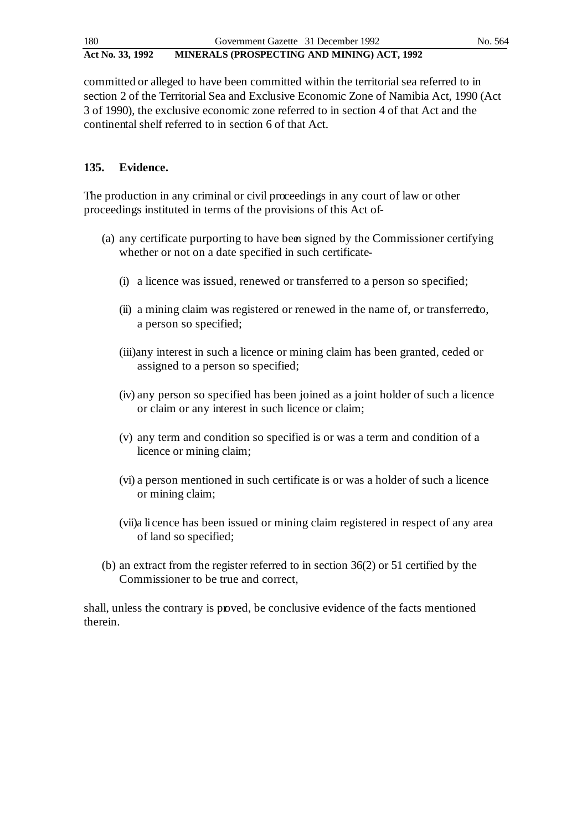committed or alleged to have been committed within the territorial sea referred to in section 2 of the Territorial Sea and Exclusive Economic Zone of Namibia Act, 1990 (Act 3 of 1990), the exclusive economic zone referred to in section 4 of that Act and the continental shelf referred to in section 6 of that Act.

## **135. Evidence.**

The production in any criminal or civil proceedings in any court of law or other proceedings instituted in terms of the provisions of this Act of-

- (a) any certificate purporting to have been signed by the Commissioner certifying whether or not on a date specified in such certificate-
	- (i) a licence was issued, renewed or transferred to a person so specified;
	- $(ii)$  a mining claim was registered or renewed in the name of, or transferred to, a person so specified;
	- (iii)any interest in such a licence or mining claim has been granted, ceded or assigned to a person so specified;
	- (iv) any person so specified has been joined as a joint holder of such a licence or claim or any interest in such licence or claim;
	- (v) any term and condition so specified is or was a term and condition of a licence or mining claim;
	- (vi) a person mentioned in such certificate is or was a holder of such a licence or mining claim;
	- (vii)a li cence has been issued or mining claim registered in respect of any area of land so specified;
- (b) an extract from the register referred to in section 36(2) or 51 certified by the Commissioner to be true and correct,

shall, unless the contrary is proved, be conclusive evidence of the facts mentioned therein.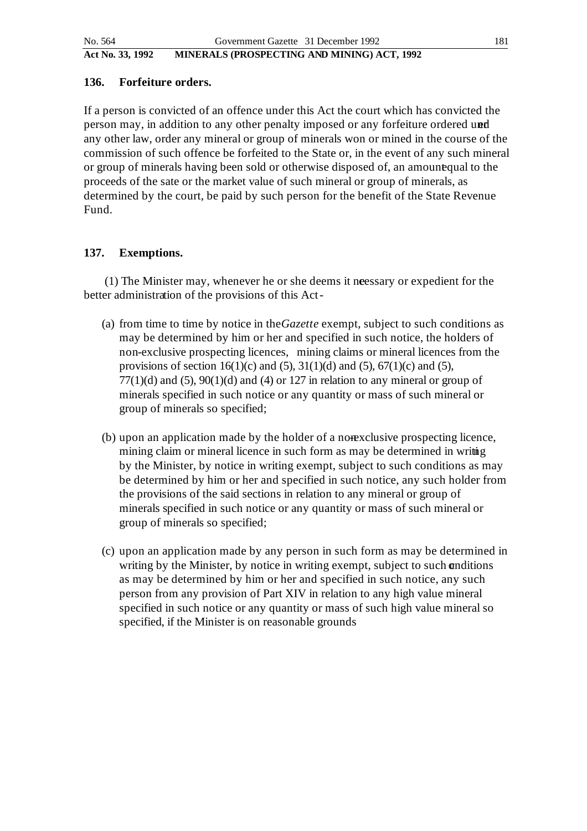### **136. Forfeiture orders.**

If a person is convicted of an offence under this Act the court which has convicted the person may, in addition to any other penalty imposed or any forfeiture ordered und any other law, order any mineral or group of minerals won or mined in the course of the commission of such offence be forfeited to the State or, in the event of any such mineral or group of minerals having been sold or otherwise disposed of, an amount qual to the proceeds of the sate or the market value of such mineral or group of minerals, as determined by the court, be paid by such person for the benefit of the State Revenue Fund.

## **137. Exemptions.**

 (1) The Minister may, whenever he or she deems it necessary or expedient for the better administration of the provisions of this Act -

- (a) from time to time by notice in the *Gazette* exempt, subject to such conditions as may be determined by him or her and specified in such notice, the holders of non-exclusive prospecting licences, mining claims or mineral licences from the provisions of section 16(1)(c) and (5), 31(1)(d) and (5), 67(1)(c) and (5),  $77(1)(d)$  and  $(5)$ ,  $90(1)(d)$  and  $(4)$  or 127 in relation to any mineral or group of minerals specified in such notice or any quantity or mass of such mineral or group of minerals so specified;
- (b) upon an application made by the holder of a nonexclusive prospecting licence, mining claim or mineral licence in such form as may be determined in writing by the Minister, by notice in writing exempt, subject to such conditions as may be determined by him or her and specified in such notice, any such holder from the provisions of the said sections in relation to any mineral or group of minerals specified in such notice or any quantity or mass of such mineral or group of minerals so specified;
- (c) upon an application made by any person in such form as may be determined in writing by the Minister, by notice in writing exempt, subject to such onditions as may be determined by him or her and specified in such notice, any such person from any provision of Part XIV in relation to any high value mineral specified in such notice or any quantity or mass of such high value mineral so specified, if the Minister is on reasonable grounds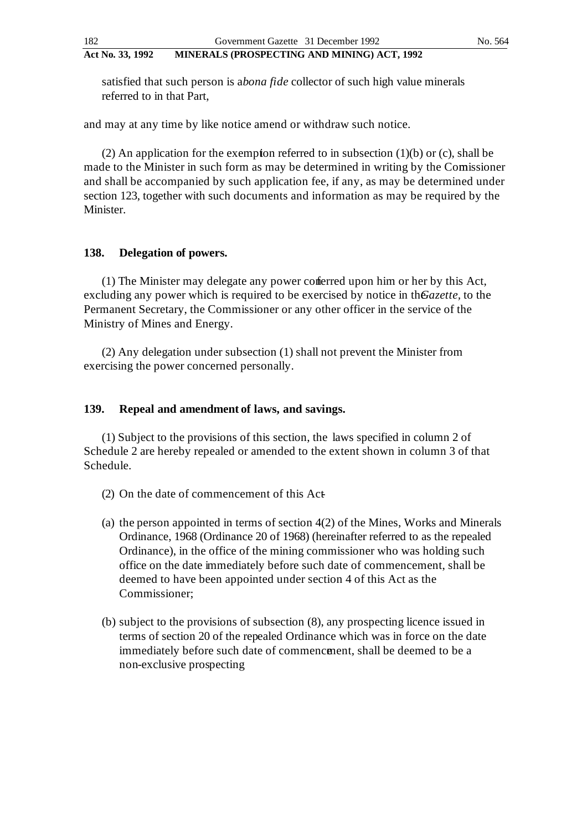satisfied that such person is *abona fide* collector of such high value minerals referred to in that Part,

and may at any time by like notice amend or withdraw such notice.

(2) An application for the exemption referred to in subsection  $(1)(b)$  or  $(c)$ , shall be made to the Minister in such form as may be determined in writing by the Comissioner and shall be accompanied by such application fee, if any, as may be determined under section 123, together with such documents and information as may be required by the Minister.

### **138. Delegation of powers.**

(1) The Minister may delegate any power conferred upon him or her by this Act, excluding any power which is required to be exercised by notice in the *Gazette*, to the Permanent Secretary, the Commissioner or any other officer in the service of the Ministry of Mines and Energy.

(2) Any delegation under subsection (1) shall not prevent the Minister from exercising the power concerned personally.

### **139. Repeal and amendment of laws, and savings.**

(1) Subject to the provisions of this section, the laws specified in column 2 of Schedule 2 are hereby repealed or amended to the extent shown in column 3 of that Schedule.

- (2) On the date of commencement of this  $Act$
- (a) the person appointed in terms of section 4(2) of the Mines, Works and Minerals Ordinance, 1968 (Ordinance 20 of 1968) (hereinafter referred to as the repealed Ordinance), in the office of the mining commissioner who was holding such office on the date immediately before such date of commencement, shall be deemed to have been appointed under section 4 of this Act as the Commissioner;
- (b) subject to the provisions of subsection (8), any prospecting licence issued in terms of section 20 of the repealed Ordinance which was in force on the date immediately before such date of commencement, shall be deemed to be a non-exclusive prospecting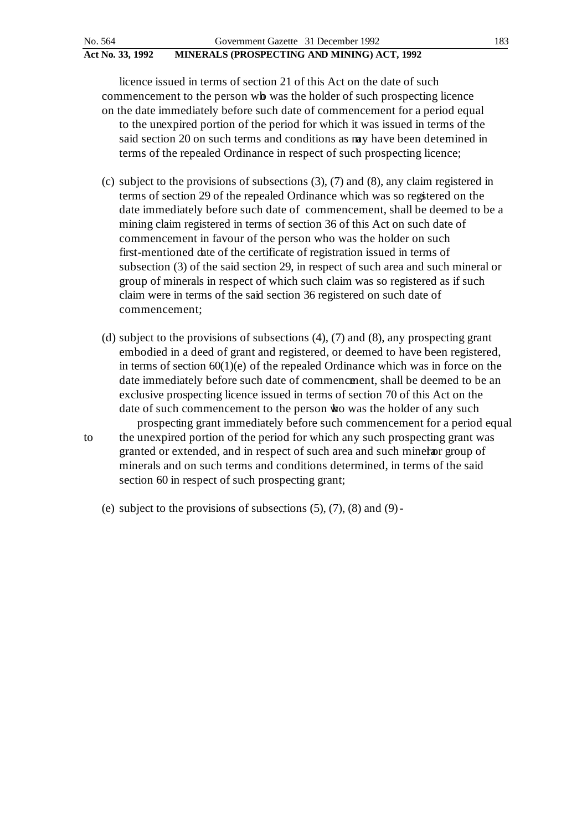licence issued in terms of section 21 of this Act on the date of such commencement to the person wb was the holder of such prospecting licence on the date immediately before such date of commencement for a period equal to the unexpired portion of the period for which it was issued in terms of the said section 20 on such terms and conditions as may have been determined in terms of the repealed Ordinance in respect of such prospecting licence;

- (c) subject to the provisions of subsections (3), (7) and (8), any claim registered in terms of section 29 of the repealed Ordinance which was so registered on the date immediately before such date of commencement, shall be deemed to be a mining claim registered in terms of section 36 of this Act on such date of commencement in favour of the person who was the holder on such first-mentioned date of the certificate of registration issued in terms of subsection (3) of the said section 29, in respect of such area and such mineral or group of minerals in respect of which such claim was so registered as if such claim were in terms of the said section 36 registered on such date of commencement;
- (d) subject to the provisions of subsections (4), (7) and (8), any prospecting grant embodied in a deed of grant and registered, or deemed to have been registered, in terms of section  $60(1)(e)$  of the repealed Ordinance which was in force on the date immediately before such date of commencement, shall be deemed to be an exclusive prospecting licence issued in terms of section 70 of this Act on the date of such commencement to the person who was the holder of any such

prospecting grant immediately before such commencement for a period equal to the unexpired portion of the period for which any such prospecting grant was granted or extended, and in respect of such area and such mineral group of minerals and on such terms and conditions determined, in terms of the said section 60 in respect of such prospecting grant;

(e) subject to the provisions of subsections  $(5)$ ,  $(7)$ ,  $(8)$  and  $(9)$ -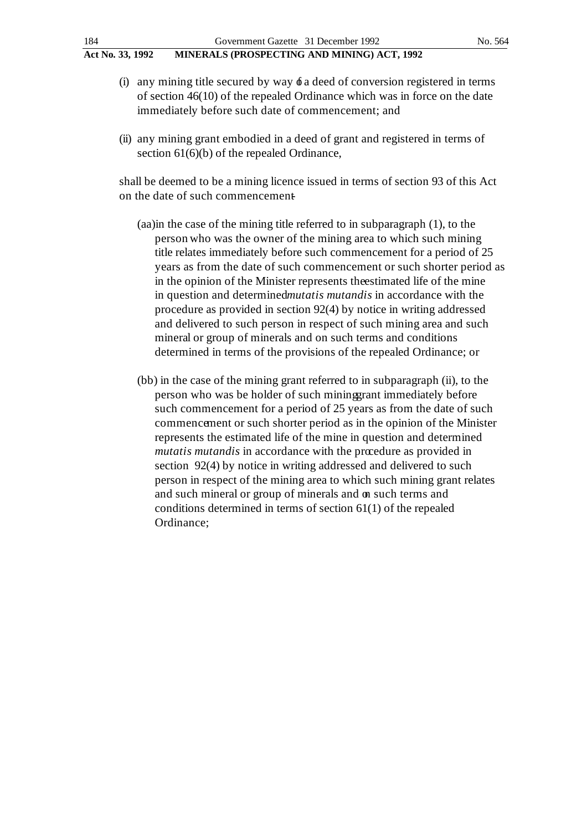- (i) any mining title secured by way  $\phi$  a deed of conversion registered in terms of section 46(10) of the repealed Ordinance which was in force on the date immediately before such date of commencement; and
- (ii) any mining grant embodied in a deed of grant and registered in terms of section 61(6)(b) of the repealed Ordinance,

shall be deemed to be a mining licence issued in terms of section 93 of this Act on the date of such commencement

- (aa)in the case of the mining title referred to in subparagraph (1), to the person who was the owner of the mining area to which such mining title relates immediately before such commencement for a period of 25 years as from the date of such commencement or such shorter period as in the opinion of the Minister represents the estimated life of the mine in question and determined *mutatis mutandis* in accordance with the procedure as provided in section 92(4) by notice in writing addressed and delivered to such person in respect of such mining area and such mineral or group of minerals and on such terms and conditions determined in terms of the provisions of the repealed Ordinance; or
- (bb) in the case of the mining grant referred to in subparagraph (ii), to the person who was be holder of such mining grant immediately before such commencement for a period of 25 years as from the date of such commencement or such shorter period as in the opinion of the Minister represents the estimated life of the mine in question and determined *mutatis mutandis* in accordance with the procedure as provided in section 92(4) by notice in writing addressed and delivered to such person in respect of the mining area to which such mining grant relates and such mineral or group of minerals and on such terms and conditions determined in terms of section 61(1) of the repealed Ordinance;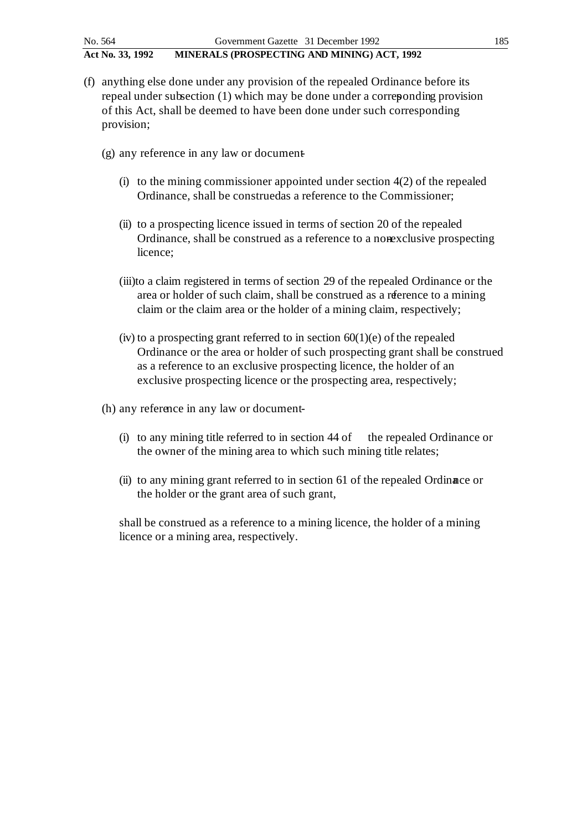- (f) anything else done under any provision of the repealed Ordinance before its repeal under subsection (1) which may be done under a corresponding provision of this Act, shall be deemed to have been done under such corresponding provision;
	- $(g)$  any reference in any law or document
		- (i) to the mining commissioner appointed under section  $4(2)$  of the repealed Ordinance, shall be construed as a reference to the Commissioner;
		- (ii) to a prospecting licence issued in terms of section 20 of the repealed Ordinance, shall be construed as a reference to a nonexclusive prospecting licence;
		- (iii)to a claim registered in terms of section 29 of the repealed Ordinance or the area or holder of such claim, shall be construed as a reference to a mining claim or the claim area or the holder of a mining claim, respectively;
		- (iv) to a prospecting grant referred to in section  $60(1)(e)$  of the repealed Ordinance or the area or holder of such prospecting grant shall be construed as a reference to an exclusive prospecting licence, the holder of an exclusive prospecting licence or the prospecting area, respectively;
	- (h) any reference in any law or document-
		- (i) to any mining title referred to in section  $44$  of the repealed Ordinance or the owner of the mining area to which such mining title relates;
		- (ii) to any mining grant referred to in section 61 of the repealed Ordinance or the holder or the grant area of such grant,

shall be construed as a reference to a mining licence, the holder of a mining licence or a mining area, respectively.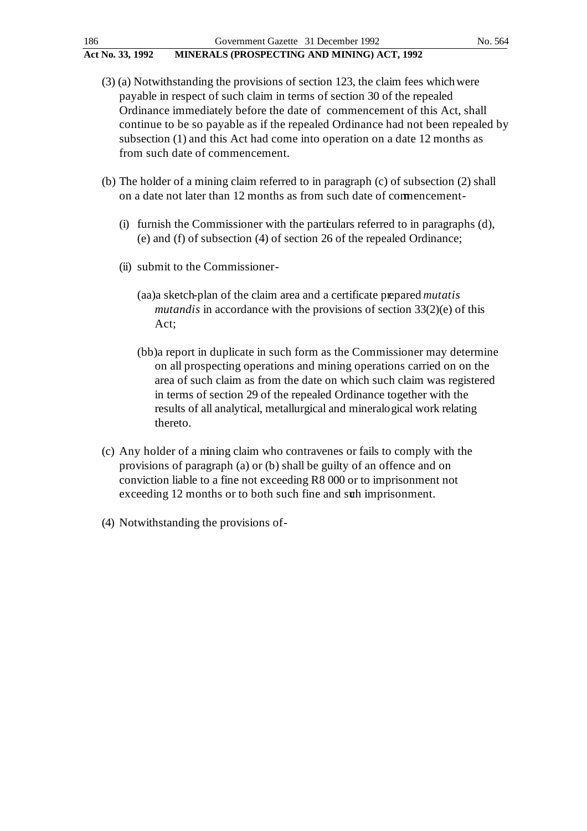- (3) (a) Notwithstanding the provisions of section 123, the claim fees which were payable in respect of such claim in terms of section 30 of the repealed Ordinance immediately before the date of commencement of this Act, shall continue to be so payable as if the repealed Ordinance had not been repealed by subsection (1) and this Act had come into operation on a date 12 months as from such date of commencement.
- (b) The holder of a mining claim referred to in paragraph (c) of subsection (2) shall on a date not later than 12 months as from such date of commencement -
	- (i) furnish the Commissioner with the particulars referred to in paragraphs (d), (e) and (f) of subsection (4) of section 26 of the repealed Ordinance;
	- (ii) submit to the Commissioner
		- (aa)a sketch-plan of the claim area and a certificate prepared *mutatis mutandis* in accordance with the provisions of section 33(2)(e) of this Act;
		- (bb)a report in duplicate in such form as the Commissioner may determine on all prospecting operations and mining operations carried on on the area of such claim as from the date on which such claim was registered in terms of section 29 of the repealed Ordinance together with the results of all analytical, metallurgical and mineralogical work relating thereto.
- (c) Any holder of a mining claim who contravenes or fails to comply with the provisions of paragraph (a) or (b) shall be guilty of an offence and on conviction liable to a fine not exceeding R8 000 or to imprisonment not exceeding 12 months or to both such fine and such imprisonment.
- (4) Notwithstanding the provisions of -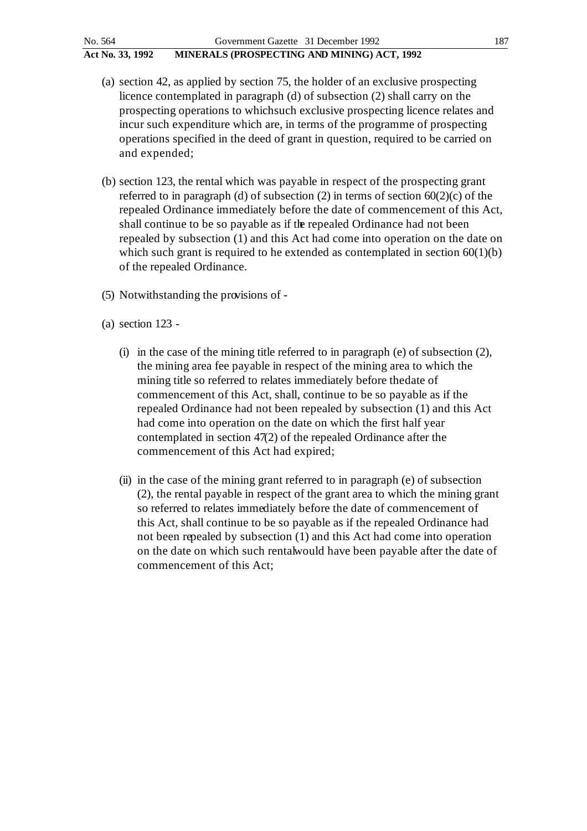- (a) section 42, as applied by section 75, the holder of an exclusive prospecting licence contemplated in paragraph (d) of subsection (2) shall carry on the prospecting operations to which such exclusive prospecting licence relates and incur such expenditure which are, in terms of the programme of prospecting operations specified in the deed of grant in question, required to be carried on and expended;
- (b) section 123, the rental which was payable in respect of the prospecting grant referred to in paragraph (d) of subsection (2) in terms of section  $60(2)(c)$  of the repealed Ordinance immediately before the date of commencement of this Act, shall continue to be so payable as if the repealed Ordinance had not been repealed by subsection (1) and this Act had come into operation on the date on which such grant is required to he extended as contemplated in section  $60(1)(b)$ of the repealed Ordinance.
- (5) Notwithstanding the provisions of -
- (a) section 123
	- (i) in the case of the mining title referred to in paragraph (e) of subsection (2), the mining area fee payable in respect of the mining area to which the mining title so referred to relates immediately before the date of commencement of this Act, shall, continue to be so payable as if the repealed Ordinance had not been repealed by subsection (1) and this Act had come into operation on the date on which the first half year contemplated in section 47(2) of the repealed Ordinance after the commencement of this Act had expired;
	- (ii) in the case of the mining grant referred to in paragraph (e) of subsection (2), the rental payable in respect of the grant area to which the mining grant so referred to relates immediately before the date of commencement of this Act, shall continue to be so payable as if the repealed Ordinance had not been repealed by subsection (1) and this Act had come into operation on the date on which such rental would have been payable after the date of commencement of this Act;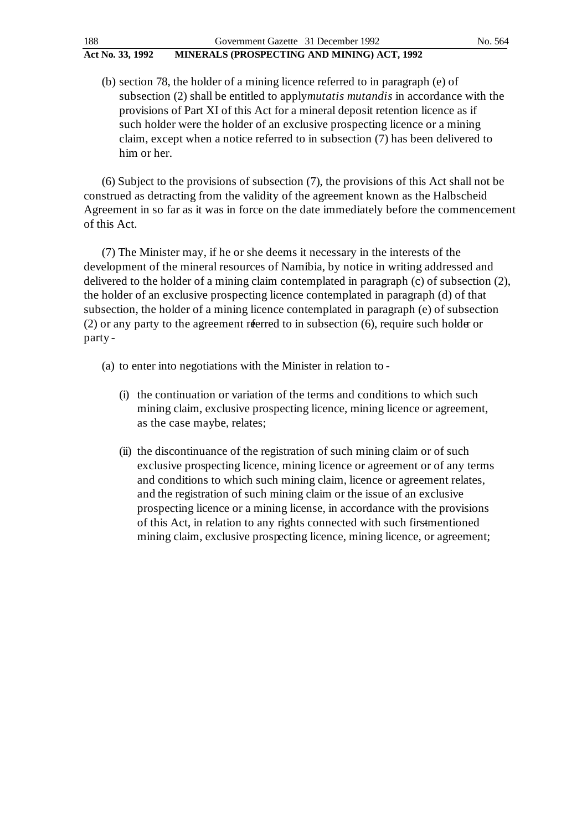(b) section 78, the holder of a mining licence referred to in paragraph (e) of subsection (2) shall be entitled to apply *mutatis mutandis* in accordance with the provisions of Part XI of this Act for a mineral deposit retention licence as if such holder were the holder of an exclusive prospecting licence or a mining claim, except when a notice referred to in subsection (7) has been delivered to him or her.

(6) Subject to the provisions of subsection (7), the provisions of this Act shall not be construed as detracting from the validity of the agreement known as the Halbscheid Agreement in so far as it was in force on the date immediately before the commencement of this Act.

(7) The Minister may, if he or she deems it necessary in the interests of the development of the mineral resources of Namibia, by notice in writing addressed and delivered to the holder of a mining claim contemplated in paragraph (c) of subsection (2), the holder of an exclusive prospecting licence contemplated in paragraph (d) of that subsection, the holder of a mining licence contemplated in paragraph (e) of subsection (2) or any party to the agreement referred to in subsection  $(6)$ , require such holder or party -

- (a) to enter into negotiations with the Minister in relation to
	- (i) the continuation or variation of the terms and conditions to which such mining claim, exclusive prospecting licence, mining licence or agreement, as the case maybe, relates;
	- (ii) the discontinuance of the registration of such mining claim or of such exclusive prospecting licence, mining licence or agreement or of any terms and conditions to which such mining claim, licence or agreement relates, and the registration of such mining claim or the issue of an exclusive prospecting licence or a mining license, in accordance with the provisions of this Act, in relation to any rights connected with such firstmentioned mining claim, exclusive prospecting licence, mining licence, or agreement;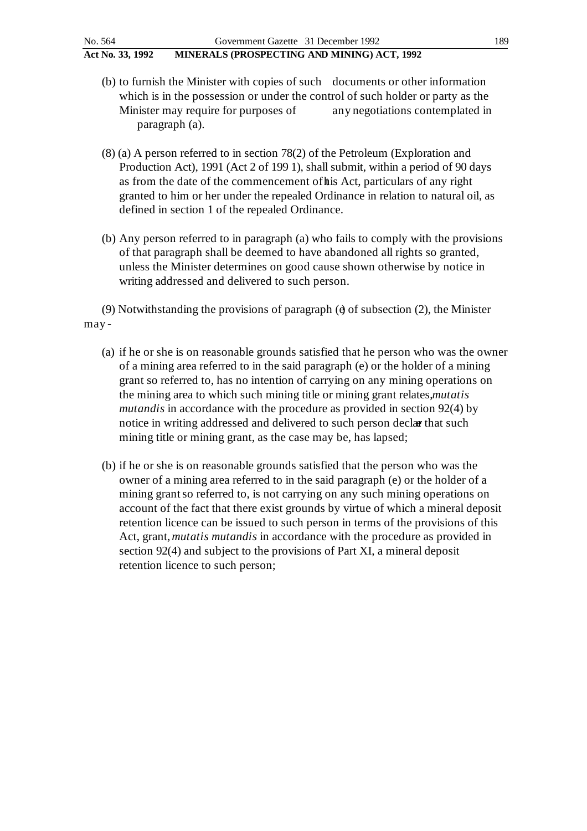- (b) to furnish the Minister with copies of such documents or other information which is in the possession or under the control of such holder or party as the Minister may require for purposes of any negotiations contemplated in paragraph (a).
- (8) (a) A person referred to in section 78(2) of the Petroleum (Exploration and Production Act), 1991 (Act 2 of 199 1), shall submit, within a period of 90 days as from the date of the commencement of this Act, particulars of any right granted to him or her under the repealed Ordinance in relation to natural oil, as defined in section 1 of the repealed Ordinance.
- (b) Any person referred to in paragraph (a) who fails to comply with the provisions of that paragraph shall be deemed to have abandoned all rights so granted, unless the Minister determines on good cause shown otherwise by notice in writing addressed and delivered to such person.

(9) Notwithstanding the provisions of paragraph ( $\theta$  of subsection (2), the Minister may -

- (a) if he or she is on reasonable grounds satisfied that he person who was the owner of a mining area referred to in the said paragraph (e) or the holder of a mining grant so referred to, has no intention of carrying on any mining operations on the mining area to which such mining title or mining grant relates, *mutatis mutandis* in accordance with the procedure as provided in section 92(4) by notice in writing addressed and delivered to such person declar that such mining title or mining grant, as the case may be, has lapsed;
- (b) if he or she is on reasonable grounds satisfied that the person who was the owner of a mining area referred to in the said paragraph (e) or the holder of a mining grant so referred to, is not carrying on any such mining operations on account of the fact that there exist grounds by virtue of which a mineral deposit retention licence can be issued to such person in terms of the provisions of this Act, grant, *mutatis mutandis* in accordance with the procedure as provided in section 92(4) and subject to the provisions of Part XI, a mineral deposit retention licence to such person;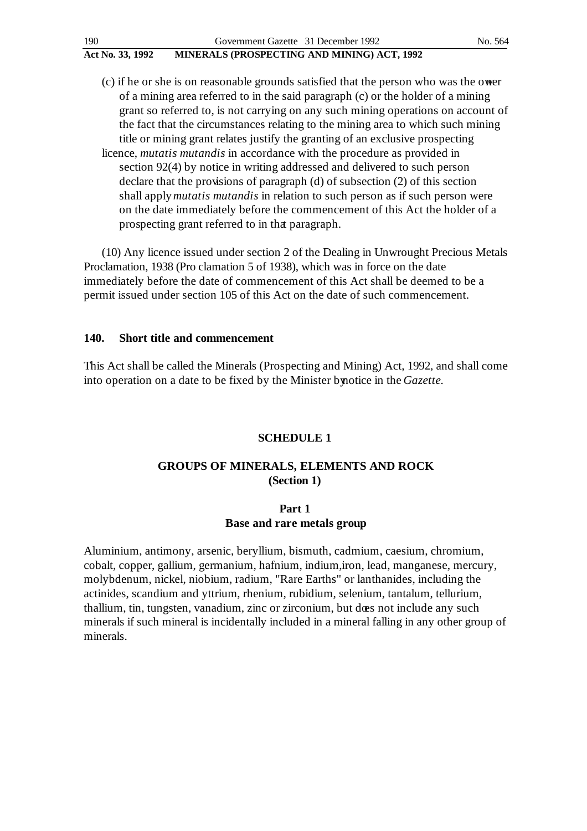$(c)$  if he or she is on reasonable grounds satisfied that the person who was the ower of a mining area referred to in the said paragraph (c) or the holder of a mining grant so referred to, is not carrying on any such mining operations on account of the fact that the circumstances relating to the mining area to which such mining title or mining grant relates justify the granting of an exclusive prospecting licence, *mutatis mutandis* in accordance with the procedure as provided in section 92(4) by notice in writing addressed and delivered to such person declare that the provisions of paragraph (d) of subsection (2) of this section shall apply *mutatis mutandis* in relation to such person as if such person were on the date immediately before the commencement of this Act the holder of a prospecting grant referred to in that paragraph.

(10) Any licence issued under section 2 of the Dealing in Unwrought Precious Metals Proclamation, 1938 (Pro clamation 5 of 1938), which was in force on the date immediately before the date of commencement of this Act shall be deemed to be a permit issued under section 105 of this Act on the date of such commencement.

#### **140. Short title and commencement**

This Act shall be called the Minerals (Prospecting and Mining) Act, 1992, and shall come into operation on a date to be fixed by the Minister by notice in the *Gazette.*

#### **SCHEDULE 1**

### **GROUPS OF MINERALS, ELEMENTS AND ROCK (Section 1)**

### **Part 1 Base and rare metals group**

Aluminium, antimony, arsenic, beryllium, bismuth, cadmium, caesium, chromium, cobalt, copper, gallium, germanium, hafnium, indium, iron, lead, manganese, mercury, molybdenum, nickel, niobium, radium, "Rare Earths" or lanthanides, including the actinides, scandium and yttrium, rhenium, rubidium, selenium, tantalum, tellurium, thallium, tin, tungsten, vanadium, zinc or zirconium, but does not include any such minerals if such mineral is incidentally included in a mineral falling in any other group of minerals.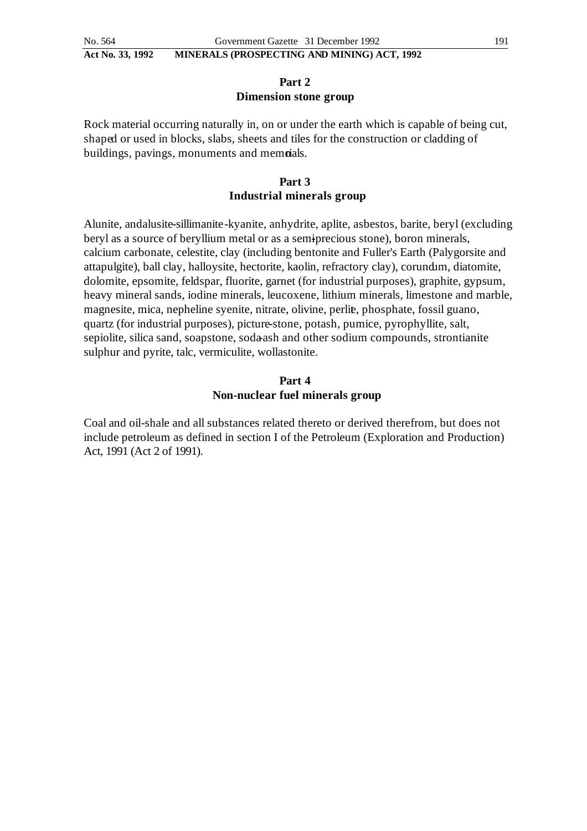### **Part 2 Dimension stone group**

Rock material occurring naturally in, on or under the earth which is capable of being cut, shaped or used in blocks, slabs, sheets and tiles for the construction or cladding of buildings, pavings, monuments and memoials.

### **Part 3 Industrial minerals group**

Alunite, andalusite-sillimanite-kyanite, anhydrite, aplite, asbestos, barite, beryl (excluding beryl as a source of beryllium metal or as a semiprecious stone), boron minerals, calcium carbonate, celestite, clay (including bentonite and Fuller's Earth (Palygorsite and attapulgite), ball clay, halloysite, hectorite, kaolin, refractory clay), corundum, diatomite, dolomite, epsomite, feldspar, fluorite, garnet (for industrial purposes), graphite, gypsum, heavy mineral sands, iodine minerals, leucoxene, lithium minerals, limestone and marble, magnesite, mica, nepheline syenite, nitrate, olivine, perlie, phosphate, fossil guano, quartz (for industrial purposes), picture-stone, potash, pumice, pyrophyllite, salt, sepiolite, silica sand, soapstone, soda-ash and other sodium compounds, strontianite sulphur and pyrite, talc, vermiculite, wollastonite.

### **Part 4 Non-nuclear fuel minerals group**

Coal and oil-shale and all substances related thereto or derived therefrom, but does not include petroleum as defined in section I of the Petroleum (Exploration and Production) Act, 1991 (Act 2 of 1991).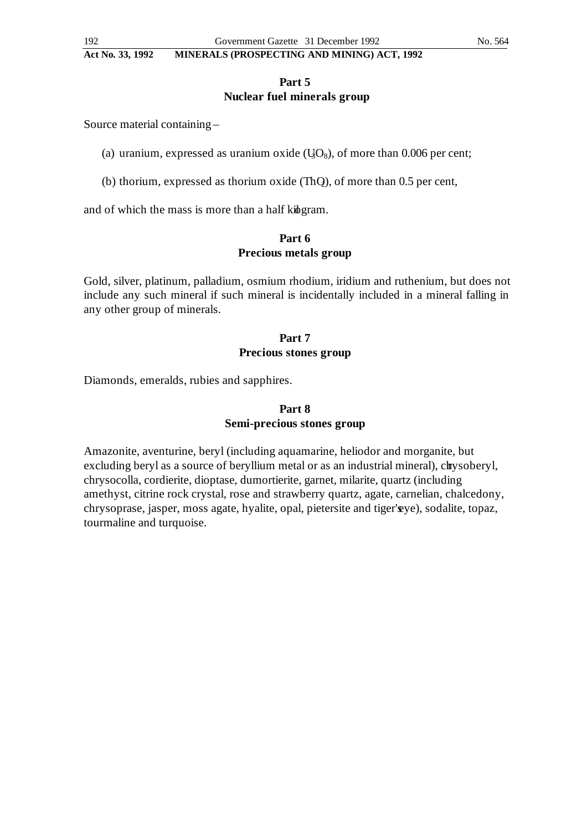### **Part 5 Nuclear fuel minerals group**

Source material containing –

- (a) uranium, expressed as uranium oxide  $(\text{U}_0O_8)$ , of more than 0.006 per cent;
- (b) thorium, expressed as thorium oxide  $(ThQ)$ , of more than 0.5 per cent,

and of which the mass is more than a half kide gram.

### **Part 6 Precious metals group**

Gold, silver, platinum, palladium, osmium rhodium, iridium and ruthenium, but does not include any such mineral if such mineral is incidentally included in a mineral falling in any other group of minerals.

# **Part 7 Precious stones group**

Diamonds, emeralds, rubies and sapphires.

# **Part 8 Semi-precious stones group**

Amazonite, aventurine, beryl (including aquamarine, heliodor and morganite, but excluding beryl as a source of beryllium metal or as an industrial mineral), chrysoberyl, chrysocolla, cordierite, dioptase, dumortierite, garnet, milarite, quartz (including amethyst, citrine rock crystal, rose and strawberry quartz, agate, carnelian, chalcedony, chrysoprase, jasper, moss agate, hyalite, opal, pietersite and tiger's ye), sodalite, topaz, tourmaline and turquoise.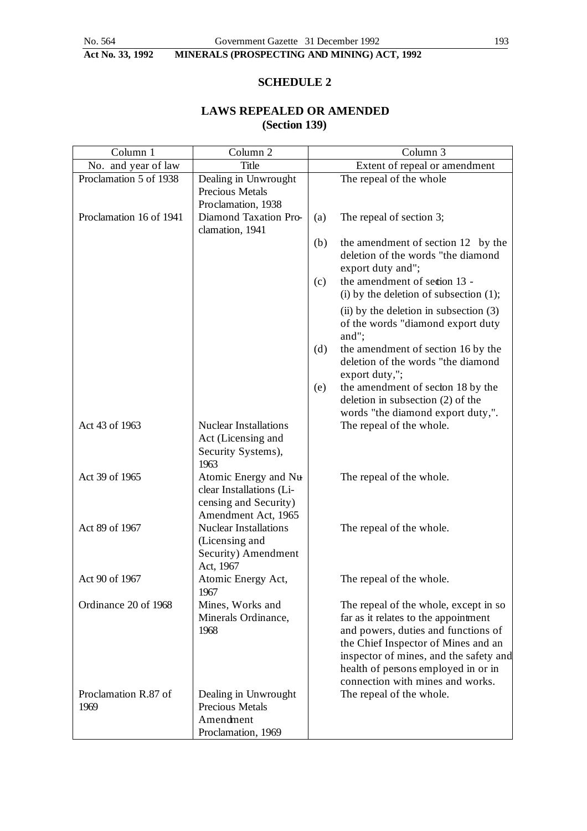# **SCHEDULE 2**

# **LAWS REPEALED OR AMENDED (Section 139)**

| Column 1                | Column 2                     |     | Column <sub>3</sub>                        |
|-------------------------|------------------------------|-----|--------------------------------------------|
| No. and year of law     | <b>Title</b>                 |     | Extent of repeal or amendment              |
| Proclamation 5 of 1938  | Dealing in Unwrought         |     | The repeal of the whole                    |
|                         | Precious Metals              |     |                                            |
|                         | Proclamation, 1938           |     |                                            |
| Proclamation 16 of 1941 | Diamond Taxation Pro-        | (a) | The repeal of section 3;                   |
|                         | clamation, 1941              |     |                                            |
|                         |                              | (b) | the amendment of section 12 by the         |
|                         |                              |     | deletion of the words "the diamond         |
|                         |                              |     | export duty and";                          |
|                         |                              | (c) | the amendment of section 13 -              |
|                         |                              |     | (i) by the deletion of subsection $(1)$ ;  |
|                         |                              |     | $(ii)$ by the deletion in subsection $(3)$ |
|                         |                              |     | of the words "diamond export duty          |
|                         |                              |     | and";                                      |
|                         |                              | (d) | the amendment of section 16 by the         |
|                         |                              |     | deletion of the words "the diamond         |
|                         |                              |     | export duty,";                             |
|                         |                              | (e) | the amendment of sector 18 by the          |
|                         |                              |     | deletion in subsection (2) of the          |
|                         |                              |     | words "the diamond export duty,".          |
| Act 43 of 1963          | Nuclear Installations        |     | The repeal of the whole.                   |
|                         | Act (Licensing and           |     |                                            |
|                         | Security Systems),<br>1963   |     |                                            |
| Act 39 of 1965          | Atomic Energy and Nu         |     | The repeal of the whole.                   |
|                         | clear Installations (Li-     |     |                                            |
|                         | censing and Security)        |     |                                            |
|                         | Amendment Act, 1965          |     |                                            |
| Act 89 of 1967          | <b>Nuclear Installations</b> |     | The repeal of the whole.                   |
|                         | (Licensing and               |     |                                            |
|                         | Security) Amendment          |     |                                            |
|                         | Act, 1967                    |     |                                            |
| Act 90 of 1967          | Atomic Energy Act,           |     | The repeal of the whole.                   |
|                         | 1967                         |     |                                            |
| Ordinance 20 of 1968    | Mines, Works and             |     | The repeal of the whole, except in so      |
|                         | Minerals Ordinance,          |     | far as it relates to the appointment       |
|                         | 1968                         |     | and powers, duties and functions of        |
|                         |                              |     | the Chief Inspector of Mines and an        |
|                         |                              |     | inspector of mines, and the safety and     |
|                         |                              |     | health of persons employed in or in        |
|                         |                              |     | connection with mines and works.           |
| Proclamation R.87 of    | Dealing in Unwrought         |     | The repeal of the whole.                   |
| 1969                    | Precious Metals              |     |                                            |
|                         | Amendment                    |     |                                            |
|                         | Proclamation, 1969           |     |                                            |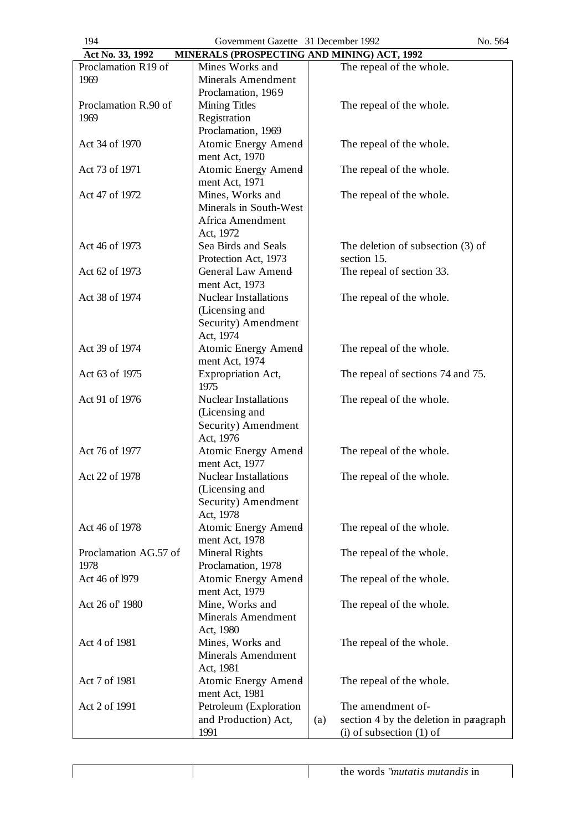| Government Gazette 31 December 1992<br>194<br>No. 564           |                              |                                               |  |  |  |  |
|-----------------------------------------------------------------|------------------------------|-----------------------------------------------|--|--|--|--|
| MINERALS (PROSPECTING AND MINING) ACT, 1992<br>Act No. 33, 1992 |                              |                                               |  |  |  |  |
| Proclamation R19 of                                             | Mines Works and              | The repeal of the whole.                      |  |  |  |  |
| 1969                                                            | Minerals Amendment           |                                               |  |  |  |  |
|                                                                 | Proclamation, 1969           |                                               |  |  |  |  |
| Proclamation R.90 of                                            | <b>Mining Titles</b>         | The repeal of the whole.                      |  |  |  |  |
| 1969                                                            | Registration                 |                                               |  |  |  |  |
|                                                                 | Proclamation, 1969           |                                               |  |  |  |  |
| Act 34 of 1970                                                  | <b>Atomic Energy Amend</b>   | The repeal of the whole.                      |  |  |  |  |
|                                                                 | ment Act, 1970               |                                               |  |  |  |  |
| Act 73 of 1971                                                  | <b>Atomic Energy Amend</b>   | The repeal of the whole.                      |  |  |  |  |
|                                                                 | ment Act, 1971               |                                               |  |  |  |  |
| Act 47 of 1972                                                  | Mines, Works and             | The repeal of the whole.                      |  |  |  |  |
|                                                                 | Minerals in South-West       |                                               |  |  |  |  |
|                                                                 | Africa Amendment             |                                               |  |  |  |  |
|                                                                 | Act, 1972                    |                                               |  |  |  |  |
| Act 46 of 1973                                                  | Sea Birds and Seals          | The deletion of subsection $(3)$ of           |  |  |  |  |
|                                                                 | Protection Act, 1973         | section 15.                                   |  |  |  |  |
| Act 62 of 1973                                                  | <b>General Law Amend</b>     | The repeal of section 33.                     |  |  |  |  |
|                                                                 | ment Act, 1973               |                                               |  |  |  |  |
| Act 38 of 1974                                                  | Nuclear Installations        | The repeal of the whole.                      |  |  |  |  |
|                                                                 | (Licensing and               |                                               |  |  |  |  |
|                                                                 | Security) Amendment          |                                               |  |  |  |  |
|                                                                 | Act, 1974                    |                                               |  |  |  |  |
| Act 39 of 1974                                                  | <b>Atomic Energy Amend</b>   | The repeal of the whole.                      |  |  |  |  |
|                                                                 | ment Act, 1974               |                                               |  |  |  |  |
| Act 63 of 1975                                                  | Expropriation Act,           | The repeal of sections 74 and 75.             |  |  |  |  |
|                                                                 | 1975                         |                                               |  |  |  |  |
| Act 91 of 1976                                                  | <b>Nuclear Installations</b> | The repeal of the whole.                      |  |  |  |  |
|                                                                 | (Licensing and               |                                               |  |  |  |  |
|                                                                 | Security) Amendment          |                                               |  |  |  |  |
|                                                                 | Act, 1976                    |                                               |  |  |  |  |
| Act 76 of 1977                                                  | <b>Atomic Energy Amend</b>   | The repeal of the whole.                      |  |  |  |  |
|                                                                 | ment Act, 1977               |                                               |  |  |  |  |
| Act 22 of 1978                                                  | Nuclear Installations        | The repeal of the whole.                      |  |  |  |  |
|                                                                 | (Licensing and               |                                               |  |  |  |  |
|                                                                 | Security) Amendment          |                                               |  |  |  |  |
|                                                                 | Act, 1978                    |                                               |  |  |  |  |
| Act 46 of 1978                                                  | <b>Atomic Energy Amend</b>   | The repeal of the whole.                      |  |  |  |  |
|                                                                 | ment Act, 1978               |                                               |  |  |  |  |
| Proclamation AG.57 of                                           | <b>Mineral Rights</b>        | The repeal of the whole.                      |  |  |  |  |
| 1978                                                            | Proclamation, 1978           |                                               |  |  |  |  |
| Act 46 of 1979                                                  | <b>Atomic Energy Amend</b>   | The repeal of the whole.                      |  |  |  |  |
|                                                                 | ment Act, 1979               |                                               |  |  |  |  |
| Act 26 of 1980                                                  | Mine, Works and              | The repeal of the whole.                      |  |  |  |  |
|                                                                 | <b>Minerals Amendment</b>    |                                               |  |  |  |  |
|                                                                 | Act, 1980                    |                                               |  |  |  |  |
| Act 4 of 1981                                                   | Mines, Works and             |                                               |  |  |  |  |
|                                                                 | <b>Minerals Amendment</b>    | The repeal of the whole.                      |  |  |  |  |
|                                                                 | Act, 1981                    |                                               |  |  |  |  |
| Act 7 of 1981                                                   |                              |                                               |  |  |  |  |
|                                                                 | Atomic Energy Amend          | The repeal of the whole.                      |  |  |  |  |
|                                                                 | ment Act, 1981               |                                               |  |  |  |  |
| Act 2 of 1991                                                   | Petroleum (Exploration       | The amendment of-                             |  |  |  |  |
|                                                                 | and Production) Act,         | section 4 by the deletion in paragraph<br>(a) |  |  |  |  |
|                                                                 | 1991                         | $(i)$ of subsection $(1)$ of                  |  |  |  |  |

 $\overline{\phantom{a}}$ 

 $\sqrt{ }$ 

 $\overline{\phantom{a}}$